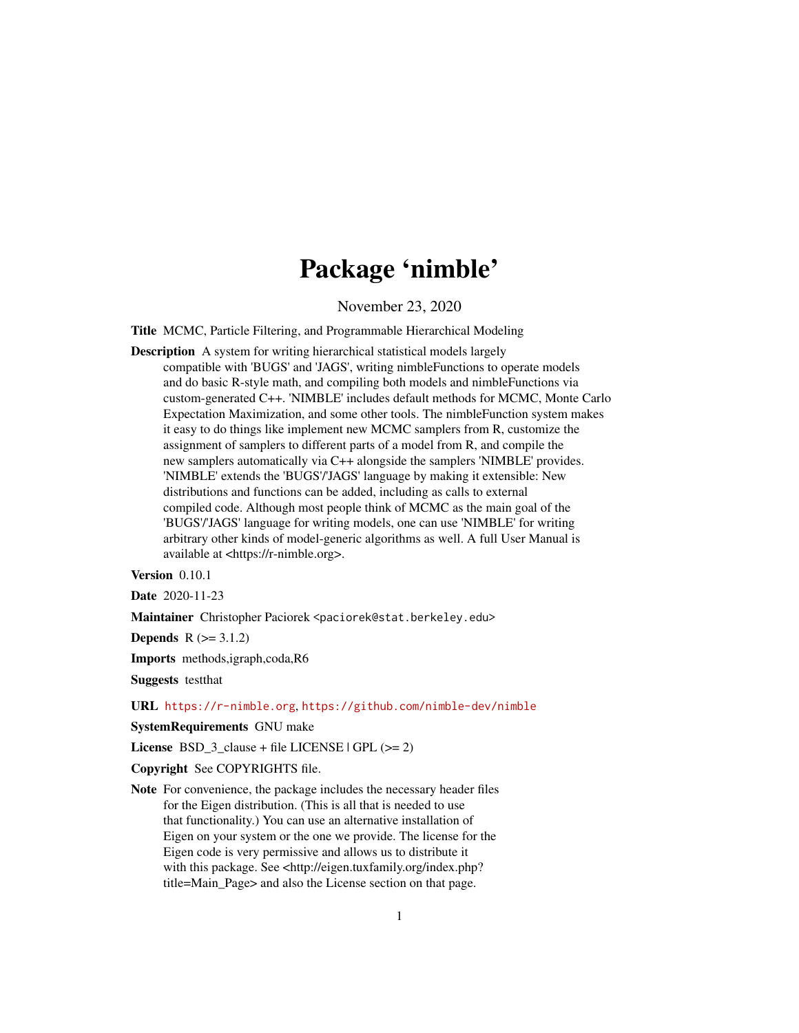# Package 'nimble'

November 23, 2020

<span id="page-0-0"></span>Title MCMC, Particle Filtering, and Programmable Hierarchical Modeling

Description A system for writing hierarchical statistical models largely compatible with 'BUGS' and 'JAGS', writing nimbleFunctions to operate models and do basic R-style math, and compiling both models and nimbleFunctions via custom-generated C++. 'NIMBLE' includes default methods for MCMC, Monte Carlo Expectation Maximization, and some other tools. The nimbleFunction system makes it easy to do things like implement new MCMC samplers from R, customize the assignment of samplers to different parts of a model from R, and compile the new samplers automatically via C++ alongside the samplers 'NIMBLE' provides. 'NIMBLE' extends the 'BUGS'/'JAGS' language by making it extensible: New distributions and functions can be added, including as calls to external compiled code. Although most people think of MCMC as the main goal of the 'BUGS'/'JAGS' language for writing models, one can use 'NIMBLE' for writing arbitrary other kinds of model-generic algorithms as well. A full User Manual is available at <https://r-nimble.org>.

Version 0.10.1

Date 2020-11-23

Maintainer Christopher Paciorek <paciorek@stat.berkeley.edu>

**Depends**  $R (= 3.1.2)$ 

Imports methods,igraph,coda,R6

Suggests testthat

URL <https://r-nimble.org>, <https://github.com/nimble-dev/nimble>

SystemRequirements GNU make

License BSD\_3\_clause + file LICENSE  $|$  GPL ( $>= 2$ )

Copyright See COPYRIGHTS file.

Note For convenience, the package includes the necessary header files for the Eigen distribution. (This is all that is needed to use that functionality.) You can use an alternative installation of Eigen on your system or the one we provide. The license for the Eigen code is very permissive and allows us to distribute it with this package. See <http://eigen.tuxfamily.org/index.php? title=Main\_Page> and also the License section on that page.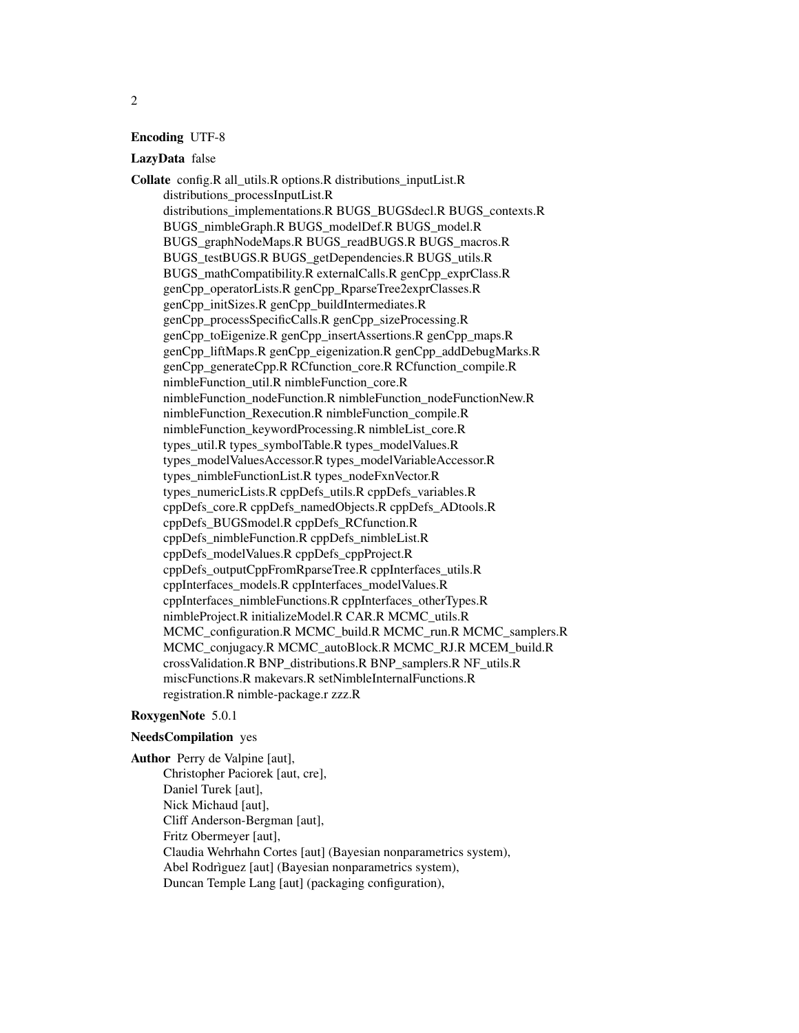#### Encoding UTF-8

#### LazyData false

Collate config.R all\_utils.R options.R distributions\_inputList.R distributions\_processInputList.R distributions\_implementations.R BUGS\_BUGSdecl.R BUGS\_contexts.R BUGS\_nimbleGraph.R BUGS\_modelDef.R BUGS\_model.R BUGS\_graphNodeMaps.R BUGS\_readBUGS.R BUGS\_macros.R BUGS\_testBUGS.R BUGS\_getDependencies.R BUGS\_utils.R BUGS\_mathCompatibility.R externalCalls.R genCpp\_exprClass.R genCpp\_operatorLists.R genCpp\_RparseTree2exprClasses.R genCpp\_initSizes.R genCpp\_buildIntermediates.R genCpp\_processSpecificCalls.R genCpp\_sizeProcessing.R genCpp\_toEigenize.R genCpp\_insertAssertions.R genCpp\_maps.R genCpp\_liftMaps.R genCpp\_eigenization.R genCpp\_addDebugMarks.R genCpp\_generateCpp.R RCfunction\_core.R RCfunction\_compile.R nimbleFunction\_util.R nimbleFunction\_core.R nimbleFunction\_nodeFunction.R nimbleFunction\_nodeFunctionNew.R nimbleFunction\_Rexecution.R nimbleFunction\_compile.R nimbleFunction\_keywordProcessing.R nimbleList\_core.R types\_util.R types\_symbolTable.R types\_modelValues.R types\_modelValuesAccessor.R types\_modelVariableAccessor.R types\_nimbleFunctionList.R types\_nodeFxnVector.R types\_numericLists.R cppDefs\_utils.R cppDefs\_variables.R cppDefs\_core.R cppDefs\_namedObjects.R cppDefs\_ADtools.R cppDefs\_BUGSmodel.R cppDefs\_RCfunction.R cppDefs\_nimbleFunction.R cppDefs\_nimbleList.R cppDefs\_modelValues.R cppDefs\_cppProject.R cppDefs\_outputCppFromRparseTree.R cppInterfaces\_utils.R cppInterfaces\_models.R cppInterfaces\_modelValues.R cppInterfaces\_nimbleFunctions.R cppInterfaces\_otherTypes.R nimbleProject.R initializeModel.R CAR.R MCMC\_utils.R MCMC\_configuration.R MCMC\_build.R MCMC\_run.R MCMC\_samplers.R MCMC\_conjugacy.R MCMC\_autoBlock.R MCMC\_RJ.R MCEM\_build.R crossValidation.R BNP\_distributions.R BNP\_samplers.R NF\_utils.R miscFunctions.R makevars.R setNimbleInternalFunctions.R registration.R nimble-package.r zzz.R

#### RoxygenNote 5.0.1

## NeedsCompilation yes

Author Perry de Valpine [aut], Christopher Paciorek [aut, cre], Daniel Turek [aut], Nick Michaud [aut], Cliff Anderson-Bergman [aut], Fritz Obermeyer [aut], Claudia Wehrhahn Cortes [aut] (Bayesian nonparametrics system), Abel Rodrìguez [aut] (Bayesian nonparametrics system), Duncan Temple Lang [aut] (packaging configuration),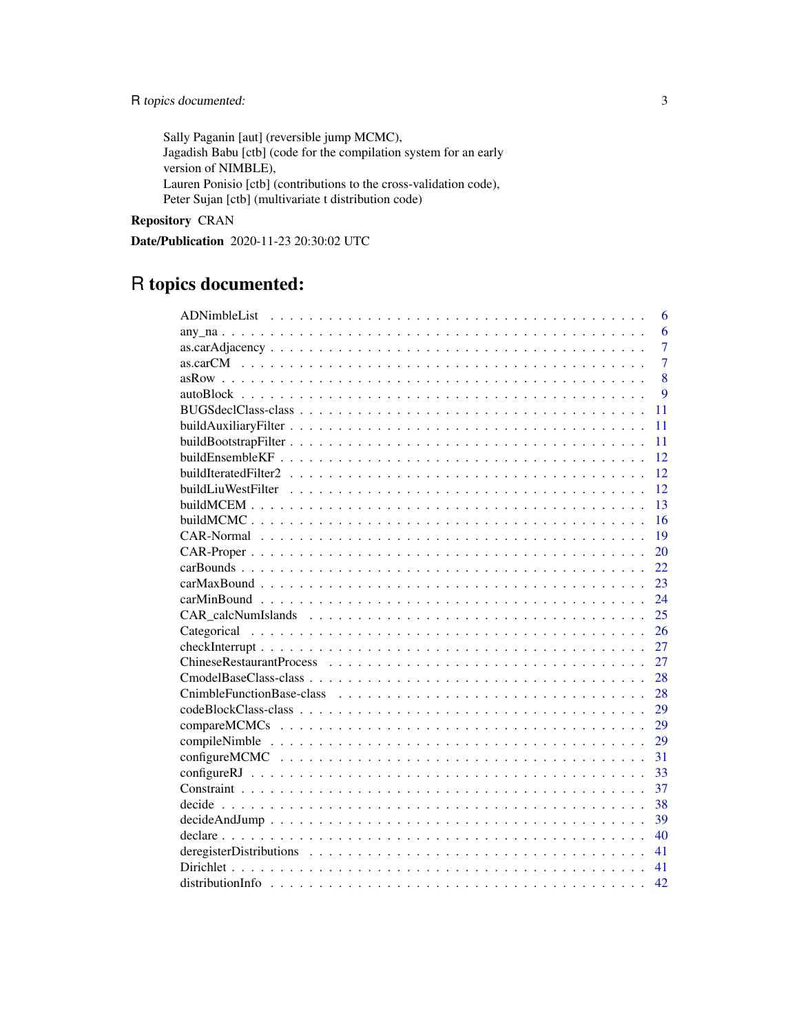Sally Paganin [aut] (reversible jump MCMC), Jagadish Babu [ctb] (code for the compilation system for an early version of NIMBLE), Lauren Ponisio [ctb] (contributions to the cross-validation code), Peter Sujan [ctb] (multivariate t distribution code)

Repository CRAN

Date/Publication 2020-11-23 20:30:02 UTC

# R topics documented:

|                                                                                                           | 6              |
|-----------------------------------------------------------------------------------------------------------|----------------|
|                                                                                                           | 6              |
|                                                                                                           | $\overline{7}$ |
|                                                                                                           | $\overline{7}$ |
|                                                                                                           | 8              |
|                                                                                                           | $\overline{Q}$ |
| 11                                                                                                        |                |
| 11                                                                                                        |                |
| 11                                                                                                        |                |
| 12                                                                                                        |                |
| 12                                                                                                        |                |
| 12                                                                                                        |                |
| 13                                                                                                        |                |
| 16                                                                                                        |                |
| 19                                                                                                        |                |
| 20                                                                                                        |                |
| 22                                                                                                        |                |
| 23                                                                                                        |                |
| 24                                                                                                        |                |
| 25                                                                                                        |                |
| 26                                                                                                        |                |
| 27                                                                                                        |                |
| 27                                                                                                        |                |
| 28                                                                                                        |                |
| 28                                                                                                        |                |
| 29                                                                                                        |                |
| 29                                                                                                        |                |
| 29                                                                                                        |                |
| 31                                                                                                        |                |
| 33                                                                                                        |                |
| 37                                                                                                        |                |
| 38                                                                                                        |                |
| $decideAndJump \ldots \ldots \ldots \ldots \ldots \ldots \ldots \ldots \ldots \ldots \ldots \ldots$<br>39 |                |
| 40                                                                                                        |                |
| 41                                                                                                        |                |
| 41                                                                                                        |                |
| 42                                                                                                        |                |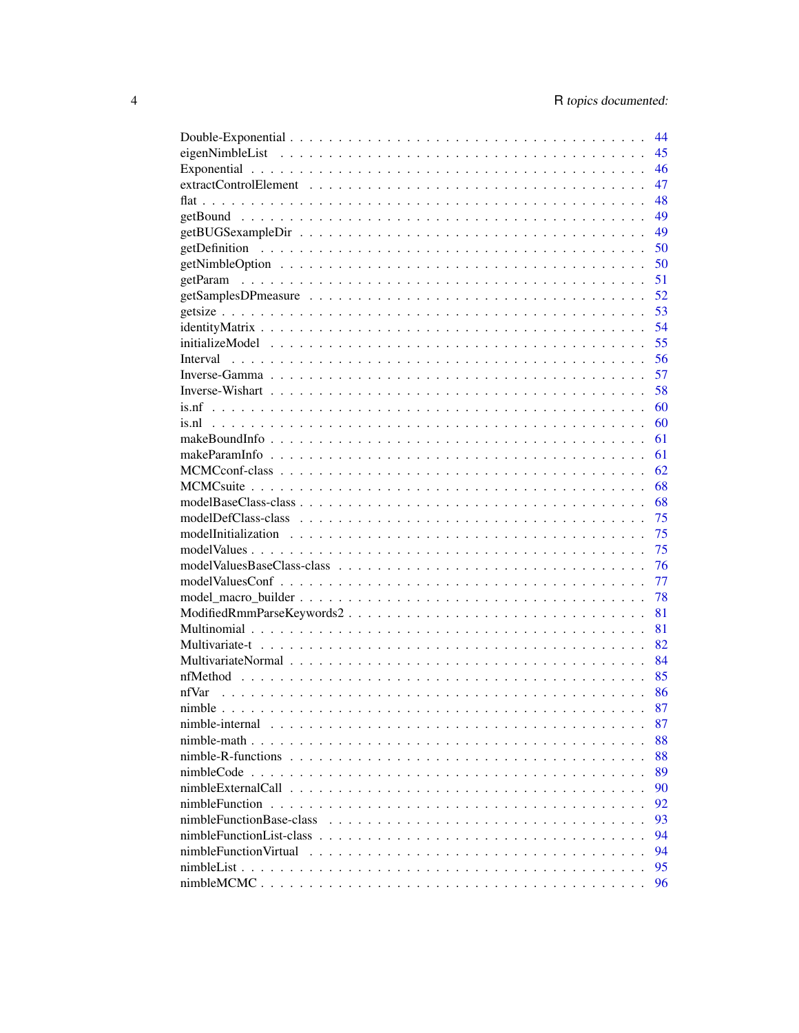|                          | 44 |
|--------------------------|----|
|                          | 45 |
|                          | 46 |
|                          | 47 |
|                          | 48 |
|                          | 49 |
|                          | 49 |
|                          | 50 |
|                          | 50 |
|                          | 51 |
|                          | 52 |
|                          | 53 |
|                          | 54 |
|                          | 55 |
|                          | 56 |
|                          |    |
|                          | 57 |
|                          | 58 |
|                          | 60 |
|                          | 60 |
|                          | 61 |
|                          | 61 |
|                          | 62 |
|                          | 68 |
|                          | 68 |
|                          | 75 |
|                          | 75 |
|                          | 75 |
|                          | 76 |
|                          | 77 |
|                          | 78 |
|                          | 81 |
|                          | 81 |
|                          | 82 |
|                          | 84 |
|                          | 85 |
| nfVar                    | 86 |
|                          | 87 |
| nimble-internal          | 87 |
|                          | 88 |
|                          | 88 |
|                          | 89 |
|                          | 90 |
|                          | 92 |
| nimbleFunctionBase-class | 93 |
|                          |    |
|                          | 94 |
|                          | 94 |
|                          | 95 |
|                          | 96 |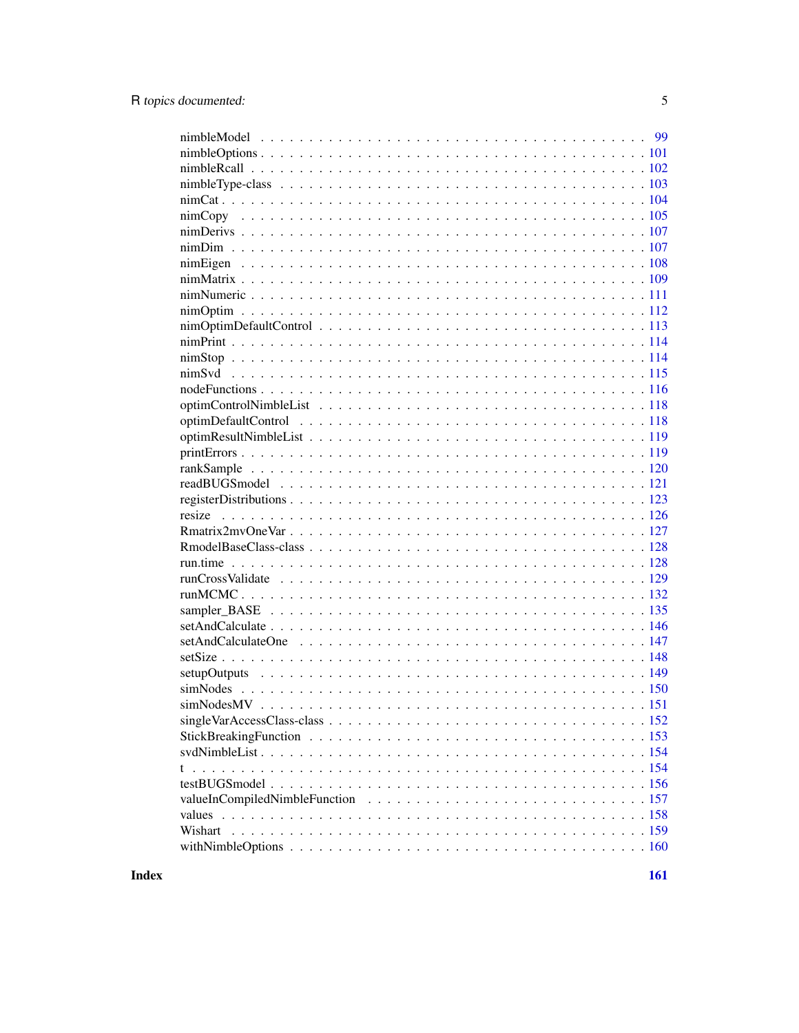| Wishart |
|---------|
|         |
|         |

**Index**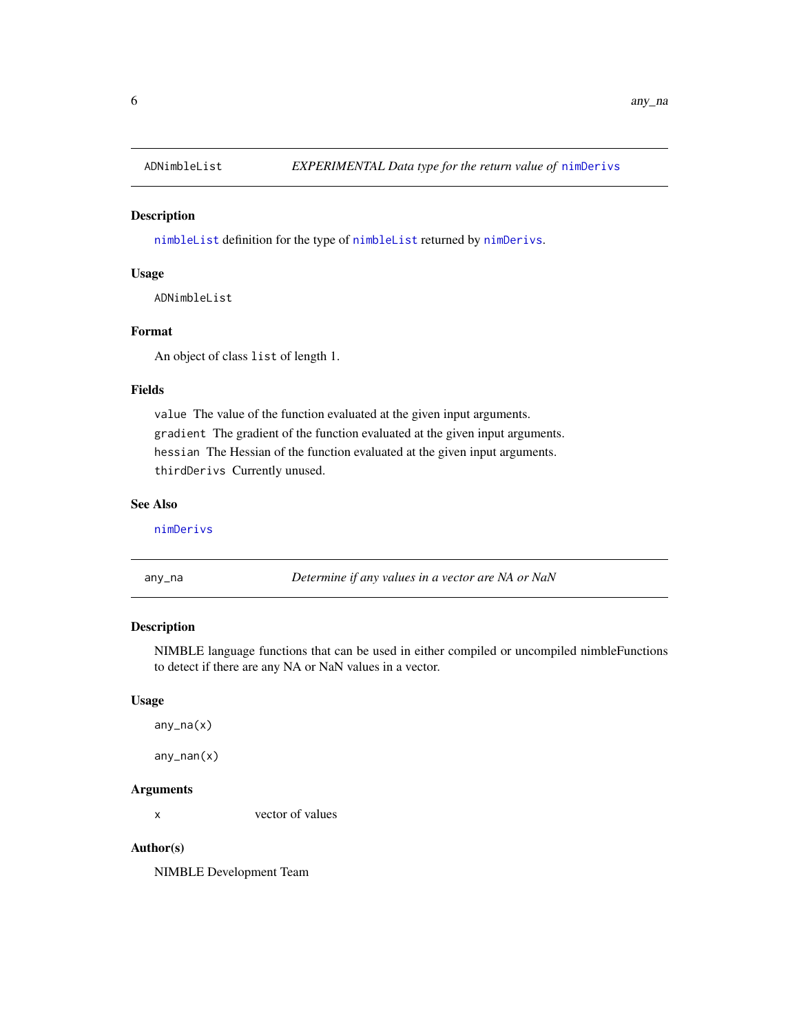<span id="page-5-0"></span>

[nimbleList](#page-94-1) definition for the type of [nimbleList](#page-94-1) returned by [nimDerivs](#page-106-1).

# Usage

ADNimbleList

## Format

An object of class list of length 1.

## Fields

value The value of the function evaluated at the given input arguments. gradient The gradient of the function evaluated at the given input arguments. hessian The Hessian of the function evaluated at the given input arguments. thirdDerivs Currently unused.

# See Also

[nimDerivs](#page-106-1)

any\_na *Determine if any values in a vector are NA or NaN*

## Description

NIMBLE language functions that can be used in either compiled or uncompiled nimbleFunctions to detect if there are any NA or NaN values in a vector.

#### Usage

any\_na(x)

any\_nan(x)

## Arguments

x vector of values

# Author(s)

NIMBLE Development Team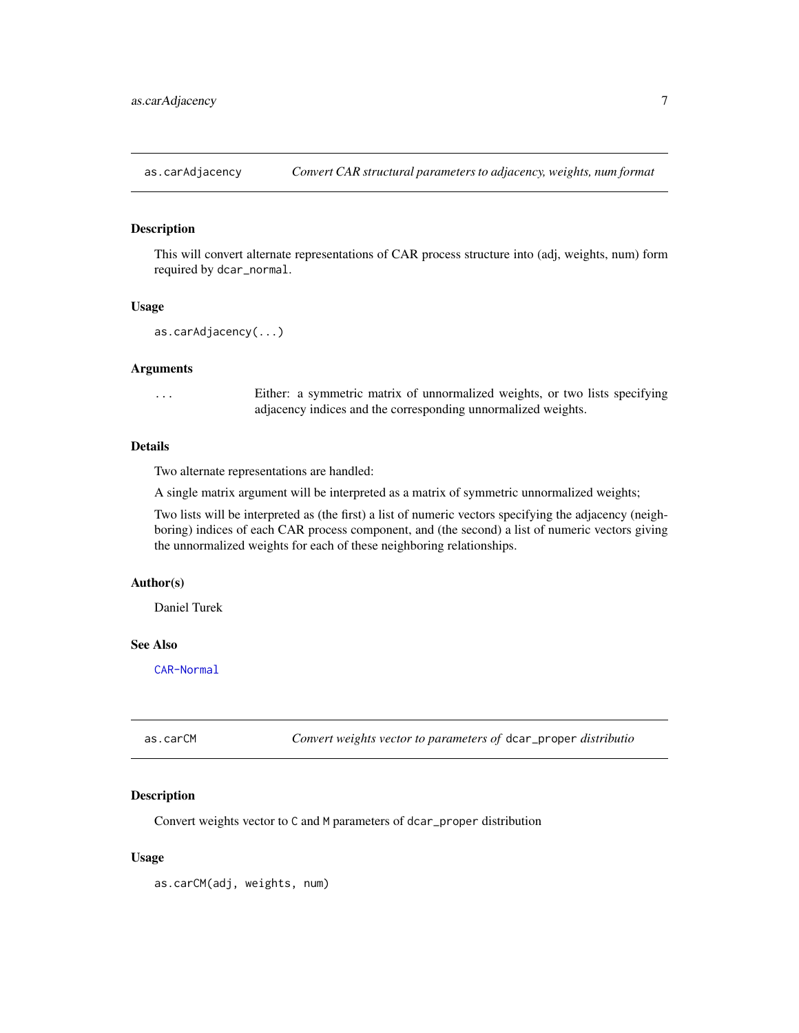<span id="page-6-0"></span>

This will convert alternate representations of CAR process structure into (adj, weights, num) form required by dcar\_normal.

#### Usage

```
as.carAdjacency(...)
```
#### Arguments

... Either: a symmetric matrix of unnormalized weights, or two lists specifying adjacency indices and the corresponding unnormalized weights.

## Details

Two alternate representations are handled:

A single matrix argument will be interpreted as a matrix of symmetric unnormalized weights;

Two lists will be interpreted as (the first) a list of numeric vectors specifying the adjacency (neighboring) indices of each CAR process component, and (the second) a list of numeric vectors giving the unnormalized weights for each of these neighboring relationships.

## Author(s)

Daniel Turek

## See Also

[CAR-Normal](#page-18-1)

| as.carCM | Convert weights vector to parameters of dcar_proper distributio |  |
|----------|-----------------------------------------------------------------|--|
|----------|-----------------------------------------------------------------|--|

# Description

Convert weights vector to C and M parameters of dcar\_proper distribution

#### Usage

as.carCM(adj, weights, num)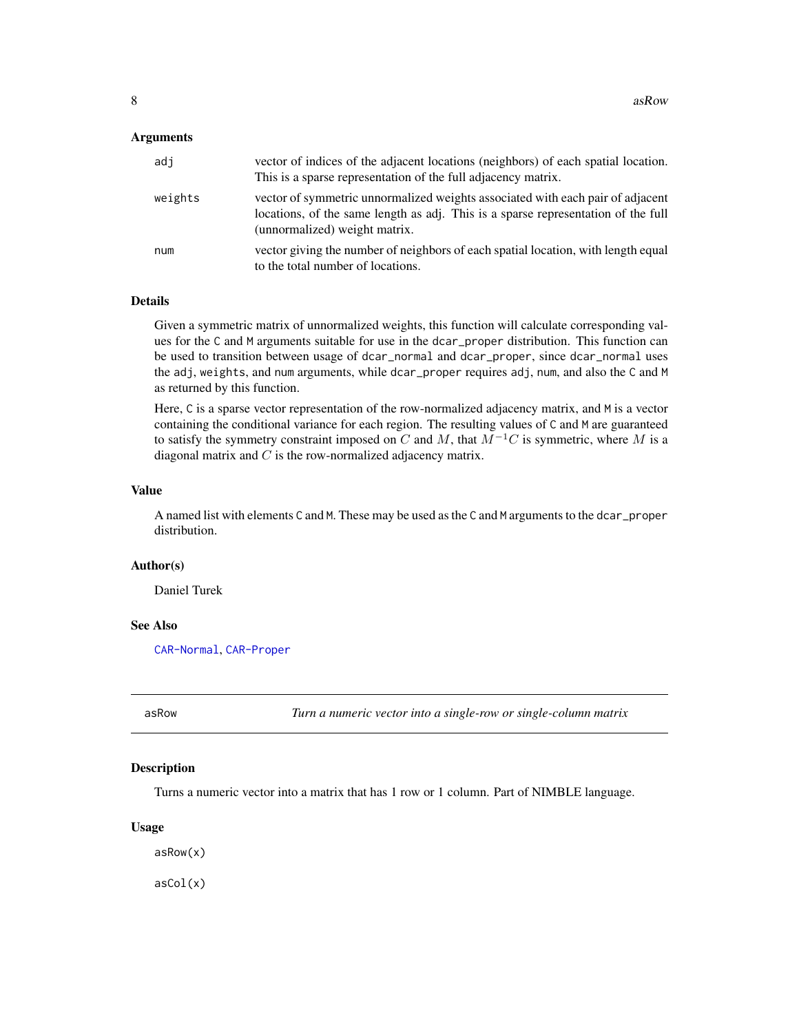## <span id="page-7-0"></span>**Arguments**

| adi     | vector of indices of the adjacent locations (neighbors) of each spatial location.<br>This is a sparse representation of the full adjacency matrix.                                                   |
|---------|------------------------------------------------------------------------------------------------------------------------------------------------------------------------------------------------------|
| weights | vector of symmetric unnormalized weights associated with each pair of adjacent<br>locations, of the same length as adj. This is a sparse representation of the full<br>(unnormalized) weight matrix. |
| num     | vector giving the number of neighbors of each spatial location, with length equal<br>to the total number of locations.                                                                               |

## Details

Given a symmetric matrix of unnormalized weights, this function will calculate corresponding values for the C and M arguments suitable for use in the dcar\_proper distribution. This function can be used to transition between usage of dcar\_normal and dcar\_proper, since dcar\_normal uses the adj, weights, and num arguments, while dcar\_proper requires adj, num, and also the C and M as returned by this function.

Here, C is a sparse vector representation of the row-normalized adjacency matrix, and M is a vector containing the conditional variance for each region. The resulting values of C and M are guaranteed to satisfy the symmetry constraint imposed on C and M, that  $M^{-1}C$  is symmetric, where M is a diagonal matrix and  $C$  is the row-normalized adjacency matrix.

#### Value

A named list with elements C and M. These may be used as the C and M arguments to the dcar\_proper distribution.

#### Author(s)

Daniel Turek

#### See Also

[CAR-Normal](#page-18-1), [CAR-Proper](#page-19-1)

asRow *Turn a numeric vector into a single-row or single-column matrix*

#### Description

Turns a numeric vector into a matrix that has 1 row or 1 column. Part of NIMBLE language.

#### Usage

asRow(x) asCol(x)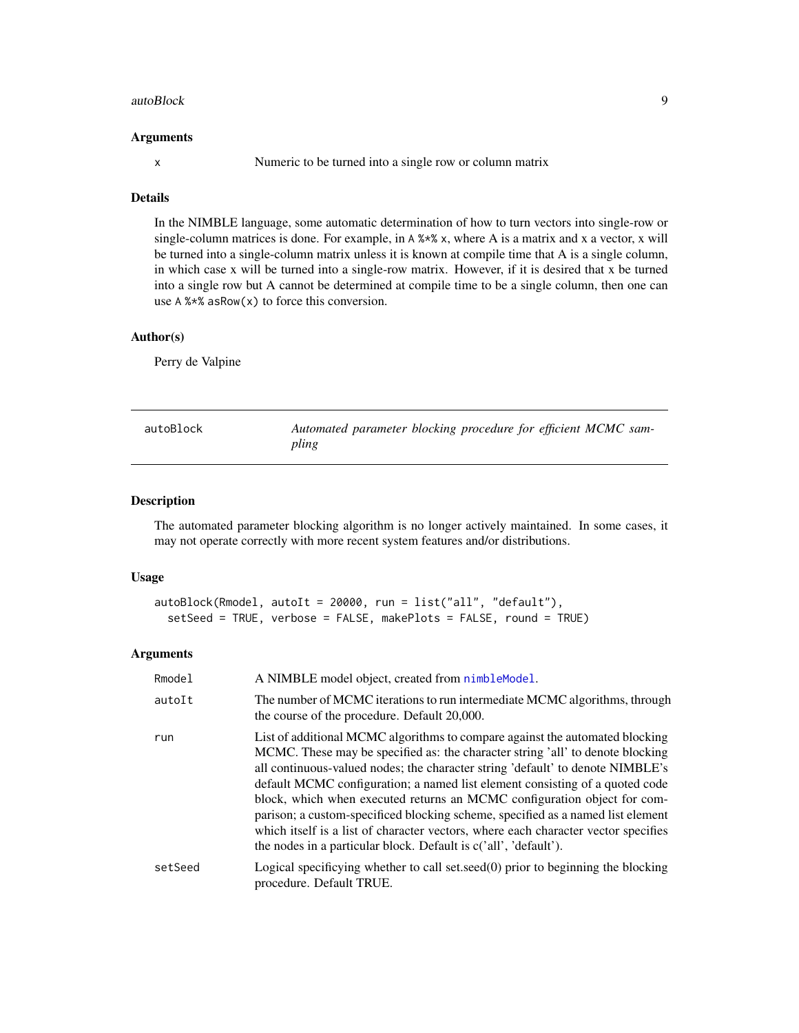#### <span id="page-8-0"></span>autoBlock 9

#### Arguments

x Numeric to be turned into a single row or column matrix

# Details

In the NIMBLE language, some automatic determination of how to turn vectors into single-row or single-column matrices is done. For example, in A %\*% x, where A is a matrix and x a vector, x will be turned into a single-column matrix unless it is known at compile time that A is a single column, in which case x will be turned into a single-row matrix. However, if it is desired that x be turned into a single row but A cannot be determined at compile time to be a single column, then one can use A %\*% asRow(x) to force this conversion.

## Author(s)

Perry de Valpine

<span id="page-8-1"></span>

| autoBlock | Automated parameter blocking procedure for efficient MCMC sam- |  |  |
|-----------|----------------------------------------------------------------|--|--|
|           | pling                                                          |  |  |

# Description

The automated parameter blocking algorithm is no longer actively maintained. In some cases, it may not operate correctly with more recent system features and/or distributions.

#### Usage

```
autoBlock(Rmodel, autoIt = 20000, run = list("all", "default"),
  setSeed = TRUE, verbose = FALSE, makePlots = FALSE, round = TRUE)
```
#### Arguments

| Rmodel  | A NIMBLE model object, created from nimbleModel.                                                                                                                                                                                                                                                                                                                                                                                                                                                                                                                                                                                                          |
|---------|-----------------------------------------------------------------------------------------------------------------------------------------------------------------------------------------------------------------------------------------------------------------------------------------------------------------------------------------------------------------------------------------------------------------------------------------------------------------------------------------------------------------------------------------------------------------------------------------------------------------------------------------------------------|
| autoIt  | The number of MCMC iterations to run intermediate MCMC algorithms, through<br>the course of the procedure. Default 20,000.                                                                                                                                                                                                                                                                                                                                                                                                                                                                                                                                |
| run     | List of additional MCMC algorithms to compare against the automated blocking<br>MCMC. These may be specified as: the character string 'all' to denote blocking<br>all continuous-valued nodes; the character string 'default' to denote NIMBLE's<br>default MCMC configuration; a named list element consisting of a quoted code<br>block, which when executed returns an MCMC configuration object for com-<br>parison; a custom-specificed blocking scheme, specified as a named list element<br>which itself is a list of character vectors, where each character vector specifies<br>the nodes in a particular block. Default is c('all', 'default'). |
| setSeed | Logical specificying whether to call set.seed $(0)$ prior to beginning the blocking<br>procedure. Default TRUE.                                                                                                                                                                                                                                                                                                                                                                                                                                                                                                                                           |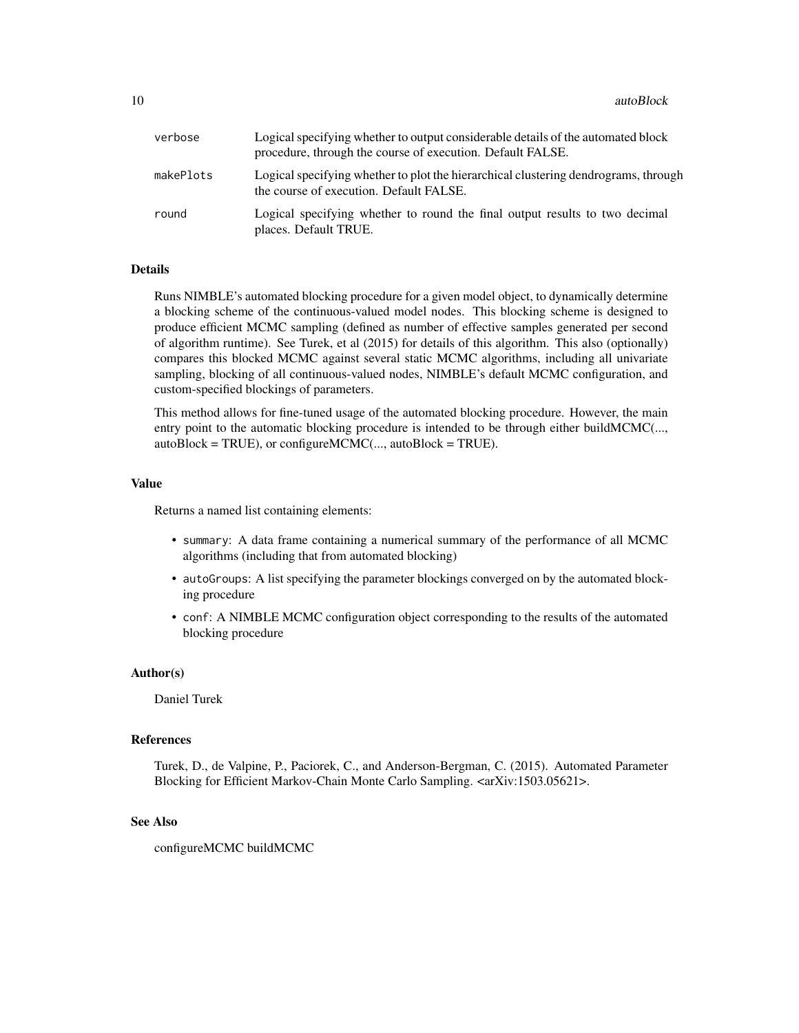10 autoBlock and the state of the state of the state of the state of the state of the state of the state of the state of the state of the state of the state of the state of the state of the state of the state of the state

| verbose   | Logical specifying whether to output considerable details of the automated block<br>procedure, through the course of execution. Default FALSE. |
|-----------|------------------------------------------------------------------------------------------------------------------------------------------------|
| makePlots | Logical specifying whether to plot the hierarchical clustering dendrograms, through<br>the course of execution. Default FALSE.                 |
| round     | Logical specifying whether to round the final output results to two decimal<br>places. Default TRUE.                                           |

#### Details

Runs NIMBLE's automated blocking procedure for a given model object, to dynamically determine a blocking scheme of the continuous-valued model nodes. This blocking scheme is designed to produce efficient MCMC sampling (defined as number of effective samples generated per second of algorithm runtime). See Turek, et al (2015) for details of this algorithm. This also (optionally) compares this blocked MCMC against several static MCMC algorithms, including all univariate sampling, blocking of all continuous-valued nodes, NIMBLE's default MCMC configuration, and custom-specified blockings of parameters.

This method allows for fine-tuned usage of the automated blocking procedure. However, the main entry point to the automatic blocking procedure is intended to be through either buildMCMC(...,  $autoBlock = TRUE$ ), or configure $MCMC$ (...,  $autoBlock = TRUE$ ).

## Value

Returns a named list containing elements:

- summary: A data frame containing a numerical summary of the performance of all MCMC algorithms (including that from automated blocking)
- autoGroups: A list specifying the parameter blockings converged on by the automated blocking procedure
- conf: A NIMBLE MCMC configuration object corresponding to the results of the automated blocking procedure

#### Author(s)

Daniel Turek

## References

Turek, D., de Valpine, P., Paciorek, C., and Anderson-Bergman, C. (2015). Automated Parameter Blocking for Efficient Markov-Chain Monte Carlo Sampling. <arXiv:1503.05621>.

#### See Also

configureMCMC buildMCMC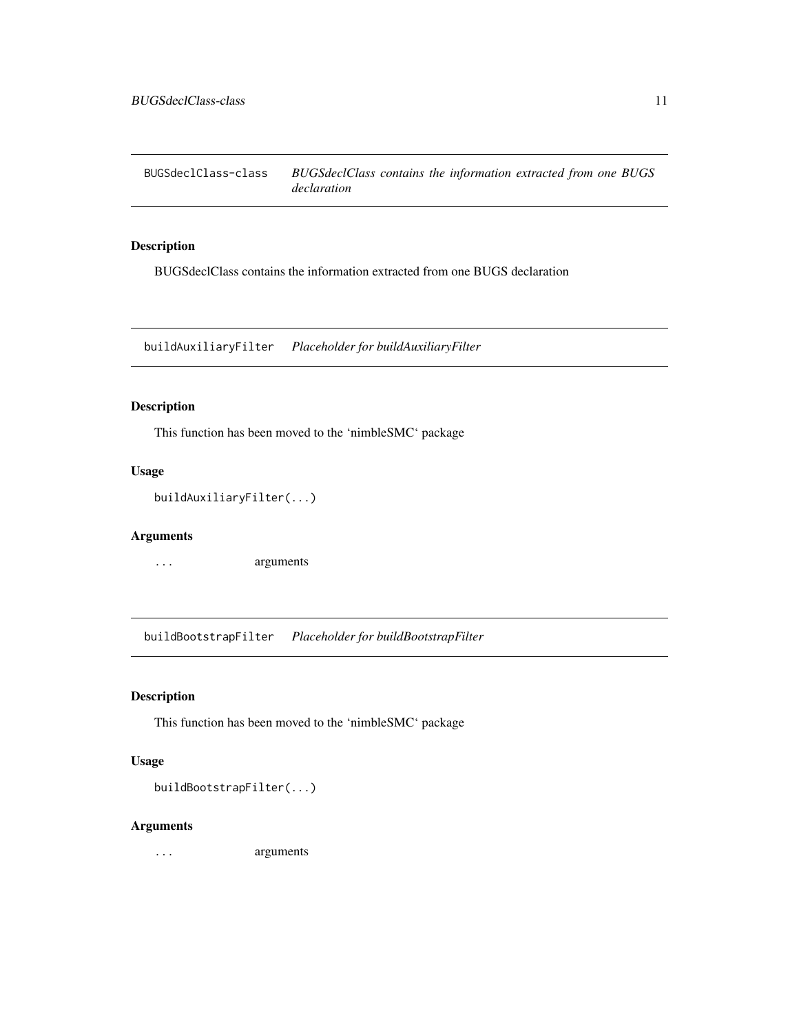<span id="page-10-0"></span>BUGSdeclClass-class *BUGSdeclClass contains the information extracted from one BUGS declaration*

## Description

BUGSdeclClass contains the information extracted from one BUGS declaration

buildAuxiliaryFilter *Placeholder for buildAuxiliaryFilter*

# Description

This function has been moved to the 'nimbleSMC' package

## Usage

```
buildAuxiliaryFilter(...)
```
## Arguments

... arguments

buildBootstrapFilter *Placeholder for buildBootstrapFilter*

# Description

This function has been moved to the 'nimbleSMC' package

## Usage

buildBootstrapFilter(...)

## Arguments

... arguments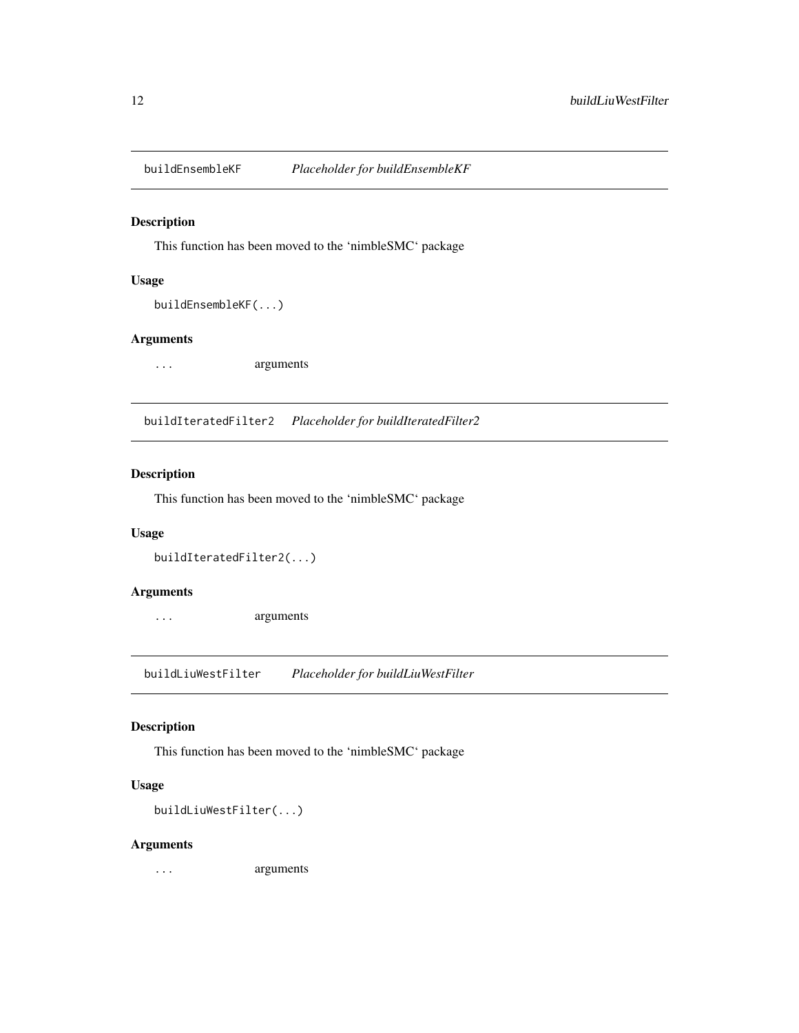<span id="page-11-0"></span>

This function has been moved to the 'nimbleSMC' package

## Usage

```
buildEnsembleKF(...)
```
## Arguments

... arguments

buildIteratedFilter2 *Placeholder for buildIteratedFilter2*

# Description

This function has been moved to the 'nimbleSMC' package

## Usage

```
buildIteratedFilter2(...)
```
# Arguments

... arguments

buildLiuWestFilter *Placeholder for buildLiuWestFilter*

## Description

This function has been moved to the 'nimbleSMC' package

## Usage

buildLiuWestFilter(...)

#### Arguments

... arguments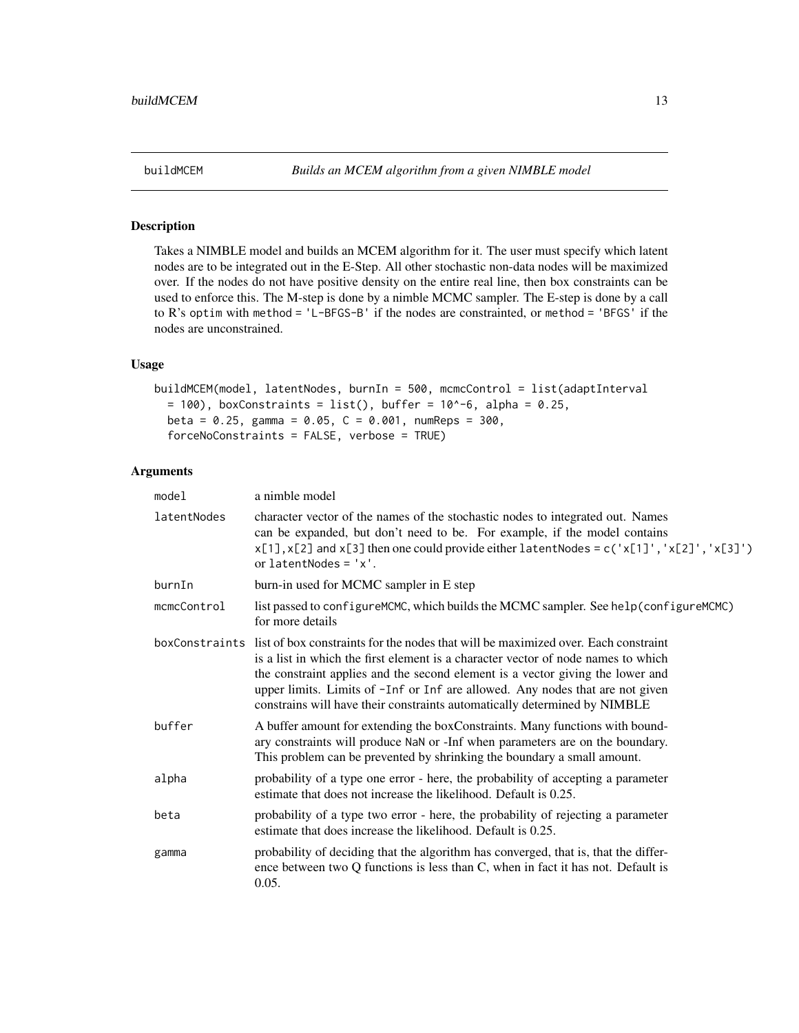<span id="page-12-0"></span>

Takes a NIMBLE model and builds an MCEM algorithm for it. The user must specify which latent nodes are to be integrated out in the E-Step. All other stochastic non-data nodes will be maximized over. If the nodes do not have positive density on the entire real line, then box constraints can be used to enforce this. The M-step is done by a nimble MCMC sampler. The E-step is done by a call to R's optim with method = 'L-BFGS-B' if the nodes are constrainted, or method = 'BFGS' if the nodes are unconstrained.

## Usage

```
buildMCEM(model, latentNodes, burnIn = 500, mcmcControl = list(adaptInterval
 = 100), boxConstraints = list(), buffer = 10^{\circ}-6, alpha = 0.25,
 beta = 0.25, gamma = 0.05, C = 0.001, numReps = 300,
  forceNoConstraints = FALSE, verbose = TRUE)
```
## Arguments

| model       | a nimble model                                                                                                                                                                                                                                                                                                                                                                                                                         |
|-------------|----------------------------------------------------------------------------------------------------------------------------------------------------------------------------------------------------------------------------------------------------------------------------------------------------------------------------------------------------------------------------------------------------------------------------------------|
| latentNodes | character vector of the names of the stochastic nodes to integrated out. Names<br>can be expanded, but don't need to be. For example, if the model contains<br>$x[1], x[2]$ and $x[3]$ then one could provide either latentNodes = c('x[1]', 'x[2]', 'x[3]')<br>or $l$ atentNodes = $'x'.$                                                                                                                                             |
| burnIn      | burn-in used for MCMC sampler in E step                                                                                                                                                                                                                                                                                                                                                                                                |
| mcmcControl | list passed to configure MCMC, which builds the MCMC sampler. See help(configure MCMC)<br>for more details                                                                                                                                                                                                                                                                                                                             |
|             | boxConstraints list of box constraints for the nodes that will be maximized over. Each constraint<br>is a list in which the first element is a character vector of node names to which<br>the constraint applies and the second element is a vector giving the lower and<br>upper limits. Limits of -Inf or Inf are allowed. Any nodes that are not given<br>constrains will have their constraints automatically determined by NIMBLE |
| buffer      | A buffer amount for extending the boxConstraints. Many functions with bound-<br>ary constraints will produce NaN or -Inf when parameters are on the boundary.<br>This problem can be prevented by shrinking the boundary a small amount.                                                                                                                                                                                               |
| alpha       | probability of a type one error - here, the probability of accepting a parameter<br>estimate that does not increase the likelihood. Default is 0.25.                                                                                                                                                                                                                                                                                   |
| beta        | probability of a type two error - here, the probability of rejecting a parameter<br>estimate that does increase the likelihood. Default is 0.25.                                                                                                                                                                                                                                                                                       |
| gamma       | probability of deciding that the algorithm has converged, that is, that the differ-<br>ence between two Q functions is less than C, when in fact it has not. Default is<br>0.05.                                                                                                                                                                                                                                                       |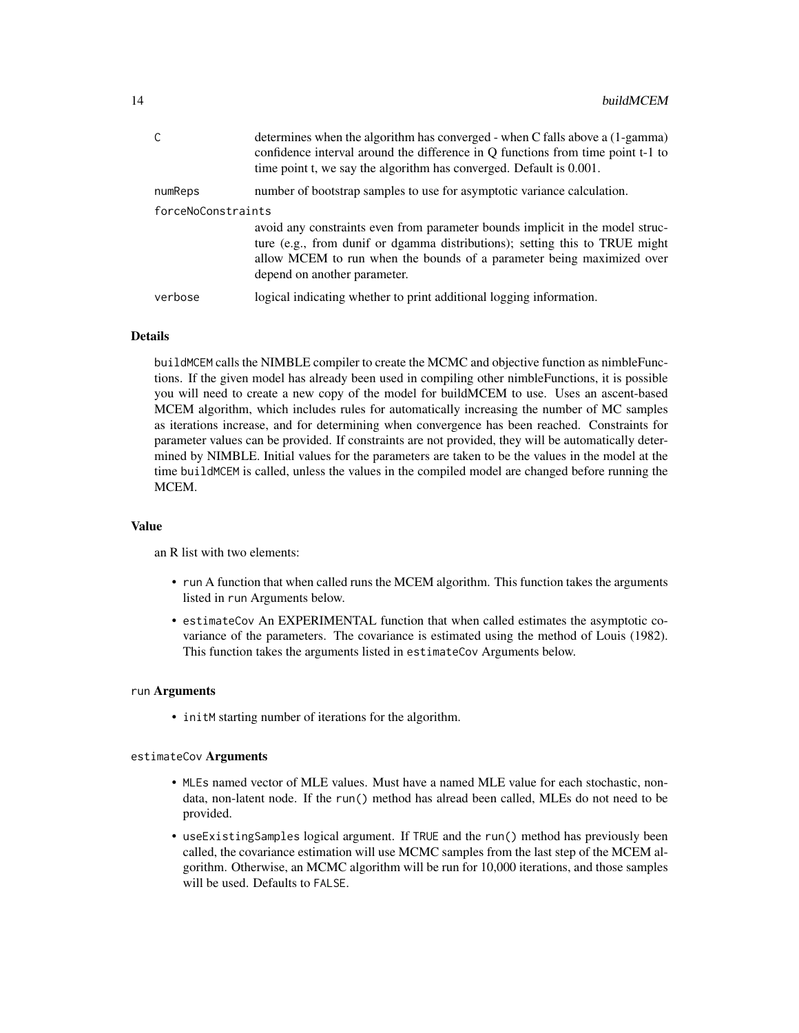|                    | determines when the algorithm has converged - when C falls above a (1-gamma)<br>confidence interval around the difference in Q functions from time point t-1 to<br>time point t, we say the algorithm has converged. Default is 0.001.                                |
|--------------------|-----------------------------------------------------------------------------------------------------------------------------------------------------------------------------------------------------------------------------------------------------------------------|
| numReps            | number of bootstrap samples to use for asymptotic variance calculation.                                                                                                                                                                                               |
| forceNoConstraints |                                                                                                                                                                                                                                                                       |
|                    | avoid any constraints even from parameter bounds implicit in the model struc-<br>ture (e.g., from dunif or dgamma distributions); setting this to TRUE might<br>allow MCEM to run when the bounds of a parameter being maximized over<br>depend on another parameter. |
| verbose            | logical indicating whether to print additional logging information.                                                                                                                                                                                                   |

## Details

buildMCEM calls the NIMBLE compiler to create the MCMC and objective function as nimbleFunctions. If the given model has already been used in compiling other nimbleFunctions, it is possible you will need to create a new copy of the model for buildMCEM to use. Uses an ascent-based MCEM algorithm, which includes rules for automatically increasing the number of MC samples as iterations increase, and for determining when convergence has been reached. Constraints for parameter values can be provided. If constraints are not provided, they will be automatically determined by NIMBLE. Initial values for the parameters are taken to be the values in the model at the time buildMCEM is called, unless the values in the compiled model are changed before running the MCEM.

#### Value

an R list with two elements:

- run A function that when called runs the MCEM algorithm. This function takes the arguments listed in run Arguments below.
- estimateCov An EXPERIMENTAL function that when called estimates the asymptotic covariance of the parameters. The covariance is estimated using the method of Louis (1982). This function takes the arguments listed in estimateCov Arguments below.

#### run Arguments

• initM starting number of iterations for the algorithm.

#### estimateCov Arguments

- MLEs named vector of MLE values. Must have a named MLE value for each stochastic, nondata, non-latent node. If the run() method has alread been called, MLEs do not need to be provided.
- useExistingSamples logical argument. If TRUE and the run() method has previously been called, the covariance estimation will use MCMC samples from the last step of the MCEM algorithm. Otherwise, an MCMC algorithm will be run for 10,000 iterations, and those samples will be used. Defaults to FALSE.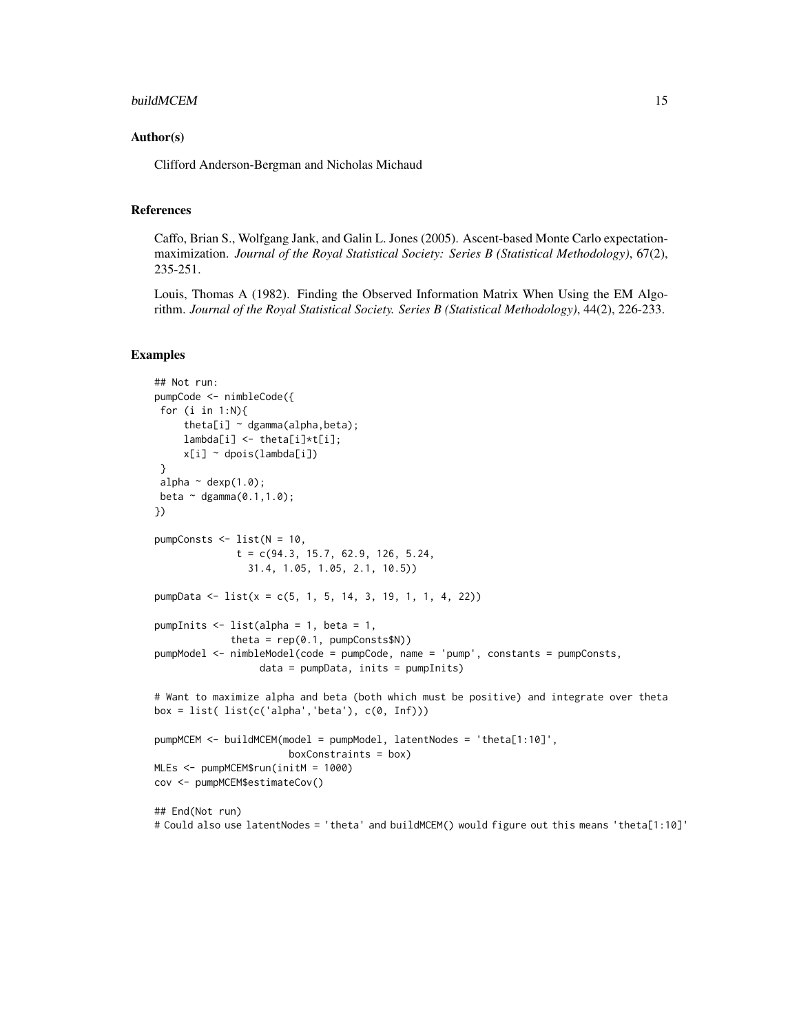#### buildMCEM 15

#### Author(s)

Clifford Anderson-Bergman and Nicholas Michaud

#### References

Caffo, Brian S., Wolfgang Jank, and Galin L. Jones (2005). Ascent-based Monte Carlo expectationmaximization. *Journal of the Royal Statistical Society: Series B (Statistical Methodology)*, 67(2), 235-251.

Louis, Thomas A (1982). Finding the Observed Information Matrix When Using the EM Algorithm. *Journal of the Royal Statistical Society. Series B (Statistical Methodology)*, 44(2), 226-233.

#### Examples

```
## Not run:
pumpCode <- nimbleCode({
 for (i in 1:N){
     theta[i] \sim dgamma(alpha, beta);
     lambda[i] <- theta[i]*t[i];
     x[i] ~ dpois(lambda[i])
 }
 alpha \sim dexp(1.0);
 beta \sim dgamma(0.1, 1.0);
})
pumpConsts \leq - list(N = 10,
              t = c(94.3, 15.7, 62.9, 126, 5.24,31.4, 1.05, 1.05, 2.1, 10.5))
pumpData <- list(x = c(5, 1, 5, 14, 3, 19, 1, 1, 4, 22))
pumpInits \le list(alpha = 1, beta = 1,
             theta = rep(0.1, pumpConsts$N))pumpModel <- nimbleModel(code = pumpCode, name = 'pump', constants = pumpConsts,
                  data = pumpData, inits = pumpInits)
# Want to maximize alpha and beta (both which must be positive) and integrate over theta
box = list( list(c('alpha', 'beta'), c(0, Inf)))pumpMCEM <- buildMCEM(model = pumpModel, latentNodes = 'theta[1:10]',
                       boxConstraints = box)
MLEs <- pumpMCEM$run(initM = 1000)
cov <- pumpMCEM$estimateCov()
## End(Not run)
```
# Could also use latentNodes = 'theta' and buildMCEM() would figure out this means 'theta[1:10]'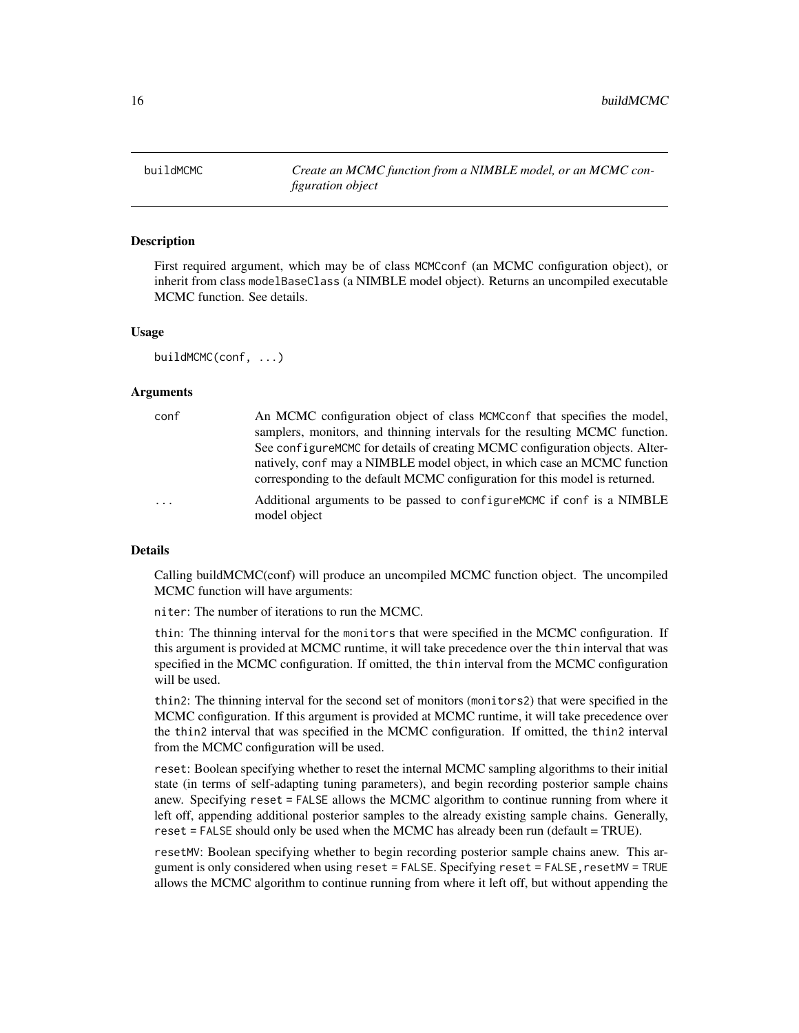<span id="page-15-0"></span>16 buildMCMC

<span id="page-15-1"></span>buildMCMC *Create an MCMC function from a NIMBLE model, or an MCMC configuration object*

## **Description**

First required argument, which may be of class MCMCconf (an MCMC configuration object), or inherit from class modelBaseClass (a NIMBLE model object). Returns an uncompiled executable MCMC function. See details.

#### Usage

buildMCMC(conf, ...)

#### Arguments

| conf                    | An MCMC configuration object of class MCMCconf that specifies the model,                |
|-------------------------|-----------------------------------------------------------------------------------------|
|                         | samplers, monitors, and thinning intervals for the resulting MCMC function.             |
|                         | See configure MCMC for details of creating MCMC configuration objects. Alter-           |
|                         | natively, conf may a NIMBLE model object, in which case an MCMC function                |
|                         | corresponding to the default MCMC configuration for this model is returned.             |
| $\cdot$ $\cdot$ $\cdot$ | Additional arguments to be passed to configure MCMC if conf is a NIMBLE<br>model object |
|                         |                                                                                         |

#### Details

Calling buildMCMC(conf) will produce an uncompiled MCMC function object. The uncompiled MCMC function will have arguments:

niter: The number of iterations to run the MCMC.

thin: The thinning interval for the monitors that were specified in the MCMC configuration. If this argument is provided at MCMC runtime, it will take precedence over the thin interval that was specified in the MCMC configuration. If omitted, the thin interval from the MCMC configuration will be used.

thin2: The thinning interval for the second set of monitors (monitors2) that were specified in the MCMC configuration. If this argument is provided at MCMC runtime, it will take precedence over the thin2 interval that was specified in the MCMC configuration. If omitted, the thin2 interval from the MCMC configuration will be used.

reset: Boolean specifying whether to reset the internal MCMC sampling algorithms to their initial state (in terms of self-adapting tuning parameters), and begin recording posterior sample chains anew. Specifying reset = FALSE allows the MCMC algorithm to continue running from where it left off, appending additional posterior samples to the already existing sample chains. Generally, reset = FALSE should only be used when the MCMC has already been run (default = TRUE).

resetMV: Boolean specifying whether to begin recording posterior sample chains anew. This argument is only considered when using reset = FALSE. Specifying reset = FALSE, resetMV = TRUE allows the MCMC algorithm to continue running from where it left off, but without appending the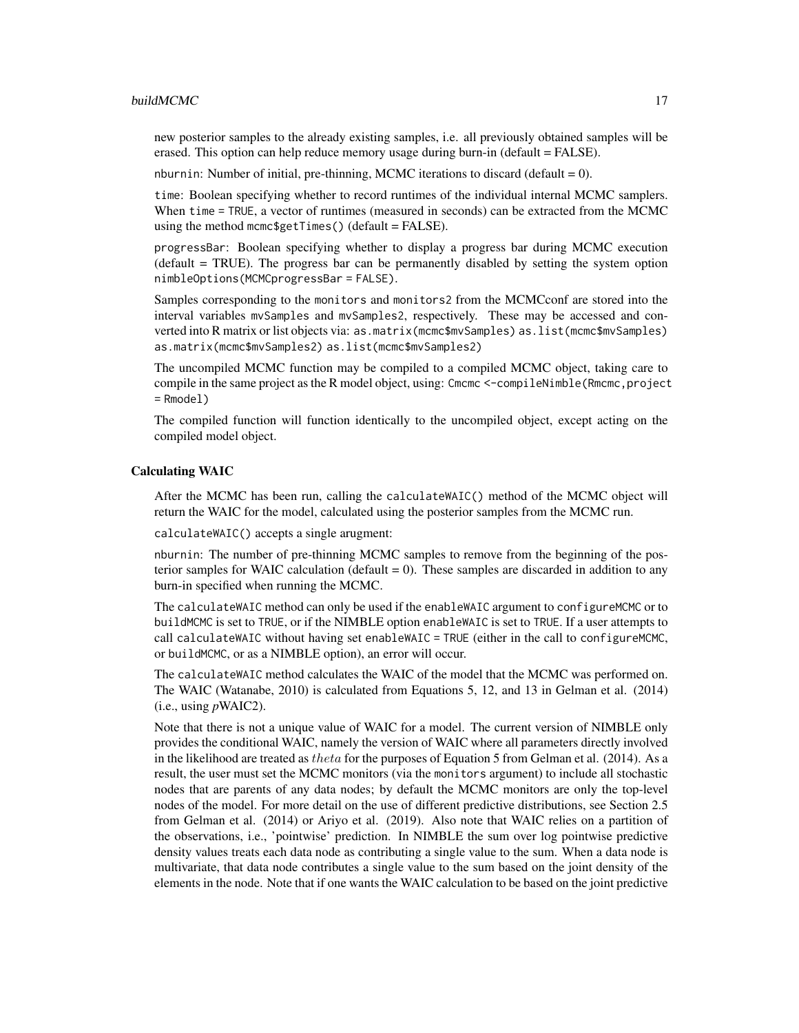#### buildMCMC 17

new posterior samples to the already existing samples, i.e. all previously obtained samples will be erased. This option can help reduce memory usage during burn-in (default = FALSE).

nburnin: Number of initial, pre-thinning, MCMC iterations to discard (default  $= 0$ ).

time: Boolean specifying whether to record runtimes of the individual internal MCMC samplers. When time = TRUE, a vector of runtimes (measured in seconds) can be extracted from the MCMC using the method mcmc\$getTimes() (default =  $FALSE$ ).

progressBar: Boolean specifying whether to display a progress bar during MCMC execution (default = TRUE). The progress bar can be permanently disabled by setting the system option nimbleOptions(MCMCprogressBar = FALSE).

Samples corresponding to the monitors and monitors2 from the MCMCconf are stored into the interval variables mvSamples and mvSamples2, respectively. These may be accessed and converted into R matrix or list objects via: as.matrix(mcmc\$mvSamples) as.list(mcmc\$mvSamples) as.matrix(mcmc\$mvSamples2) as.list(mcmc\$mvSamples2)

The uncompiled MCMC function may be compiled to a compiled MCMC object, taking care to compile in the same project as the R model object, using: Cmcmc <-compileNimble(Rmcmc, project = Rmodel)

The compiled function will function identically to the uncompiled object, except acting on the compiled model object.

#### Calculating WAIC

After the MCMC has been run, calling the calculateWAIC() method of the MCMC object will return the WAIC for the model, calculated using the posterior samples from the MCMC run.

calculateWAIC() accepts a single arugment:

nburnin: The number of pre-thinning MCMC samples to remove from the beginning of the posterior samples for WAIC calculation (default  $= 0$ ). These samples are discarded in addition to any burn-in specified when running the MCMC.

The calculateWAIC method can only be used if the enableWAIC argument to configureMCMC or to buildMCMC is set to TRUE, or if the NIMBLE option enableWAIC is set to TRUE. If a user attempts to call calculateWAIC without having set enableWAIC = TRUE (either in the call to configureMCMC, or buildMCMC, or as a NIMBLE option), an error will occur.

The calculateWAIC method calculates the WAIC of the model that the MCMC was performed on. The WAIC (Watanabe, 2010) is calculated from Equations 5, 12, and 13 in Gelman et al. (2014)  $(i.e., using pWAIC2).$ 

Note that there is not a unique value of WAIC for a model. The current version of NIMBLE only provides the conditional WAIC, namely the version of WAIC where all parameters directly involved in the likelihood are treated as theta for the purposes of Equation 5 from Gelman et al. (2014). As a result, the user must set the MCMC monitors (via the monitors argument) to include all stochastic nodes that are parents of any data nodes; by default the MCMC monitors are only the top-level nodes of the model. For more detail on the use of different predictive distributions, see Section 2.5 from Gelman et al. (2014) or Ariyo et al. (2019). Also note that WAIC relies on a partition of the observations, i.e., 'pointwise' prediction. In NIMBLE the sum over log pointwise predictive density values treats each data node as contributing a single value to the sum. When a data node is multivariate, that data node contributes a single value to the sum based on the joint density of the elements in the node. Note that if one wants the WAIC calculation to be based on the joint predictive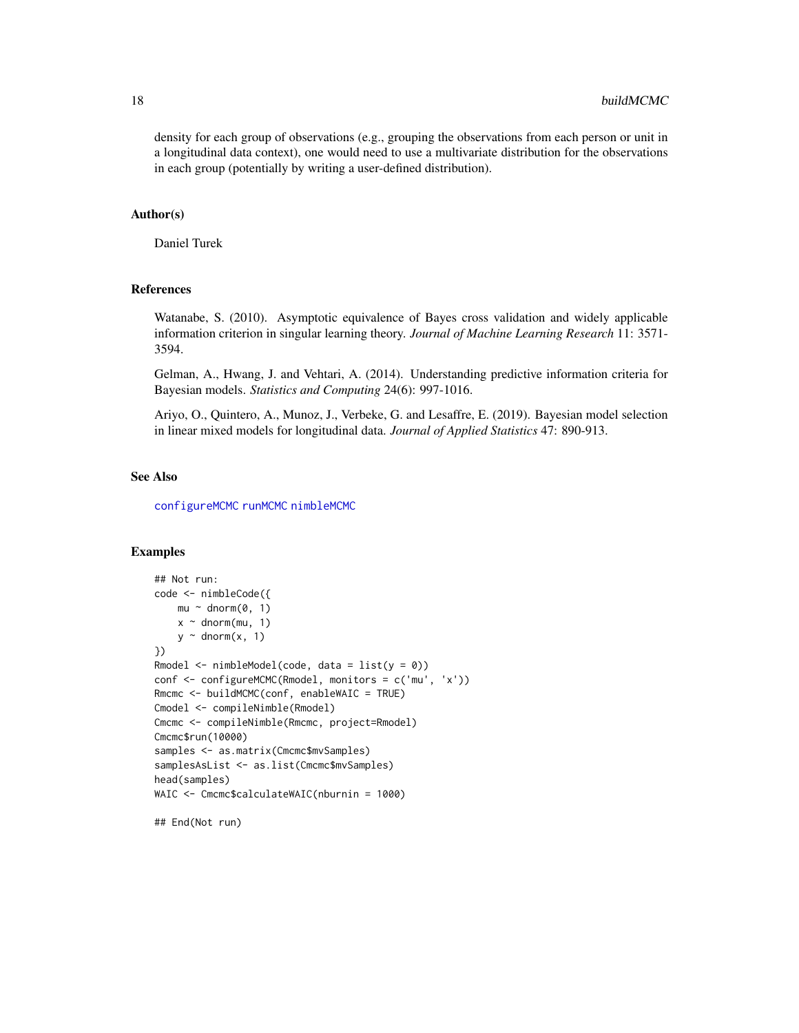density for each group of observations (e.g., grouping the observations from each person or unit in a longitudinal data context), one would need to use a multivariate distribution for the observations in each group (potentially by writing a user-defined distribution).

## Author(s)

Daniel Turek

#### References

Watanabe, S. (2010). Asymptotic equivalence of Bayes cross validation and widely applicable information criterion in singular learning theory. *Journal of Machine Learning Research* 11: 3571- 3594.

Gelman, A., Hwang, J. and Vehtari, A. (2014). Understanding predictive information criteria for Bayesian models. *Statistics and Computing* 24(6): 997-1016.

Ariyo, O., Quintero, A., Munoz, J., Verbeke, G. and Lesaffre, E. (2019). Bayesian model selection in linear mixed models for longitudinal data. *Journal of Applied Statistics* 47: 890-913.

## See Also

[configureMCMC](#page-30-1) [runMCMC](#page-131-1) [nimbleMCMC](#page-95-1)

## Examples

```
## Not run:
code <- nimbleCode({
   mu ~ ~ dnorm(0, 1)
   x \sim dnorm(mu, 1)
   y \sim dnorm(x, 1)})
Rmodel \le nimbleModel(code, data = list(y = 0))
conf <- configureMCMC(Rmodel, monitors = c('mu', 'x'))
Rmcmc <- buildMCMC(conf, enableWAIC = TRUE)
Cmodel <- compileNimble(Rmodel)
Cmcmc <- compileNimble(Rmcmc, project=Rmodel)
Cmcmc$run(10000)
samples <- as.matrix(Cmcmc$mvSamples)
samplesAsList <- as.list(Cmcmc$mvSamples)
head(samples)
WAIC <- Cmcmc$calculateWAIC(nburnin = 1000)
```
## End(Not run)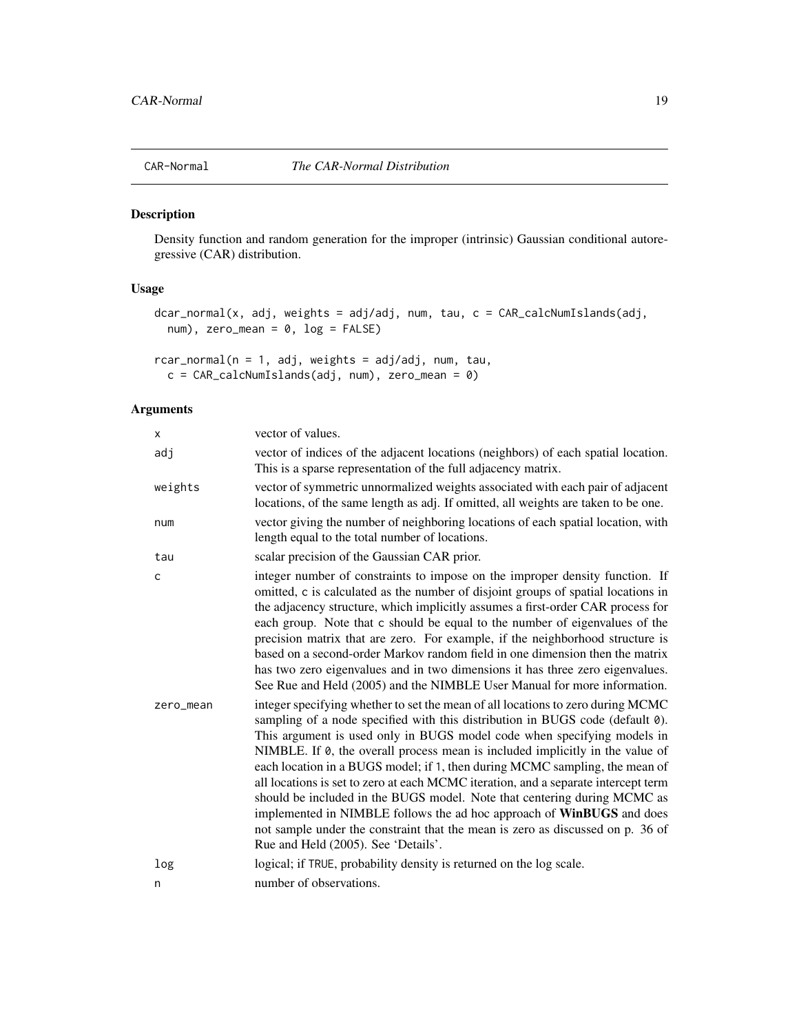<span id="page-18-1"></span><span id="page-18-0"></span>

Density function and random generation for the improper (intrinsic) Gaussian conditional autoregressive (CAR) distribution.

# Usage

```
dcar_normal(x, adj, weights = adj/adj, num, tau, c = CAR_calcNumIslands(adj,
 num), zero_mean = 0, log = FALSE)
```

```
rcar\_normal(n = 1, adj, weights = adj/adj, num, tau,c = CAR\_calcNumIslands(adj, num), zero_mean = 0)
```
# Arguments

| x            | vector of values.                                                                                                                                                                                                                                                                                                                                                                                                                                                                                                                                                                                                                                                                                                                                                               |
|--------------|---------------------------------------------------------------------------------------------------------------------------------------------------------------------------------------------------------------------------------------------------------------------------------------------------------------------------------------------------------------------------------------------------------------------------------------------------------------------------------------------------------------------------------------------------------------------------------------------------------------------------------------------------------------------------------------------------------------------------------------------------------------------------------|
| adj          | vector of indices of the adjacent locations (neighbors) of each spatial location.<br>This is a sparse representation of the full adjacency matrix.                                                                                                                                                                                                                                                                                                                                                                                                                                                                                                                                                                                                                              |
| weights      | vector of symmetric unnormalized weights associated with each pair of adjacent<br>locations, of the same length as adj. If omitted, all weights are taken to be one.                                                                                                                                                                                                                                                                                                                                                                                                                                                                                                                                                                                                            |
| num          | vector giving the number of neighboring locations of each spatial location, with<br>length equal to the total number of locations.                                                                                                                                                                                                                                                                                                                                                                                                                                                                                                                                                                                                                                              |
| tau          | scalar precision of the Gaussian CAR prior.                                                                                                                                                                                                                                                                                                                                                                                                                                                                                                                                                                                                                                                                                                                                     |
| $\mathsf{C}$ | integer number of constraints to impose on the improper density function. If<br>omitted, c is calculated as the number of disjoint groups of spatial locations in<br>the adjacency structure, which implicitly assumes a first-order CAR process for<br>each group. Note that c should be equal to the number of eigenvalues of the<br>precision matrix that are zero. For example, if the neighborhood structure is<br>based on a second-order Markov random field in one dimension then the matrix<br>has two zero eigenvalues and in two dimensions it has three zero eigenvalues.<br>See Rue and Held (2005) and the NIMBLE User Manual for more information.                                                                                                               |
| zero_mean    | integer specifying whether to set the mean of all locations to zero during MCMC<br>sampling of a node specified with this distribution in BUGS code (default 0).<br>This argument is used only in BUGS model code when specifying models in<br>NIMBLE. If 0, the overall process mean is included implicitly in the value of<br>each location in a BUGS model; if 1, then during MCMC sampling, the mean of<br>all locations is set to zero at each MCMC iteration, and a separate intercept term<br>should be included in the BUGS model. Note that centering during MCMC as<br>implemented in NIMBLE follows the ad hoc approach of WinBUGS and does<br>not sample under the constraint that the mean is zero as discussed on p. 36 of<br>Rue and Held (2005). See 'Details'. |
| log          | logical; if TRUE, probability density is returned on the log scale.                                                                                                                                                                                                                                                                                                                                                                                                                                                                                                                                                                                                                                                                                                             |
| n            | number of observations.                                                                                                                                                                                                                                                                                                                                                                                                                                                                                                                                                                                                                                                                                                                                                         |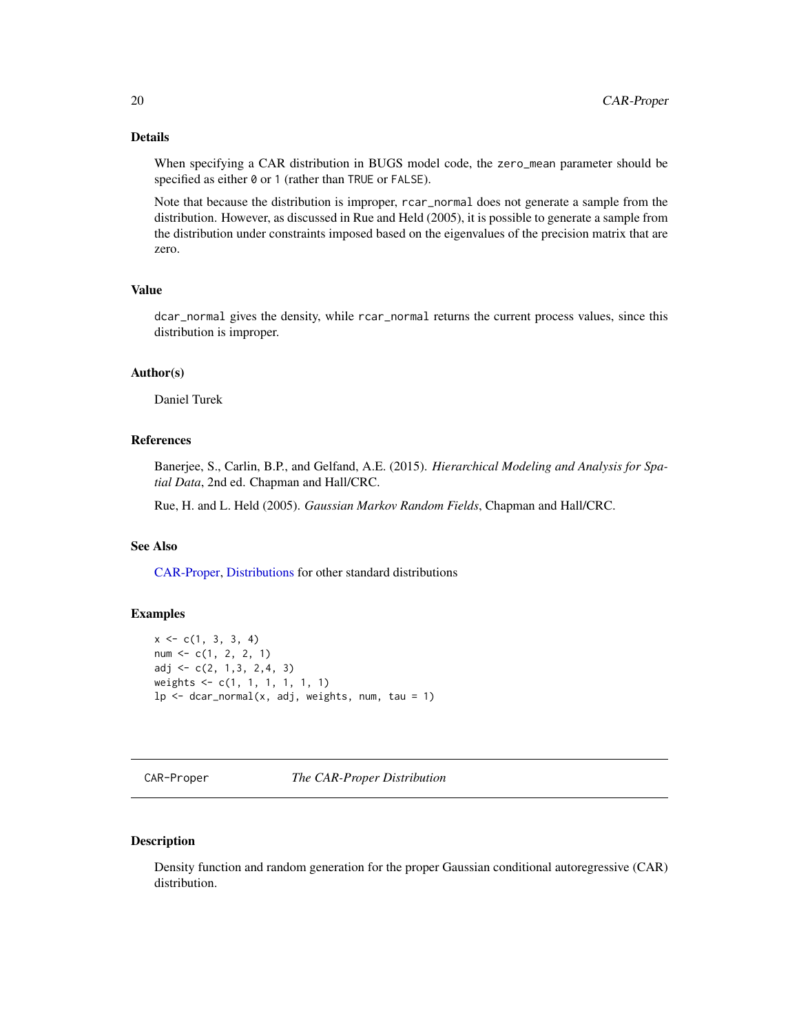## <span id="page-19-0"></span>Details

When specifying a CAR distribution in BUGS model code, the zero\_mean parameter should be specified as either 0 or 1 (rather than TRUE or FALSE).

Note that because the distribution is improper, rcar\_normal does not generate a sample from the distribution. However, as discussed in Rue and Held (2005), it is possible to generate a sample from the distribution under constraints imposed based on the eigenvalues of the precision matrix that are zero.

## Value

dcar\_normal gives the density, while rcar\_normal returns the current process values, since this distribution is improper.

## Author(s)

Daniel Turek

#### References

Banerjee, S., Carlin, B.P., and Gelfand, A.E. (2015). *Hierarchical Modeling and Analysis for Spatial Data*, 2nd ed. Chapman and Hall/CRC.

Rue, H. and L. Held (2005). *Gaussian Markov Random Fields*, Chapman and Hall/CRC.

# See Also

[CAR-Proper,](#page-19-1) [Distributions](#page-0-0) for other standard distributions

#### Examples

```
x \leftarrow c(1, 3, 3, 4)num < -c(1, 2, 2, 1)adj <- c(2, 1,3, 2,4, 3)
weights <- c(1, 1, 1, 1, 1, 1)
lp \leftarrow dcar\_normal(x, adj, weights, num, tau = 1)
```
<span id="page-19-1"></span>CAR-Proper *The CAR-Proper Distribution*

## Description

Density function and random generation for the proper Gaussian conditional autoregressive (CAR) distribution.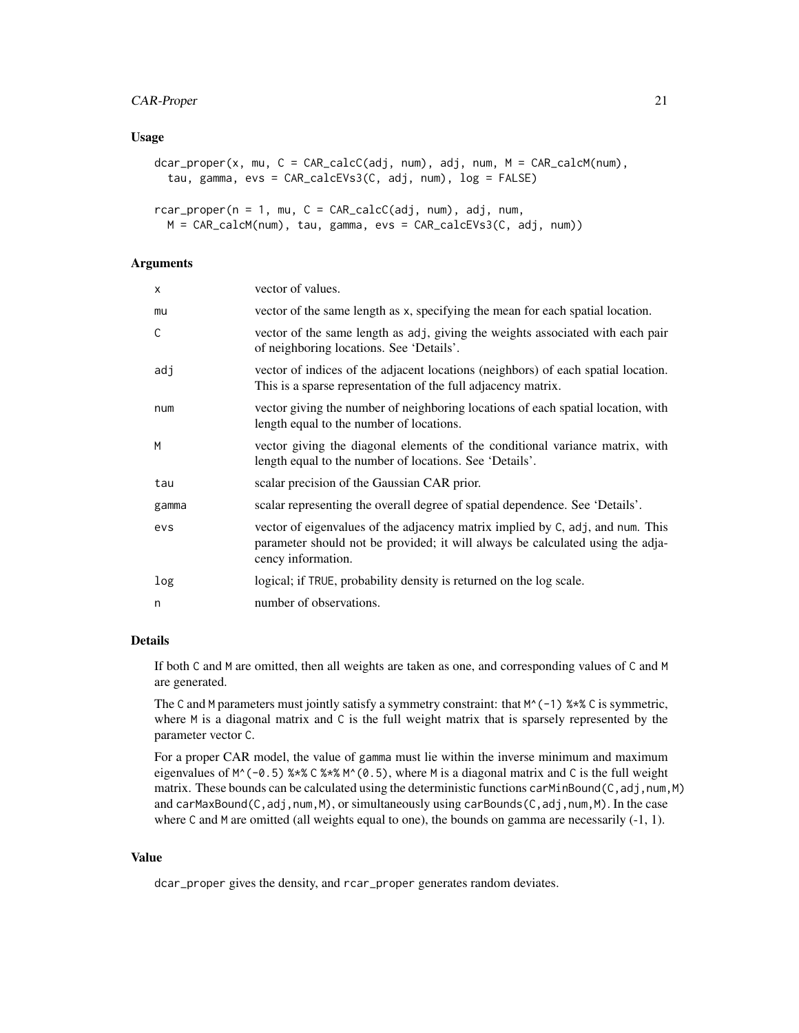#### Usage

```
dcar_proper(x, mu, C = CAR_calcC(adj, num), adj, num, M = CAR_calcM(num),
  tau, gamma, evs = CAR_calcEVs3(C, adj, num), log = FALSE)
```

```
rcar\_proper(n = 1, mu, C = CAR\_calcC(adj, num), adj, num,M = CAR_calcM(num), tau, gamma, evs = CAR_calcEVs3(C, adj, num))
```
## Arguments

| X            | vector of values.                                                                                                                                                                      |
|--------------|----------------------------------------------------------------------------------------------------------------------------------------------------------------------------------------|
| mu           | vector of the same length as x, specifying the mean for each spatial location.                                                                                                         |
| $\mathsf{C}$ | vector of the same length as adj, giving the weights associated with each pair<br>of neighboring locations. See 'Details'.                                                             |
| adj          | vector of indices of the adjacent locations (neighbors) of each spatial location.<br>This is a sparse representation of the full adjacency matrix.                                     |
| num          | vector giving the number of neighboring locations of each spatial location, with<br>length equal to the number of locations.                                                           |
| M            | vector giving the diagonal elements of the conditional variance matrix, with<br>length equal to the number of locations. See 'Details'.                                                |
| tau          | scalar precision of the Gaussian CAR prior.                                                                                                                                            |
| gamma        | scalar representing the overall degree of spatial dependence. See 'Details'.                                                                                                           |
| evs          | vector of eigenvalues of the adjacency matrix implied by C, adj, and num. This<br>parameter should not be provided; it will always be calculated using the adja-<br>cency information. |
| log          | logical; if TRUE, probability density is returned on the log scale.                                                                                                                    |
| n            | number of observations.                                                                                                                                                                |
|              |                                                                                                                                                                                        |

#### Details

If both C and M are omitted, then all weights are taken as one, and corresponding values of C and M are generated.

The C and M parameters must jointly satisfy a symmetry constraint: that  $M^(-1)$  %\*% C is symmetric, where M is a diagonal matrix and C is the full weight matrix that is sparsely represented by the parameter vector C.

For a proper CAR model, the value of gamma must lie within the inverse minimum and maximum eigenvalues of  $M^(-0.5)$  %\*% C %\*%  $M^(0.5)$ , where M is a diagonal matrix and C is the full weight matrix. These bounds can be calculated using the deterministic functions carMinBound( $C$ , adj, num, M) and carMaxBound(C,adj,num,M), or simultaneously using carBounds(C,adj,num,M). In the case where C and M are omitted (all weights equal to one), the bounds on gamma are necessarily (-1, 1).

#### Value

dcar\_proper gives the density, and rcar\_proper generates random deviates.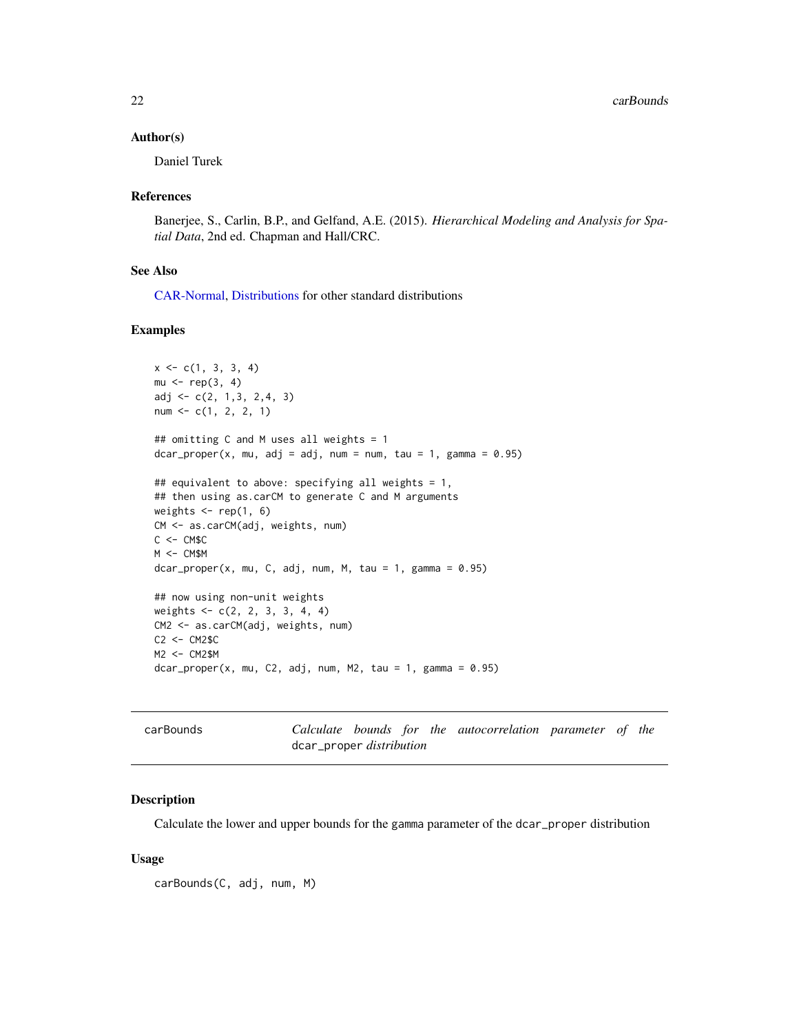<span id="page-21-0"></span>22 carBounds and the carBounds of the carBounds of the carBounds of the carBounds of the carBounds of the carBounds of the carBounds of the carBounds of the carBounds of the carBounds of the carBounds of the carBounds of t

#### Author(s)

Daniel Turek

#### References

Banerjee, S., Carlin, B.P., and Gelfand, A.E. (2015). *Hierarchical Modeling and Analysis for Spatial Data*, 2nd ed. Chapman and Hall/CRC.

#### See Also

[CAR-Normal,](#page-18-1) [Distributions](#page-0-0) for other standard distributions

## Examples

```
x \leq -c(1, 3, 3, 4)mu < - rep(3, 4)adj \leftarrow c(2, 1, 3, 2, 4, 3)num \leq c(1, 2, 2, 1)## omitting C and M uses all weights = 1
dcar\_proper(x, mu, adj = adj, num = num, tau = 1, gamma = 0.95)## equivalent to above: specifying all weights = 1,
## then using as.carCM to generate C and M arguments
weights \leq rep(1, 6)
CM <- as.carCM(adj, weights, num)
C < - CM$CM <- CM$M
dcar\_proper(x, mu, C, adj, num, M, tau = 1, gamma = 0.95)## now using non-unit weights
weights <- c(2, 2, 3, 3, 4, 4)
CM2 <- as.carCM(adj, weights, num)
C2 <- CM2$C
M2 <- CM2$M
dcar\_proper(x, mu, C2, adj, num, M2, tau = 1, gamma = 0.95)
```
<span id="page-21-1"></span>

| carBounds |                                 |  | Calculate bounds for the autocorrelation parameter of the |  |  |
|-----------|---------------------------------|--|-----------------------------------------------------------|--|--|
|           | dcar_proper <i>distribution</i> |  |                                                           |  |  |

# Description

Calculate the lower and upper bounds for the gamma parameter of the dcar\_proper distribution

#### Usage

carBounds(C, adj, num, M)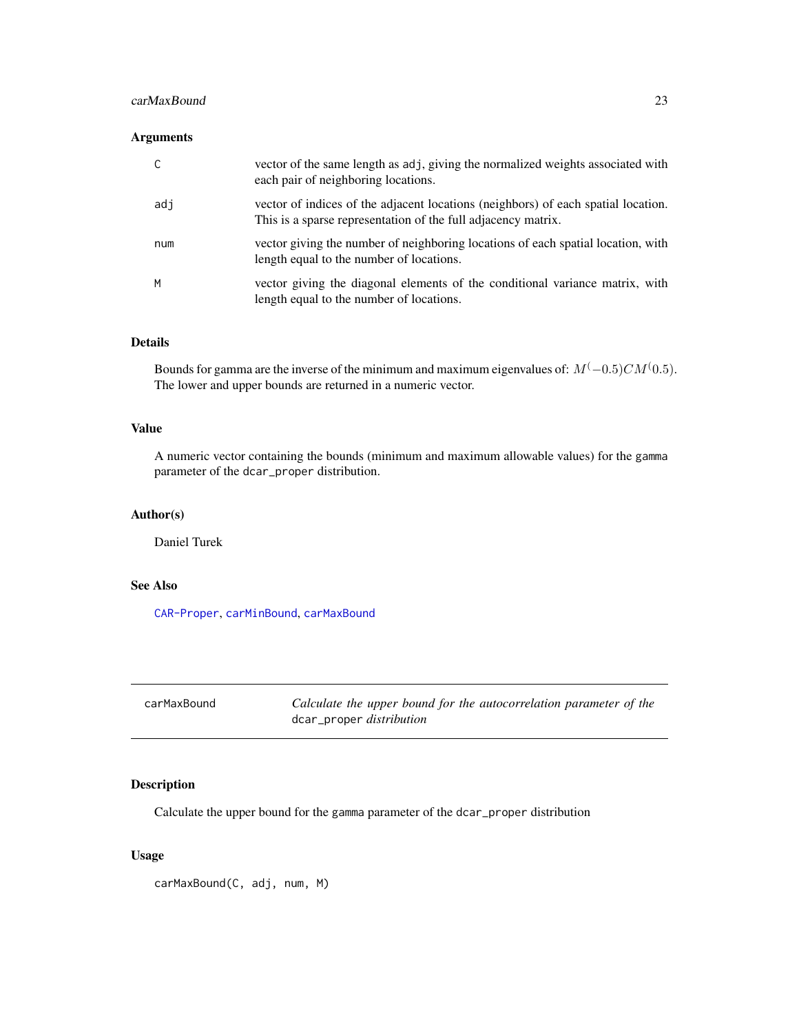## <span id="page-22-0"></span>carMaxBound 23

## Arguments

|     | vector of the same length as adj, giving the normalized weights associated with<br>each pair of neighboring locations.                             |
|-----|----------------------------------------------------------------------------------------------------------------------------------------------------|
| adj | vector of indices of the adjacent locations (neighbors) of each spatial location.<br>This is a sparse representation of the full adjacency matrix. |
| num | vector giving the number of neighboring locations of each spatial location, with<br>length equal to the number of locations.                       |
| M   | vector giving the diagonal elements of the conditional variance matrix, with<br>length equal to the number of locations.                           |

## Details

Bounds for gamma are the inverse of the minimum and maximum eigenvalues of:  $M(-0.5)CM(0.5)$ . The lower and upper bounds are returned in a numeric vector.

## Value

A numeric vector containing the bounds (minimum and maximum allowable values) for the gamma parameter of the dcar\_proper distribution.

# Author(s)

Daniel Turek

# See Also

[CAR-Proper](#page-19-1), [carMinBound](#page-23-1), [carMaxBound](#page-22-1)

<span id="page-22-1"></span>carMaxBound *Calculate the upper bound for the autocorrelation parameter of the* dcar\_proper *distribution*

## Description

Calculate the upper bound for the gamma parameter of the dcar\_proper distribution

## Usage

carMaxBound(C, adj, num, M)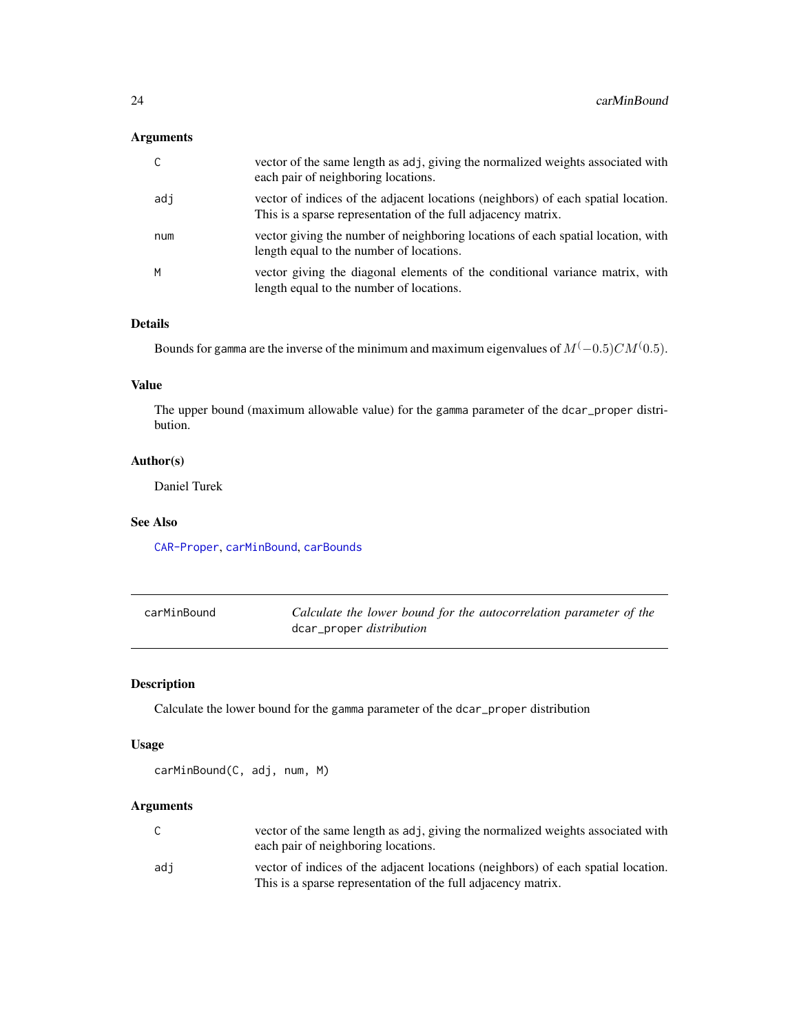# <span id="page-23-0"></span>Arguments

| $\mathsf{C}$ | vector of the same length as adj, giving the normalized weights associated with<br>each pair of neighboring locations.                             |
|--------------|----------------------------------------------------------------------------------------------------------------------------------------------------|
| adi          | vector of indices of the adjacent locations (neighbors) of each spatial location.<br>This is a sparse representation of the full adjacency matrix. |
| num          | vector giving the number of neighboring locations of each spatial location, with<br>length equal to the number of locations.                       |
| M            | vector giving the diagonal elements of the conditional variance matrix, with<br>length equal to the number of locations.                           |

# Details

Bounds for gamma are the inverse of the minimum and maximum eigenvalues of  $M(-0.5)CM(0.5)$ .

### Value

The upper bound (maximum allowable value) for the gamma parameter of the dcar\_proper distribution.

## Author(s)

Daniel Turek

## See Also

[CAR-Proper](#page-19-1), [carMinBound](#page-23-1), [carBounds](#page-21-1)

<span id="page-23-1"></span>

| carMinBound | Calculate the lower bound for the autocorrelation parameter of the |
|-------------|--------------------------------------------------------------------|
|             | dcar_proper <i>distribution</i>                                    |

## Description

Calculate the lower bound for the gamma parameter of the dcar\_proper distribution

# Usage

carMinBound(C, adj, num, M)

# Arguments

| $\sim$ | vector of the same length as adj, giving the normalized weights associated with                                                                    |
|--------|----------------------------------------------------------------------------------------------------------------------------------------------------|
| U      | each pair of neighboring locations.                                                                                                                |
| adi    | vector of indices of the adjacent locations (neighbors) of each spatial location.<br>This is a sparse representation of the full adjacency matrix. |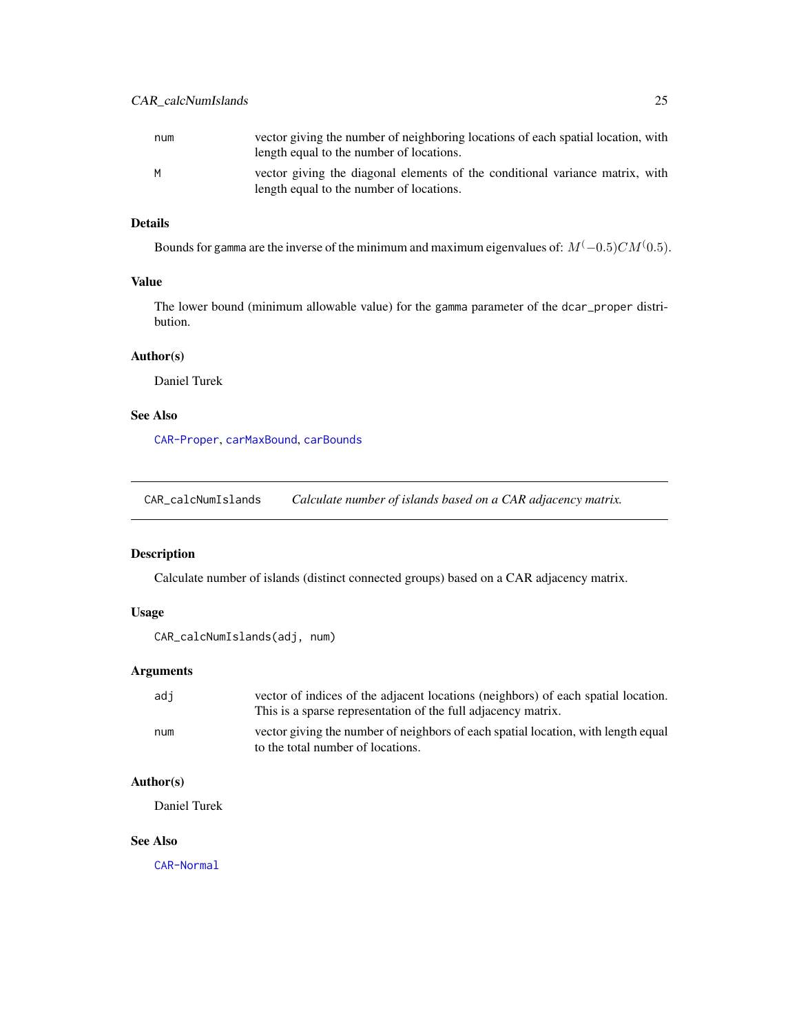<span id="page-24-0"></span>

| num | vector giving the number of neighboring locations of each spatial location, with<br>length equal to the number of locations. |
|-----|------------------------------------------------------------------------------------------------------------------------------|
| м   | vector giving the diagonal elements of the conditional variance matrix, with<br>length equal to the number of locations.     |

# Details

Bounds for gamma are the inverse of the minimum and maximum eigenvalues of:  $M^(-0.5)CM^(0.5)$ .

## Value

The lower bound (minimum allowable value) for the gamma parameter of the dcar\_proper distribution.

## Author(s)

Daniel Turek

# See Also

[CAR-Proper](#page-19-1), [carMaxBound](#page-22-1), [carBounds](#page-21-1)

CAR\_calcNumIslands *Calculate number of islands based on a CAR adjacency matrix.*

# Description

Calculate number of islands (distinct connected groups) based on a CAR adjacency matrix.

## Usage

```
CAR_calcNumIslands(adj, num)
```
# Arguments

| adi | vector of indices of the adjacent locations (neighbors) of each spatial location.<br>This is a sparse representation of the full adjacency matrix. |
|-----|----------------------------------------------------------------------------------------------------------------------------------------------------|
| num | vector giving the number of neighbors of each spatial location, with length equal<br>to the total number of locations.                             |

# Author(s)

Daniel Turek

## See Also

[CAR-Normal](#page-18-1)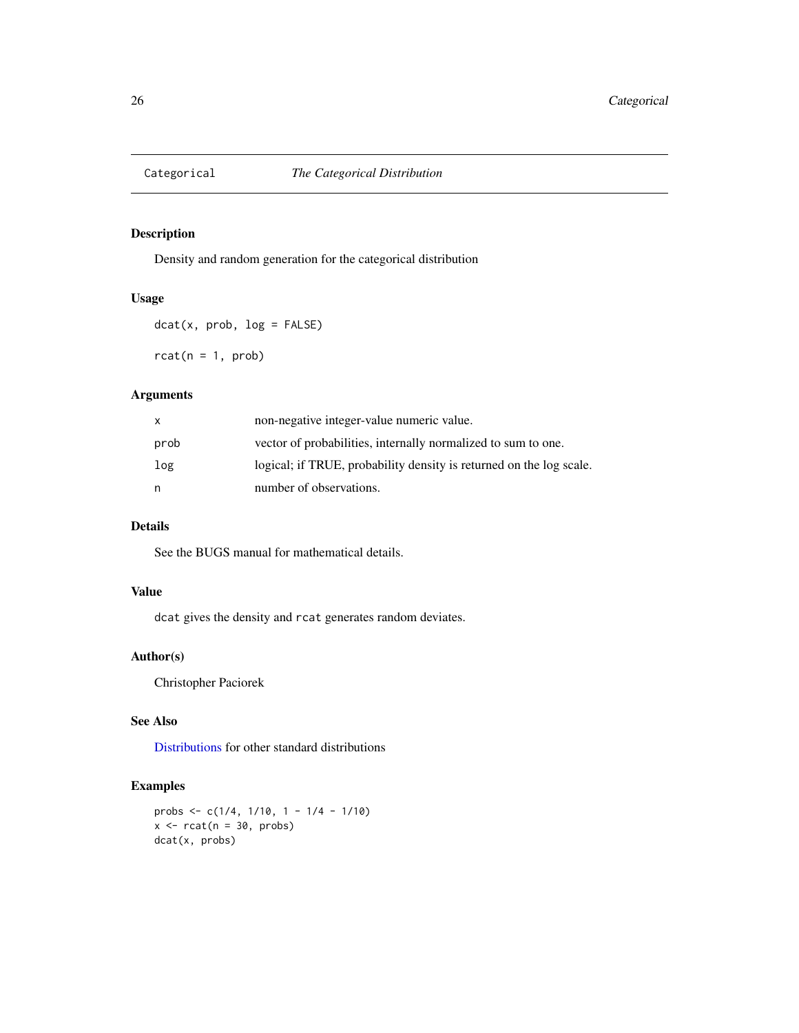<span id="page-25-0"></span>

Density and random generation for the categorical distribution

# Usage

```
dot(x, prob, log = FALSE)rcat(n = 1, prob)
```
# Arguments

| X    | non-negative integer-value numeric value.                           |
|------|---------------------------------------------------------------------|
| prob | vector of probabilities, internally normalized to sum to one.       |
| log  | logical; if TRUE, probability density is returned on the log scale. |
| n    | number of observations.                                             |

# Details

See the BUGS manual for mathematical details.

# Value

dcat gives the density and rcat generates random deviates.

# Author(s)

Christopher Paciorek

# See Also

[Distributions](#page-0-0) for other standard distributions

# Examples

```
probs <- c(1/4, 1/10, 1 - 1/4 - 1/10)
x \le - rcat(n = 30, probs)
dcat(x, probs)
```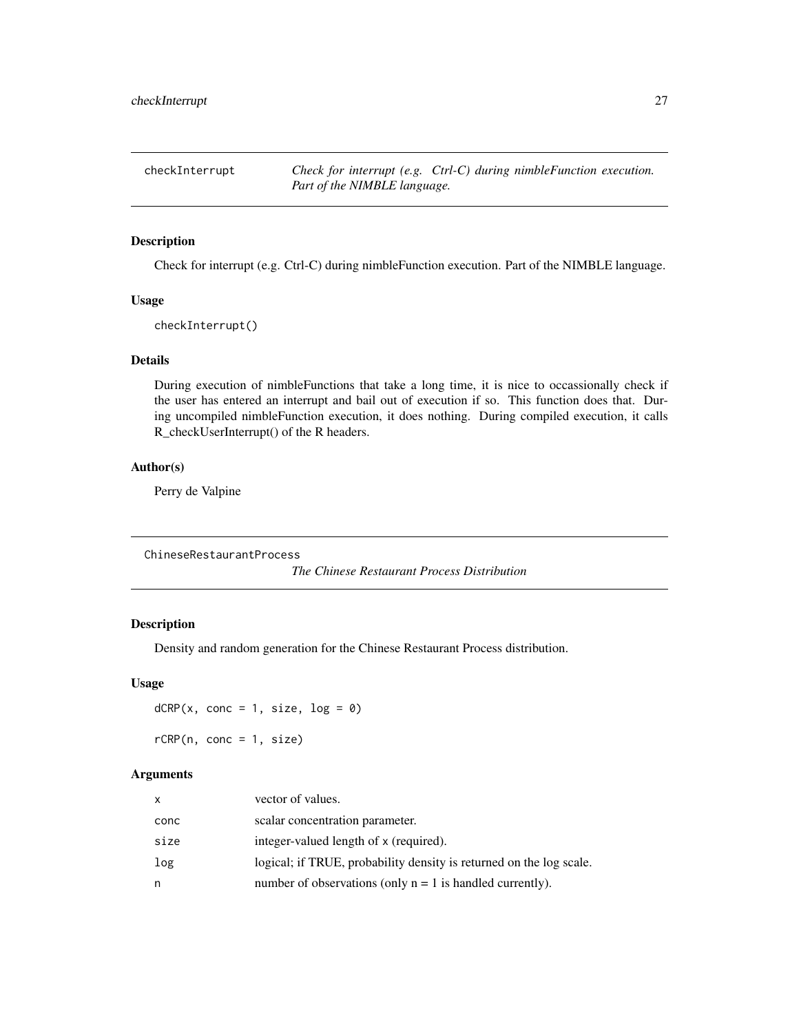<span id="page-26-0"></span>checkInterrupt *Check for interrupt (e.g. Ctrl-C) during nimbleFunction execution. Part of the NIMBLE language.*

## Description

Check for interrupt (e.g. Ctrl-C) during nimbleFunction execution. Part of the NIMBLE language.

## Usage

checkInterrupt()

## Details

During execution of nimbleFunctions that take a long time, it is nice to occassionally check if the user has entered an interrupt and bail out of execution if so. This function does that. During uncompiled nimbleFunction execution, it does nothing. During compiled execution, it calls R\_checkUserInterrupt() of the R headers.

## Author(s)

Perry de Valpine

ChineseRestaurantProcess

*The Chinese Restaurant Process Distribution*

## Description

Density and random generation for the Chinese Restaurant Process distribution.

#### Usage

 $dCRP(x, conc = 1, size, log = 0)$  $rCRP(n, conc = 1, size)$ 

## Arguments

| x    | vector of values.                                                   |
|------|---------------------------------------------------------------------|
| conc | scalar concentration parameter.                                     |
| size | integer-valued length of x (required).                              |
| log  | logical; if TRUE, probability density is returned on the log scale. |
| n    | number of observations (only $n = 1$ is handled currently).         |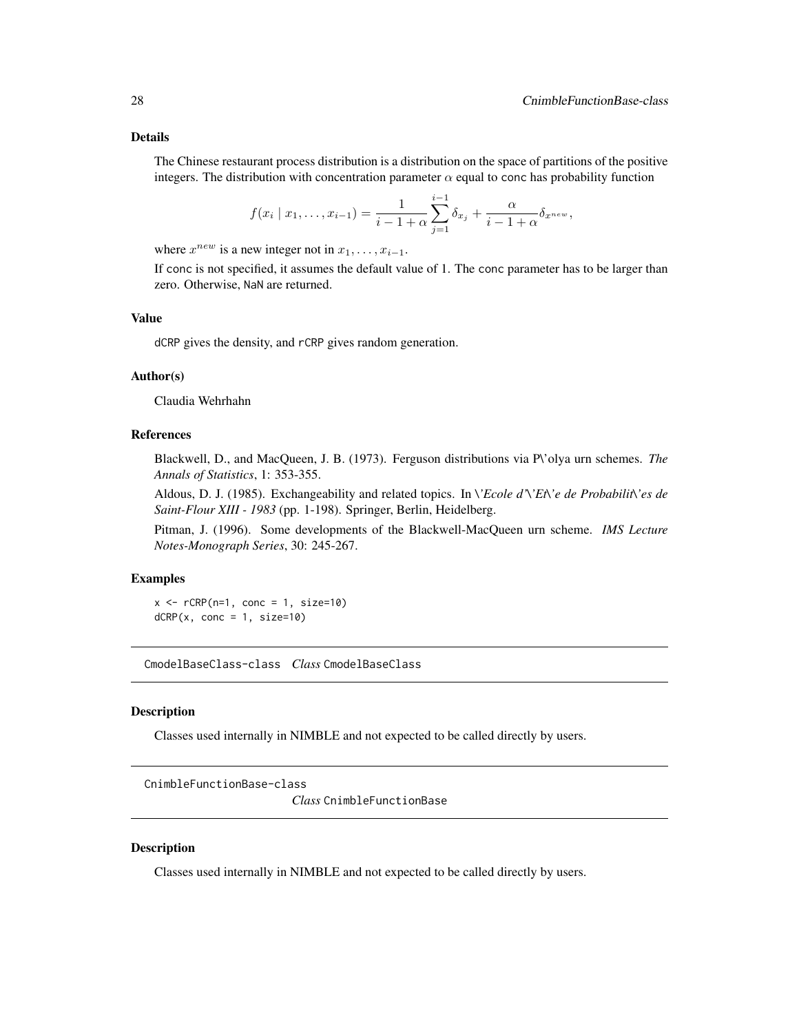## <span id="page-27-0"></span>Details

The Chinese restaurant process distribution is a distribution on the space of partitions of the positive integers. The distribution with concentration parameter  $\alpha$  equal to conc has probability function

$$
f(x_i | x_1, \ldots, x_{i-1}) = \frac{1}{i-1+\alpha} \sum_{j=1}^{i-1} \delta_{x_j} + \frac{\alpha}{i-1+\alpha} \delta_{x^{new}},
$$

where  $x^{new}$  is a new integer not in  $x_1, \ldots, x_{i-1}$ .

If conc is not specified, it assumes the default value of 1. The conc parameter has to be larger than zero. Otherwise, NaN are returned.

## Value

dCRP gives the density, and rCRP gives random generation.

### Author(s)

Claudia Wehrhahn

## References

Blackwell, D., and MacQueen, J. B. (1973). Ferguson distributions via P\'olya urn schemes. *The Annals of Statistics*, 1: 353-355.

Aldous, D. J. (1985). Exchangeability and related topics. In *\'Ecole d'\'Et\'e de Probabilit\'es de Saint-Flour XIII - 1983* (pp. 1-198). Springer, Berlin, Heidelberg.

Pitman, J. (1996). Some developments of the Blackwell-MacQueen urn scheme. *IMS Lecture Notes-Monograph Series*, 30: 245-267.

## Examples

```
x \leq -rCRP(n=1, conc = 1, size=10)dCRP(x, conc = 1, size=10)
```
CmodelBaseClass-class *Class* CmodelBaseClass

#### **Description**

Classes used internally in NIMBLE and not expected to be called directly by users.

CnimbleFunctionBase-class

*Class* CnimbleFunctionBase

# **Description**

Classes used internally in NIMBLE and not expected to be called directly by users.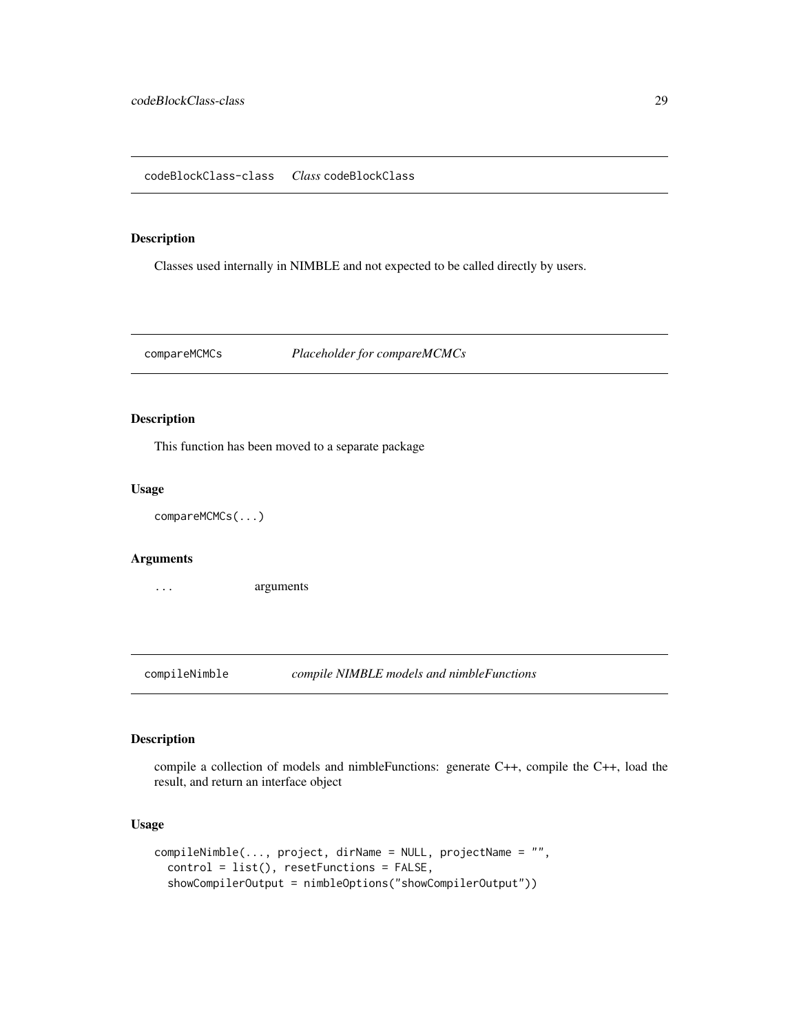<span id="page-28-0"></span>Classes used internally in NIMBLE and not expected to be called directly by users.

compareMCMCs *Placeholder for compareMCMCs*

# Description

This function has been moved to a separate package

# Usage

```
compareMCMCs(...)
```
# Arguments

... arguments

compileNimble *compile NIMBLE models and nimbleFunctions*

# Description

compile a collection of models and nimbleFunctions: generate C++, compile the C++, load the result, and return an interface object

# Usage

```
compileNimble(..., project, dirName = NULL, projectName = "",
  control = list(), resetFunctions = FALSE,
  showCompilerOutput = nimbleOptions("showCompilerOutput"))
```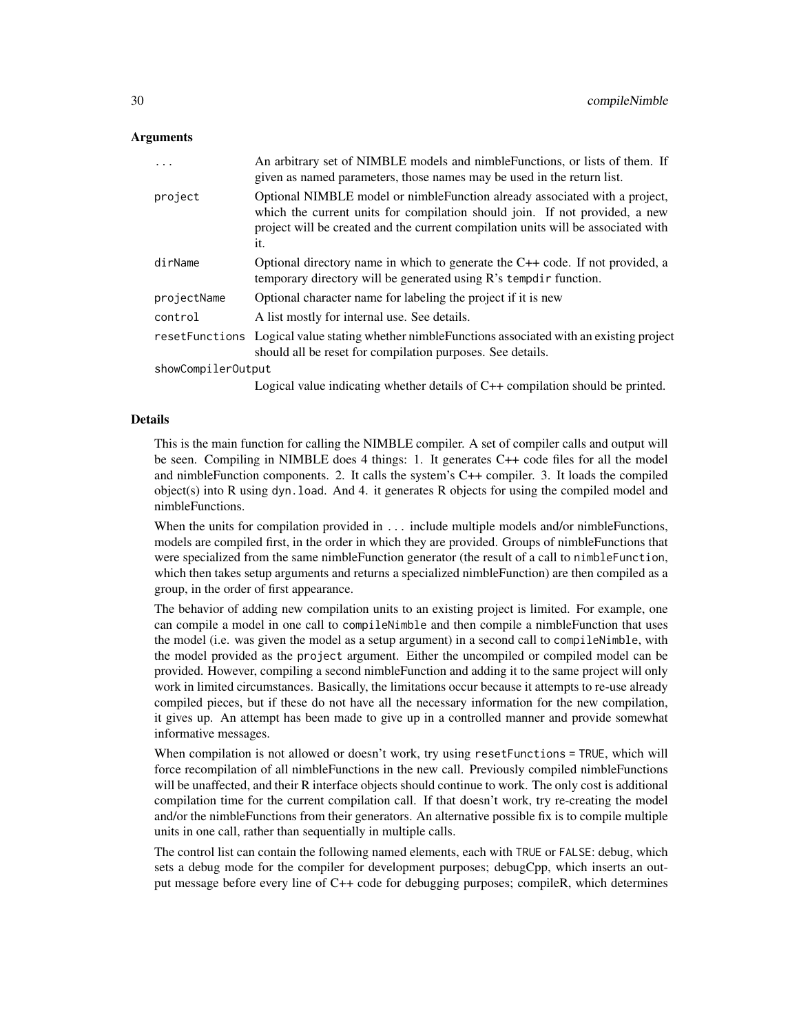#### Arguments

| $\cdot$            | An arbitrary set of NIMBLE models and nimble Functions, or lists of them. If<br>given as named parameters, those names may be used in the return list.                                                                                                 |
|--------------------|--------------------------------------------------------------------------------------------------------------------------------------------------------------------------------------------------------------------------------------------------------|
| project            | Optional NIMBLE model or nimble Function already associated with a project,<br>which the current units for compilation should join. If not provided, a new<br>project will be created and the current compilation units will be associated with<br>it. |
| dirName            | Optional directory name in which to generate the $C++$ code. If not provided, a<br>temporary directory will be generated using R's tempdir function.                                                                                                   |
| projectName        | Optional character name for labeling the project if it is new                                                                                                                                                                                          |
| control            | A list mostly for internal use. See details.                                                                                                                                                                                                           |
|                    | resetFunctions Logical value stating whether nimble Functions associated with an existing project<br>should all be reset for compilation purposes. See details.                                                                                        |
| showCompilerOutput |                                                                                                                                                                                                                                                        |
|                    | $\mathbf{I}$ , and $\mathbf{I}$ , and $\mathbf{I}$ , and $\mathbf{I}$ , and $\mathbf{I}$ , and $\mathbf{O}$ , and $\mathbf{I}$ , and $\mathbf{I}$ , and $\mathbf{I}$ , and $\mathbf{I}$                                                                |

#### Logical value indicating whether details of C++ compilation should be printed.

#### Details

This is the main function for calling the NIMBLE compiler. A set of compiler calls and output will be seen. Compiling in NIMBLE does 4 things: 1. It generates C++ code files for all the model and nimbleFunction components. 2. It calls the system's C++ compiler. 3. It loads the compiled object(s) into R using dyn.load. And 4. it generates R objects for using the compiled model and nimbleFunctions.

When the units for compilation provided in . . . include multiple models and/or nimbleFunctions, models are compiled first, in the order in which they are provided. Groups of nimbleFunctions that were specialized from the same nimbleFunction generator (the result of a call to nimbleFunction, which then takes setup arguments and returns a specialized nimbleFunction) are then compiled as a group, in the order of first appearance.

The behavior of adding new compilation units to an existing project is limited. For example, one can compile a model in one call to compileNimble and then compile a nimbleFunction that uses the model (i.e. was given the model as a setup argument) in a second call to compileNimble, with the model provided as the project argument. Either the uncompiled or compiled model can be provided. However, compiling a second nimbleFunction and adding it to the same project will only work in limited circumstances. Basically, the limitations occur because it attempts to re-use already compiled pieces, but if these do not have all the necessary information for the new compilation, it gives up. An attempt has been made to give up in a controlled manner and provide somewhat informative messages.

When compilation is not allowed or doesn't work, try using resetFunctions = TRUE, which will force recompilation of all nimbleFunctions in the new call. Previously compiled nimbleFunctions will be unaffected, and their R interface objects should continue to work. The only cost is additional compilation time for the current compilation call. If that doesn't work, try re-creating the model and/or the nimbleFunctions from their generators. An alternative possible fix is to compile multiple units in one call, rather than sequentially in multiple calls.

The control list can contain the following named elements, each with TRUE or FALSE: debug, which sets a debug mode for the compiler for development purposes; debugCpp, which inserts an output message before every line of C++ code for debugging purposes; compileR, which determines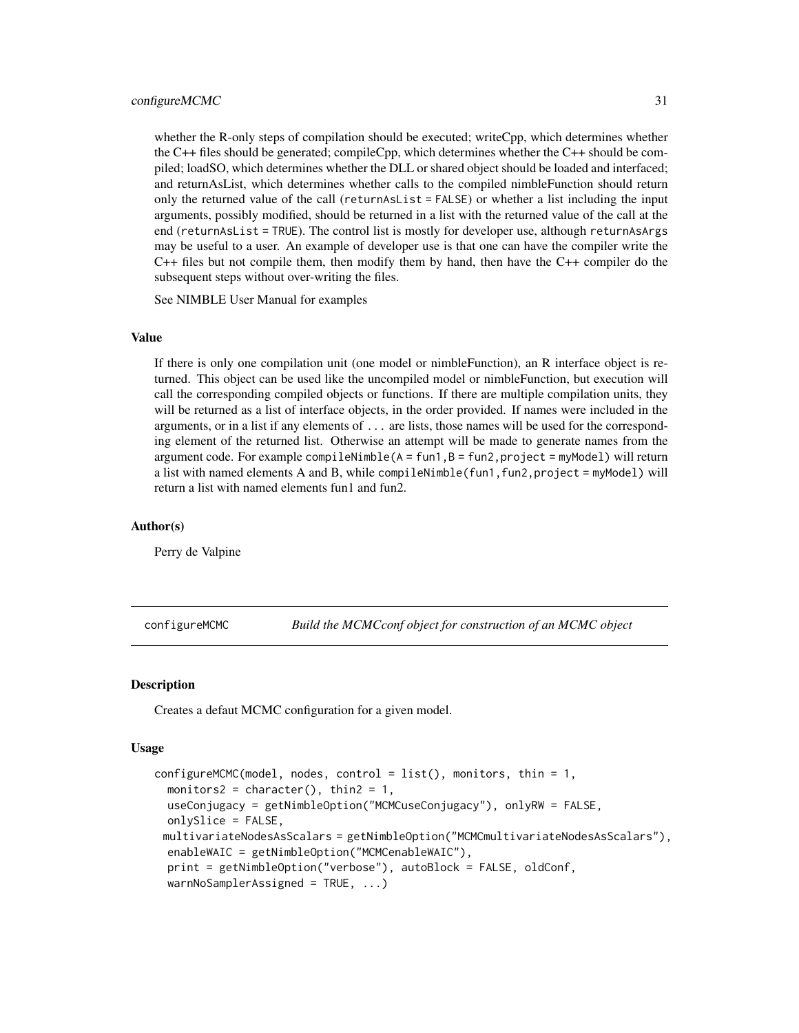#### <span id="page-30-0"></span>configureMCMC 31

whether the R-only steps of compilation should be executed; writeCpp, which determines whether the C++ files should be generated; compileCpp, which determines whether the C++ should be compiled; loadSO, which determines whether the DLL or shared object should be loaded and interfaced; and returnAsList, which determines whether calls to the compiled nimbleFunction should return only the returned value of the call (returnAsList = FALSE) or whether a list including the input arguments, possibly modified, should be returned in a list with the returned value of the call at the end (returnAsList = TRUE). The control list is mostly for developer use, although returnAsArgs may be useful to a user. An example of developer use is that one can have the compiler write the  $C_{++}$  files but not compile them, then modify them by hand, then have the  $C_{++}$  compiler do the subsequent steps without over-writing the files.

See NIMBLE User Manual for examples

## Value

If there is only one compilation unit (one model or nimbleFunction), an R interface object is returned. This object can be used like the uncompiled model or nimbleFunction, but execution will call the corresponding compiled objects or functions. If there are multiple compilation units, they will be returned as a list of interface objects, in the order provided. If names were included in the arguments, or in a list if any elements of ... are lists, those names will be used for the corresponding element of the returned list. Otherwise an attempt will be made to generate names from the argument code. For example compileNimble( $A = fun1, B = fun2, project = myModel$ ) will return a list with named elements A and B, while compileNimble(fun1,fun2,project = myModel) will return a list with named elements fun1 and fun2.

#### Author(s)

Perry de Valpine

<span id="page-30-1"></span>configureMCMC *Build the MCMCconf object for construction of an MCMC object*

#### **Description**

Creates a defaut MCMC configuration for a given model.

## Usage

```
configureMCMC (model, nodes, control = list(), monitors, thin = 1,monitors2 = character(), thin2 = 1,
 useConjugacy = getNimbleOption("MCMCuseConjugacy"), onlyRW = FALSE,
  onlySlice = FALSE,
 multivariateNodesAsScalars = getNimbleOption("MCMCmultivariateNodesAsScalars"),
  enableWAIC = getNimbleOption("MCMCenableWAIC"),
  print = getNimbleOption("verbose"), autoBlock = FALSE, oldConf,
  warnNoSamplerAssigned = TRUE, ...)
```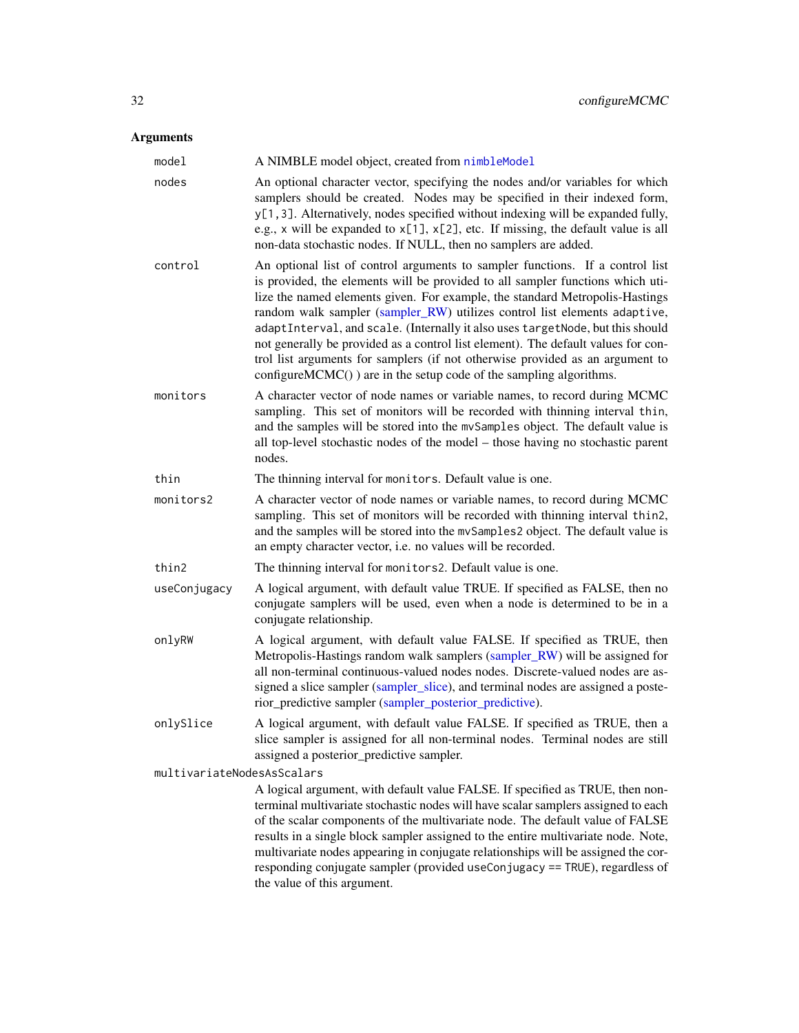# Arguments

| model                      | A NIMBLE model object, created from nimbleModel                                                                                                                                                                                                                                                                                                                                                                                                                                                                                                                                                                                                                      |
|----------------------------|----------------------------------------------------------------------------------------------------------------------------------------------------------------------------------------------------------------------------------------------------------------------------------------------------------------------------------------------------------------------------------------------------------------------------------------------------------------------------------------------------------------------------------------------------------------------------------------------------------------------------------------------------------------------|
| nodes                      | An optional character vector, specifying the nodes and/or variables for which<br>samplers should be created. Nodes may be specified in their indexed form,<br>y[1,3]. Alternatively, nodes specified without indexing will be expanded fully,<br>e.g., x will be expanded to $x[1]$ , $x[2]$ , etc. If missing, the default value is all<br>non-data stochastic nodes. If NULL, then no samplers are added.                                                                                                                                                                                                                                                          |
| control                    | An optional list of control arguments to sampler functions. If a control list<br>is provided, the elements will be provided to all sampler functions which uti-<br>lize the named elements given. For example, the standard Metropolis-Hastings<br>random walk sampler (sampler_RW) utilizes control list elements adaptive,<br>adaptInterval, and scale. (Internally it also uses targetNode, but this should<br>not generally be provided as a control list element). The default values for con-<br>trol list arguments for samplers (if not otherwise provided as an argument to<br>$\text{configureMCMC}()$ ) are in the setup code of the sampling algorithms. |
| monitors                   | A character vector of node names or variable names, to record during MCMC<br>sampling. This set of monitors will be recorded with thinning interval thin,<br>and the samples will be stored into the mvSamples object. The default value is<br>all top-level stochastic nodes of the model – those having no stochastic parent<br>nodes.                                                                                                                                                                                                                                                                                                                             |
| thin                       | The thinning interval for monitors. Default value is one.                                                                                                                                                                                                                                                                                                                                                                                                                                                                                                                                                                                                            |
| monitors2                  | A character vector of node names or variable names, to record during MCMC<br>sampling. This set of monitors will be recorded with thinning interval thin2,<br>and the samples will be stored into the mvSamples2 object. The default value is<br>an empty character vector, i.e. no values will be recorded.                                                                                                                                                                                                                                                                                                                                                         |
| thin2                      | The thinning interval for monitors2. Default value is one.                                                                                                                                                                                                                                                                                                                                                                                                                                                                                                                                                                                                           |
| useConjugacy               | A logical argument, with default value TRUE. If specified as FALSE, then no<br>conjugate samplers will be used, even when a node is determined to be in a<br>conjugate relationship.                                                                                                                                                                                                                                                                                                                                                                                                                                                                                 |
| onlyRW                     | A logical argument, with default value FALSE. If specified as TRUE, then<br>Metropolis-Hastings random walk samplers (sampler_RW) will be assigned for<br>all non-terminal continuous-valued nodes nodes. Discrete-valued nodes are as-<br>signed a slice sampler (sampler_slice), and terminal nodes are assigned a poste-<br>rior_predictive sampler (sampler_posterior_predictive).                                                                                                                                                                                                                                                                               |
| onlySlice                  | A logical argument, with default value FALSE. If specified as TRUE, then a<br>slice sampler is assigned for all non-terminal nodes. Terminal nodes are still<br>assigned a posterior_predictive sampler.                                                                                                                                                                                                                                                                                                                                                                                                                                                             |
| multivariateNodesAsScalars |                                                                                                                                                                                                                                                                                                                                                                                                                                                                                                                                                                                                                                                                      |
|                            | A logical argument, with default value FALSE. If specified as TRUE, then non-<br>terminal multivariate stochastic nodes will have scalar samplers assigned to each<br>of the scalar components of the multivariate node. The default value of FALSE<br>results in a single block sampler assigned to the entire multivariate node. Note,<br>multivariate nodes appearing in conjugate relationships will be assigned the cor-<br>responding conjugate sampler (provided useConjugacy == TRUE), regardless of<br>the value of this argument.                                                                                                                          |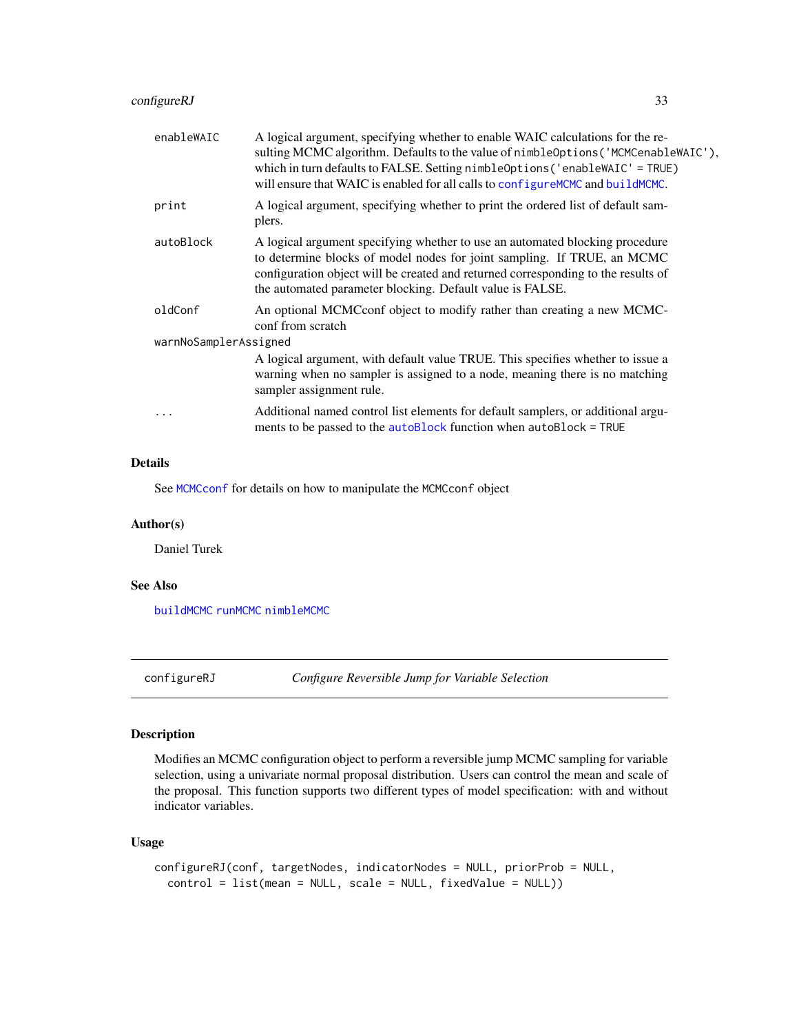<span id="page-32-0"></span>

| enableWAIC            | A logical argument, specifying whether to enable WAIC calculations for the re-<br>sulting MCMC algorithm. Defaults to the value of nimble Options ('MCMCenable WAIC'),<br>which in turn defaults to FALSE. Setting nimbleOptions ('enableWAIC' = TRUE)<br>will ensure that WAIC is enabled for all calls to configure MCMC and build MCMC. |  |
|-----------------------|--------------------------------------------------------------------------------------------------------------------------------------------------------------------------------------------------------------------------------------------------------------------------------------------------------------------------------------------|--|
| print                 | A logical argument, specifying whether to print the ordered list of default sam-<br>plers.                                                                                                                                                                                                                                                 |  |
| autoBlock             | A logical argument specifying whether to use an automated blocking procedure<br>to determine blocks of model nodes for joint sampling. If TRUE, an MCMC<br>configuration object will be created and returned corresponding to the results of<br>the automated parameter blocking. Default value is FALSE.                                  |  |
| oldConf               | An optional MCMCconf object to modify rather than creating a new MCMC-<br>conf from scratch                                                                                                                                                                                                                                                |  |
| warnNoSamplerAssigned |                                                                                                                                                                                                                                                                                                                                            |  |
|                       | A logical argument, with default value TRUE. This specifies whether to issue a<br>warning when no sampler is assigned to a node, meaning there is no matching<br>sampler assignment rule.                                                                                                                                                  |  |
| $\cdots$              | Additional named control list elements for default samplers, or additional argu-<br>ments to be passed to the autoBlock function when autoBlock = TRUE                                                                                                                                                                                     |  |
|                       |                                                                                                                                                                                                                                                                                                                                            |  |

# Details

See [MCMCconf](#page-61-1) for details on how to manipulate the MCMCconf object

## Author(s)

Daniel Turek

## See Also

[buildMCMC](#page-15-1) [runMCMC](#page-131-1) [nimbleMCMC](#page-95-1)

configureRJ *Configure Reversible Jump for Variable Selection*

## Description

Modifies an MCMC configuration object to perform a reversible jump MCMC sampling for variable selection, using a univariate normal proposal distribution. Users can control the mean and scale of the proposal. This function supports two different types of model specification: with and without indicator variables.

## Usage

```
configureRJ(conf, targetNodes, indicatorNodes = NULL, priorProb = NULL,
  control = list(mean = NULL, scale = NULL, fixedValue = NULL))
```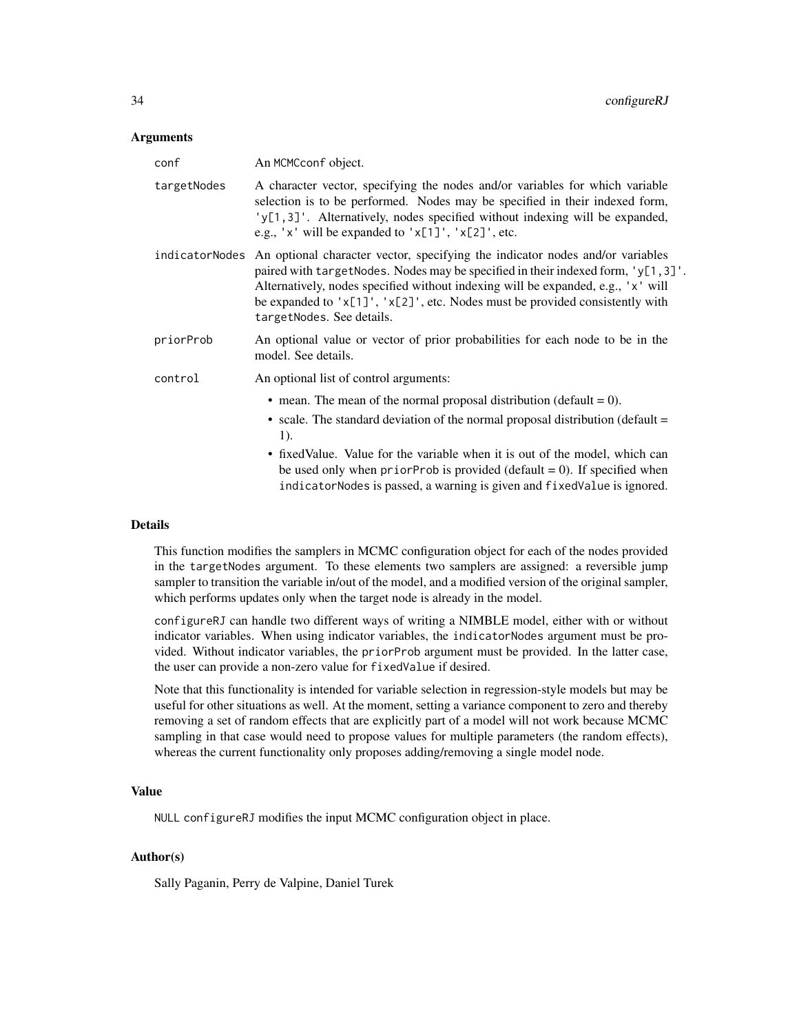#### Arguments

| conf        | An MCMCconf object.                                                                                                                                                                                                                                                                                                                                                                                          |
|-------------|--------------------------------------------------------------------------------------------------------------------------------------------------------------------------------------------------------------------------------------------------------------------------------------------------------------------------------------------------------------------------------------------------------------|
| targetNodes | A character vector, specifying the nodes and/or variables for which variable<br>selection is to be performed. Nodes may be specified in their indexed form,<br>'y[1,3]'. Alternatively, nodes specified without indexing will be expanded,<br>e.g., ' $x'$ ' will be expanded to ' $x[1]'$ , ' $x[2]'$ , etc.                                                                                                |
|             | indicatorNodes An optional character vector, specifying the indicator nodes and/or variables<br>paired with target Nodes. Nodes may be specified in their indexed form, $y[1,3]$ .<br>Alternatively, nodes specified without indexing will be expanded, e.g., 'x' will<br>be expanded to 'x[1]', 'x[2]', etc. Nodes must be provided consistently with<br>targetNodes. See details.                          |
| priorProb   | An optional value or vector of prior probabilities for each node to be in the<br>model. See details.                                                                                                                                                                                                                                                                                                         |
| control     | An optional list of control arguments:                                                                                                                                                                                                                                                                                                                                                                       |
|             | • mean. The mean of the normal proposal distribution (default $= 0$ ).<br>• scale. The standard deviation of the normal proposal distribution (default $=$<br>1).<br>• fixed Value. Value for the variable when it is out of the model, which can<br>be used only when prior Prob is provided (default $= 0$ ). If specified when<br>indicatorNodes is passed, a warning is given and fixedValue is ignored. |
|             |                                                                                                                                                                                                                                                                                                                                                                                                              |

# Details

This function modifies the samplers in MCMC configuration object for each of the nodes provided in the targetNodes argument. To these elements two samplers are assigned: a reversible jump sampler to transition the variable in/out of the model, and a modified version of the original sampler, which performs updates only when the target node is already in the model.

configureRJ can handle two different ways of writing a NIMBLE model, either with or without indicator variables. When using indicator variables, the indicatorNodes argument must be provided. Without indicator variables, the priorProb argument must be provided. In the latter case, the user can provide a non-zero value for fixedValue if desired.

Note that this functionality is intended for variable selection in regression-style models but may be useful for other situations as well. At the moment, setting a variance component to zero and thereby removing a set of random effects that are explicitly part of a model will not work because MCMC sampling in that case would need to propose values for multiple parameters (the random effects), whereas the current functionality only proposes adding/removing a single model node.

#### Value

NULL configureRJ modifies the input MCMC configuration object in place.

#### Author(s)

Sally Paganin, Perry de Valpine, Daniel Turek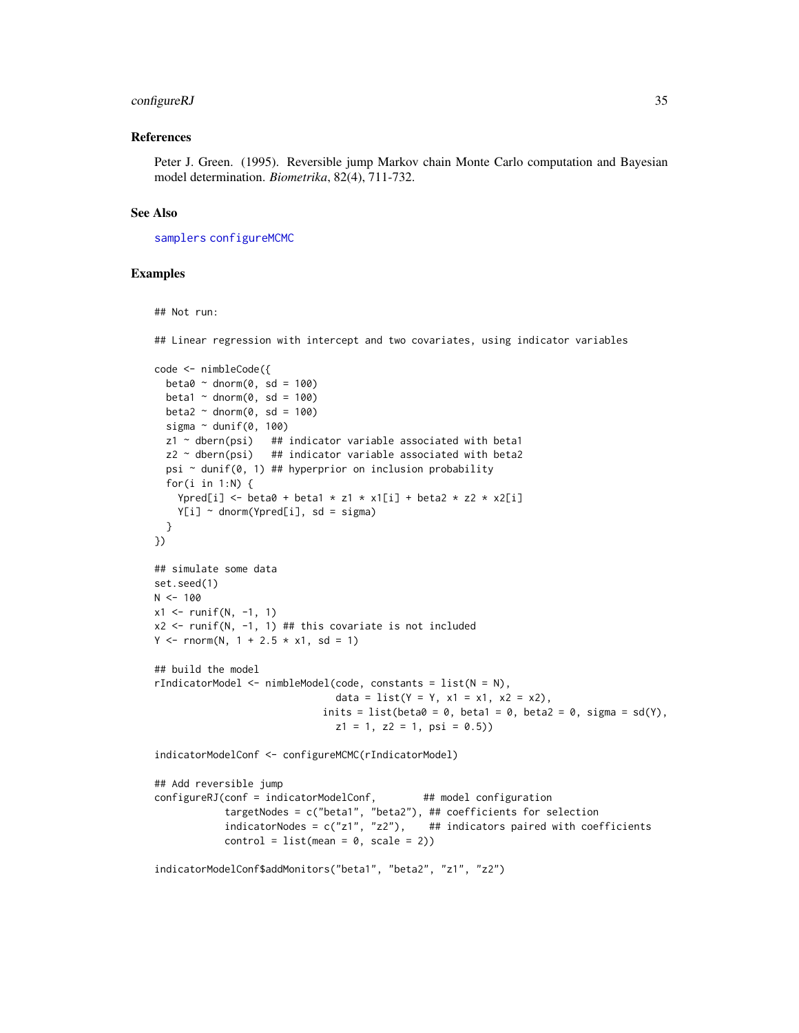## configureRJ 35

#### References

Peter J. Green. (1995). Reversible jump Markov chain Monte Carlo computation and Bayesian model determination. *Biometrika*, 82(4), 711-732.

#### See Also

[samplers](#page-134-1) [configureMCMC](#page-30-1)

#### Examples

## Not run:

## Linear regression with intercept and two covariates, using indicator variables

```
code <- nimbleCode({
  beta0 \sim dnorm(0, sd = 100)beta1 \sim dnorm(0, sd = 100)
  beta2 \sim dnorm(0, sd = 100)
  sigma \sim dunif(0, 100)
  z1 ~ dbern(psi) ## indicator variable associated with beta1
  z2 ~ dbern(psi) ## indicator variable associated with beta2
  psi \sim dunif(0, 1) ## hyperprior on inclusion probability
  for(i in 1:N) {
    Ypred[i] \le beta0 + beta1 * z1 * x1[i] + beta2 * z2 * x2[i]
    Y[i] ~ dnorm(Ypred[i], sd = sigma)
  }
})
## simulate some data
set.seed(1)
N < - 100x1 \le runif(N, -1, 1)
x2 \le runif(N, -1, 1) ## this covariate is not included
Y \le - rnorm(N, 1 + 2.5 \times x1, sd = 1)
## build the model
rIndicatorModel <- nimbleModel(code, constants = list(N = N),
                               data = list(Y = Y, x1 = x1, x2 = x2),
                             inits = list(beta0 = 0, beta1 = 0, beta2 = 0, sigma = sd(Y),
                               z1 = 1, z2 = 1, psi = 0.5)
indicatorModelConf <- configureMCMC(rIndicatorModel)
## Add reversible jump
configureRJ(conf = indicatorModelConf, ## model configuration
            targetNodes = c("beta1", "beta2"), ## coefficients for selection
            indicatorNodes = c("z1", "z2"), ## indicators paired with coefficients
            control = list(mean = 0, scale = 2))
```
indicatorModelConf\$addMonitors("beta1", "beta2", "z1", "z2")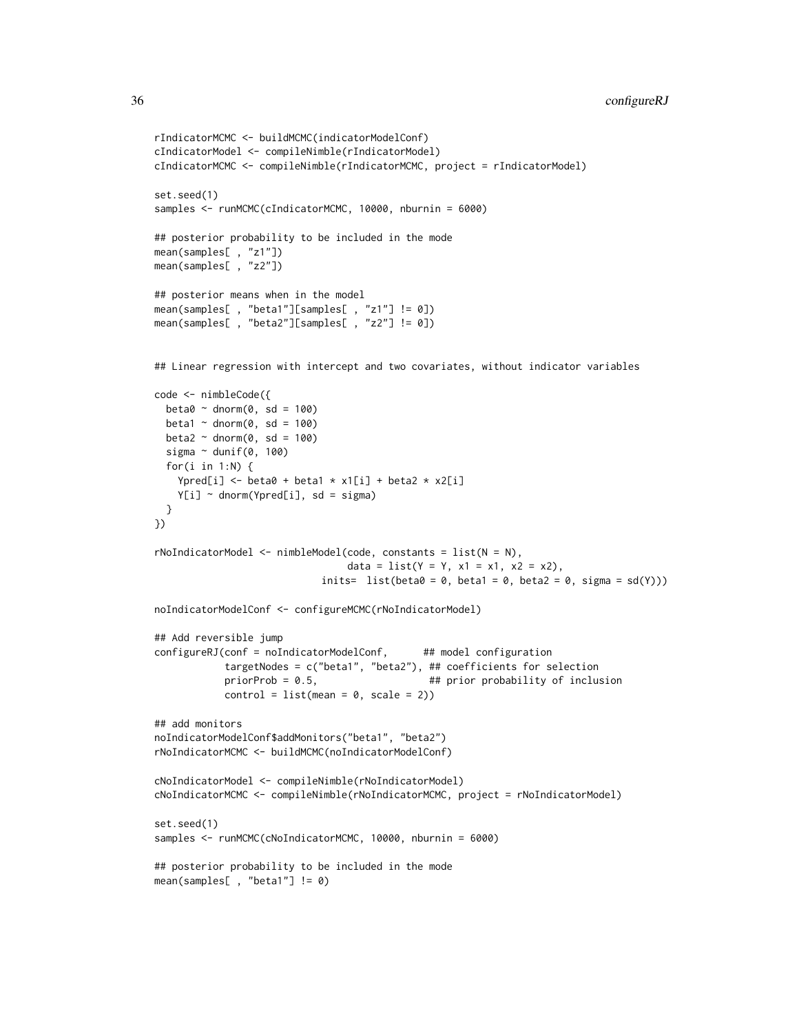```
36 configureRJ
```

```
rIndicatorMCMC <- buildMCMC(indicatorModelConf)
cIndicatorModel <- compileNimble(rIndicatorModel)
cIndicatorMCMC <- compileNimble(rIndicatorMCMC, project = rIndicatorModel)
set.seed(1)
samples <- runMCMC(cIndicatorMCMC, 10000, nburnin = 6000)
## posterior probability to be included in the mode
mean(samples[ , "z1"])
mean(samples[ , "z2"])
## posterior means when in the model
mean(samples[ , "beta1"][samples[ , "z1"] != 0])
mean(samples[ , "beta2"][samples[ , "z2"] != 0])
## Linear regression with intercept and two covariates, without indicator variables
code <- nimbleCode({
  beta0 \sim dnorm(0, sd = 100)beta1 \sim dnorm(0, sd = 100)
  beta2 \sim dnorm(0, sd = 100)
  sigma \sim dunif(0, 100)
  for(i in 1:N) {
   Ypred[i] <- beta0 + beta1 * x1[i] + beta2 * x2[i]Y[i] ~ dnorm(Ypred[i], sd = sigma)
  }
})
rNoIndicatorModel <- nimbleModel(code, constants = list(N = N),
                                 data = list(Y = Y, x1 = x1, x2 = x2),
                            inits= list(beta0 = 0, beta1 = 0, beta2 = 0, sigma = sd(Y)))
noIndicatorModelConf <- configureMCMC(rNoIndicatorModel)
## Add reversible jump
configureRJ(conf = noIndicatorModelConf, ## model configuration
            targetNodes = c("beta1", "beta2"), ## coefficients for selection
            priorProb = 0.5, ## prior probability of inclusion
            control = list(mean = 0, scale = 2))## add monitors
noIndicatorModelConf$addMonitors("beta1", "beta2")
rNoIndicatorMCMC <- buildMCMC(noIndicatorModelConf)
cNoIndicatorModel <- compileNimble(rNoIndicatorModel)
cNoIndicatorMCMC <- compileNimble(rNoIndicatorMCMC, project = rNoIndicatorModel)
set.seed(1)
samples <- runMCMC(cNoIndicatorMCMC, 10000, nburnin = 6000)
## posterior probability to be included in the mode
mean(samples[ , "beta1"] != 0)
```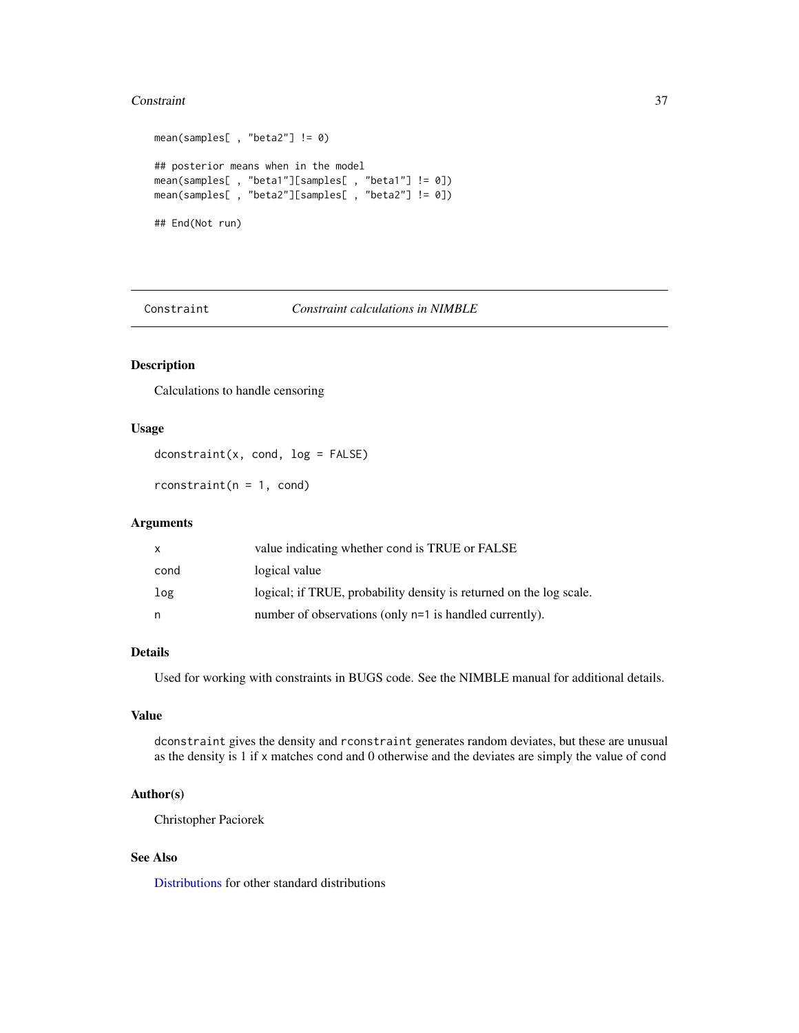#### **Constraint** 37

```
mean(samples[ , "beta2"] != 0)
## posterior means when in the model
mean(samples[ , "beta1"][samples[ , "beta1"] != 0])
mean(samples[ , "beta2"][samples[ , "beta2"] != 0])
## End(Not run)
```
Constraint *Constraint calculations in NIMBLE*

# Description

Calculations to handle censoring

## Usage

dconstraint(x, cond, log = FALSE)

 $rconstant(n = 1, cond)$ 

# Arguments

| x    | value indicating whether cond is TRUE or FALSE                      |
|------|---------------------------------------------------------------------|
| cond | logical value                                                       |
| log  | logical; if TRUE, probability density is returned on the log scale. |
| n    | number of observations (only n=1 is handled currently).             |

# Details

Used for working with constraints in BUGS code. See the NIMBLE manual for additional details.

## Value

dconstraint gives the density and rconstraint generates random deviates, but these are unusual as the density is 1 if x matches cond and 0 otherwise and the deviates are simply the value of cond

## Author(s)

Christopher Paciorek

## See Also

[Distributions](#page-0-0) for other standard distributions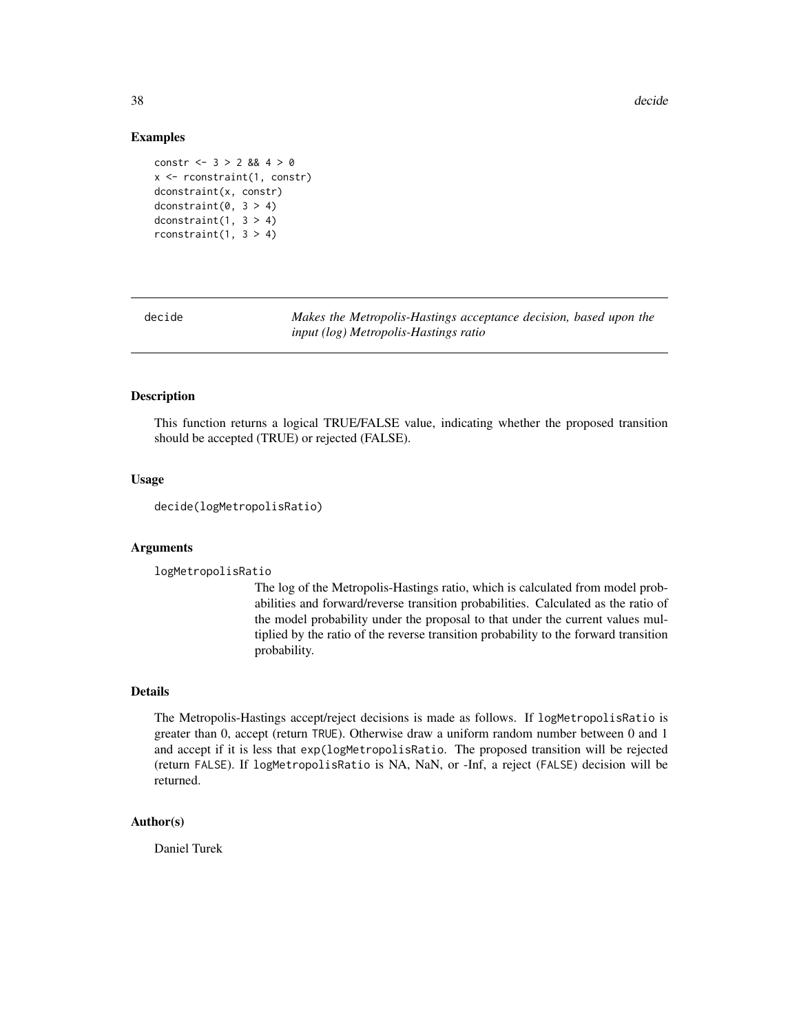38 decide

#### Examples

```
constr <- 3 > 2 && 4 > 0x <- rconstraint(1, constr)
dconstraint(x, constr)
dconstraint(0, 3 > 4)dconstraint(1, 3 > 4)rconstraint(1, 3 > 4)
```
decide *Makes the Metropolis-Hastings acceptance decision, based upon the input (log) Metropolis-Hastings ratio*

## **Description**

This function returns a logical TRUE/FALSE value, indicating whether the proposed transition should be accepted (TRUE) or rejected (FALSE).

# Usage

```
decide(logMetropolisRatio)
```
#### Arguments

logMetropolisRatio

The log of the Metropolis-Hastings ratio, which is calculated from model probabilities and forward/reverse transition probabilities. Calculated as the ratio of the model probability under the proposal to that under the current values multiplied by the ratio of the reverse transition probability to the forward transition probability.

#### Details

The Metropolis-Hastings accept/reject decisions is made as follows. If logMetropolisRatio is greater than 0, accept (return TRUE). Otherwise draw a uniform random number between 0 and 1 and accept if it is less that exp(logMetropolisRatio. The proposed transition will be rejected (return FALSE). If logMetropolisRatio is NA, NaN, or -Inf, a reject (FALSE) decision will be returned.

## Author(s)

Daniel Turek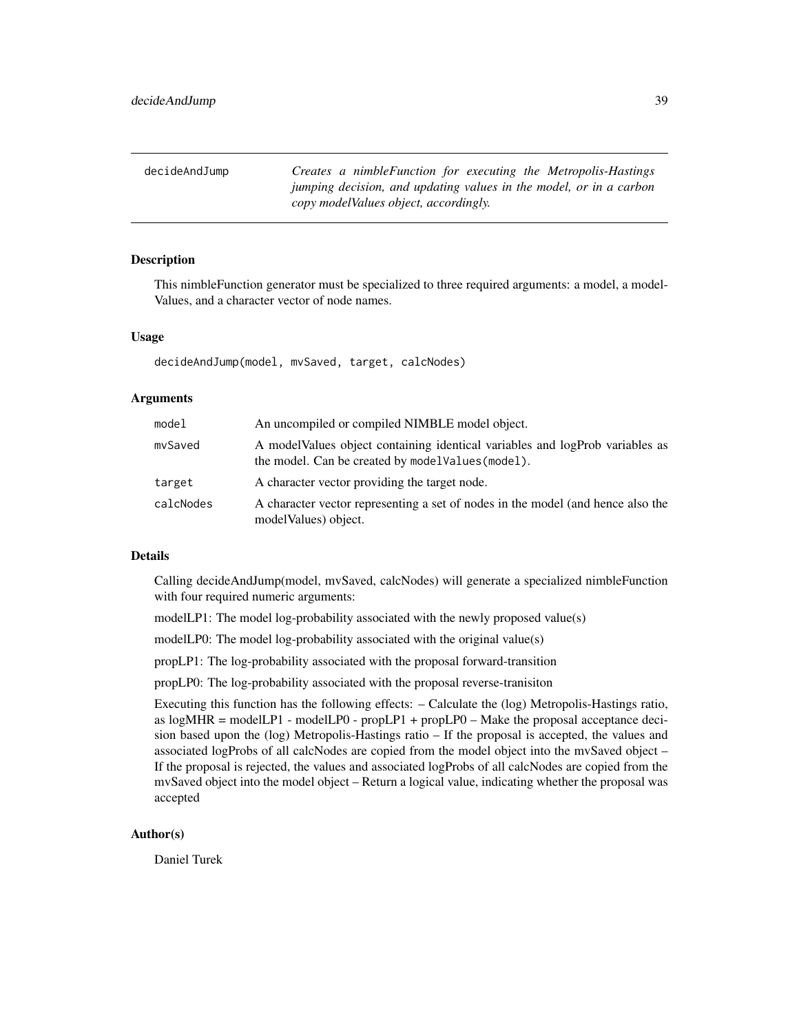decideAndJump *Creates a nimbleFunction for executing the Metropolis-Hastings jumping decision, and updating values in the model, or in a carbon copy modelValues object, accordingly.*

## **Description**

This nimbleFunction generator must be specialized to three required arguments: a model, a model-Values, and a character vector of node names.

#### Usage

```
decideAndJump(model, mvSaved, target, calcNodes)
```
## Arguments

| model     | An uncompiled or compiled NIMBLE model object.                                                                                    |
|-----------|-----------------------------------------------------------------------------------------------------------------------------------|
| mySaved   | A modelValues object containing identical variables and logProb variables as<br>the model. Can be created by modelValues (model). |
| target    | A character vector providing the target node.                                                                                     |
| calcNodes | A character vector representing a set of nodes in the model (and hence also the<br>model Values) object.                          |

## Details

Calling decideAndJump(model, mvSaved, calcNodes) will generate a specialized nimbleFunction with four required numeric arguments:

modelLP1: The model log-probability associated with the newly proposed value(s)

modelLP0: The model log-probability associated with the original value(s)

propLP1: The log-probability associated with the proposal forward-transition

propLP0: The log-probability associated with the proposal reverse-tranisiton

Executing this function has the following effects: – Calculate the (log) Metropolis-Hastings ratio, as  $log MHR = modellPI - modellP0 - propLP1 + propLP0 - Make the proposal acceptance deci$ sion based upon the (log) Metropolis-Hastings ratio – If the proposal is accepted, the values and associated logProbs of all calcNodes are copied from the model object into the mvSaved object – If the proposal is rejected, the values and associated logProbs of all calcNodes are copied from the mvSaved object into the model object – Return a logical value, indicating whether the proposal was accepted

## Author(s)

Daniel Turek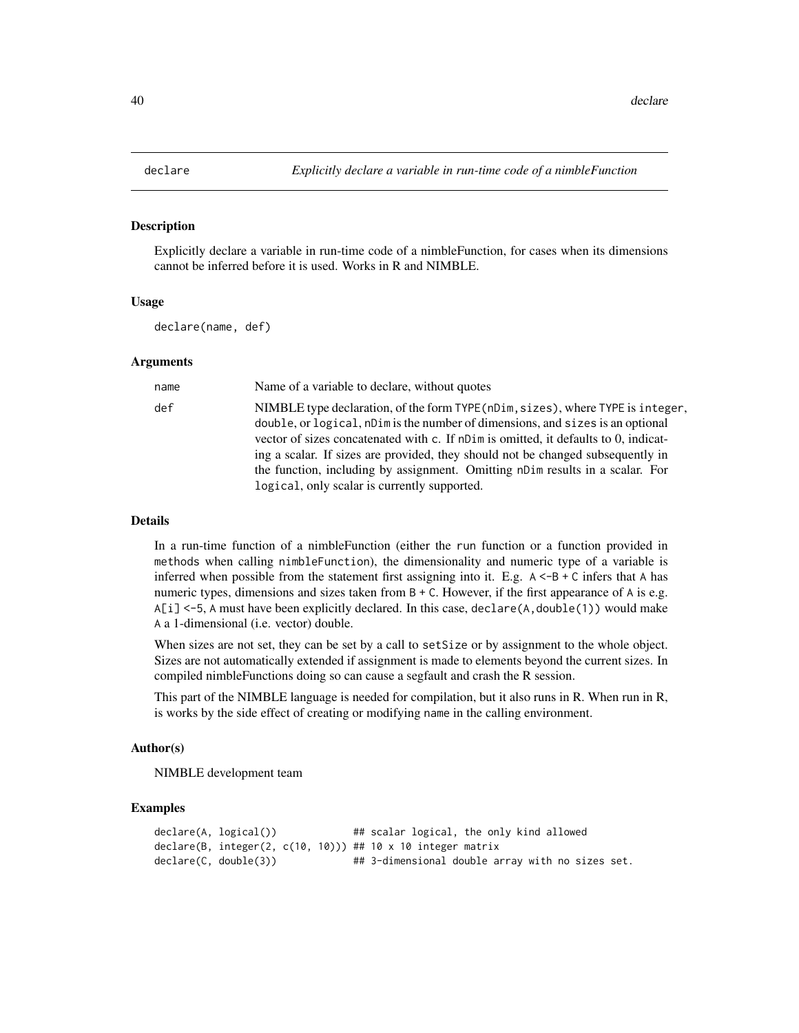## Description

Explicitly declare a variable in run-time code of a nimbleFunction, for cases when its dimensions cannot be inferred before it is used. Works in R and NIMBLE.

#### Usage

declare(name, def)

#### Arguments

| name | Name of a variable to declare, without quotes                                                                                                                                                                                                                                                                                                                                                                                                                                |
|------|------------------------------------------------------------------------------------------------------------------------------------------------------------------------------------------------------------------------------------------------------------------------------------------------------------------------------------------------------------------------------------------------------------------------------------------------------------------------------|
| def  | NIMBLE type declaration, of the form TYPE (nDim, sizes), where TYPE is integer,<br>double, or logical, nDim is the number of dimensions, and sizes is an optional<br>vector of sizes concatenated with c. If nDim is omitted, it defaults to 0, indicat-<br>ing a scalar. If sizes are provided, they should not be changed subsequently in<br>the function, including by assignment. Omitting nDim results in a scalar. For<br>logical, only scalar is currently supported. |

## Details

In a run-time function of a nimbleFunction (either the run function or a function provided in methods when calling nimbleFunction), the dimensionality and numeric type of a variable is inferred when possible from the statement first assigning into it. E.g.  $A < -B + C$  infers that A has numeric types, dimensions and sizes taken from  $B + C$ . However, if the first appearance of A is e.g.  $A[i] < -5$ , A must have been explicitly declared. In this case, declare(A, double(1)) would make A a 1-dimensional (i.e. vector) double.

When sizes are not set, they can be set by a call to setSize or by assignment to the whole object. Sizes are not automatically extended if assignment is made to elements beyond the current sizes. In compiled nimbleFunctions doing so can cause a segfault and crash the R session.

This part of the NIMBLE language is needed for compilation, but it also runs in R. When run in R, is works by the side effect of creating or modifying name in the calling environment.

#### Author(s)

NIMBLE development team

#### Examples

```
declare(A, logical()) ## scalar logical, the only kind allowed
declare(B, integer(2, c(10, 10))) ## 10 x 10 integer matrix
declare(C, double(3)) ## 3-dimensional double array with no sizes set.
```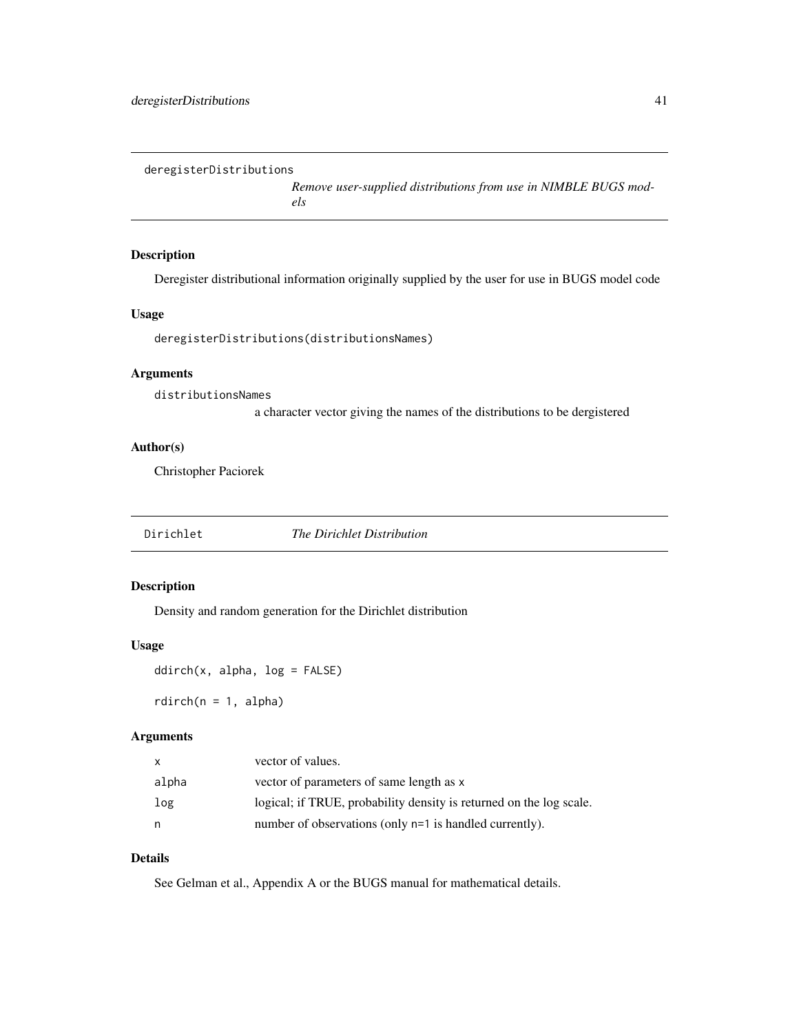deregisterDistributions

*Remove user-supplied distributions from use in NIMBLE BUGS models*

# Description

Deregister distributional information originally supplied by the user for use in BUGS model code

# Usage

deregisterDistributions(distributionsNames)

# Arguments

distributionsNames

a character vector giving the names of the distributions to be dergistered

## Author(s)

Christopher Paciorek

Dirichlet *The Dirichlet Distribution*

## Description

Density and random generation for the Dirichlet distribution

## Usage

ddirch(x, alpha, log = FALSE)

 $rdirch(n = 1, alpha)$ 

#### Arguments

| X     | vector of values.                                                   |
|-------|---------------------------------------------------------------------|
| alpha | vector of parameters of same length as x                            |
| log   | logical; if TRUE, probability density is returned on the log scale. |
| n     | number of observations (only n=1 is handled currently).             |

# Details

See Gelman et al., Appendix A or the BUGS manual for mathematical details.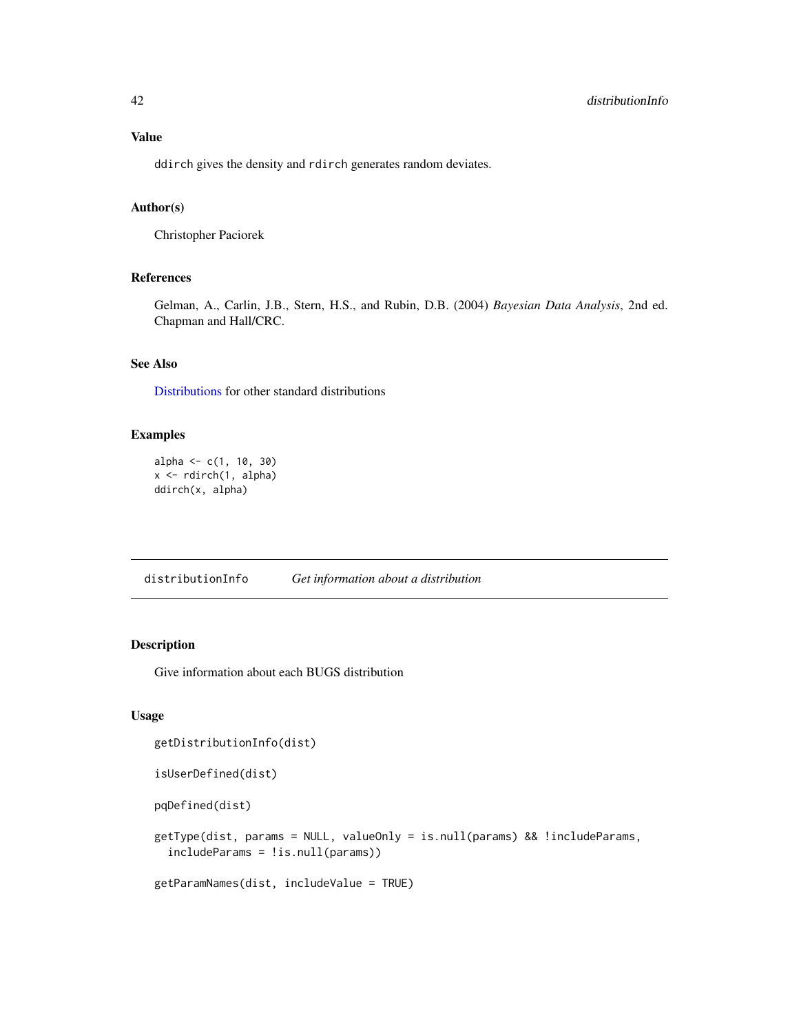# Value

ddirch gives the density and rdirch generates random deviates.

# Author(s)

Christopher Paciorek

# References

Gelman, A., Carlin, J.B., Stern, H.S., and Rubin, D.B. (2004) *Bayesian Data Analysis*, 2nd ed. Chapman and Hall/CRC.

## See Also

[Distributions](#page-0-0) for other standard distributions

# Examples

```
alpha \leq -c(1, 10, 30)x <- rdirch(1, alpha)
ddirch(x, alpha)
```
distributionInfo *Get information about a distribution*

# Description

Give information about each BUGS distribution

## Usage

```
getDistributionInfo(dist)
isUserDefined(dist)
pqDefined(dist)
getType(dist, params = NULL, valueOnly = is.null(params) && !includeParams,
  includeParams = !is.null(params))
getParamNames(dist, includeValue = TRUE)
```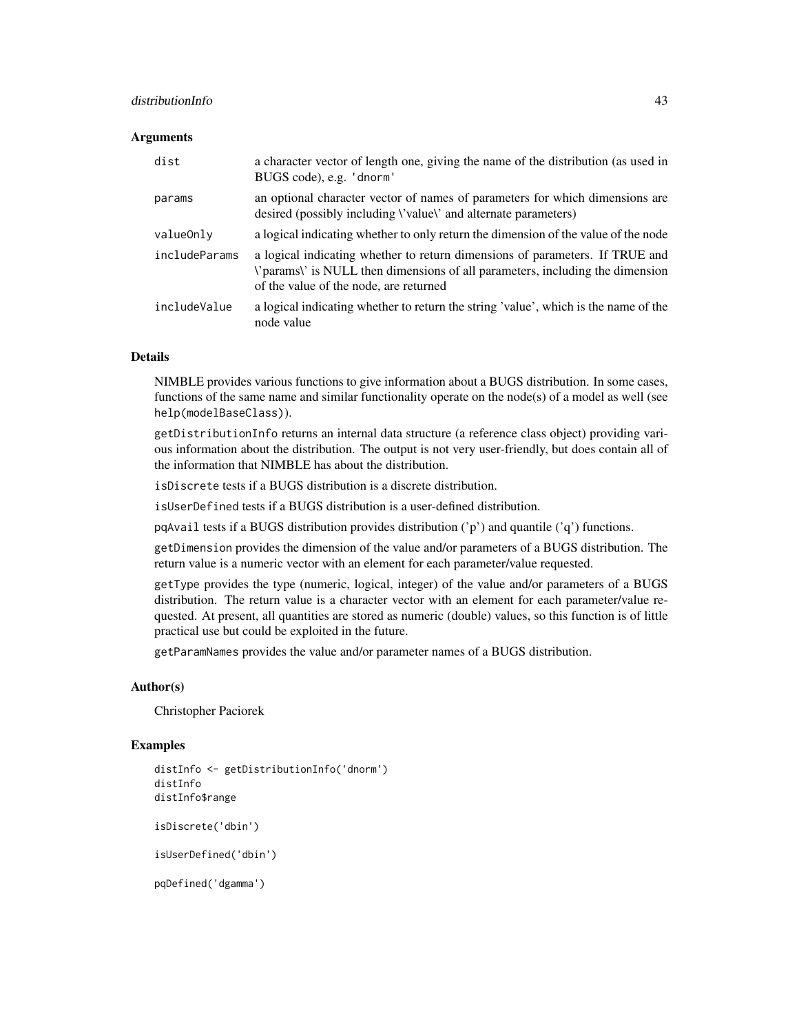## distributionInfo 43

## **Arguments**

| dist          | a character vector of length one, giving the name of the distribution (as used in<br>BUGS code), e.g. 'dnorm'                                                                                                   |
|---------------|-----------------------------------------------------------------------------------------------------------------------------------------------------------------------------------------------------------------|
| params        | an optional character vector of names of parameters for which dimensions are<br>desired (possibly including <i>\'value\'</i> and alternate parameters)                                                          |
| valueOnly     | a logical indicating whether to only return the dimension of the value of the node                                                                                                                              |
| includeParams | a logical indicating whether to return dimensions of parameters. If TRUE and<br><i>\</i> 'params\' is NULL then dimensions of all parameters, including the dimension<br>of the value of the node, are returned |
| includeValue  | a logical indicating whether to return the string 'value', which is the name of the<br>node value                                                                                                               |

#### Details

NIMBLE provides various functions to give information about a BUGS distribution. In some cases, functions of the same name and similar functionality operate on the node(s) of a model as well (see help(modelBaseClass)).

getDistributionInfo returns an internal data structure (a reference class object) providing various information about the distribution. The output is not very user-friendly, but does contain all of the information that NIMBLE has about the distribution.

isDiscrete tests if a BUGS distribution is a discrete distribution.

isUserDefined tests if a BUGS distribution is a user-defined distribution.

pqAvail tests if a BUGS distribution provides distribution  $('p')$  and quantile  $('q')$  functions.

getDimension provides the dimension of the value and/or parameters of a BUGS distribution. The return value is a numeric vector with an element for each parameter/value requested.

getType provides the type (numeric, logical, integer) of the value and/or parameters of a BUGS distribution. The return value is a character vector with an element for each parameter/value requested. At present, all quantities are stored as numeric (double) values, so this function is of little practical use but could be exploited in the future.

getParamNames provides the value and/or parameter names of a BUGS distribution.

## Author(s)

Christopher Paciorek

#### Examples

```
distInfo <- getDistributionInfo('dnorm')
distInfo
distInfo$range
isDiscrete('dbin')
isUserDefined('dbin')
pqDefined('dgamma')
```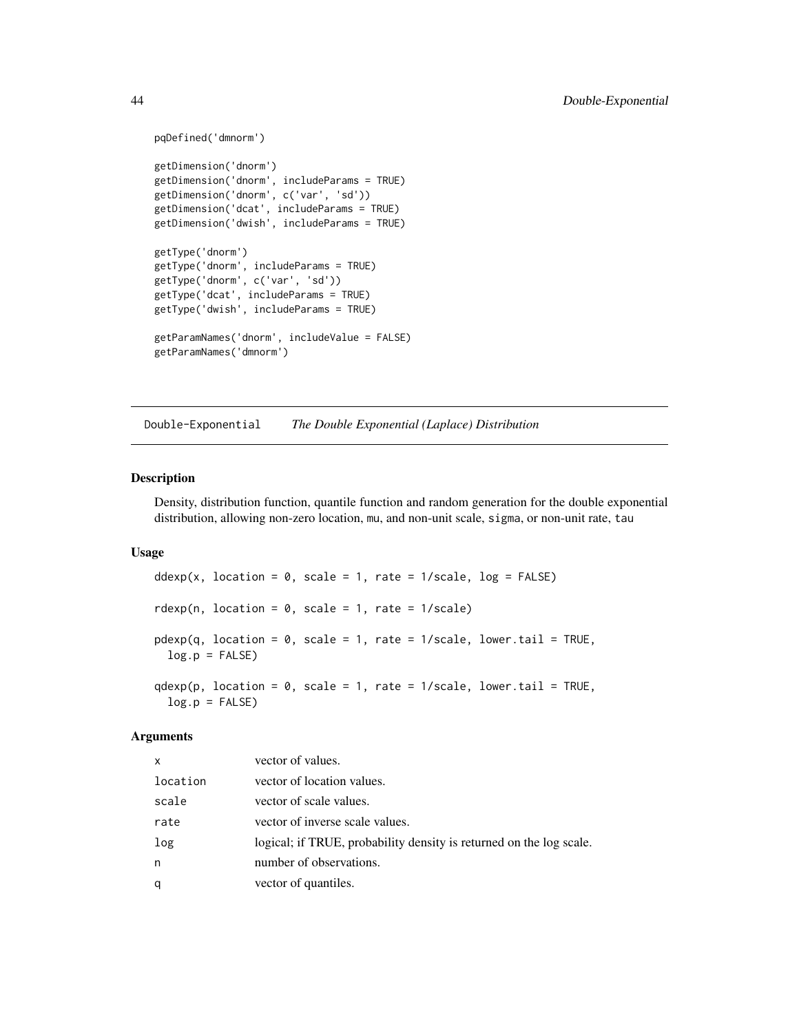```
pqDefined('dmnorm')
getDimension('dnorm')
getDimension('dnorm', includeParams = TRUE)
getDimension('dnorm', c('var', 'sd'))
getDimension('dcat', includeParams = TRUE)
getDimension('dwish', includeParams = TRUE)
getType('dnorm')
getType('dnorm', includeParams = TRUE)
getType('dnorm', c('var', 'sd'))
getType('dcat', includeParams = TRUE)
getType('dwish', includeParams = TRUE)
getParamNames('dnorm', includeValue = FALSE)
getParamNames('dmnorm')
```
Double-Exponential *The Double Exponential (Laplace) Distribution*

#### Description

Density, distribution function, quantile function and random generation for the double exponential distribution, allowing non-zero location, mu, and non-unit scale, sigma, or non-unit rate, tau

## Usage

```
ddexp(x, location = 0, scale = 1, rate = 1/scale, log = FALSE)rdexp(n, location = 0, scale = 1, rate = 1/scale)
pdexp(q, location = \theta, scale = 1, rate = 1/scale, lower.tail = TRUE,
 log.p = FALSEqdevp(p, location = 0, scale = 1, rate = 1/scale, lowertail = TRUE,log.p = FALSE)
```
#### Arguments

| x        | vector of values.                                                   |
|----------|---------------------------------------------------------------------|
| location | vector of location values.                                          |
| scale    | vector of scale values.                                             |
| rate     | vector of inverse scale values.                                     |
| log      | logical; if TRUE, probability density is returned on the log scale. |
| n        | number of observations.                                             |
| q        | vector of quantiles.                                                |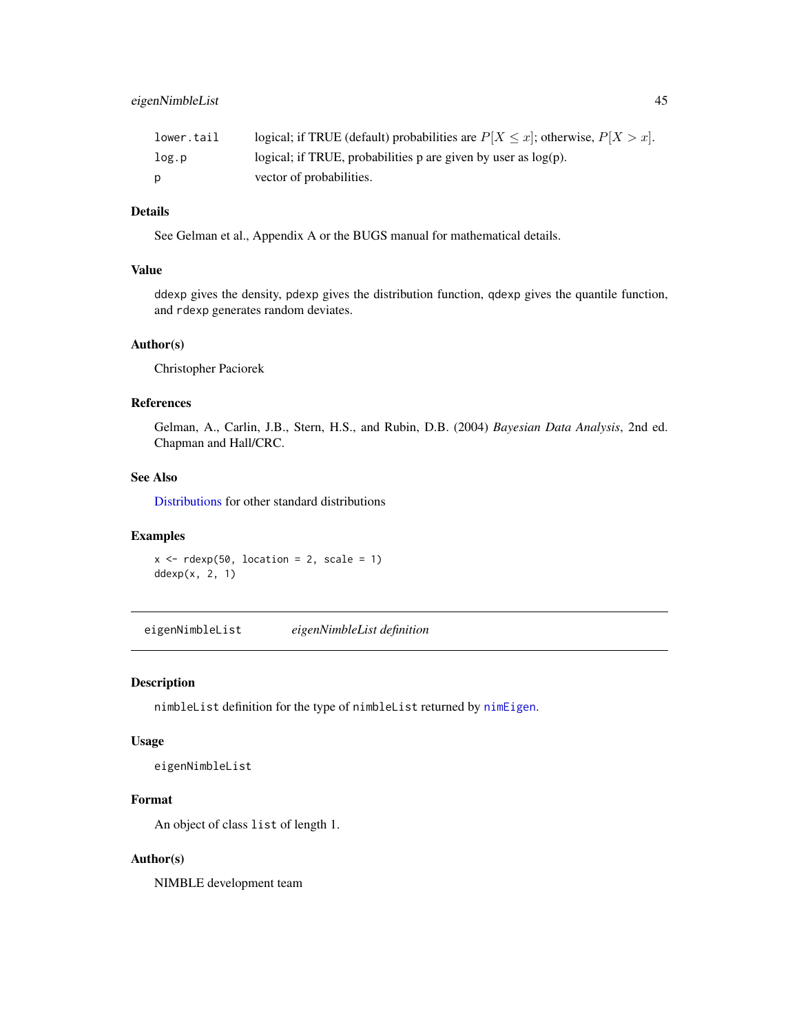| lower.tail | logical; if TRUE (default) probabilities are $P[X \leq x]$ ; otherwise, $P[X > x]$ . |
|------------|--------------------------------------------------------------------------------------|
| log.p      | logical; if TRUE, probabilities p are given by user as $log(p)$ .                    |
|            | vector of probabilities.                                                             |

## Details

See Gelman et al., Appendix A or the BUGS manual for mathematical details.

#### Value

ddexp gives the density, pdexp gives the distribution function, qdexp gives the quantile function, and rdexp generates random deviates.

## Author(s)

Christopher Paciorek

## References

Gelman, A., Carlin, J.B., Stern, H.S., and Rubin, D.B. (2004) *Bayesian Data Analysis*, 2nd ed. Chapman and Hall/CRC.

## See Also

[Distributions](#page-0-0) for other standard distributions

## Examples

```
x \le - rdexp(50, location = 2, scale = 1)
ddexp(x, 2, 1)
```
eigenNimbleList *eigenNimbleList definition*

## Description

nimbleList definition for the type of nimbleList returned by [nimEigen](#page-107-0).

## Usage

eigenNimbleList

# Format

An object of class list of length 1.

## Author(s)

NIMBLE development team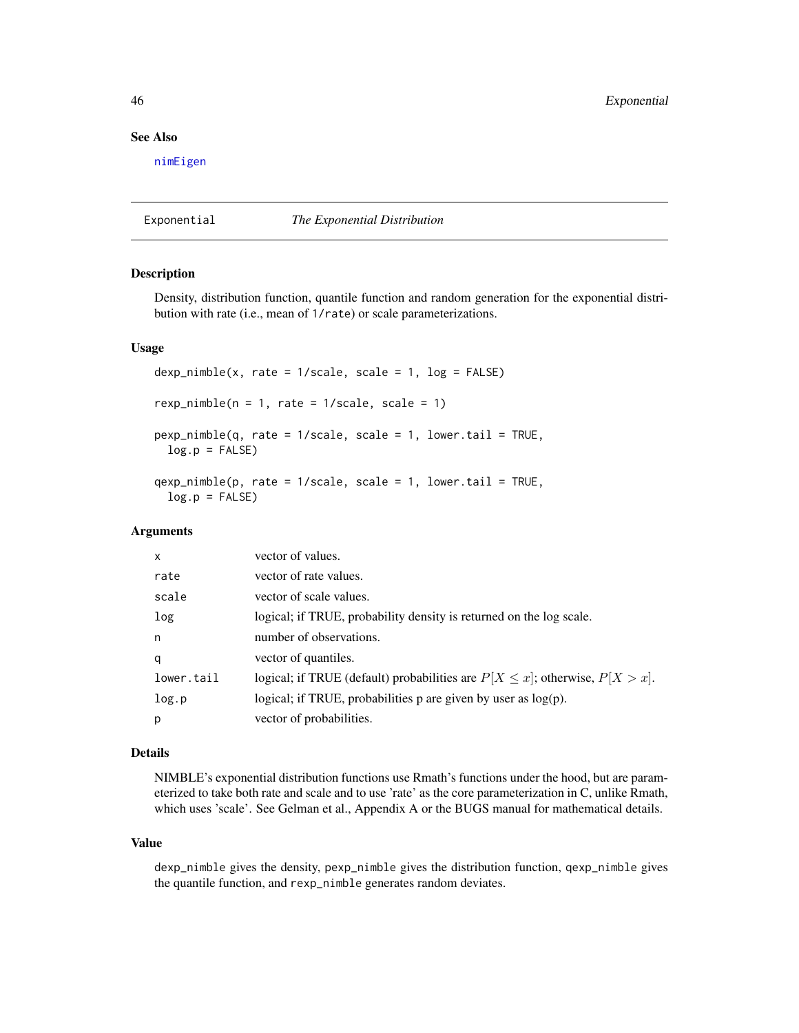# See Also

[nimEigen](#page-107-0)

Exponential *The Exponential Distribution*

#### Description

Density, distribution function, quantile function and random generation for the exponential distribution with rate (i.e., mean of 1/rate) or scale parameterizations.

#### Usage

```
dexp_nimble(x, rate = 1/scale, scale = 1, log = FALSE)
rexp_nimble(n = 1, rate = 1/scale, scale = 1)pexp_nimble(q, rate = 1/scale, scale = 1, lower.tail = TRUE,
 log.p = FALSE)
qexp\_nimble(p, rate = 1/scale, scale = 1, lowertail = TRUE,log.p = FALSE
```
### Arguments

| $\mathsf{x}$ | vector of values.                                                                    |
|--------------|--------------------------------------------------------------------------------------|
| rate         | vector of rate values.                                                               |
| scale        | vector of scale values.                                                              |
| log          | logical; if TRUE, probability density is returned on the log scale.                  |
| n            | number of observations.                                                              |
| q            | vector of quantiles.                                                                 |
| lower.tail   | logical; if TRUE (default) probabilities are $P[X \leq x]$ ; otherwise, $P[X > x]$ . |
| log.p        | logical; if TRUE, probabilities $p$ are given by user as $log(p)$ .                  |
| p            | vector of probabilities.                                                             |

# Details

NIMBLE's exponential distribution functions use Rmath's functions under the hood, but are parameterized to take both rate and scale and to use 'rate' as the core parameterization in C, unlike Rmath, which uses 'scale'. See Gelman et al., Appendix A or the BUGS manual for mathematical details.

#### Value

dexp\_nimble gives the density, pexp\_nimble gives the distribution function, qexp\_nimble gives the quantile function, and rexp\_nimble generates random deviates.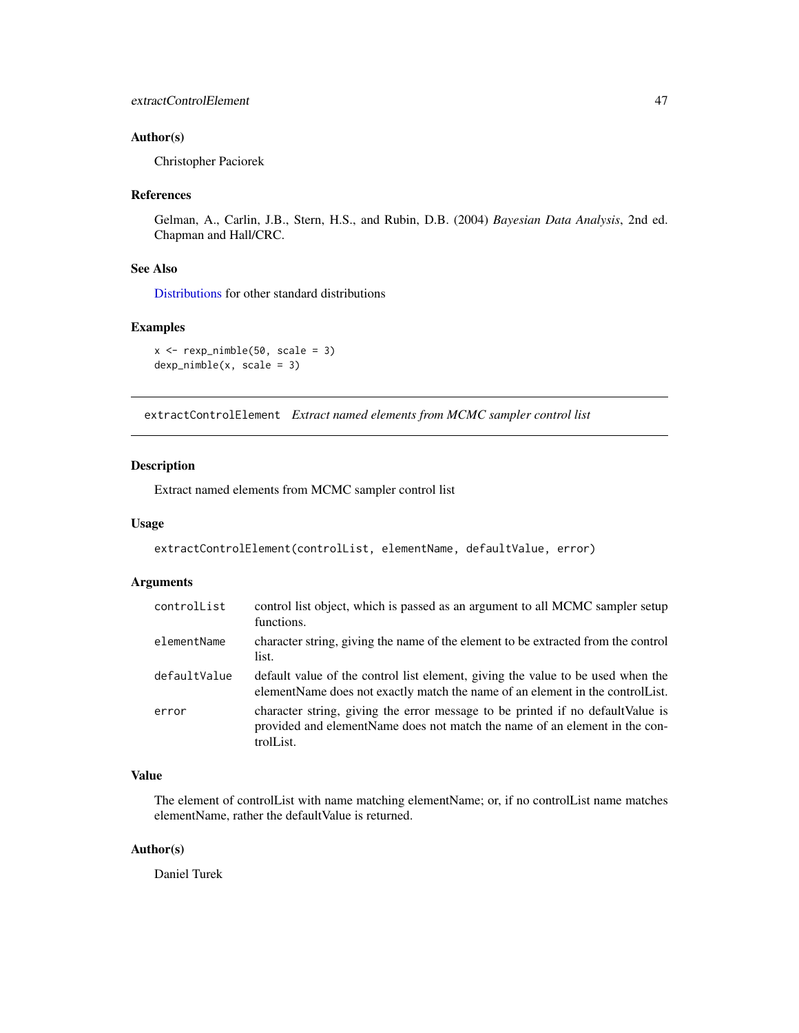## Author(s)

Christopher Paciorek

#### References

Gelman, A., Carlin, J.B., Stern, H.S., and Rubin, D.B. (2004) *Bayesian Data Analysis*, 2nd ed. Chapman and Hall/CRC.

## See Also

[Distributions](#page-0-0) for other standard distributions

## Examples

 $x \leftarrow \text{exp\_nimble}(50, scale = 3)$ dexp\_nimble(x, scale = 3)

extractControlElement *Extract named elements from MCMC sampler control list*

## Description

Extract named elements from MCMC sampler control list

## Usage

```
extractControlElement(controlList, elementName, defaultValue, error)
```
# Arguments

| controlList  | control list object, which is passed as an argument to all MCMC sampler setup<br>functions.                                                                                |
|--------------|----------------------------------------------------------------------------------------------------------------------------------------------------------------------------|
| elementName  | character string, giving the name of the element to be extracted from the control<br>list.                                                                                 |
| defaultValue | default value of the control list element, giving the value to be used when the<br>elementName does not exactly match the name of an element in the controller.            |
| error        | character string, giving the error message to be printed if no default Value is<br>provided and elementName does not match the name of an element in the con-<br>trolList. |

## Value

The element of controlList with name matching elementName; or, if no controlList name matches elementName, rather the defaultValue is returned.

#### Author(s)

Daniel Turek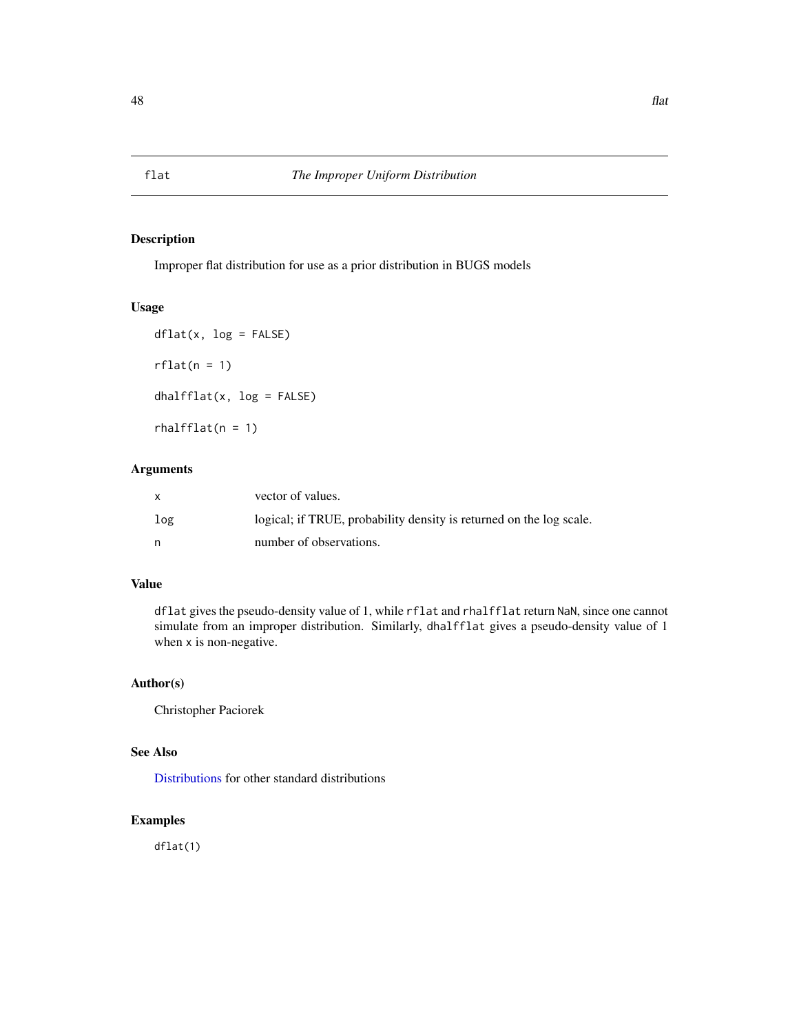## Description

Improper flat distribution for use as a prior distribution in BUGS models

## Usage

```
dflat(x, log = FALSE)rflat(n = 1)dhalfflat(x, log = FALSE)
rhalfflat(n = 1)
```
# Arguments

| $\mathsf{x}$ | vector of values.                                                   |
|--------------|---------------------------------------------------------------------|
| log          | logical; if TRUE, probability density is returned on the log scale. |
| n,           | number of observations.                                             |

# Value

dflat gives the pseudo-density value of 1, while rflat and rhalfflat return NaN, since one cannot simulate from an improper distribution. Similarly, dhalfflat gives a pseudo-density value of 1 when x is non-negative.

# Author(s)

Christopher Paciorek

# See Also

[Distributions](#page-0-0) for other standard distributions

# Examples

dflat(1)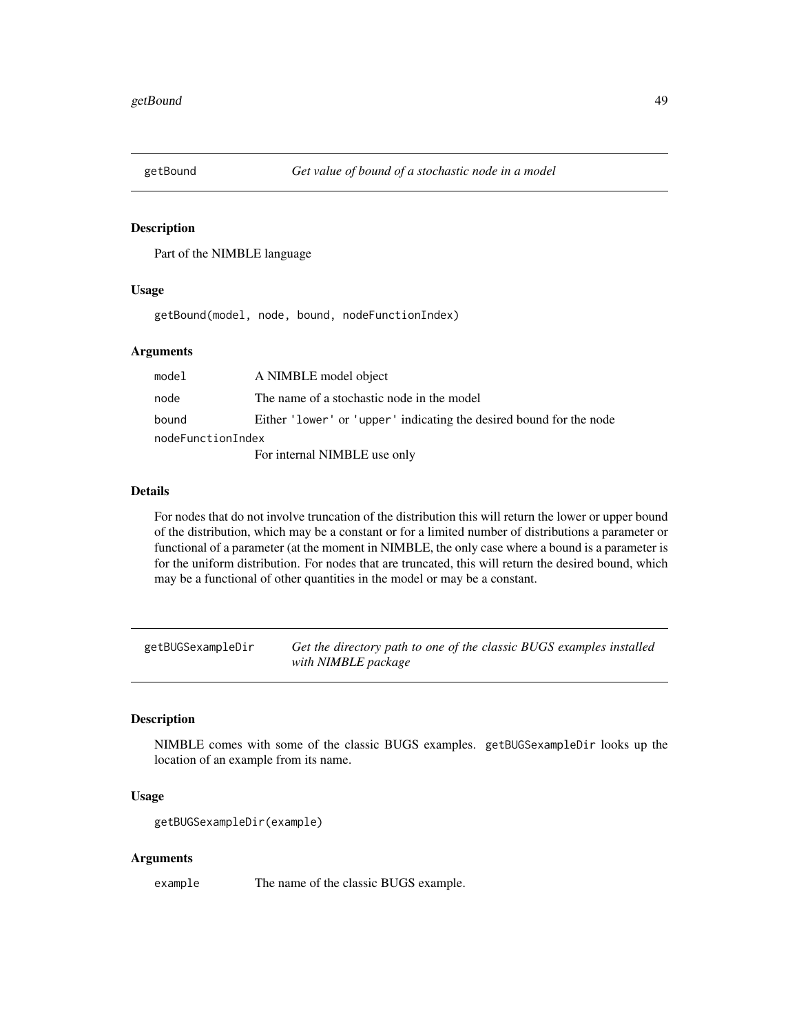<span id="page-48-0"></span>

# Description

Part of the NIMBLE language

## Usage

getBound(model, node, bound, nodeFunctionIndex)

# Arguments

| model             | A NIMBLE model object                                               |
|-------------------|---------------------------------------------------------------------|
| node              | The name of a stochastic node in the model                          |
| bound             | Either 'lower' or 'upper' indicating the desired bound for the node |
| nodeFunctionIndex |                                                                     |
|                   | For internal NIMBLE use only                                        |

## Details

For nodes that do not involve truncation of the distribution this will return the lower or upper bound of the distribution, which may be a constant or for a limited number of distributions a parameter or functional of a parameter (at the moment in NIMBLE, the only case where a bound is a parameter is for the uniform distribution. For nodes that are truncated, this will return the desired bound, which may be a functional of other quantities in the model or may be a constant.

getBUGSexampleDir *Get the directory path to one of the classic BUGS examples installed with NIMBLE package*

## Description

NIMBLE comes with some of the classic BUGS examples. getBUGSexampleDir looks up the location of an example from its name.

# Usage

```
getBUGSexampleDir(example)
```
## Arguments

example The name of the classic BUGS example.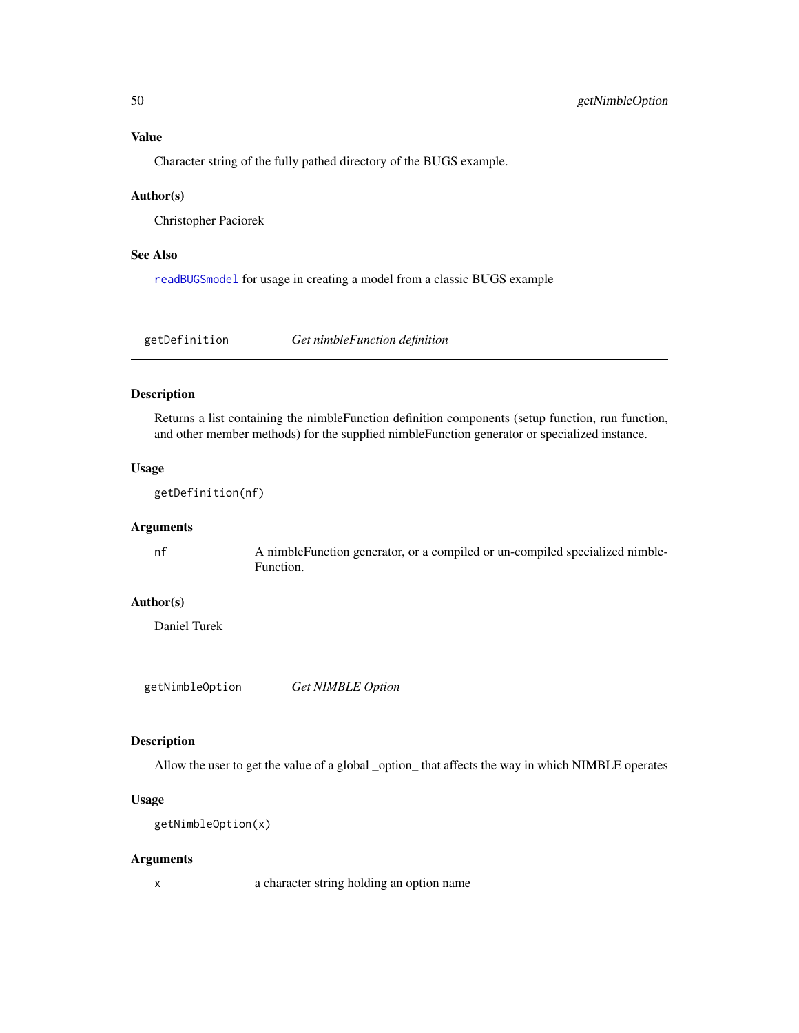# Value

Character string of the fully pathed directory of the BUGS example.

## Author(s)

Christopher Paciorek

## See Also

[readBUGSmodel](#page-120-0) for usage in creating a model from a classic BUGS example

getDefinition *Get nimbleFunction definition*

# Description

Returns a list containing the nimbleFunction definition components (setup function, run function, and other member methods) for the supplied nimbleFunction generator or specialized instance.

## Usage

getDefinition(nf)

## Arguments

nf A nimbleFunction generator, or a compiled or un-compiled specialized nimble-Function.

# Author(s)

Daniel Turek

getNimbleOption *Get NIMBLE Option*

## Description

Allow the user to get the value of a global \_option\_ that affects the way in which NIMBLE operates

## Usage

```
getNimbleOption(x)
```
## Arguments

x a character string holding an option name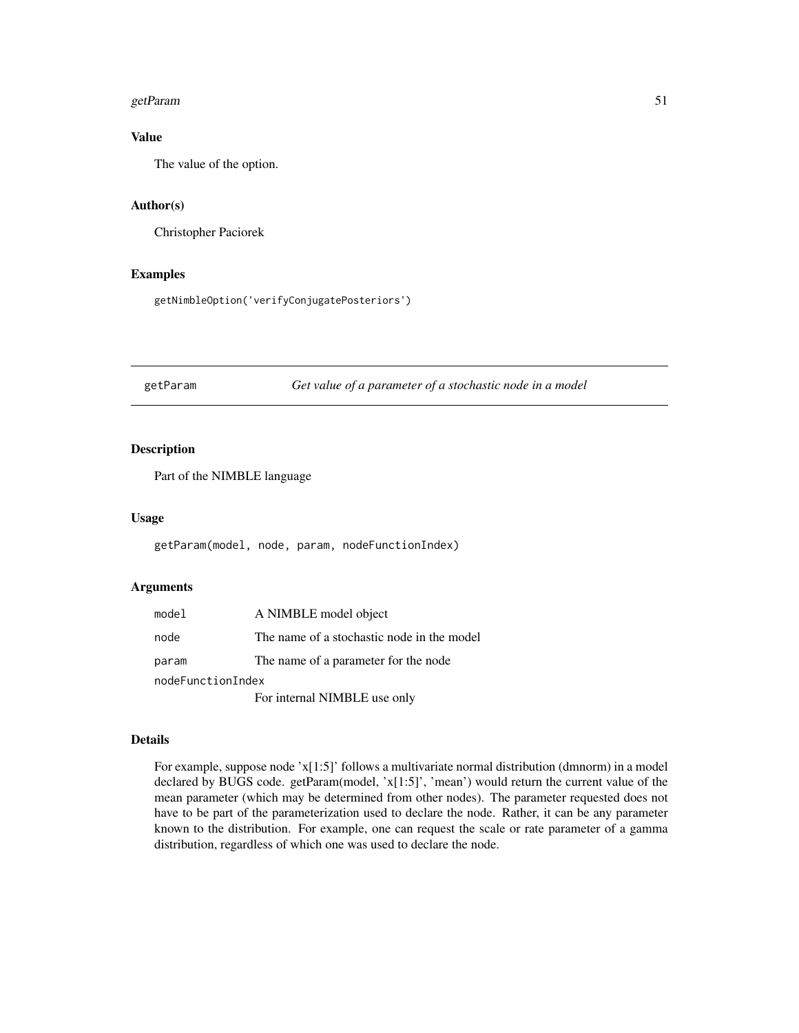#### getParam 51

# Value

The value of the option.

## Author(s)

Christopher Paciorek

## Examples

getNimbleOption('verifyConjugatePosteriors')

<span id="page-50-0"></span>getParam *Get value of a parameter of a stochastic node in a model*

# Description

Part of the NIMBLE language

## Usage

getParam(model, node, param, nodeFunctionIndex)

## Arguments

| model             | A NIMBLE model object                      |  |
|-------------------|--------------------------------------------|--|
| node              | The name of a stochastic node in the model |  |
| param             | The name of a parameter for the node       |  |
| nodeFunctionIndex |                                            |  |
|                   | For internal NIMBLE use only               |  |

# Details

For example, suppose node 'x[1:5]' follows a multivariate normal distribution (dmnorm) in a model declared by BUGS code. getParam(model, 'x[1:5]', 'mean') would return the current value of the mean parameter (which may be determined from other nodes). The parameter requested does not have to be part of the parameterization used to declare the node. Rather, it can be any parameter known to the distribution. For example, one can request the scale or rate parameter of a gamma distribution, regardless of which one was used to declare the node.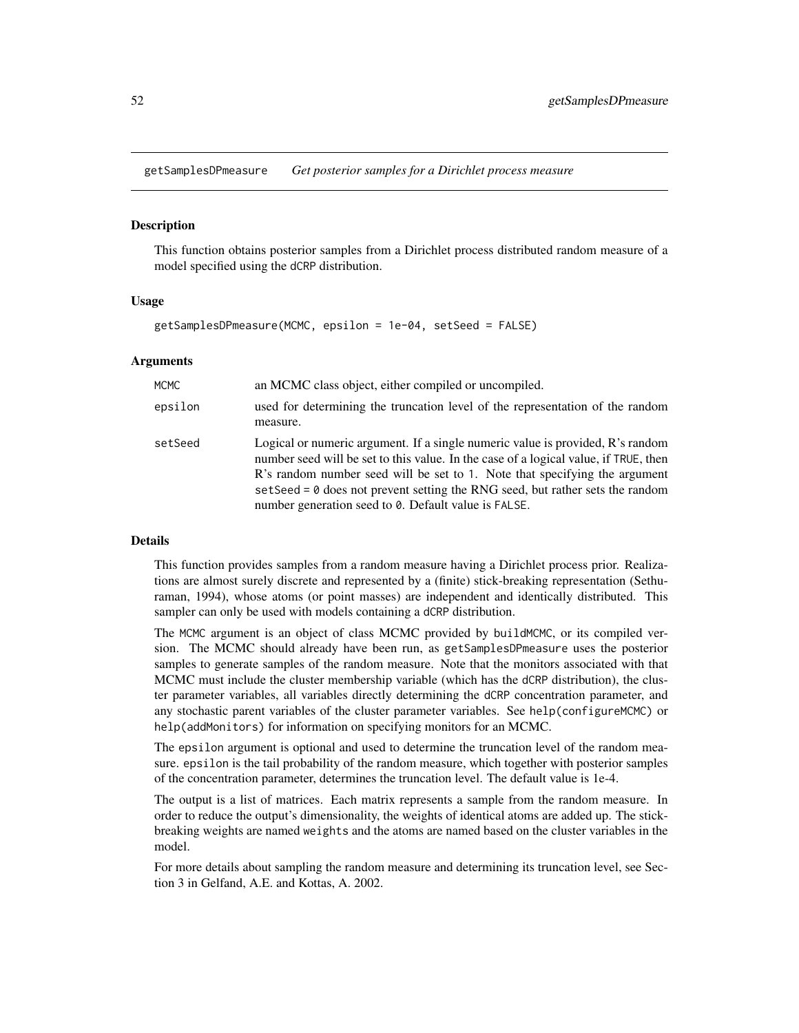getSamplesDPmeasure *Get posterior samples for a Dirichlet process measure*

#### **Description**

This function obtains posterior samples from a Dirichlet process distributed random measure of a model specified using the dCRP distribution.

## Usage

getSamplesDPmeasure(MCMC, epsilon = 1e-04, setSeed = FALSE)

#### Arguments

| <b>MCMC</b> | an MCMC class object, either compiled or uncompiled.                                                                                                                                                                                                                                                                                                                                                  |
|-------------|-------------------------------------------------------------------------------------------------------------------------------------------------------------------------------------------------------------------------------------------------------------------------------------------------------------------------------------------------------------------------------------------------------|
| epsilon     | used for determining the truncation level of the representation of the random<br>measure.                                                                                                                                                                                                                                                                                                             |
| setSeed     | Logical or numeric argument. If a single numeric value is provided, R's random<br>number seed will be set to this value. In the case of a logical value, if TRUE, then<br>R's random number seed will be set to 1. Note that specifying the argument<br>set Seed = $\theta$ does not prevent setting the RNG seed, but rather sets the random<br>number generation seed to 0. Default value is FALSE. |

#### Details

This function provides samples from a random measure having a Dirichlet process prior. Realizations are almost surely discrete and represented by a (finite) stick-breaking representation (Sethuraman, 1994), whose atoms (or point masses) are independent and identically distributed. This sampler can only be used with models containing a dCRP distribution.

The MCMC argument is an object of class MCMC provided by buildMCMC, or its compiled version. The MCMC should already have been run, as getSamplesDPmeasure uses the posterior samples to generate samples of the random measure. Note that the monitors associated with that MCMC must include the cluster membership variable (which has the dCRP distribution), the cluster parameter variables, all variables directly determining the dCRP concentration parameter, and any stochastic parent variables of the cluster parameter variables. See help(configureMCMC) or help(addMonitors) for information on specifying monitors for an MCMC.

The epsilon argument is optional and used to determine the truncation level of the random measure. epsilon is the tail probability of the random measure, which together with posterior samples of the concentration parameter, determines the truncation level. The default value is 1e-4.

The output is a list of matrices. Each matrix represents a sample from the random measure. In order to reduce the output's dimensionality, the weights of identical atoms are added up. The stickbreaking weights are named weights and the atoms are named based on the cluster variables in the model.

For more details about sampling the random measure and determining its truncation level, see Section 3 in Gelfand, A.E. and Kottas, A. 2002.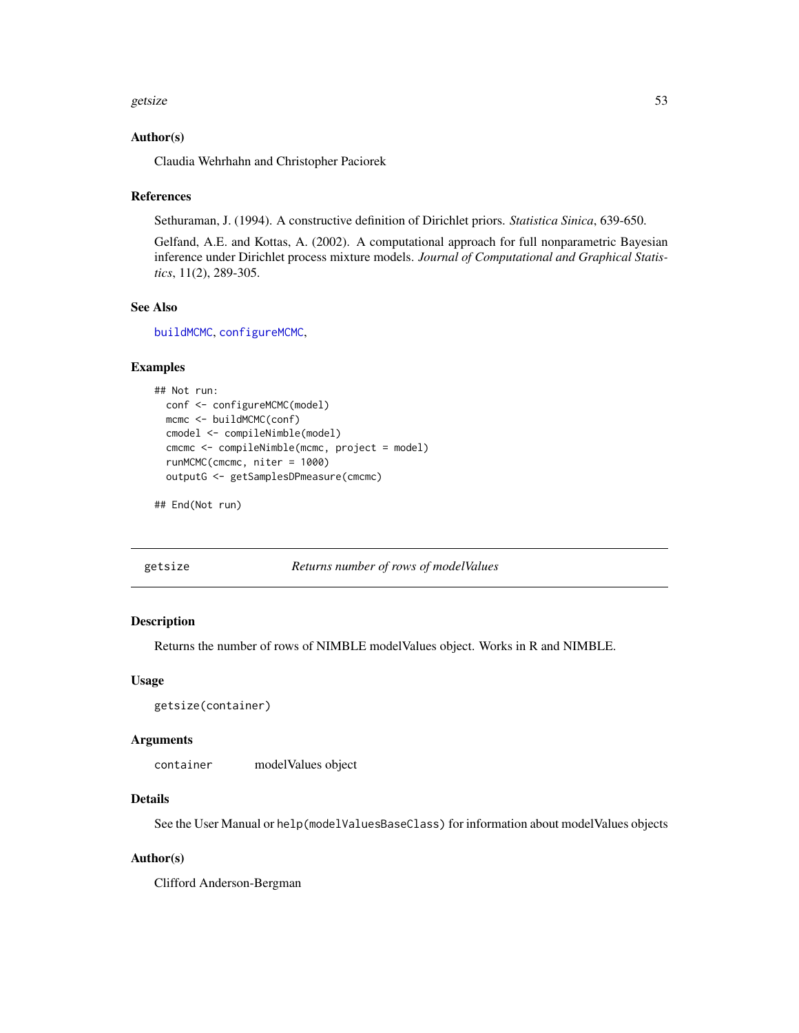#### getsize 53

## Author(s)

Claudia Wehrhahn and Christopher Paciorek

#### References

Sethuraman, J. (1994). A constructive definition of Dirichlet priors. *Statistica Sinica*, 639-650.

Gelfand, A.E. and Kottas, A. (2002). A computational approach for full nonparametric Bayesian inference under Dirichlet process mixture models. *Journal of Computational and Graphical Statistics*, 11(2), 289-305.

# See Also

[buildMCMC](#page-15-0), [configureMCMC](#page-30-0),

## Examples

```
## Not run:
 conf <- configureMCMC(model)
 mcmc <- buildMCMC(conf)
 cmodel <- compileNimble(model)
 cmcmc <- compileNimble(mcmc, project = model)
 runMCMC(cmcmc, niter = 1000)
 outputG <- getSamplesDPmeasure(cmcmc)
```
## End(Not run)

#### getsize *Returns number of rows of modelValues*

## Description

Returns the number of rows of NIMBLE modelValues object. Works in R and NIMBLE.

#### Usage

```
getsize(container)
```
#### Arguments

container modelValues object

#### Details

See the User Manual or help(modelValuesBaseClass) for information about modelValues objects

## Author(s)

Clifford Anderson-Bergman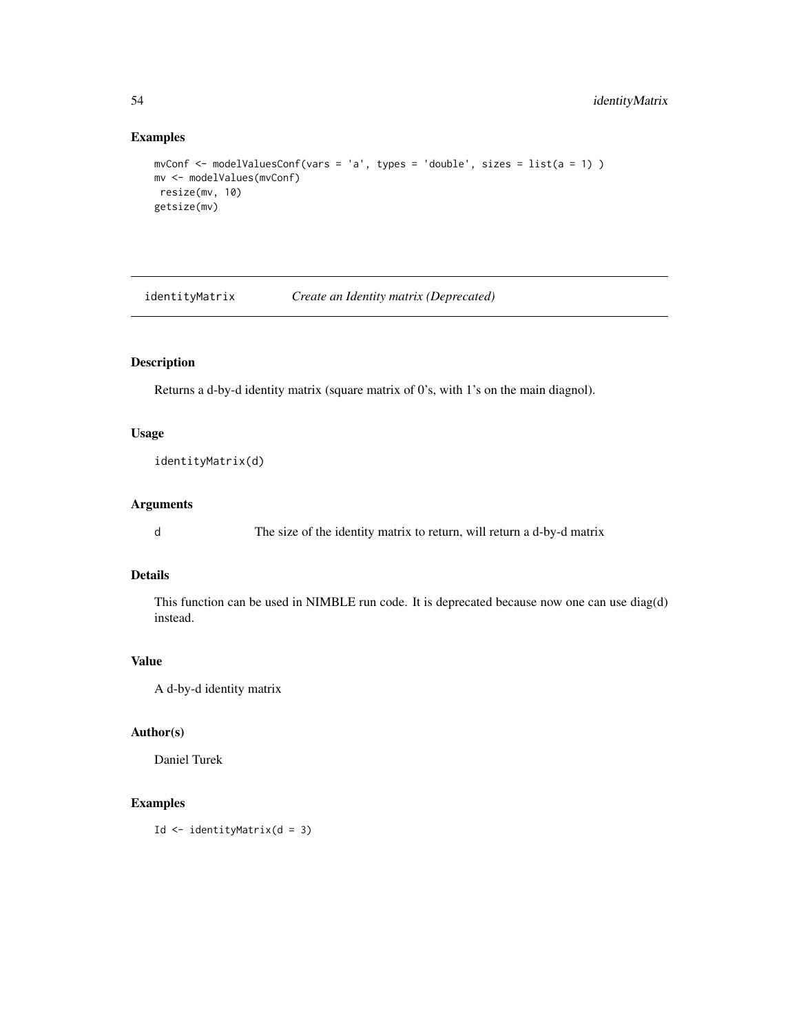# Examples

```
mvConf <- modelValuesConf(vars = 'a', types = 'double', sizes = list(a = 1) )
mv <- modelValues(mvConf)
resize(mv, 10)
getsize(mv)
```
identityMatrix *Create an Identity matrix (Deprecated)*

# Description

Returns a d-by-d identity matrix (square matrix of 0's, with 1's on the main diagnol).

## Usage

identityMatrix(d)

# Arguments

d The size of the identity matrix to return, will return a d-by-d matrix

# Details

This function can be used in NIMBLE run code. It is deprecated because now one can use diag(d) instead.

# Value

A d-by-d identity matrix

# Author(s)

Daniel Turek

# Examples

Id <- identityMatrix(d = 3)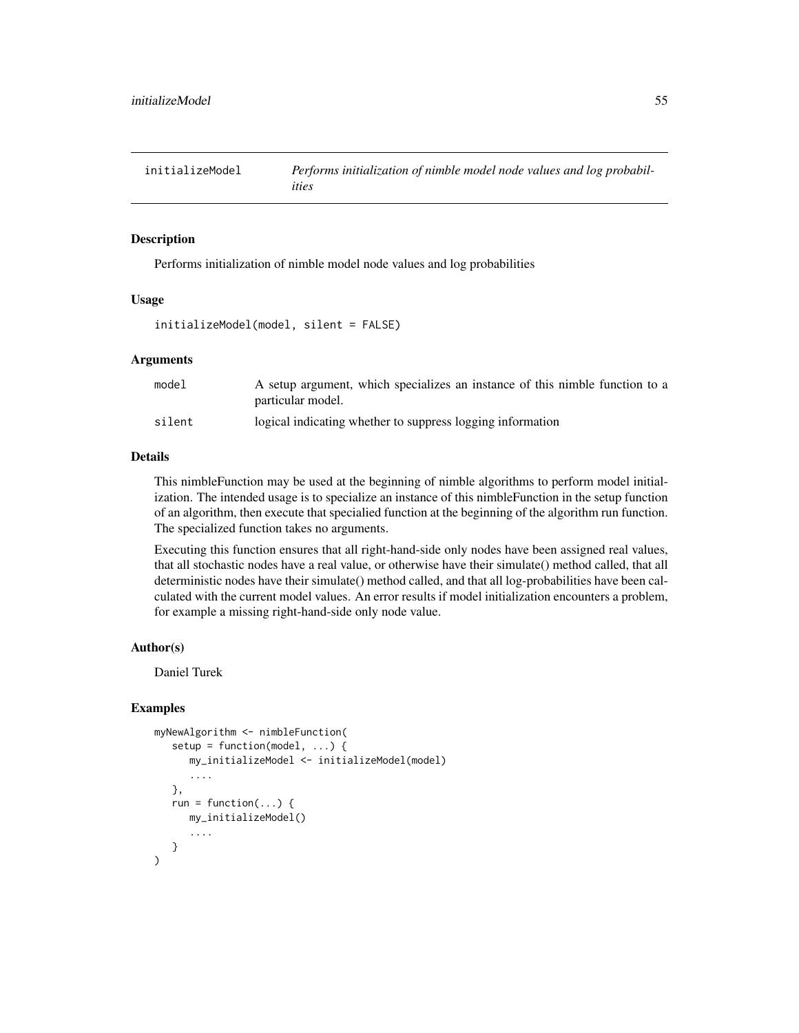#### Description

Performs initialization of nimble model node values and log probabilities

#### Usage

```
initializeModel(model, silent = FALSE)
```
## Arguments

| model  | A setup argument, which specializes an instance of this nimble function to a<br>particular model. |
|--------|---------------------------------------------------------------------------------------------------|
| silent | logical indicating whether to suppress logging information                                        |

#### Details

This nimbleFunction may be used at the beginning of nimble algorithms to perform model initialization. The intended usage is to specialize an instance of this nimbleFunction in the setup function of an algorithm, then execute that specialied function at the beginning of the algorithm run function. The specialized function takes no arguments.

Executing this function ensures that all right-hand-side only nodes have been assigned real values, that all stochastic nodes have a real value, or otherwise have their simulate() method called, that all deterministic nodes have their simulate() method called, and that all log-probabilities have been calculated with the current model values. An error results if model initialization encounters a problem, for example a missing right-hand-side only node value.

## Author(s)

Daniel Turek

#### Examples

```
myNewAlgorithm <- nimbleFunction(
  setup = function(model, ...) {
      my_initializeModel <- initializeModel(model)
      ....
  },
  run = function(...) {
      my_initializeModel()
      ....
   }
)
```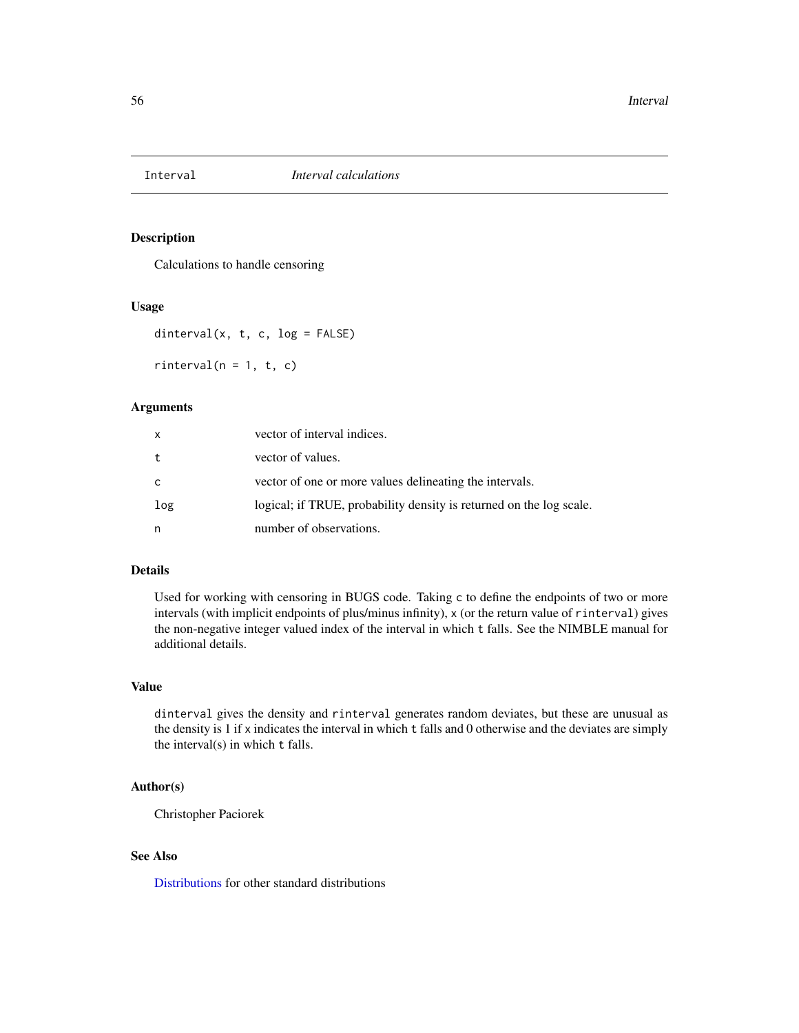# Description

Calculations to handle censoring

## Usage

dinterval(x, t, c, log = FALSE)

 $rinterval(n = 1, t, c)$ 

# Arguments

| x   | vector of interval indices.                                         |
|-----|---------------------------------------------------------------------|
| t   | vector of values.                                                   |
| C   | vector of one or more values delineating the intervals.             |
| log | logical; if TRUE, probability density is returned on the log scale. |
| n   | number of observations.                                             |

#### Details

Used for working with censoring in BUGS code. Taking c to define the endpoints of two or more intervals (with implicit endpoints of plus/minus infinity), x (or the return value of rinterval) gives the non-negative integer valued index of the interval in which t falls. See the NIMBLE manual for additional details.

# Value

dinterval gives the density and rinterval generates random deviates, but these are unusual as the density is 1 if x indicates the interval in which t falls and 0 otherwise and the deviates are simply the interval(s) in which t falls.

## Author(s)

Christopher Paciorek

## See Also

[Distributions](#page-0-0) for other standard distributions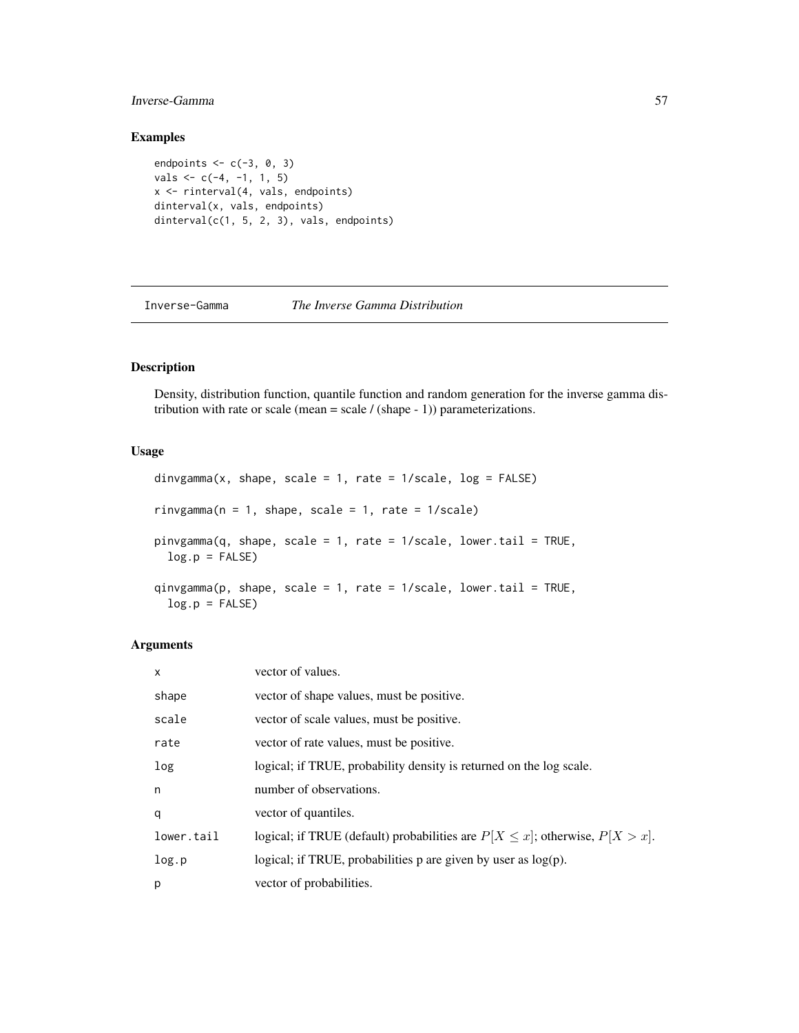# Inverse-Gamma 57

# Examples

```
endpoints <-c(-3, 0, 3)vals < -c(-4, -1, 1, 5)x <- rinterval(4, vals, endpoints)
dinterval(x, vals, endpoints)
dinterval(c(1, 5, 2, 3), vals, endpoints)
```
Inverse-Gamma *The Inverse Gamma Distribution*

# Description

Density, distribution function, quantile function and random generation for the inverse gamma distribution with rate or scale (mean = scale  $/$  (shape - 1)) parameterizations.

# Usage

```
dinvgamma(x, shape, scale = 1, rate = 1/\text{scale}, log = \text{FALSE})
rinvgamma(n = 1, shape, scale = 1, rate = 1/scale)
pinvgamma(q, shape, scale = 1, rate = 1/scale, lower.tail = TRUE,
 log.p = FALSEqinvgamma(p, shape, scale = 1, rate = 1/scale, lower.tail = TRUE,
  log.p = FALSE)
```
# Arguments

| $\mathsf{x}$ | vector of values.                                                                    |
|--------------|--------------------------------------------------------------------------------------|
| shape        | vector of shape values, must be positive.                                            |
| scale        | vector of scale values, must be positive.                                            |
| rate         | vector of rate values, must be positive.                                             |
| log          | logical; if TRUE, probability density is returned on the log scale.                  |
| n            | number of observations.                                                              |
| q            | vector of quantiles.                                                                 |
| lower.tail   | logical; if TRUE (default) probabilities are $P[X \leq x]$ ; otherwise, $P[X > x]$ . |
| log.p        | logical; if TRUE, probabilities $p$ are given by user as $log(p)$ .                  |
| p            | vector of probabilities.                                                             |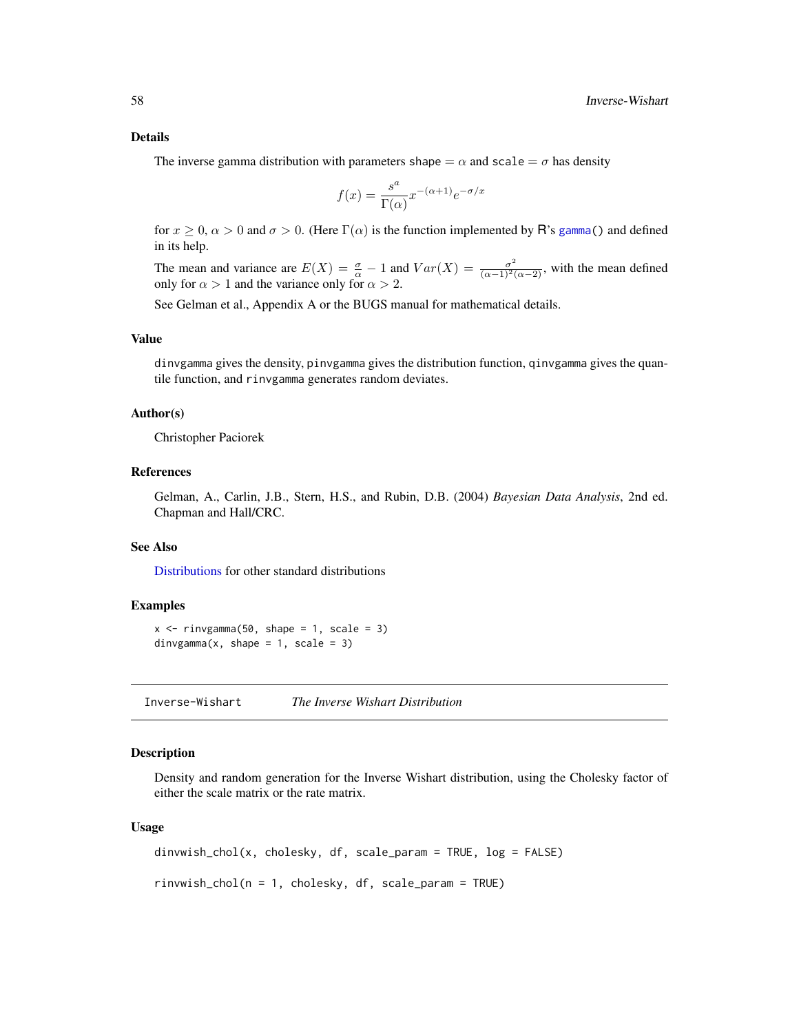#### Details

The inverse gamma distribution with parameters shape  $=\alpha$  and scale  $=\sigma$  has density

$$
f(x) = \frac{s^a}{\Gamma(\alpha)} x^{-(\alpha+1)} e^{-\sigma/x}
$$

for  $x \ge 0$ ,  $\alpha > 0$  and  $\sigma > 0$ . (Here  $\Gamma(\alpha)$  is the function implemented by R's [gamma\(](#page-0-0)) and defined in its help.

The mean and variance are  $E(X) = \frac{\sigma}{\alpha} - 1$  and  $Var(X) = \frac{\sigma^2}{(\alpha - 1)^2(\alpha - 2)}$ , with the mean defined only for  $\alpha > 1$  and the variance only for  $\alpha > 2$ .

See Gelman et al., Appendix A or the BUGS manual for mathematical details.

# Value

dinvgamma gives the density, pinvgamma gives the distribution function, qinvgamma gives the quantile function, and rinvgamma generates random deviates.

## Author(s)

Christopher Paciorek

# References

Gelman, A., Carlin, J.B., Stern, H.S., and Rubin, D.B. (2004) *Bayesian Data Analysis*, 2nd ed. Chapman and Hall/CRC.

## See Also

[Distributions](#page-0-0) for other standard distributions

#### Examples

```
x \le rinvgamma(50, shape = 1, scale = 3)
dinvgamma(x, shape = 1, scale = 3)
```
Inverse-Wishart *The Inverse Wishart Distribution*

# Description

Density and random generation for the Inverse Wishart distribution, using the Cholesky factor of either the scale matrix or the rate matrix.

#### Usage

```
dinvwish_chol(x, cholesky, df, scale_param = TRUE, log = FALSE)
rinvwish_chol(n = 1, cholesky, df, scale_param = TRUE)
```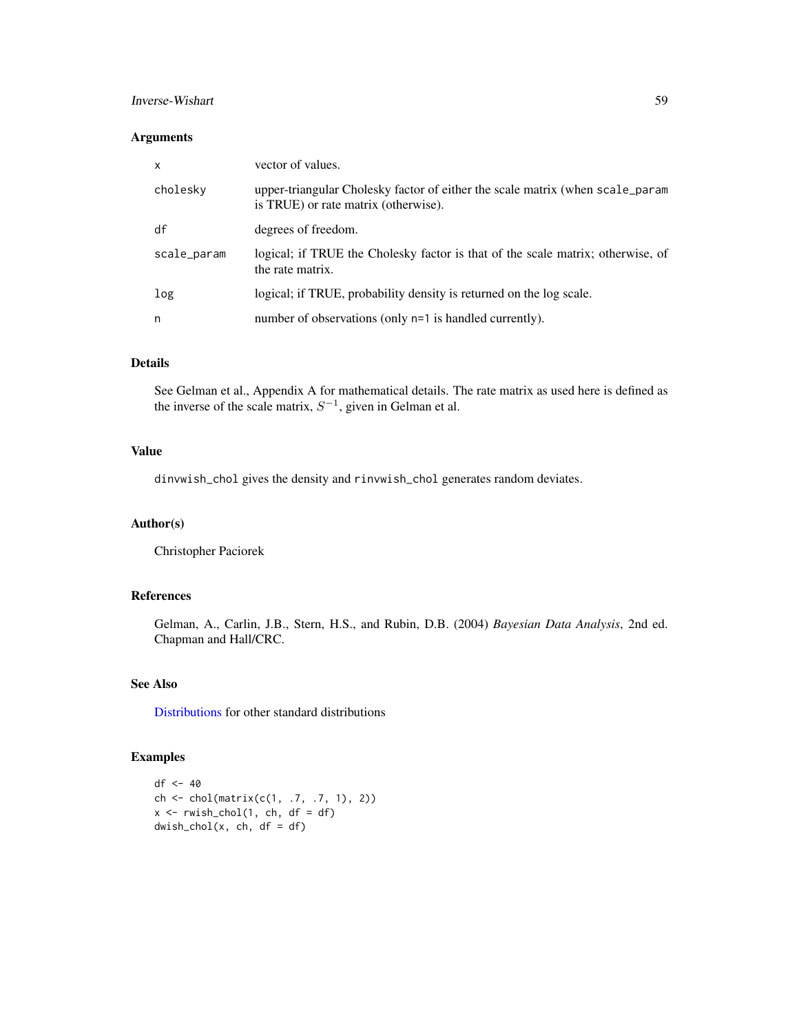## Inverse-Wishart 59

## Arguments

| $\mathsf{x}$ | vector of values.                                                                                                     |
|--------------|-----------------------------------------------------------------------------------------------------------------------|
| cholesky     | upper-triangular Cholesky factor of either the scale matrix (when scale_param<br>is TRUE) or rate matrix (otherwise). |
| df           | degrees of freedom.                                                                                                   |
| scale_param  | logical; if TRUE the Cholesky factor is that of the scale matrix; otherwise, of<br>the rate matrix.                   |
| log          | logical; if TRUE, probability density is returned on the log scale.                                                   |
| n            | number of observations (only n=1 is handled currently).                                                               |

# Details

See Gelman et al., Appendix A for mathematical details. The rate matrix as used here is defined as the inverse of the scale matrix,  $S^{-1}$ , given in Gelman et al.

## Value

dinvwish\_chol gives the density and rinvwish\_chol generates random deviates.

# Author(s)

Christopher Paciorek

## References

Gelman, A., Carlin, J.B., Stern, H.S., and Rubin, D.B. (2004) *Bayesian Data Analysis*, 2nd ed. Chapman and Hall/CRC.

# See Also

[Distributions](#page-0-0) for other standard distributions

# Examples

```
df <- 40
ch <- chol(matrix(c(1, .7, .7, 1), 2))
x \leq -r wish\_chol(1, ch, df = df)d wish\_chol(x, ch, df = df)
```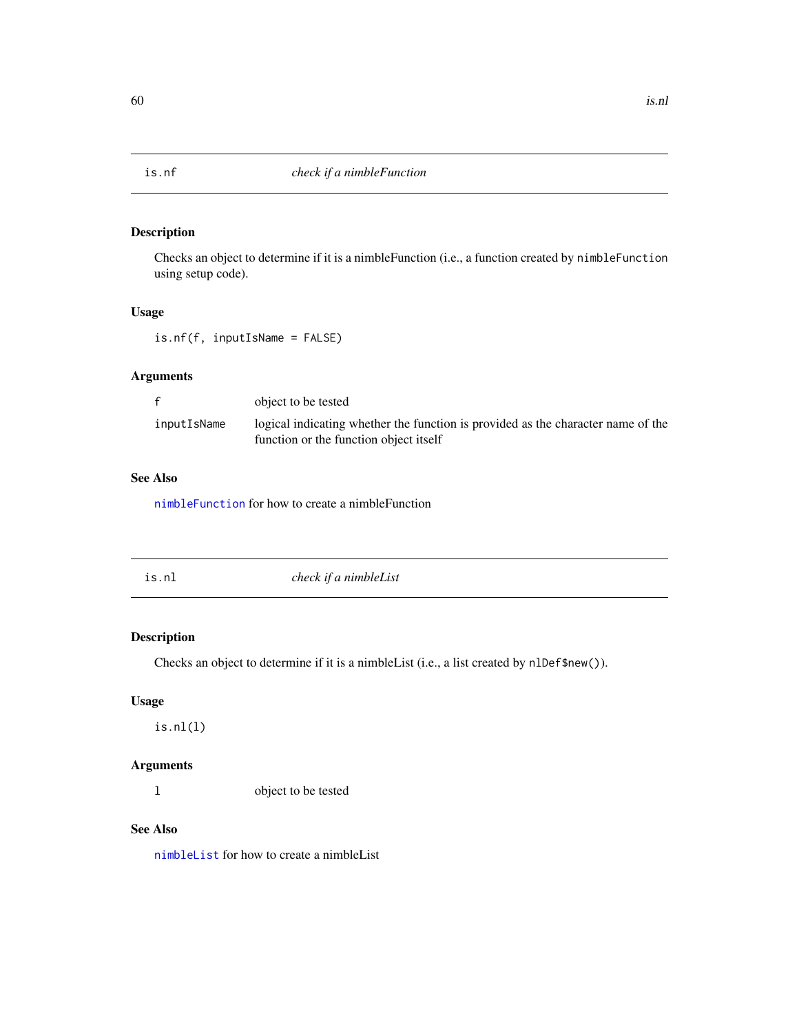# Description

Checks an object to determine if it is a nimbleFunction (i.e., a function created by nimbleFunction using setup code).

## Usage

is.nf(f, inputIsName = FALSE)

# Arguments

|             | object to be tested                                                              |
|-------------|----------------------------------------------------------------------------------|
| inputIsName | logical indicating whether the function is provided as the character name of the |
|             | function or the function object itself                                           |

# See Also

[nimbleFunction](#page-91-0) for how to create a nimbleFunction

| check if a nimbleList |
|-----------------------|
|                       |

# Description

Checks an object to determine if it is a nimbleList (i.e., a list created by nlDef\$new()).

# Usage

is.nl(l)

# Arguments

l object to be tested

# See Also

[nimbleList](#page-94-0) for how to create a nimbleList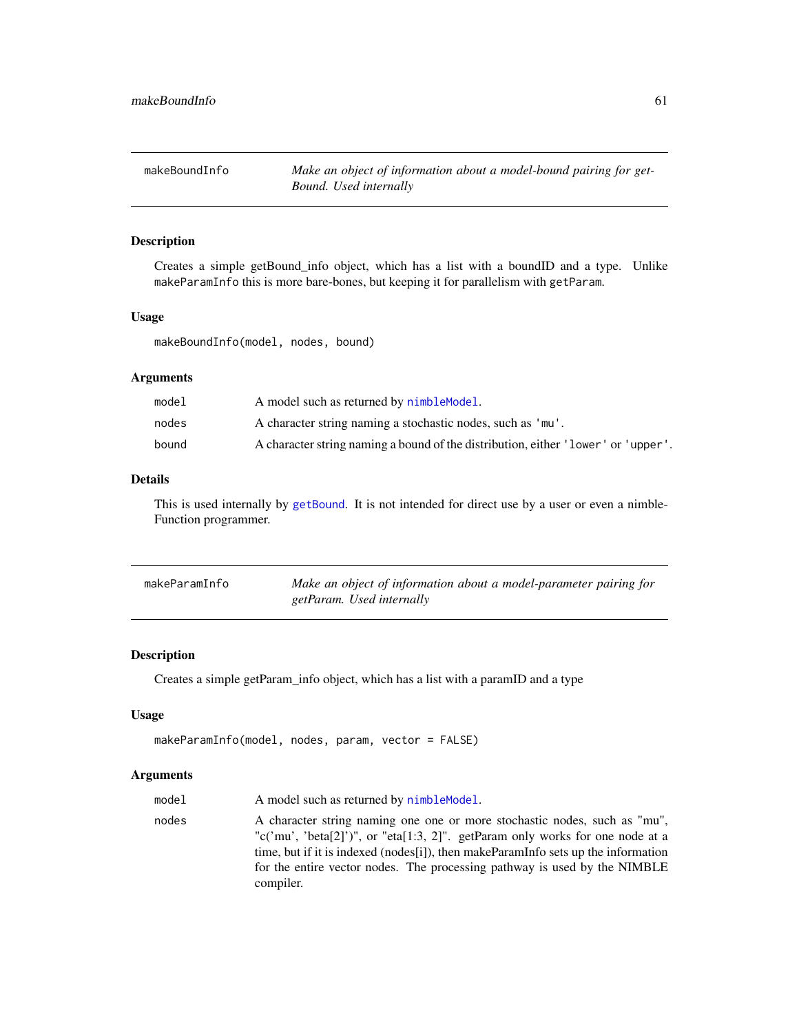# Description

Creates a simple getBound\_info object, which has a list with a boundID and a type. Unlike makeParamInfo this is more bare-bones, but keeping it for parallelism with getParam.

## Usage

makeBoundInfo(model, nodes, bound)

## Arguments

| model | A model such as returned by nimble Model.                                         |
|-------|-----------------------------------------------------------------------------------|
| nodes | A character string naming a stochastic nodes, such as 'mu'.                       |
| bound | A character string naming a bound of the distribution, either 'lower' or 'upper'. |

# Details

This is used internally by [getBound](#page-48-0). It is not intended for direct use by a user or even a nimble-Function programmer.

| makeParamInfo | Make an object of information about a model-parameter pairing for |
|---------------|-------------------------------------------------------------------|
|               | getParam. Used internally                                         |

## Description

Creates a simple getParam\_info object, which has a list with a paramID and a type

#### Usage

```
makeParamInfo(model, nodes, param, vector = FALSE)
```
# Arguments

| model | A model such as returned by nimble Model.                                                                                                                                                                                                                                                                                                 |
|-------|-------------------------------------------------------------------------------------------------------------------------------------------------------------------------------------------------------------------------------------------------------------------------------------------------------------------------------------------|
| nodes | A character string naming one one or more stochastic nodes, such as "mu",<br>"c('mu', 'beta[2]')", or "eta[1:3, 2]". getParam only works for one node at a<br>time, but if it is indexed (nodes[i]), then makeParamInfo sets up the information<br>for the entire vector nodes. The processing pathway is used by the NIMBLE<br>compiler. |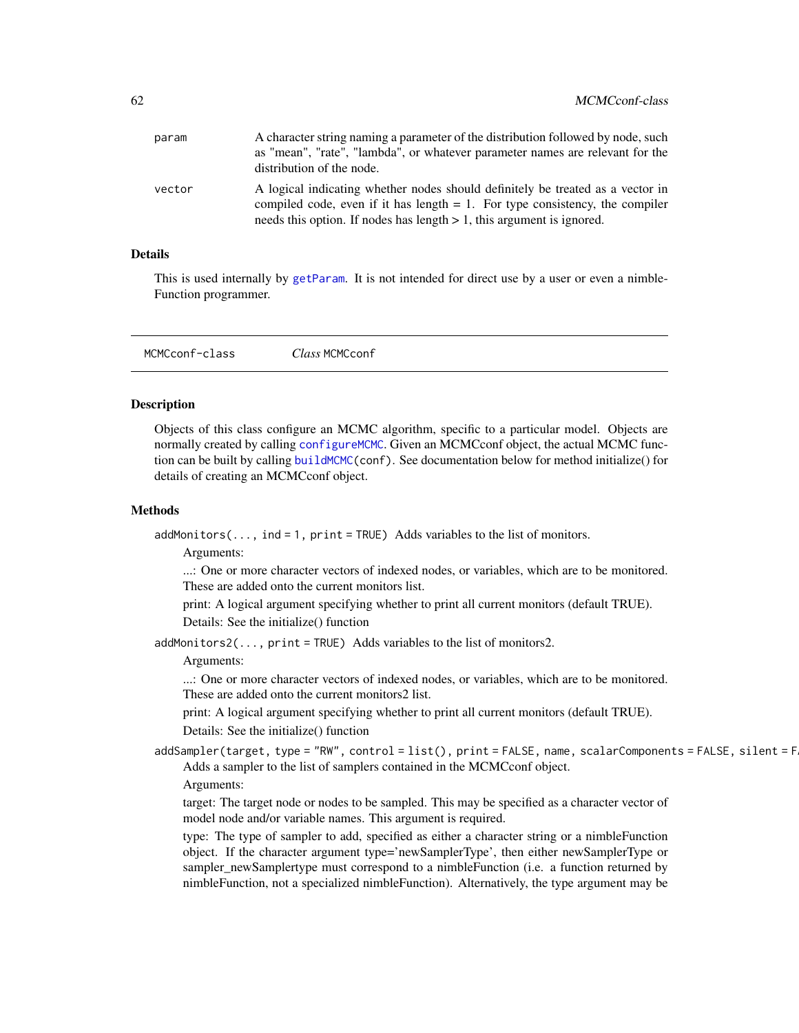| A character string naming a parameter of the distribution followed by node, such                                                                                                                                                              |
|-----------------------------------------------------------------------------------------------------------------------------------------------------------------------------------------------------------------------------------------------|
| as "mean", "rate", "lambda", or whatever parameter names are relevant for the                                                                                                                                                                 |
| distribution of the node.                                                                                                                                                                                                                     |
| A logical indicating whether nodes should definitely be treated as a vector in<br>compiled code, even if it has length $= 1$ . For type consistency, the compiler<br>needs this option. If nodes has length $> 1$ , this argument is ignored. |
|                                                                                                                                                                                                                                               |

## Details

This is used internally by [getParam](#page-50-0). It is not intended for direct use by a user or even a nimble-Function programmer.

MCMCconf-class *Class* MCMCconf

#### Description

Objects of this class configure an MCMC algorithm, specific to a particular model. Objects are normally created by calling [configureMCMC](#page-30-0). Given an MCMCconf object, the actual MCMC function can be built by calling [buildMCMC\(](#page-15-0)conf). See documentation below for method initialize() for details of creating an MCMCconf object.

## Methods

 $addMonitors(..., ind = 1, print = TRUE)$  Adds variables to the list of monitors.

Arguments:

...: One or more character vectors of indexed nodes, or variables, which are to be monitored. These are added onto the current monitors list.

print: A logical argument specifying whether to print all current monitors (default TRUE).

Details: See the initialize() function

addMonitors2 $( \ldots, p \text{rint} = \text{TRUE})$  Adds variables to the list of monitors2.

### Arguments:

...: One or more character vectors of indexed nodes, or variables, which are to be monitored. These are added onto the current monitors2 list.

print: A logical argument specifying whether to print all current monitors (default TRUE). Details: See the initialize() function

 $addSampler(target, type = "RW", control = list(), print = FALSE, name, scalarComponents = FALSE, silent = F)$ Adds a sampler to the list of samplers contained in the MCMCconf object.

## Arguments:

target: The target node or nodes to be sampled. This may be specified as a character vector of model node and/or variable names. This argument is required.

type: The type of sampler to add, specified as either a character string or a nimbleFunction object. If the character argument type='newSamplerType', then either newSamplerType or sampler\_newSamplertype must correspond to a nimbleFunction (i.e. a function returned by nimbleFunction, not a specialized nimbleFunction). Alternatively, the type argument may be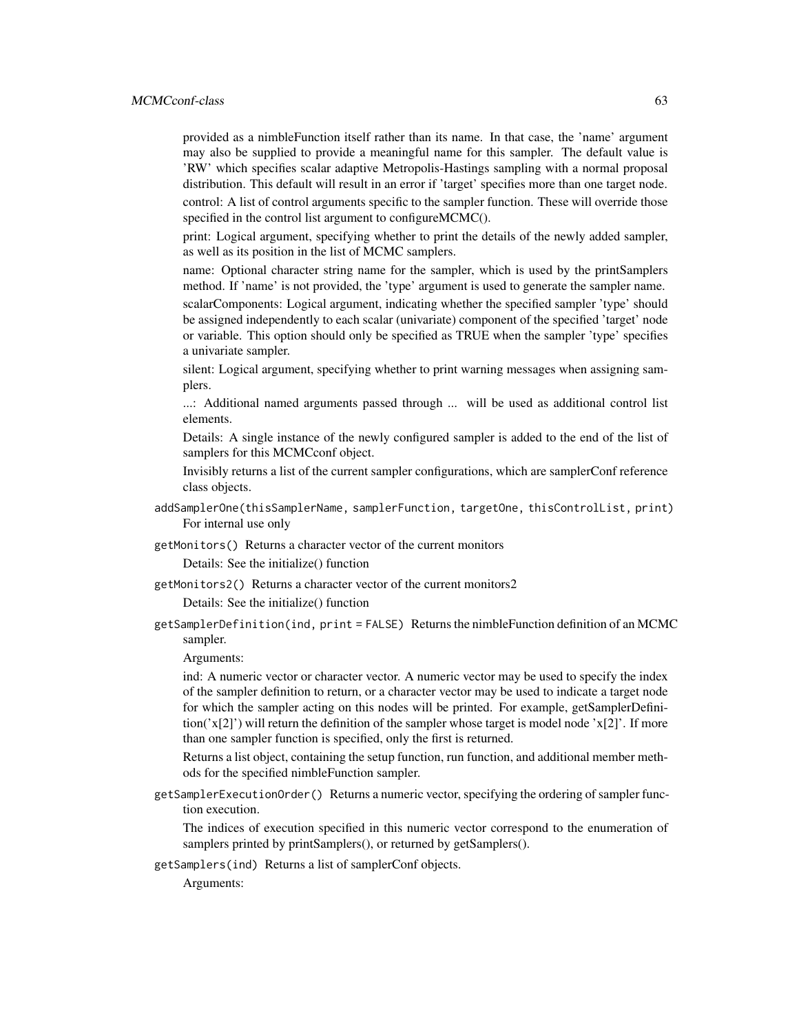provided as a nimbleFunction itself rather than its name. In that case, the 'name' argument may also be supplied to provide a meaningful name for this sampler. The default value is 'RW' which specifies scalar adaptive Metropolis-Hastings sampling with a normal proposal distribution. This default will result in an error if 'target' specifies more than one target node. control: A list of control arguments specific to the sampler function. These will override those specified in the control list argument to configureMCMC().

print: Logical argument, specifying whether to print the details of the newly added sampler, as well as its position in the list of MCMC samplers.

name: Optional character string name for the sampler, which is used by the printSamplers method. If 'name' is not provided, the 'type' argument is used to generate the sampler name.

scalarComponents: Logical argument, indicating whether the specified sampler 'type' should be assigned independently to each scalar (univariate) component of the specified 'target' node or variable. This option should only be specified as TRUE when the sampler 'type' specifies a univariate sampler.

silent: Logical argument, specifying whether to print warning messages when assigning samplers.

...: Additional named arguments passed through ... will be used as additional control list elements.

Details: A single instance of the newly configured sampler is added to the end of the list of samplers for this MCMCconf object.

Invisibly returns a list of the current sampler configurations, which are samplerConf reference class objects.

- addSamplerOne(thisSamplerName, samplerFunction, targetOne, thisControlList, print) For internal use only
- getMonitors() Returns a character vector of the current monitors

Details: See the initialize() function

getMonitors2() Returns a character vector of the current monitors2

Details: See the initialize() function

getSamplerDefinition(ind, print = FALSE) Returns the nimbleFunction definition of an MCMC sampler.

Arguments:

ind: A numeric vector or character vector. A numeric vector may be used to specify the index of the sampler definition to return, or a character vector may be used to indicate a target node for which the sampler acting on this nodes will be printed. For example, getSamplerDefinition('x[2]') will return the definition of the sampler whose target is model node 'x[2]'. If more than one sampler function is specified, only the first is returned.

Returns a list object, containing the setup function, run function, and additional member methods for the specified nimbleFunction sampler.

getSamplerExecutionOrder() Returns a numeric vector, specifying the ordering of sampler function execution.

The indices of execution specified in this numeric vector correspond to the enumeration of samplers printed by printSamplers(), or returned by getSamplers().

getSamplers(ind) Returns a list of samplerConf objects.

Arguments: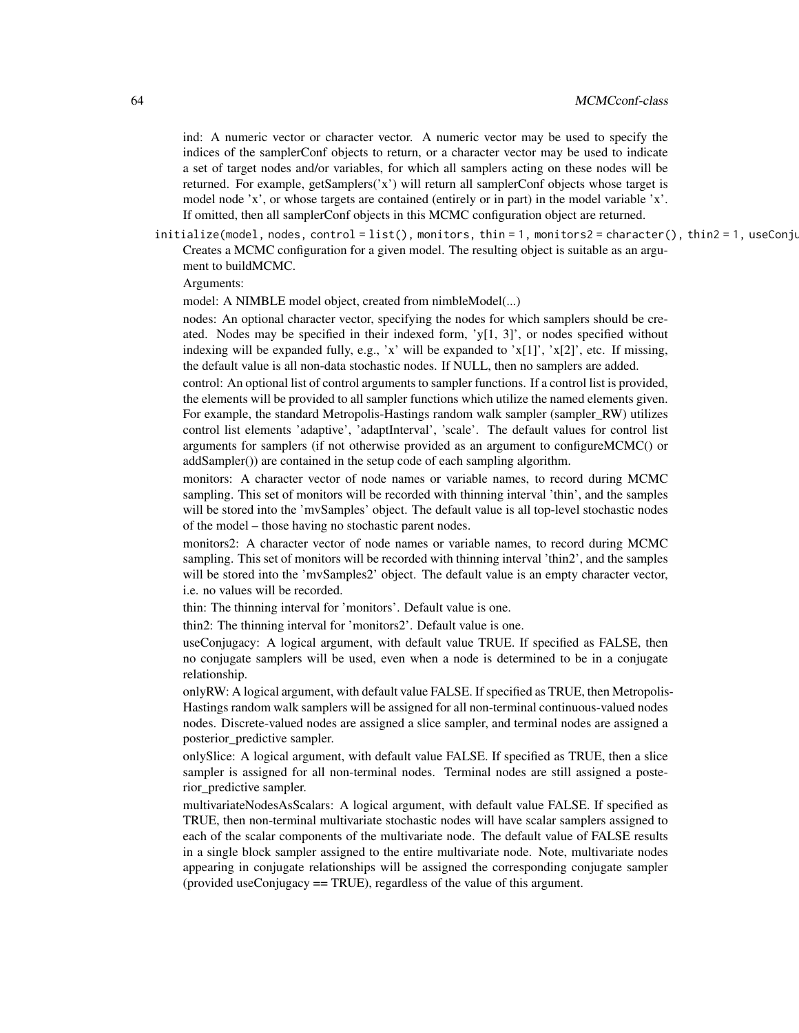ind: A numeric vector or character vector. A numeric vector may be used to specify the indices of the samplerConf objects to return, or a character vector may be used to indicate a set of target nodes and/or variables, for which all samplers acting on these nodes will be returned. For example, getSamplers('x') will return all samplerConf objects whose target is model node 'x', or whose targets are contained (entirely or in part) in the model variable 'x'. If omitted, then all samplerConf objects in this MCMC configuration object are returned.

initialize(model, nodes, control=list(), monitors, thin=1, monitors2=character(), thin2=1, useConju Creates a MCMC configuration for a given model. The resulting object is suitable as an argument to buildMCMC.

Arguments:

model: A NIMBLE model object, created from nimbleModel(...)

nodes: An optional character vector, specifying the nodes for which samplers should be created. Nodes may be specified in their indexed form,  $y[1, 3]$ , or nodes specified without indexing will be expanded fully, e.g., 'x' will be expanded to 'x[1]', 'x[2]', etc. If missing, the default value is all non-data stochastic nodes. If NULL, then no samplers are added.

control: An optional list of control arguments to sampler functions. If a control list is provided, the elements will be provided to all sampler functions which utilize the named elements given. For example, the standard Metropolis-Hastings random walk sampler (sampler\_RW) utilizes control list elements 'adaptive', 'adaptInterval', 'scale'. The default values for control list arguments for samplers (if not otherwise provided as an argument to configureMCMC() or addSampler()) are contained in the setup code of each sampling algorithm.

monitors: A character vector of node names or variable names, to record during MCMC sampling. This set of monitors will be recorded with thinning interval 'thin', and the samples will be stored into the 'mvSamples' object. The default value is all top-level stochastic nodes of the model – those having no stochastic parent nodes.

monitors2: A character vector of node names or variable names, to record during MCMC sampling. This set of monitors will be recorded with thinning interval 'thin2', and the samples will be stored into the 'mvSamples2' object. The default value is an empty character vector, i.e. no values will be recorded.

thin: The thinning interval for 'monitors'. Default value is one.

thin2: The thinning interval for 'monitors2'. Default value is one.

useConjugacy: A logical argument, with default value TRUE. If specified as FALSE, then no conjugate samplers will be used, even when a node is determined to be in a conjugate relationship.

onlyRW: A logical argument, with default value FALSE. If specified as TRUE, then Metropolis-Hastings random walk samplers will be assigned for all non-terminal continuous-valued nodes nodes. Discrete-valued nodes are assigned a slice sampler, and terminal nodes are assigned a posterior\_predictive sampler.

onlySlice: A logical argument, with default value FALSE. If specified as TRUE, then a slice sampler is assigned for all non-terminal nodes. Terminal nodes are still assigned a posterior\_predictive sampler.

multivariateNodesAsScalars: A logical argument, with default value FALSE. If specified as TRUE, then non-terminal multivariate stochastic nodes will have scalar samplers assigned to each of the scalar components of the multivariate node. The default value of FALSE results in a single block sampler assigned to the entire multivariate node. Note, multivariate nodes appearing in conjugate relationships will be assigned the corresponding conjugate sampler (provided useConjugacy == TRUE), regardless of the value of this argument.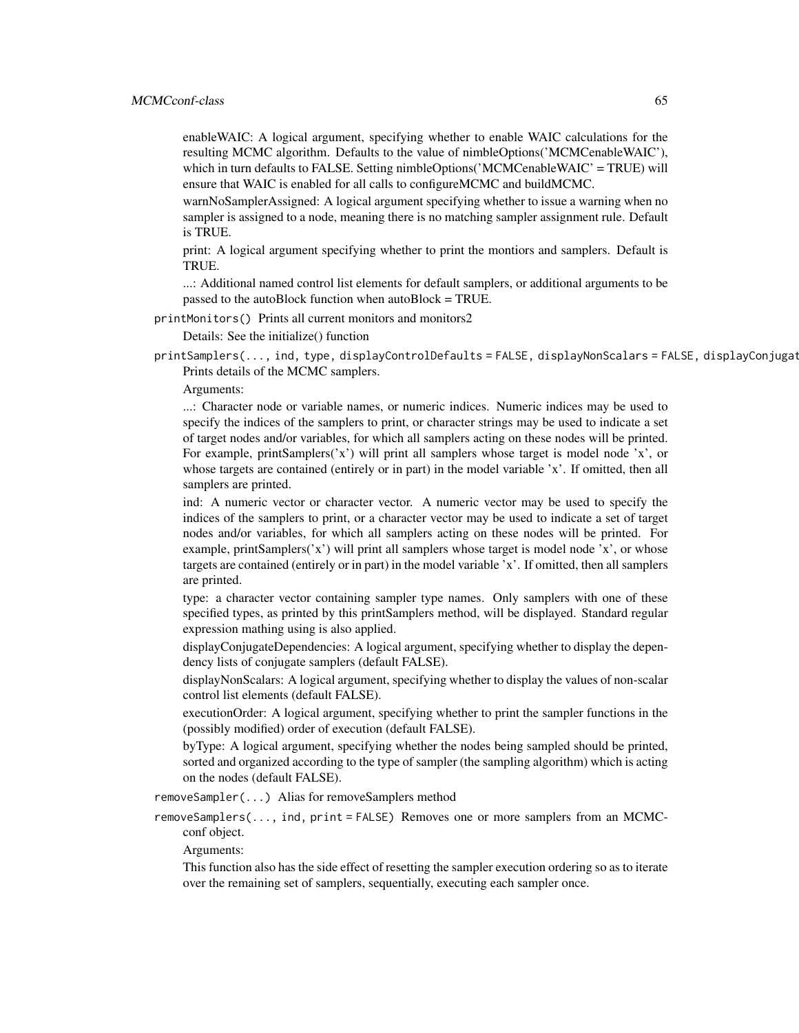enableWAIC: A logical argument, specifying whether to enable WAIC calculations for the resulting MCMC algorithm. Defaults to the value of nimbleOptions('MCMCenableWAIC'), which in turn defaults to FALSE. Setting nimbleOptions('MCMCenableWAIC' = TRUE) will ensure that WAIC is enabled for all calls to configureMCMC and buildMCMC.

warnNoSamplerAssigned: A logical argument specifying whether to issue a warning when no sampler is assigned to a node, meaning there is no matching sampler assignment rule. Default is TRUE.

print: A logical argument specifying whether to print the montiors and samplers. Default is TRUE.

...: Additional named control list elements for default samplers, or additional arguments to be passed to the autoBlock function when autoBlock = TRUE.

printMonitors() Prints all current monitors and monitors2

Details: See the initialize() function

printSamplers(..., ind, type, displayControlDefaults = FALSE, displayNonScalars = FALSE, displayConjugat Prints details of the MCMC samplers.

Arguments:

...: Character node or variable names, or numeric indices. Numeric indices may be used to specify the indices of the samplers to print, or character strings may be used to indicate a set of target nodes and/or variables, for which all samplers acting on these nodes will be printed. For example, printSamplers( $'x'$ ) will print all samplers whose target is model node  $'x'$ , or whose targets are contained (entirely or in part) in the model variable 'x'. If omitted, then all samplers are printed.

ind: A numeric vector or character vector. A numeric vector may be used to specify the indices of the samplers to print, or a character vector may be used to indicate a set of target nodes and/or variables, for which all samplers acting on these nodes will be printed. For example, printSamplers( $'x'$ ) will print all samplers whose target is model node  $'x'$ , or whose targets are contained (entirely or in part) in the model variable 'x'. If omitted, then all samplers are printed.

type: a character vector containing sampler type names. Only samplers with one of these specified types, as printed by this printSamplers method, will be displayed. Standard regular expression mathing using is also applied.

displayConjugateDependencies: A logical argument, specifying whether to display the dependency lists of conjugate samplers (default FALSE).

displayNonScalars: A logical argument, specifying whether to display the values of non-scalar control list elements (default FALSE).

executionOrder: A logical argument, specifying whether to print the sampler functions in the (possibly modified) order of execution (default FALSE).

byType: A logical argument, specifying whether the nodes being sampled should be printed, sorted and organized according to the type of sampler (the sampling algorithm) which is acting on the nodes (default FALSE).

removeSampler(...) Alias for removeSamplers method

removeSamplers(..., ind, print = FALSE) Removes one or more samplers from an MCMCconf object.

Arguments:

This function also has the side effect of resetting the sampler execution ordering so as to iterate over the remaining set of samplers, sequentially, executing each sampler once.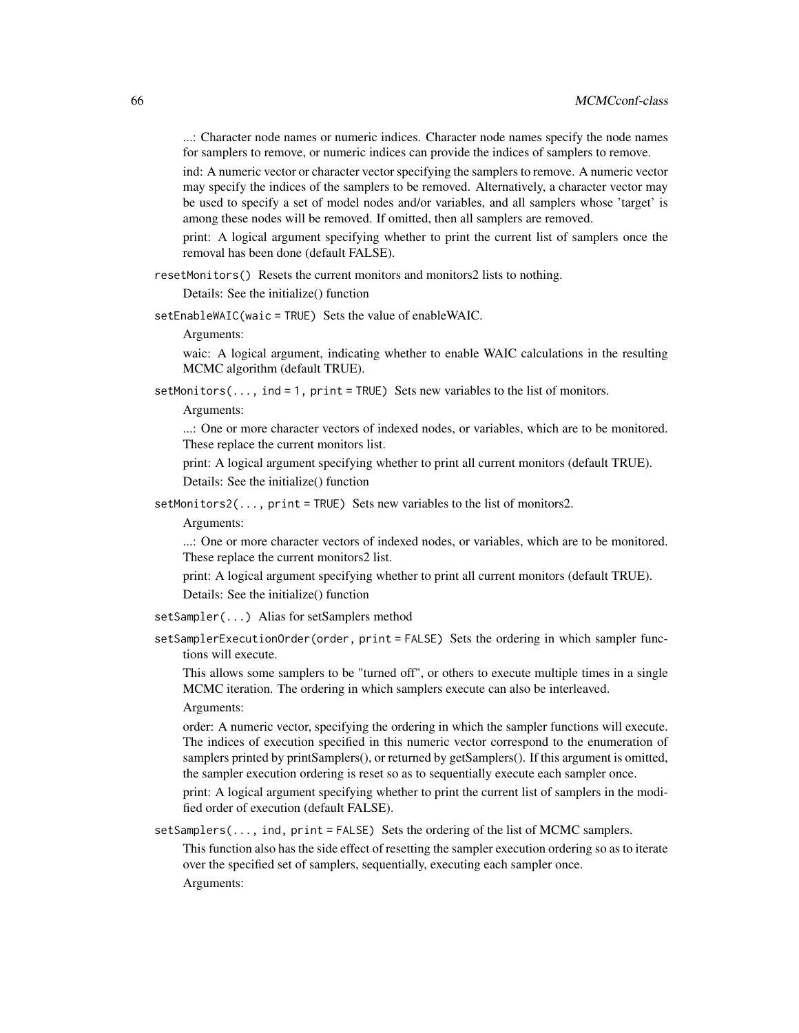...: Character node names or numeric indices. Character node names specify the node names for samplers to remove, or numeric indices can provide the indices of samplers to remove.

ind: A numeric vector or character vector specifying the samplers to remove. A numeric vector may specify the indices of the samplers to be removed. Alternatively, a character vector may be used to specify a set of model nodes and/or variables, and all samplers whose 'target' is among these nodes will be removed. If omitted, then all samplers are removed.

print: A logical argument specifying whether to print the current list of samplers once the removal has been done (default FALSE).

resetMonitors() Resets the current monitors and monitors2 lists to nothing.

Details: See the initialize() function

setEnableWAIC(waic = TRUE) Sets the value of enableWAIC.

Arguments:

waic: A logical argument, indicating whether to enable WAIC calculations in the resulting MCMC algorithm (default TRUE).

setMonitors( $\ldots$ , ind = 1, print = TRUE) Sets new variables to the list of monitors.

Arguments:

...: One or more character vectors of indexed nodes, or variables, which are to be monitored. These replace the current monitors list.

print: A logical argument specifying whether to print all current monitors (default TRUE). Details: See the initialize() function

setMonitors2(..., print = TRUE) Sets new variables to the list of monitors2.

Arguments:

...: One or more character vectors of indexed nodes, or variables, which are to be monitored. These replace the current monitors2 list.

print: A logical argument specifying whether to print all current monitors (default TRUE). Details: See the initialize() function

- setSampler(...) Alias for setSamplers method
- setSamplerExecutionOrder(order, print = FALSE) Sets the ordering in which sampler functions will execute.

This allows some samplers to be "turned off", or others to execute multiple times in a single MCMC iteration. The ordering in which samplers execute can also be interleaved.

Arguments:

order: A numeric vector, specifying the ordering in which the sampler functions will execute. The indices of execution specified in this numeric vector correspond to the enumeration of samplers printed by printSamplers(), or returned by getSamplers(). If this argument is omitted, the sampler execution ordering is reset so as to sequentially execute each sampler once.

print: A logical argument specifying whether to print the current list of samplers in the modified order of execution (default FALSE).

setSamplers(..., ind, print = FALSE) Sets the ordering of the list of MCMC samplers.

This function also has the side effect of resetting the sampler execution ordering so as to iterate over the specified set of samplers, sequentially, executing each sampler once. Arguments: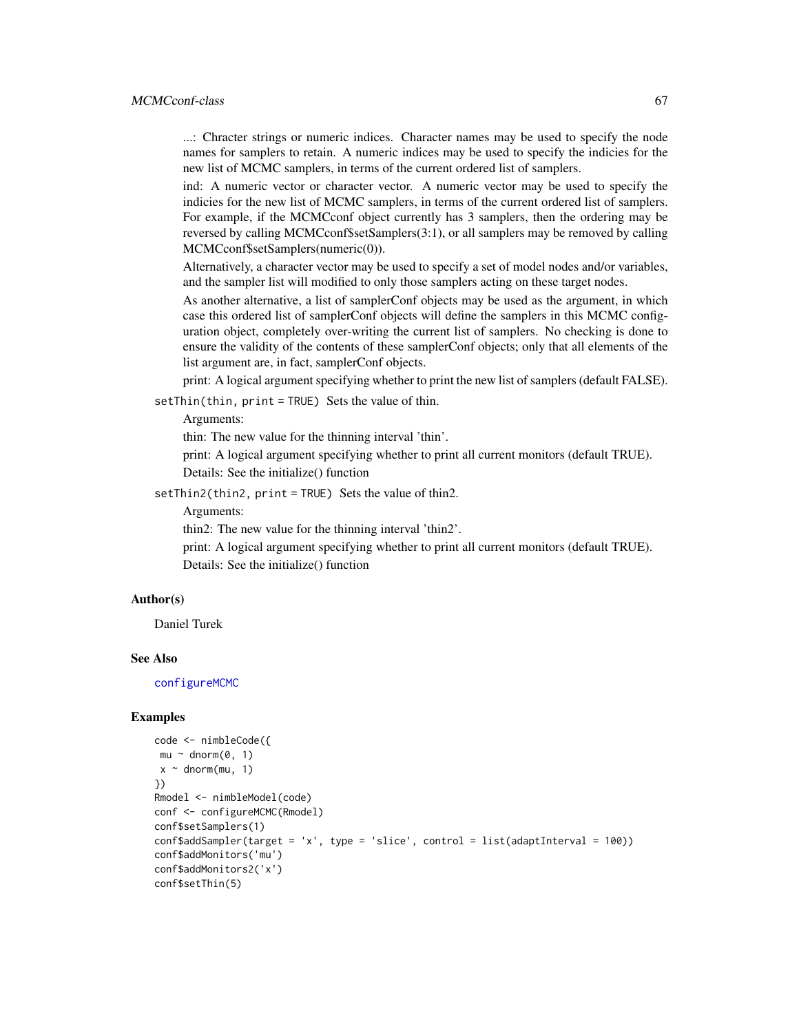...: Chracter strings or numeric indices. Character names may be used to specify the node names for samplers to retain. A numeric indices may be used to specify the indicies for the new list of MCMC samplers, in terms of the current ordered list of samplers.

ind: A numeric vector or character vector. A numeric vector may be used to specify the indicies for the new list of MCMC samplers, in terms of the current ordered list of samplers. For example, if the MCMCconf object currently has 3 samplers, then the ordering may be reversed by calling MCMCconf\$setSamplers(3:1), or all samplers may be removed by calling MCMCconf\$setSamplers(numeric(0)).

Alternatively, a character vector may be used to specify a set of model nodes and/or variables, and the sampler list will modified to only those samplers acting on these target nodes.

As another alternative, a list of samplerConf objects may be used as the argument, in which case this ordered list of samplerConf objects will define the samplers in this MCMC configuration object, completely over-writing the current list of samplers. No checking is done to ensure the validity of the contents of these samplerConf objects; only that all elements of the list argument are, in fact, samplerConf objects.

print: A logical argument specifying whether to print the new list of samplers (default FALSE).

setThin(thin, print = TRUE) Sets the value of thin.

Arguments:

thin: The new value for the thinning interval 'thin'.

print: A logical argument specifying whether to print all current monitors (default TRUE).

Details: See the initialize() function

setThin2(thin2, print = TRUE) Sets the value of thin2.

Arguments:

thin2: The new value for the thinning interval 'thin2'.

print: A logical argument specifying whether to print all current monitors (default TRUE). Details: See the initialize() function

# Author(s)

Daniel Turek

## See Also

[configureMCMC](#page-30-0)

## Examples

```
code <- nimbleCode({
mu ~ ~ dnorm(0, 1)
x \sim dnorm(mu, 1)
})
Rmodel <- nimbleModel(code)
conf <- configureMCMC(Rmodel)
conf$setSamplers(1)
conf\addSampler(target = 'x', type = 'slice', control = list(adaptInterval = 100))
conf$addMonitors('mu')
conf$addMonitors2('x')
conf$setThin(5)
```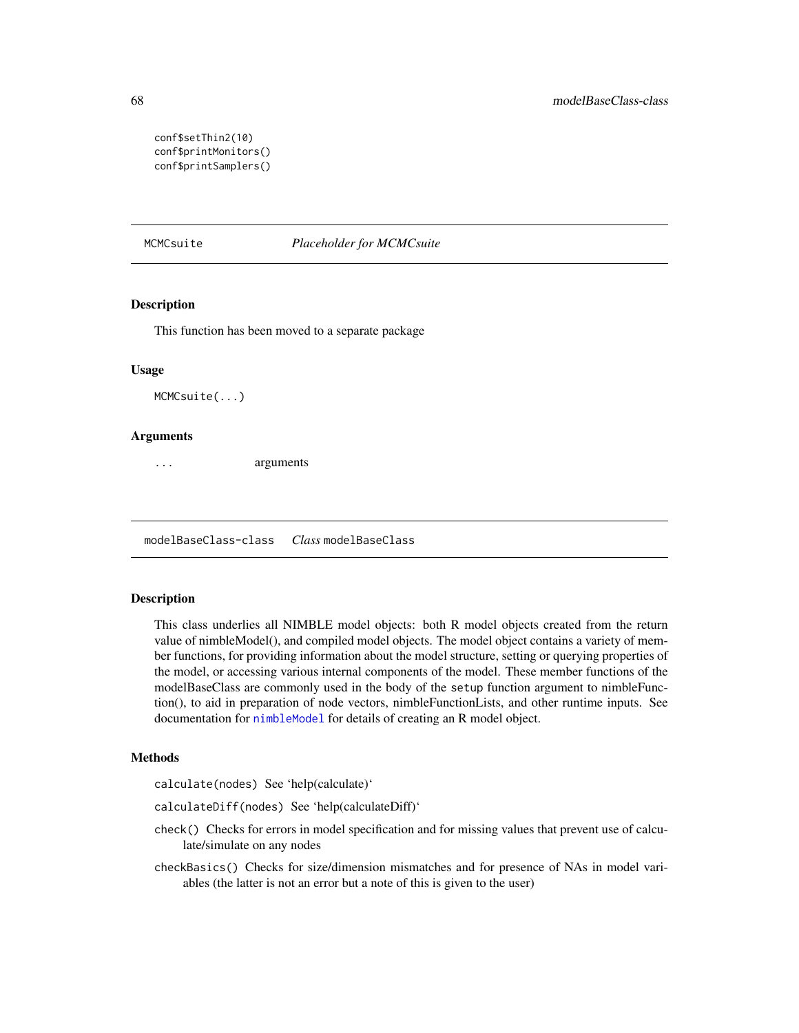```
conf$setThin2(10)
conf$printMonitors()
conf$printSamplers()
```
MCMCsuite *Placeholder for MCMCsuite*

#### Description

This function has been moved to a separate package

#### Usage

MCMCsuite(...)

#### Arguments

... arguments

modelBaseClass-class *Class* modelBaseClass

## **Description**

This class underlies all NIMBLE model objects: both R model objects created from the return value of nimbleModel(), and compiled model objects. The model object contains a variety of member functions, for providing information about the model structure, setting or querying properties of the model, or accessing various internal components of the model. These member functions of the modelBaseClass are commonly used in the body of the setup function argument to nimbleFunction(), to aid in preparation of node vectors, nimbleFunctionLists, and other runtime inputs. See documentation for [nimbleModel](#page-98-0) for details of creating an R model object.

## Methods

calculate(nodes) See 'help(calculate)'

calculateDiff(nodes) See 'help(calculateDiff)'

- check() Checks for errors in model specification and for missing values that prevent use of calculate/simulate on any nodes
- checkBasics() Checks for size/dimension mismatches and for presence of NAs in model variables (the latter is not an error but a note of this is given to the user)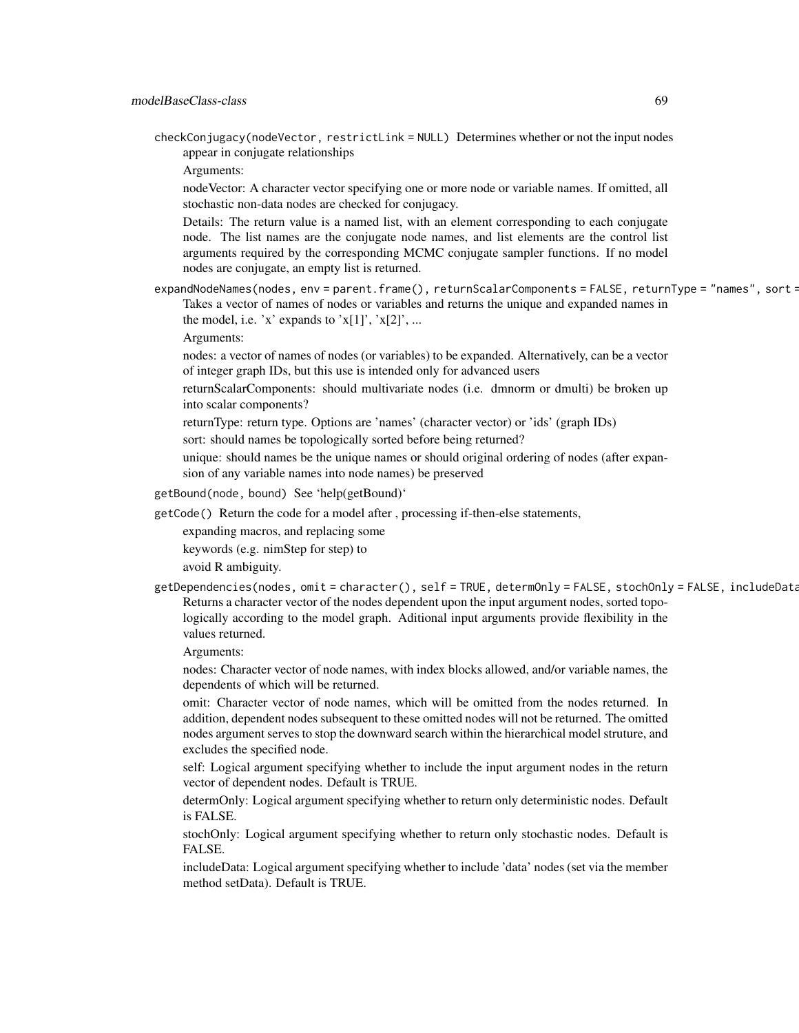checkConjugacy(nodeVector, restrictLink = NULL) Determines whether or not the input nodes appear in conjugate relationships

Arguments:

nodeVector: A character vector specifying one or more node or variable names. If omitted, all stochastic non-data nodes are checked for conjugacy.

Details: The return value is a named list, with an element corresponding to each conjugate node. The list names are the conjugate node names, and list elements are the control list arguments required by the corresponding MCMC conjugate sampler functions. If no model nodes are conjugate, an empty list is returned.

expandNodeNames(nodes, env = parent.frame(), returnScalarComponents = FALSE, returnType = "names", sort = Takes a vector of names of nodes or variables and returns the unique and expanded names in the model, i.e. 'x' expands to ' $x[1]'$ , ' $x[2]'$ , ...

Arguments:

nodes: a vector of names of nodes (or variables) to be expanded. Alternatively, can be a vector of integer graph IDs, but this use is intended only for advanced users

- returnScalarComponents: should multivariate nodes (i.e. dmnorm or dmulti) be broken up into scalar components?
- returnType: return type. Options are 'names' (character vector) or 'ids' (graph IDs)

sort: should names be topologically sorted before being returned?

unique: should names be the unique names or should original ordering of nodes (after expansion of any variable names into node names) be preserved

getBound(node, bound) See 'help(getBound)'

getCode() Return the code for a model after , processing if-then-else statements,

expanding macros, and replacing some

keywords (e.g. nimStep for step) to

avoid R ambiguity.

getDependencies(nodes, omit = character(), self = TRUE, determOnly = FALSE, stochOnly = FALSE, includeData Returns a character vector of the nodes dependent upon the input argument nodes, sorted topologically according to the model graph. Aditional input arguments provide flexibility in the values returned.

Arguments:

nodes: Character vector of node names, with index blocks allowed, and/or variable names, the dependents of which will be returned.

omit: Character vector of node names, which will be omitted from the nodes returned. In addition, dependent nodes subsequent to these omitted nodes will not be returned. The omitted nodes argument serves to stop the downward search within the hierarchical model struture, and excludes the specified node.

self: Logical argument specifying whether to include the input argument nodes in the return vector of dependent nodes. Default is TRUE.

determOnly: Logical argument specifying whether to return only deterministic nodes. Default is FALSE.

stochOnly: Logical argument specifying whether to return only stochastic nodes. Default is FALSE.

includeData: Logical argument specifying whether to include 'data' nodes (set via the member method setData). Default is TRUE.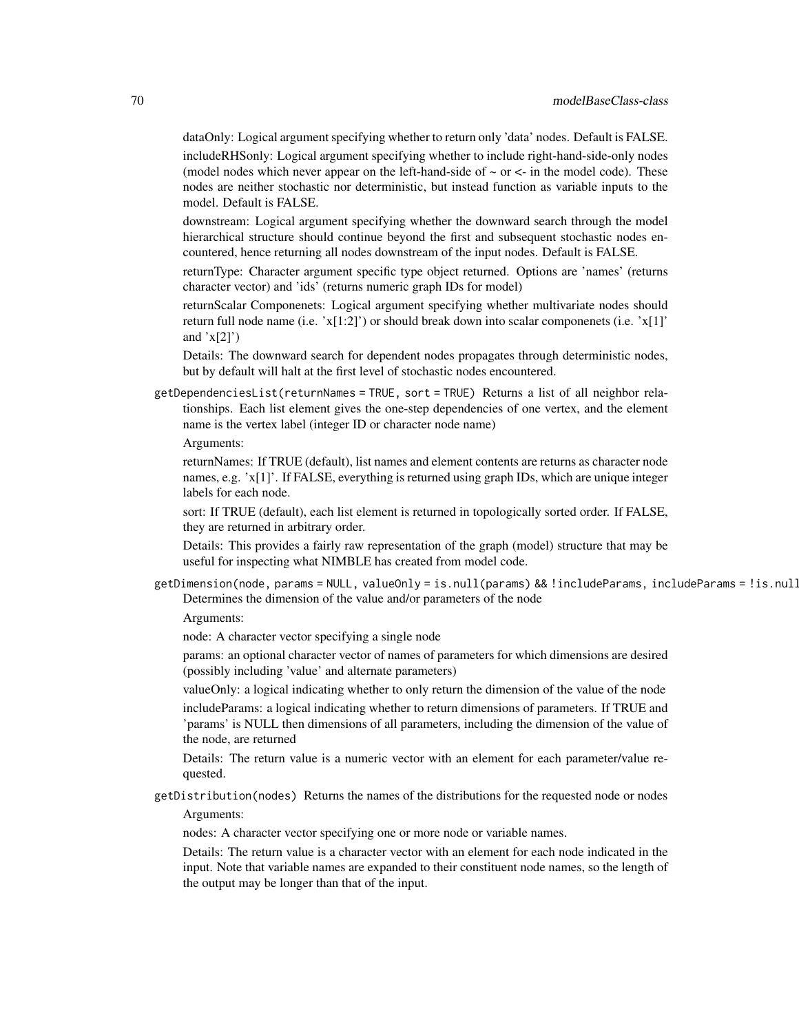dataOnly: Logical argument specifying whether to return only 'data' nodes. Default is FALSE.

includeRHSonly: Logical argument specifying whether to include right-hand-side-only nodes (model nodes which never appear on the left-hand-side of  $\sim$  or  $\lt$ - in the model code). These nodes are neither stochastic nor deterministic, but instead function as variable inputs to the model. Default is FALSE.

downstream: Logical argument specifying whether the downward search through the model hierarchical structure should continue beyond the first and subsequent stochastic nodes encountered, hence returning all nodes downstream of the input nodes. Default is FALSE.

returnType: Character argument specific type object returned. Options are 'names' (returns character vector) and 'ids' (returns numeric graph IDs for model)

returnScalar Componenets: Logical argument specifying whether multivariate nodes should return full node name (i.e. 'x[1:2]') or should break down into scalar componenets (i.e. 'x[1]' and  $x[2]$ <sup>'</sup>)

Details: The downward search for dependent nodes propagates through deterministic nodes, but by default will halt at the first level of stochastic nodes encountered.

getDependenciesList(returnNames = TRUE, sort = TRUE) Returns a list of all neighbor relationships. Each list element gives the one-step dependencies of one vertex, and the element name is the vertex label (integer ID or character node name)

Arguments:

returnNames: If TRUE (default), list names and element contents are returns as character node names, e.g. 'x[1]'. If FALSE, everything is returned using graph IDs, which are unique integer labels for each node.

sort: If TRUE (default), each list element is returned in topologically sorted order. If FALSE, they are returned in arbitrary order.

Details: This provides a fairly raw representation of the graph (model) structure that may be useful for inspecting what NIMBLE has created from model code.

getDimension(node, params = NULL, valueOnly = is.null(params) && !includeParams, includeParams = !is.null(params)) Determines the dimension of the value and/or parameters of the node

Arguments:

node: A character vector specifying a single node

params: an optional character vector of names of parameters for which dimensions are desired (possibly including 'value' and alternate parameters)

valueOnly: a logical indicating whether to only return the dimension of the value of the node includeParams: a logical indicating whether to return dimensions of parameters. If TRUE and 'params' is NULL then dimensions of all parameters, including the dimension of the value of the node, are returned

Details: The return value is a numeric vector with an element for each parameter/value requested.

getDistribution(nodes) Returns the names of the distributions for the requested node or nodes Arguments:

nodes: A character vector specifying one or more node or variable names.

Details: The return value is a character vector with an element for each node indicated in the input. Note that variable names are expanded to their constituent node names, so the length of the output may be longer than that of the input.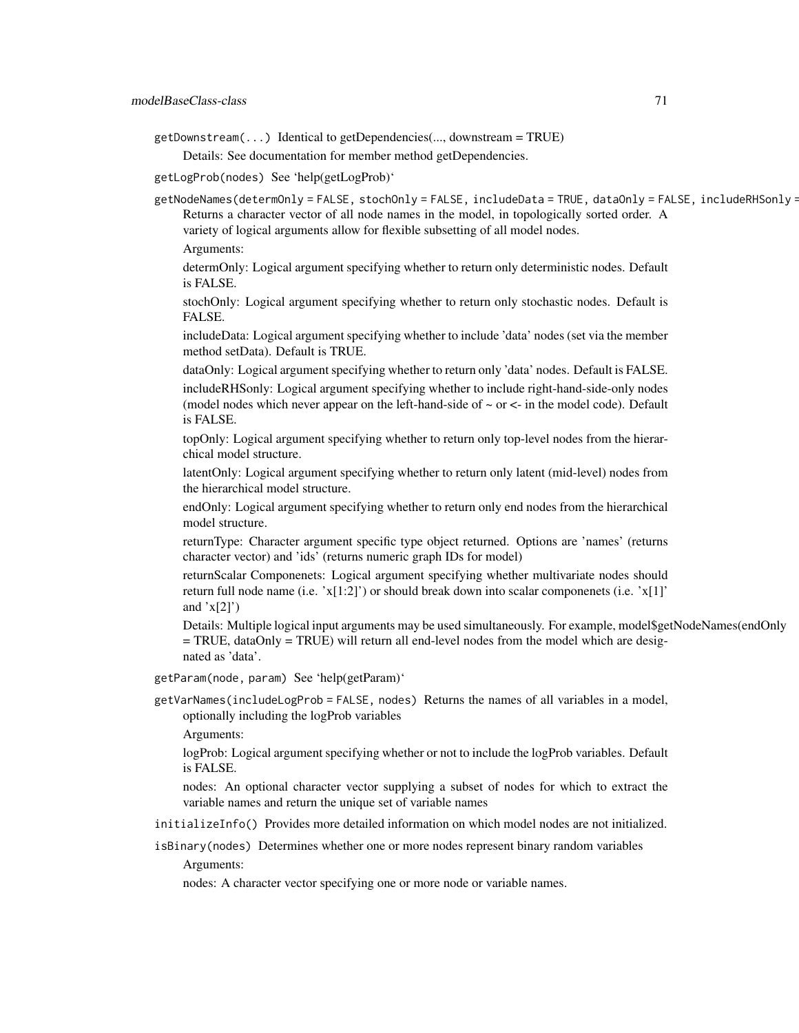getDownstream(...) Identical to getDependencies(..., downstream = TRUE) Details: See documentation for member method getDependencies.

getLogProb(nodes) See 'help(getLogProb)'

getNodeNames(determOnly = FALSE, stochOnly = FALSE, includeData = TRUE, dataOnly = FALSE, includeRHSonly = Returns a character vector of all node names in the model, in topologically sorted order. A variety of logical arguments allow for flexible subsetting of all model nodes.

Arguments:

determOnly: Logical argument specifying whether to return only deterministic nodes. Default is FALSE.

stochOnly: Logical argument specifying whether to return only stochastic nodes. Default is FALSE.

includeData: Logical argument specifying whether to include 'data' nodes (set via the member method setData). Default is TRUE.

dataOnly: Logical argument specifying whether to return only 'data' nodes. Default is FALSE.

includeRHSonly: Logical argument specifying whether to include right-hand-side-only nodes (model nodes which never appear on the left-hand-side of  $\sim$  or  $\lt$ - in the model code). Default is FALSE.

topOnly: Logical argument specifying whether to return only top-level nodes from the hierarchical model structure.

latentOnly: Logical argument specifying whether to return only latent (mid-level) nodes from the hierarchical model structure.

endOnly: Logical argument specifying whether to return only end nodes from the hierarchical model structure.

returnType: Character argument specific type object returned. Options are 'names' (returns character vector) and 'ids' (returns numeric graph IDs for model)

returnScalar Componenets: Logical argument specifying whether multivariate nodes should return full node name (i.e.  $x[1:2]$ ) or should break down into scalar componenets (i.e.  $x[1]$ ) and  $x[2]$ <sup>'</sup>)

Details: Multiple logical input arguments may be used simultaneously. For example, model\$getNodeNames(endOnly  $=$  TRUE, dataOnly  $=$  TRUE) will return all end-level nodes from the model which are designated as 'data'.

getParam(node, param) See 'help(getParam)'

getVarNames(includeLogProb = FALSE, nodes) Returns the names of all variables in a model, optionally including the logProb variables

Arguments:

logProb: Logical argument specifying whether or not to include the logProb variables. Default is FALSE.

nodes: An optional character vector supplying a subset of nodes for which to extract the variable names and return the unique set of variable names

initializeInfo() Provides more detailed information on which model nodes are not initialized.

isBinary(nodes) Determines whether one or more nodes represent binary random variables

Arguments:

nodes: A character vector specifying one or more node or variable names.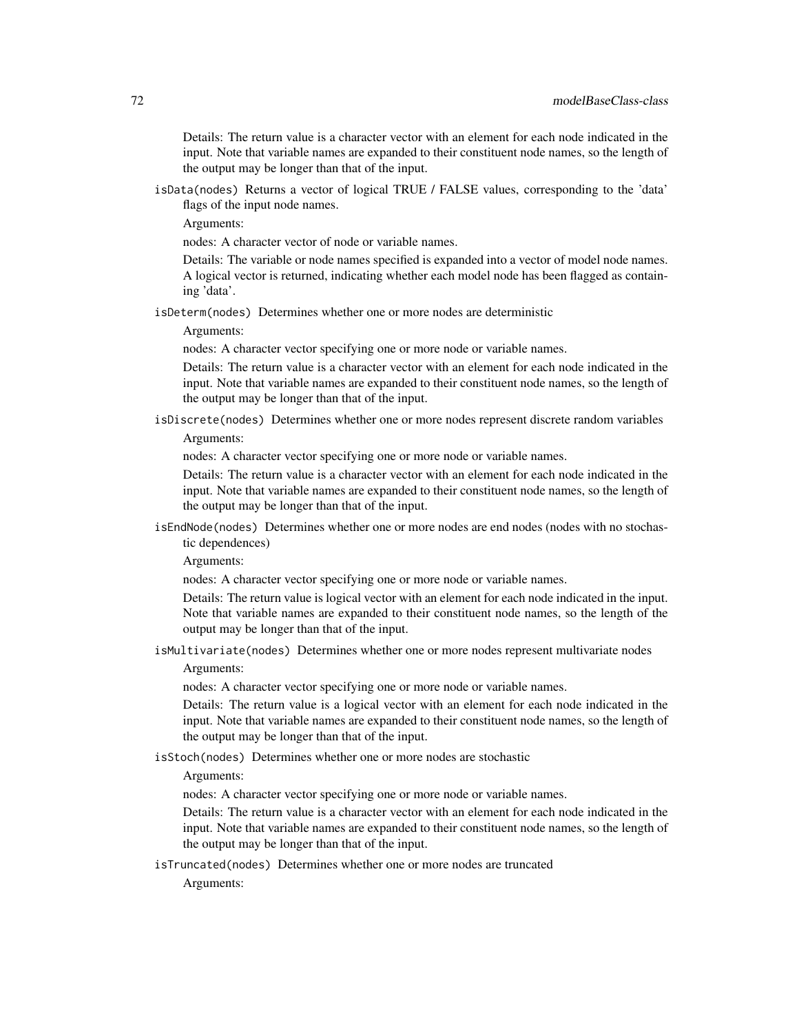Details: The return value is a character vector with an element for each node indicated in the input. Note that variable names are expanded to their constituent node names, so the length of the output may be longer than that of the input.

isData(nodes) Returns a vector of logical TRUE / FALSE values, corresponding to the 'data' flags of the input node names.

Arguments:

nodes: A character vector of node or variable names.

Details: The variable or node names specified is expanded into a vector of model node names. A logical vector is returned, indicating whether each model node has been flagged as containing 'data'.

isDeterm(nodes) Determines whether one or more nodes are deterministic

Arguments:

nodes: A character vector specifying one or more node or variable names.

Details: The return value is a character vector with an element for each node indicated in the input. Note that variable names are expanded to their constituent node names, so the length of the output may be longer than that of the input.

isDiscrete(nodes) Determines whether one or more nodes represent discrete random variables

Arguments:

nodes: A character vector specifying one or more node or variable names.

Details: The return value is a character vector with an element for each node indicated in the input. Note that variable names are expanded to their constituent node names, so the length of the output may be longer than that of the input.

isEndNode(nodes) Determines whether one or more nodes are end nodes (nodes with no stochastic dependences)

Arguments:

nodes: A character vector specifying one or more node or variable names.

Details: The return value is logical vector with an element for each node indicated in the input. Note that variable names are expanded to their constituent node names, so the length of the output may be longer than that of the input.

isMultivariate(nodes) Determines whether one or more nodes represent multivariate nodes

Arguments:

nodes: A character vector specifying one or more node or variable names.

Details: The return value is a logical vector with an element for each node indicated in the input. Note that variable names are expanded to their constituent node names, so the length of the output may be longer than that of the input.

isStoch(nodes) Determines whether one or more nodes are stochastic

Arguments:

nodes: A character vector specifying one or more node or variable names.

Details: The return value is a character vector with an element for each node indicated in the input. Note that variable names are expanded to their constituent node names, so the length of the output may be longer than that of the input.

isTruncated(nodes) Determines whether one or more nodes are truncated

Arguments: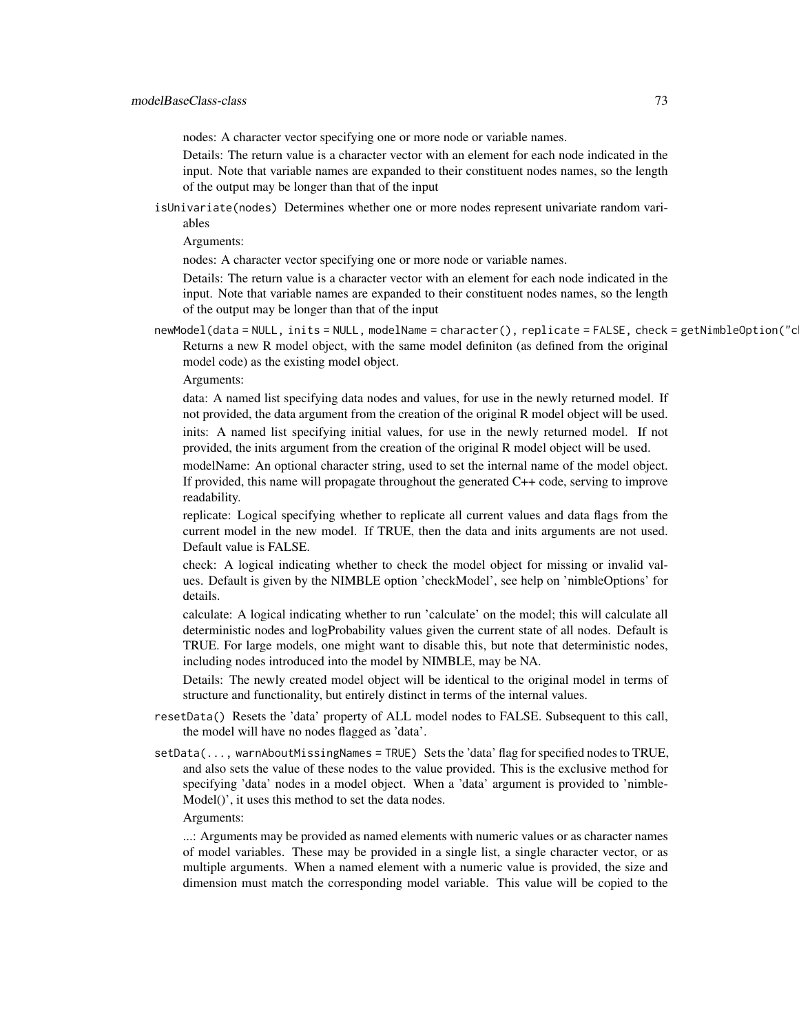nodes: A character vector specifying one or more node or variable names.

Details: The return value is a character vector with an element for each node indicated in the input. Note that variable names are expanded to their constituent nodes names, so the length of the output may be longer than that of the input

isUnivariate(nodes) Determines whether one or more nodes represent univariate random variables

Arguments:

nodes: A character vector specifying one or more node or variable names.

Details: The return value is a character vector with an element for each node indicated in the input. Note that variable names are expanded to their constituent nodes names, so the length of the output may be longer than that of the input

newModel(data = NULL, inits = NULL, modelName = character(), replicate = FALSE, check = getNimbleOption("c Returns a new R model object, with the same model definiton (as defined from the original model code) as the existing model object.

Arguments:

data: A named list specifying data nodes and values, for use in the newly returned model. If not provided, the data argument from the creation of the original R model object will be used. inits: A named list specifying initial values, for use in the newly returned model. If not provided, the inits argument from the creation of the original R model object will be used.

modelName: An optional character string, used to set the internal name of the model object. If provided, this name will propagate throughout the generated C++ code, serving to improve readability.

replicate: Logical specifying whether to replicate all current values and data flags from the current model in the new model. If TRUE, then the data and inits arguments are not used. Default value is FALSE.

check: A logical indicating whether to check the model object for missing or invalid values. Default is given by the NIMBLE option 'checkModel', see help on 'nimbleOptions' for details.

calculate: A logical indicating whether to run 'calculate' on the model; this will calculate all deterministic nodes and logProbability values given the current state of all nodes. Default is TRUE. For large models, one might want to disable this, but note that deterministic nodes, including nodes introduced into the model by NIMBLE, may be NA.

Details: The newly created model object will be identical to the original model in terms of structure and functionality, but entirely distinct in terms of the internal values.

- resetData() Resets the 'data' property of ALL model nodes to FALSE. Subsequent to this call, the model will have no nodes flagged as 'data'.
- setData(..., warnAboutMissingNames = TRUE) Sets the 'data' flag for specified nodes to TRUE, and also sets the value of these nodes to the value provided. This is the exclusive method for specifying 'data' nodes in a model object. When a 'data' argument is provided to 'nimble-Model()', it uses this method to set the data nodes.

#### Arguments:

...: Arguments may be provided as named elements with numeric values or as character names of model variables. These may be provided in a single list, a single character vector, or as multiple arguments. When a named element with a numeric value is provided, the size and dimension must match the corresponding model variable. This value will be copied to the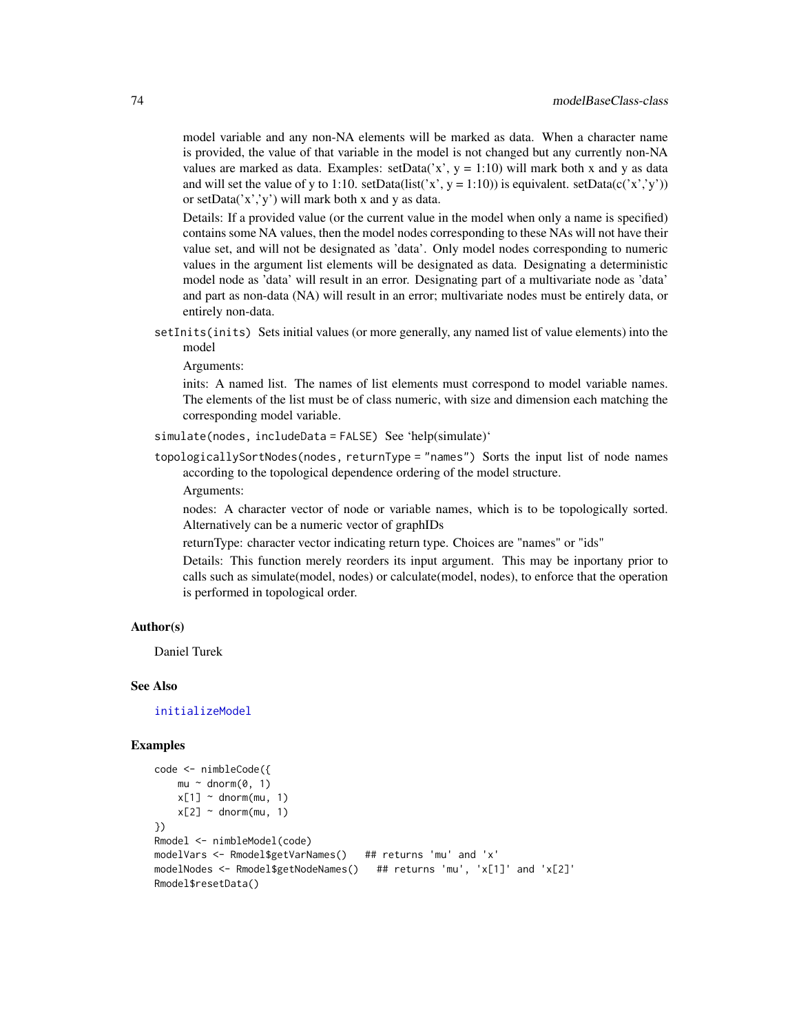model variable and any non-NA elements will be marked as data. When a character name is provided, the value of that variable in the model is not changed but any currently non-NA values are marked as data. Examples: setData $(x, y = 1:10)$  will mark both x and y as data and will set the value of y to 1:10. setData(list('x', y = 1:10)) is equivalent. setData(c('x','y')) or setData('x','y') will mark both x and y as data.

Details: If a provided value (or the current value in the model when only a name is specified) contains some NA values, then the model nodes corresponding to these NAs will not have their value set, and will not be designated as 'data'. Only model nodes corresponding to numeric values in the argument list elements will be designated as data. Designating a deterministic model node as 'data' will result in an error. Designating part of a multivariate node as 'data' and part as non-data (NA) will result in an error; multivariate nodes must be entirely data, or entirely non-data.

setInits(inits) Sets initial values (or more generally, any named list of value elements) into the model

Arguments:

inits: A named list. The names of list elements must correspond to model variable names. The elements of the list must be of class numeric, with size and dimension each matching the corresponding model variable.

simulate(nodes, includeData = FALSE) See 'help(simulate)'

topologicallySortNodes(nodes, returnType = "names") Sorts the input list of node names according to the topological dependence ordering of the model structure.

Arguments:

nodes: A character vector of node or variable names, which is to be topologically sorted. Alternatively can be a numeric vector of graphIDs

returnType: character vector indicating return type. Choices are "names" or "ids"

Details: This function merely reorders its input argument. This may be inportany prior to calls such as simulate(model, nodes) or calculate(model, nodes), to enforce that the operation is performed in topological order.

#### Author(s)

Daniel Turek

#### See Also

[initializeModel](#page-54-0)

### Examples

```
code <- nimbleCode({
   mu \sim dnorm(0, 1)
   x[1] ~ dnorm(mu, 1)
   x[2] ~ dnorm(mu, 1)
})
Rmodel <- nimbleModel(code)
modelVars <- Rmodel$getVarNames() ## returns 'mu' and 'x'
modelNodes <- Rmodel$getNodeNames() ## returns 'mu', 'x[1]' and 'x[2]'
Rmodel$resetData()
```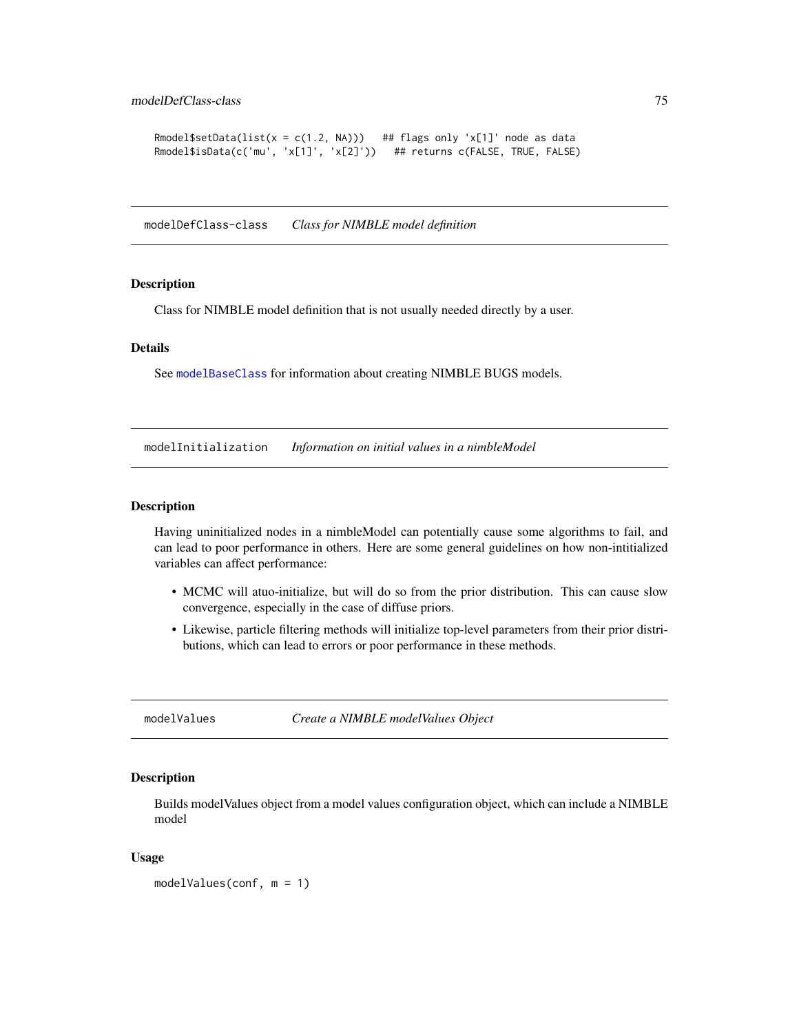```
Rmodel$setData(list(x = c(1.2, NA))) ## flags only 'x[1]' node as data
Rmodel$isData(c('mu', 'x[1]', 'x[2]')) ## returns c(FALSE, TRUE, FALSE)
```
modelDefClass-class *Class for NIMBLE model definition*

### Description

Class for NIMBLE model definition that is not usually needed directly by a user.

#### Details

See [modelBaseClass](#page-67-0) for information about creating NIMBLE BUGS models.

modelInitialization *Information on initial values in a nimbleModel*

### Description

Having uninitialized nodes in a nimbleModel can potentially cause some algorithms to fail, and can lead to poor performance in others. Here are some general guidelines on how non-intitialized variables can affect performance:

- MCMC will atuo-initialize, but will do so from the prior distribution. This can cause slow convergence, especially in the case of diffuse priors.
- Likewise, particle filtering methods will initialize top-level parameters from their prior distributions, which can lead to errors or poor performance in these methods.

modelValues *Create a NIMBLE modelValues Object*

#### Description

Builds modelValues object from a model values configuration object, which can include a NIMBLE model

### Usage

modelValues(conf, m = 1)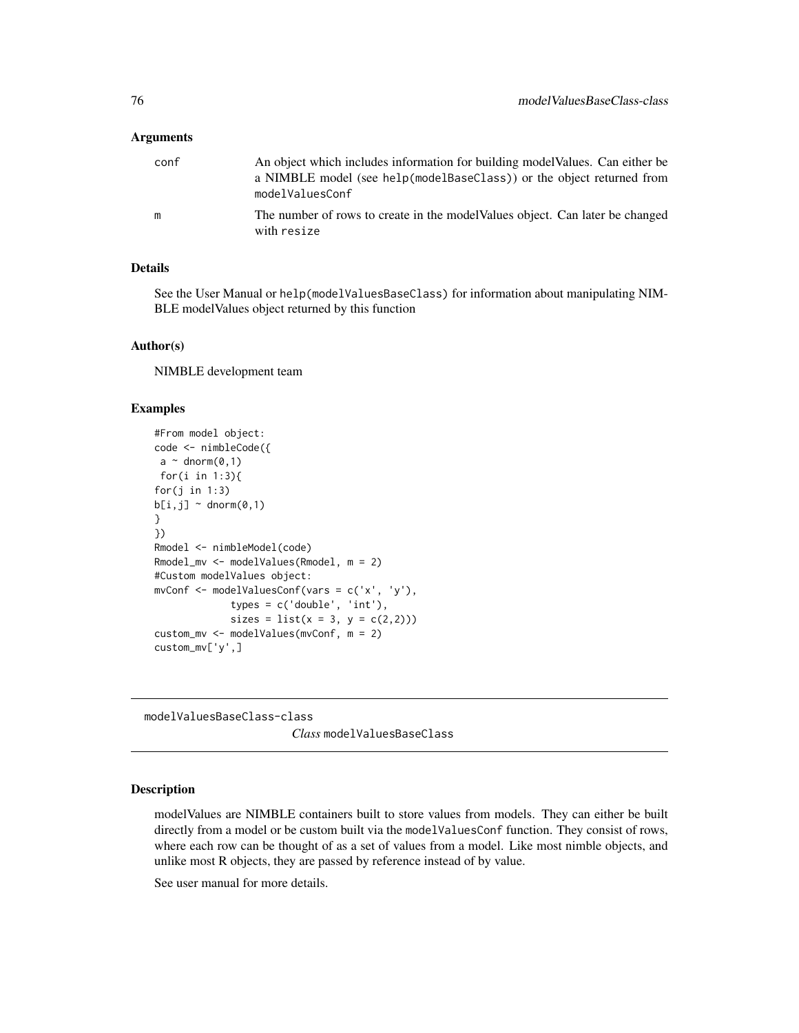### **Arguments**

| conf | An object which includes information for building model Values. Can either be<br>a NIMBLE model (see help(modelBaseClass)) or the object returned from<br>modelValuesConf |
|------|---------------------------------------------------------------------------------------------------------------------------------------------------------------------------|
| m    | The number of rows to create in the model Values object. Can later be changed<br>with resize                                                                              |

### Details

See the User Manual or help(modelValuesBaseClass) for information about manipulating NIM-BLE modelValues object returned by this function

# Author(s)

NIMBLE development team

# Examples

```
#From model object:
code <- nimbleCode({
 a \sim \text{dnorm}(0,1)for(i in 1:3){
for(j in 1:3)b[i,j] ~ dnorm(0,1)}
})
Rmodel <- nimbleModel(code)
Rmodel_mv <- modelValues(Rmodel, m = 2)
#Custom modelValues object:
mvConf \leq mode1ValuesConf(vars = c('x', 'y'),types = c('double', 'int'),
             sizes = list(x = 3, y = c(2,2)))custom_mv <- modelValues(mvConf, m = 2)
custom_mv['y',]
```
modelValuesBaseClass-class *Class* modelValuesBaseClass

# Description

modelValues are NIMBLE containers built to store values from models. They can either be built directly from a model or be custom built via the modelValuesConf function. They consist of rows, where each row can be thought of as a set of values from a model. Like most nimble objects, and unlike most R objects, they are passed by reference instead of by value.

See user manual for more details.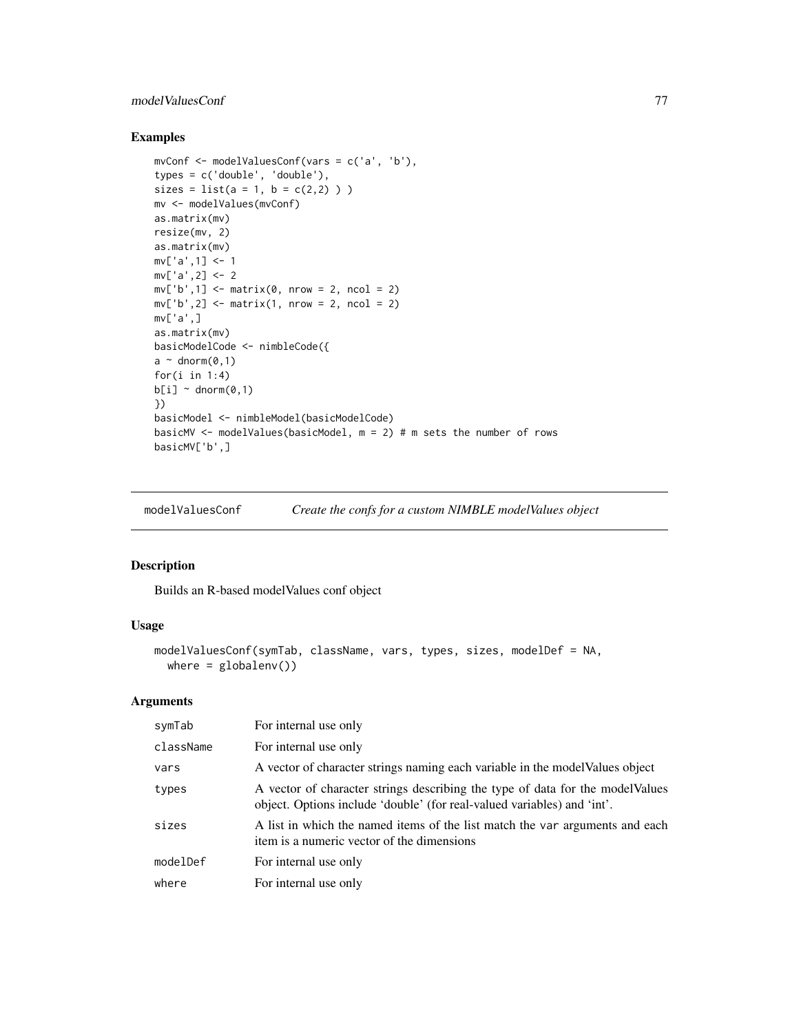# modelValuesConf 77

## Examples

```
mvConf <- modelValuesConf(vars = c('a', 'b'),
types = c('double', 'double'),
sizes = list(a = 1, b = c(2,2)) )mv <- modelValues(mvConf)
as.matrix(mv)
resize(mv, 2)
as.matrix(mv)
mv['a', 1] <- 1
mv['a', 2] <- 2
mv['b', 1] \leq matrix(0, nrow = 2, ncol = 2)mv['b', 2] \leq matrix \cdot m + m(x), nrow = 2, ncol = 2)
mv['a',]
as.matrix(mv)
basicModelCode <- nimbleCode({
a \sim dnorm(0,1)
for(i in 1:4)b[i] ~ dnorm(0,1)})
basicModel <- nimbleModel(basicModelCode)
basicMV <- modelValues(basicModel, m = 2) # m sets the number of rows
basicMV['b',]
```
modelValuesConf *Create the confs for a custom NIMBLE modelValues object*

### Description

Builds an R-based modelValues conf object

### Usage

```
modelValuesConf(symTab, className, vars, types, sizes, modelDef = NA,
 where = globalenv()
```

| symTab    | For internal use only                                                                                                                                     |
|-----------|-----------------------------------------------------------------------------------------------------------------------------------------------------------|
| className | For internal use only                                                                                                                                     |
| vars      | A vector of character strings naming each variable in the model Values object                                                                             |
| types     | A vector of character strings describing the type of data for the model Values<br>object. Options include 'double' (for real-valued variables) and 'int'. |
| sizes     | A list in which the named items of the list match the var arguments and each<br>item is a numeric vector of the dimensions                                |
| modelDef  | For internal use only                                                                                                                                     |
| where     | For internal use only                                                                                                                                     |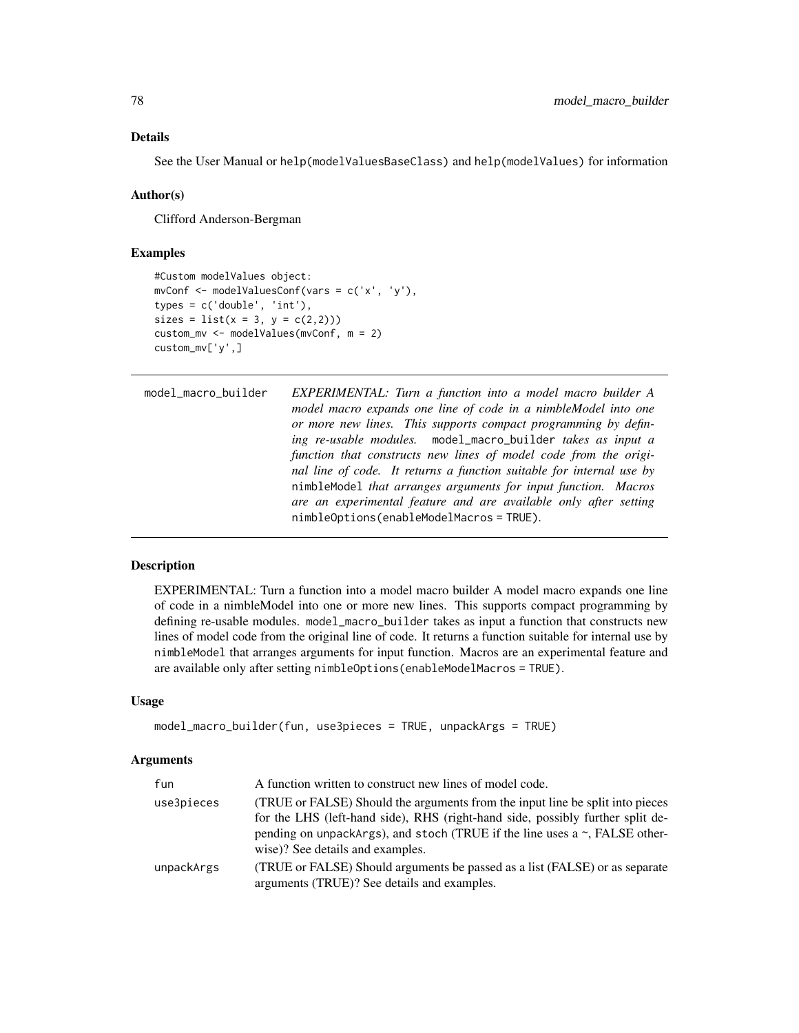See the User Manual or help(modelValuesBaseClass) and help(modelValues) for information

#### Author(s)

Clifford Anderson-Bergman

#### Examples

```
#Custom modelValues object:
mvConf <- modelValuesConf(vars = c('x', 'y'),
types = c('double', 'int'),
sizes = list(x = 3, y = c(2,2))custom_mv <- modelValues(mvConf, m = 2)
custom_mv['y',]
```

```
model_macro_builder EXPERIMENTAL: Turn a function into a model macro builder A
                        model macro expands one line of code in a nimbleModel into one
                        or more new lines. This supports compact programming by defin-
                        ing re-usable modules. model_macro_builder takes as input a
                        function that constructs new lines of model code from the origi-
                        nal line of code. It returns a function suitable for internal use by
                        nimbleModel that arranges arguments for input function. Macros
                        are an experimental feature and are available only after setting
                        nimbleOptions(enableModelMacros = TRUE).
```
# Description

EXPERIMENTAL: Turn a function into a model macro builder A model macro expands one line of code in a nimbleModel into one or more new lines. This supports compact programming by defining re-usable modules. model\_macro\_builder takes as input a function that constructs new lines of model code from the original line of code. It returns a function suitable for internal use by nimbleModel that arranges arguments for input function. Macros are an experimental feature and are available only after setting nimbleOptions(enableModelMacros = TRUE).

#### Usage

```
model_macro_builder(fun, use3pieces = TRUE, unpackArgs = TRUE)
```

| fun        | A function written to construct new lines of model code.                                                                                                                                                                                                                                |
|------------|-----------------------------------------------------------------------------------------------------------------------------------------------------------------------------------------------------------------------------------------------------------------------------------------|
| use3pieces | (TRUE or FALSE) Should the arguments from the input line be split into pieces<br>for the LHS (left-hand side), RHS (right-hand side, possibly further split de-<br>pending on unpackargs), and stoch (TRUE if the line uses $a \sim$ , FALSE other-<br>wise)? See details and examples. |
| unpackArgs | (TRUE or FALSE) Should arguments be passed as a list (FALSE) or as separate<br>arguments (TRUE)? See details and examples.                                                                                                                                                              |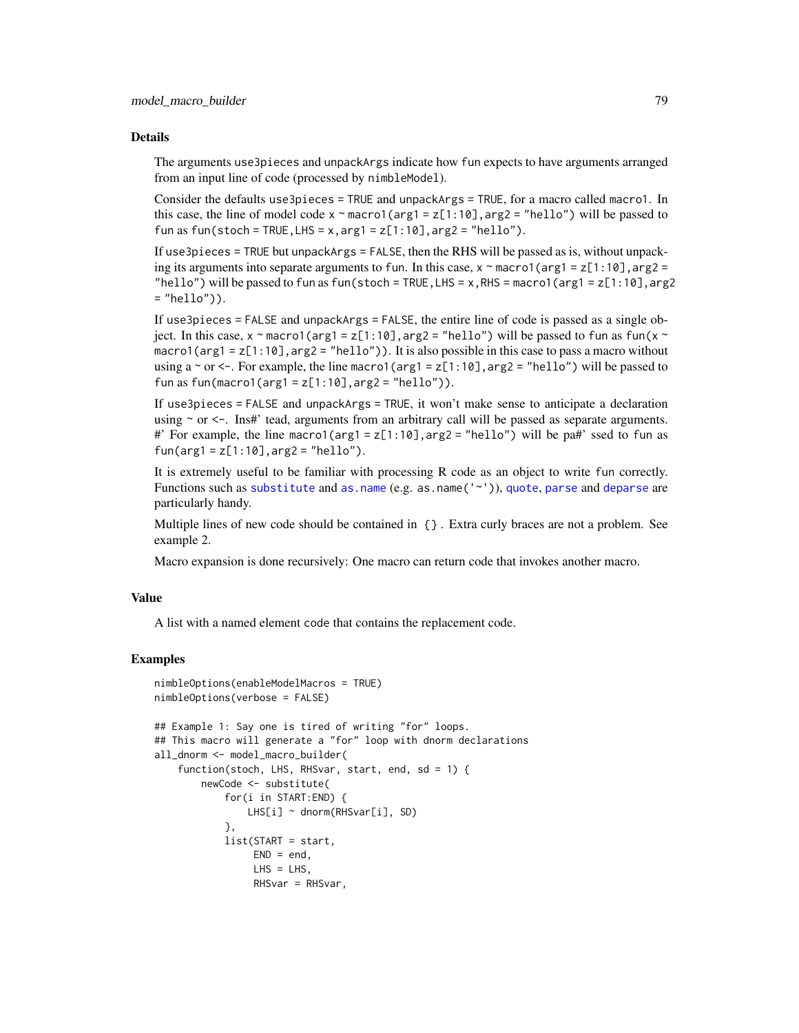The arguments use3pieces and unpackArgs indicate how fun expects to have arguments arranged from an input line of code (processed by nimbleModel).

Consider the defaults use3pieces = TRUE and unpackArgs = TRUE, for a macro called macro1. In this case, the line of model code  $x \sim \text{macro1}(\text{arg1} = z[1:10], \text{arg2} = \text{"hello"}$  will be passed to fun as fun(stoch = TRUE, LHS = x, arg1 =  $z[1:10]$ , arg2 = "hello").

If use3pieces = TRUE but unpackArgs = FALSE, then the RHS will be passed as is, without unpacking its arguments into separate arguments to fun. In this case,  $x \sim \text{macro}(arg1 = z[1:10]$ ,  $arg2 =$ "hello") will be passed to fun as fun(stoch = TRUE, LHS =  $x$ , RHS = macro1(arg1 =  $z[1:10]$ , arg2  $=$  "hello")).

If use3pieces = FALSE and unpackArgs = FALSE, the entire line of code is passed as a single object. In this case,  $x \sim \text{macro}(arg1 = z[1:10],arg2 = \text{"hello"}$  will be passed to fun as fun( $x \sim$ macro1(arg1 = z[1:10],arg2 = "hello")). It is also possible in this case to pass a macro without using a  $\sim$  or  $\lt$ -. For example, the line macro1(arg1 = z[1:10], arg2 = "hello") will be passed to fun as  $fun(maxrol(arg1 = z[1:10], arg2 = "hello")$ .

If use3pieces = FALSE and unpackArgs = TRUE, it won't make sense to anticipate a declaration using  $\sim$  or  $\lt$ -. Ins#' tead, arguments from an arbitrary call will be passed as separate arguments. #' For example, the line macro1(arg1 =  $z[1:10]$ , arg2 = "hello") will be pa#' ssed to fun as  $fun(\text{arg1} = z[1:10], \text{arg2} = "hello").$ 

It is extremely useful to be familiar with processing R code as an object to write fun correctly. Functions such as [substitute](#page-0-0) and [as.name](#page-0-0) (e.g. as.name('~')), [quote](#page-0-0), [parse](#page-0-0) and [deparse](#page-0-0) are particularly handy.

Multiple lines of new code should be contained in {} . Extra curly braces are not a problem. See example 2.

Macro expansion is done recursively: One macro can return code that invokes another macro.

#### Value

A list with a named element code that contains the replacement code.

#### Examples

```
nimbleOptions(enableModelMacros = TRUE)
nimbleOptions(verbose = FALSE)
## Example 1: Say one is tired of writing "for" loops.
## This macro will generate a "for" loop with dnorm declarations
all_dnorm <- model_macro_builder(
    function(stoch, LHS, RHSvar, start, end, sd = 1) {
        newCode <- substitute(
            for(i in START:END) {
                LHS[i] ~ dnorm(RHSvar[i], SD)
            },
            list(START = start,
                 END = end.
                 LHS = LHS,
                 RHSvar = RHSvar,
```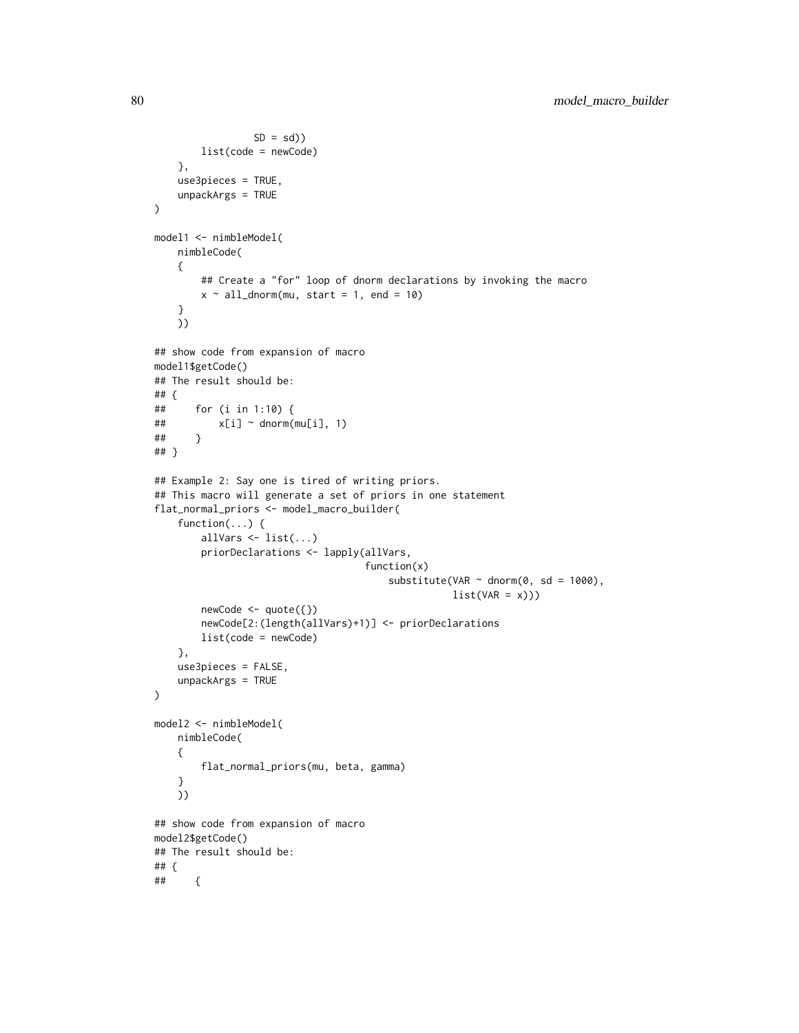```
SD = sd)
        list(code = newCode)
    },
    use3pieces = TRUE,
    unpackArgs = TRUE
)
model1 <- nimbleModel(
   nimbleCode(
    {
        ## Create a "for" loop of dnorm declarations by invoking the macro
        x \sim all\_dnorm(mu, start = 1, end = 10)}
    ))
## show code from expansion of macro
model1$getCode()
## The result should be:
## {
## for (i in 1:10) {
\# \qquad \qquad \times [i] \sim dnorm(mu[i], 1)
## }
## }
## Example 2: Say one is tired of writing priors.
## This macro will generate a set of priors in one statement
flat_normal_priors <- model_macro_builder(
    function(...) {
        allVars \leq list(...)priorDeclarations <- lapply(allVars,
                                     function(x)
                                        substitute(VAR \sim dnorm(0, sd = 1000),
                                                    list(VAR = x)))newCode <- quote({})
        newCode[2:(length(allVars)+1)] <- priorDeclarations
        list(code = newCode)
    },
    use3pieces = FALSE,
    unpackArgs = TRUE
)
model2 <- nimbleModel(
   nimbleCode(
    {
        flat_normal_priors(mu, beta, gamma)
    }
   ))
## show code from expansion of macro
model2$getCode()
## The result should be:
## {
## {
```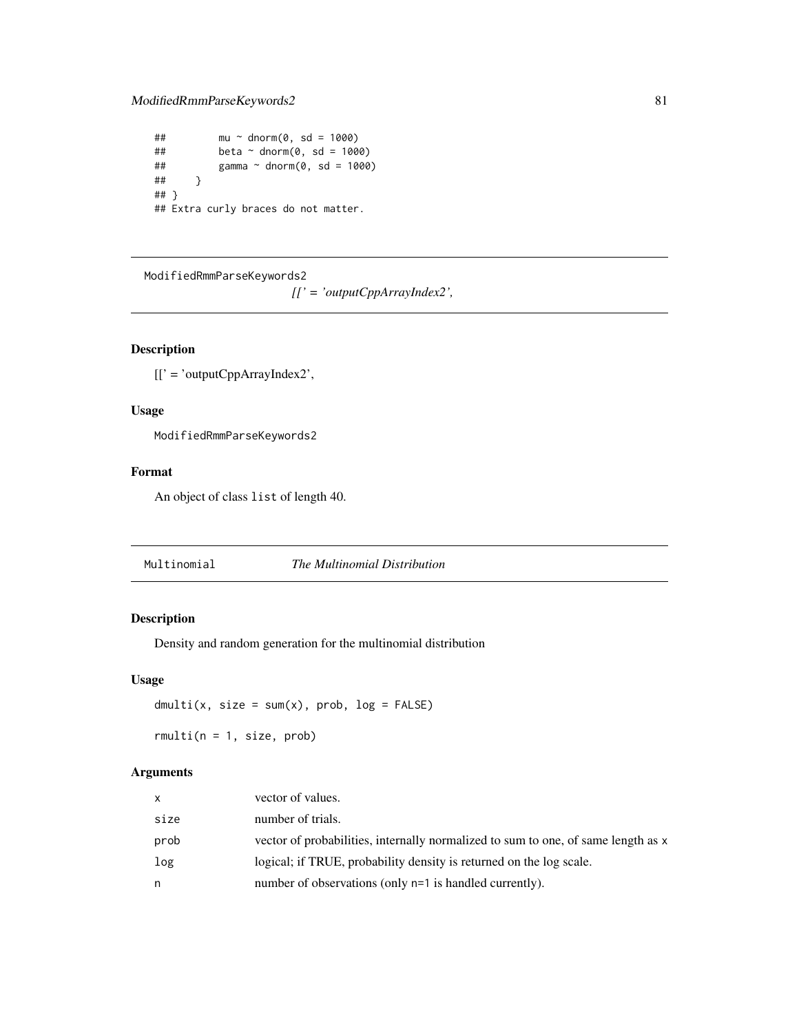# ModifiedRmmParseKeywords2 81

```
\# \# mu ~ dnorm(0, sd = 1000)
## beta ~ ~ ~ dnorm(0, sd = 1000)
## gamma ~ dnorm(0, sd = 1000)
## }
## }
## Extra curly braces do not matter.
```
ModifiedRmmParseKeywords2

*[[' = 'outputCppArrayIndex2',*

# Description

[[' = 'outputCppArrayIndex2',

# Usage

ModifiedRmmParseKeywords2

## Format

An object of class list of length 40.

Multinomial *The Multinomial Distribution*

# Description

Density and random generation for the multinomial distribution

#### Usage

```
dmulti(x, size = sum(x), prob, log = FALSE)
```
 $rmulti(n = 1, size, prob)$ 

| x    | vector of values.                                                                 |
|------|-----------------------------------------------------------------------------------|
| size | number of trials.                                                                 |
| prob | vector of probabilities, internally normalized to sum to one, of same length as x |
| log  | logical; if TRUE, probability density is returned on the log scale.               |
| n    | number of observations (only n=1 is handled currently).                           |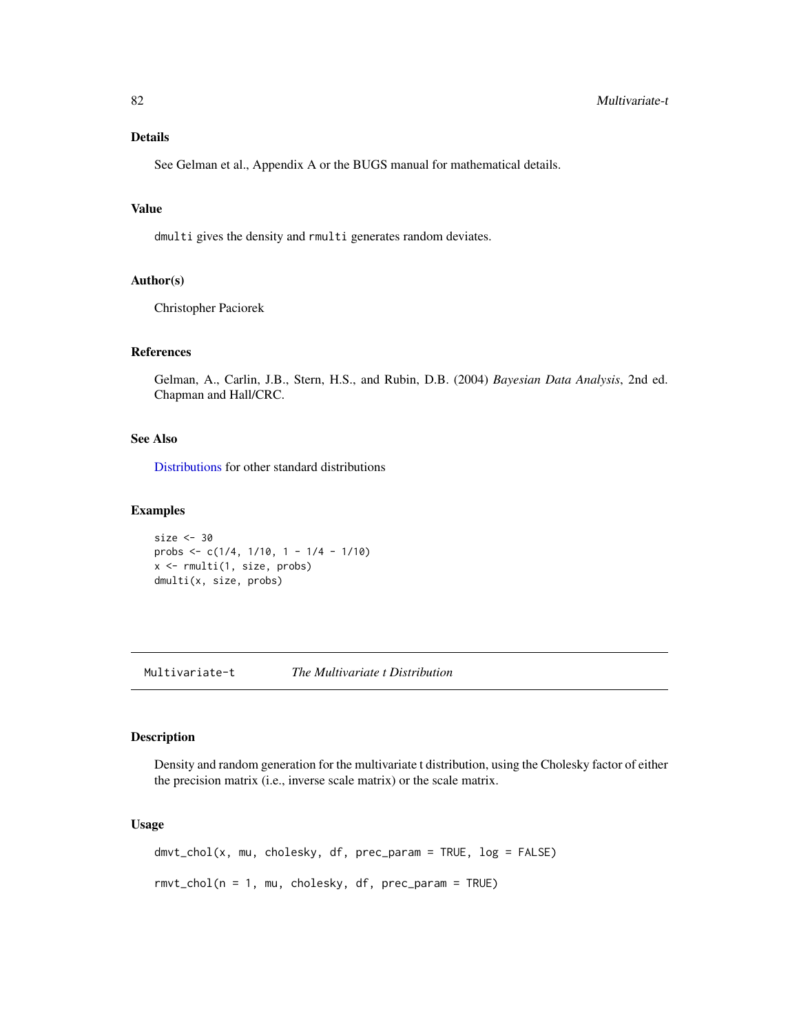See Gelman et al., Appendix A or the BUGS manual for mathematical details.

## Value

dmulti gives the density and rmulti generates random deviates.

## Author(s)

Christopher Paciorek

## References

Gelman, A., Carlin, J.B., Stern, H.S., and Rubin, D.B. (2004) *Bayesian Data Analysis*, 2nd ed. Chapman and Hall/CRC.

## See Also

[Distributions](#page-0-0) for other standard distributions

### Examples

```
size <- 30
probs <- c(1/4, 1/10, 1 - 1/4 - 1/10)
x <- rmulti(1, size, probs)
dmulti(x, size, probs)
```
Multivariate-t *The Multivariate t Distribution*

#### Description

Density and random generation for the multivariate t distribution, using the Cholesky factor of either the precision matrix (i.e., inverse scale matrix) or the scale matrix.

## Usage

dmvt\_chol(x, mu, cholesky, df, prec\_param = TRUE, log = FALSE) rmvt\_chol(n = 1, mu, cholesky, df, prec\_param = TRUE)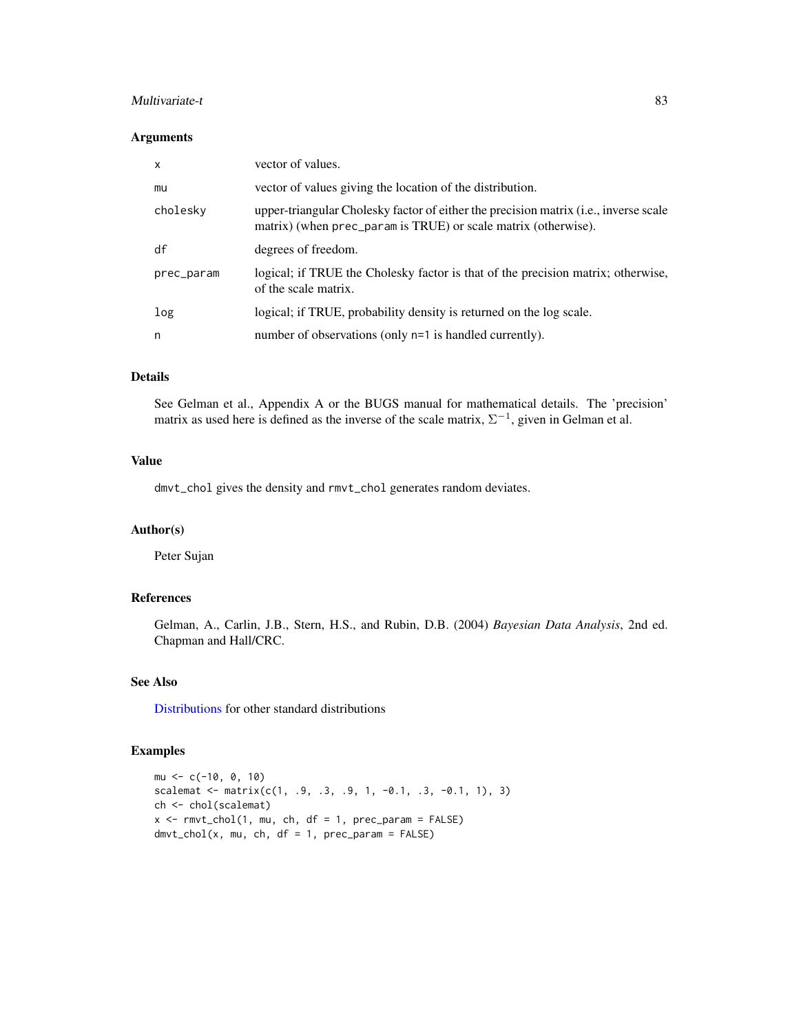## Multivariate-t 83

### Arguments

| x          | vector of values.                                                                                                                                      |
|------------|--------------------------------------------------------------------------------------------------------------------------------------------------------|
| mu         | vector of values giving the location of the distribution.                                                                                              |
| cholesky   | upper-triangular Cholesky factor of either the precision matrix (i.e., inverse scale<br>matrix) (when prec_param is TRUE) or scale matrix (otherwise). |
| df         | degrees of freedom.                                                                                                                                    |
| prec_param | logical; if TRUE the Cholesky factor is that of the precision matrix; otherwise,<br>of the scale matrix.                                               |
| log        | logical; if TRUE, probability density is returned on the log scale.                                                                                    |
| n          | number of observations (only n=1 is handled currently).                                                                                                |

# Details

See Gelman et al., Appendix A or the BUGS manual for mathematical details. The 'precision' matrix as used here is defined as the inverse of the scale matrix,  $\Sigma^{-1}$ , given in Gelman et al.

#### Value

dmvt\_chol gives the density and rmvt\_chol generates random deviates.

## Author(s)

Peter Sujan

### References

Gelman, A., Carlin, J.B., Stern, H.S., and Rubin, D.B. (2004) *Bayesian Data Analysis*, 2nd ed. Chapman and Hall/CRC.

# See Also

[Distributions](#page-0-0) for other standard distributions

### Examples

```
mu <- c(-10, 0, 10)
scalemat \leq matrix(c(1, .9, .3, .9, 1, -0.1, .3, -0.1, 1), 3)
ch <- chol(scalemat)
x \le -r mvt_chol(1, mu, ch, df = 1, prec_param = FALSE)
dmvt_{chol}(x, mu, ch, df = 1, prec_{param} = FALSE)
```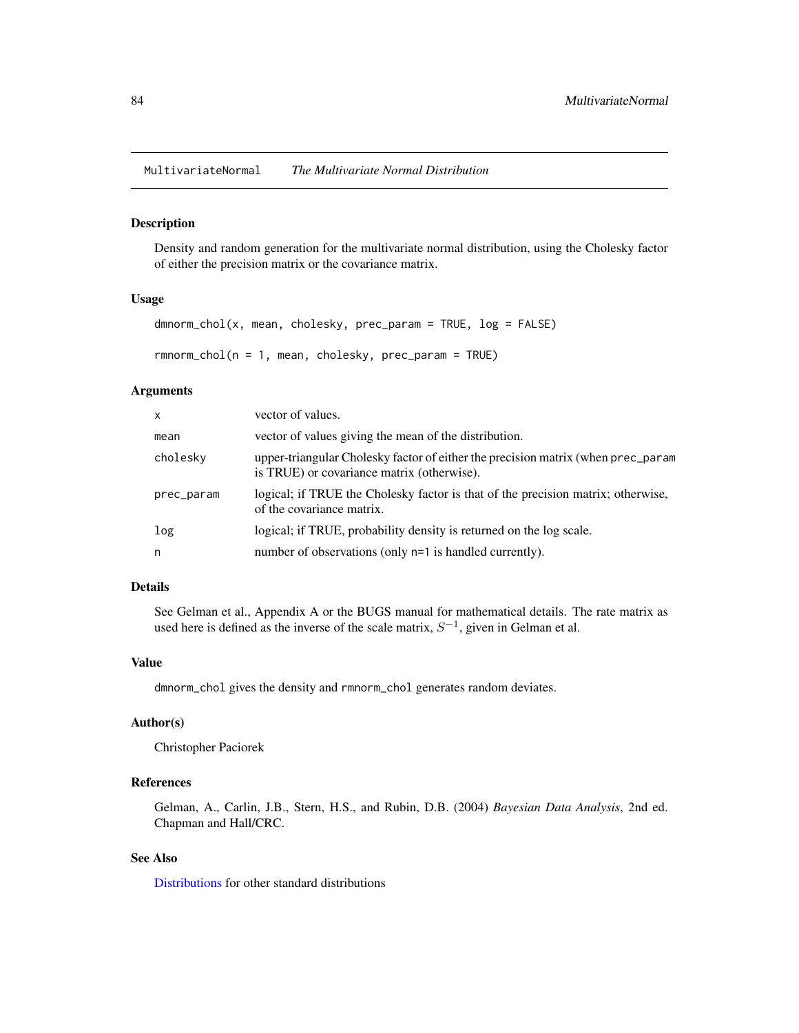MultivariateNormal *The Multivariate Normal Distribution*

#### Description

Density and random generation for the multivariate normal distribution, using the Cholesky factor of either the precision matrix or the covariance matrix.

#### Usage

```
dmnorm_chol(x, mean, cholesky, prec_param = TRUE, log = FALSE)
rmnorm_chol(n = 1, mean, cholesky, prec_param = TRUE)
```
## Arguments

| $\mathsf{x}$ | vector of values.                                                                                                              |
|--------------|--------------------------------------------------------------------------------------------------------------------------------|
| mean         | vector of values giving the mean of the distribution.                                                                          |
| cholesky     | upper-triangular Cholesky factor of either the precision matrix (when prec_param<br>is TRUE) or covariance matrix (otherwise). |
| prec_param   | logical; if TRUE the Cholesky factor is that of the precision matrix; otherwise,<br>of the covariance matrix.                  |
| log          | logical; if TRUE, probability density is returned on the log scale.                                                            |
| n            | number of observations (only n=1 is handled currently).                                                                        |

## Details

See Gelman et al., Appendix A or the BUGS manual for mathematical details. The rate matrix as used here is defined as the inverse of the scale matrix,  $S^{-1}$ , given in Gelman et al.

### Value

dmnorm\_chol gives the density and rmnorm\_chol generates random deviates.

### Author(s)

Christopher Paciorek

# References

Gelman, A., Carlin, J.B., Stern, H.S., and Rubin, D.B. (2004) *Bayesian Data Analysis*, 2nd ed. Chapman and Hall/CRC.

# See Also

[Distributions](#page-0-0) for other standard distributions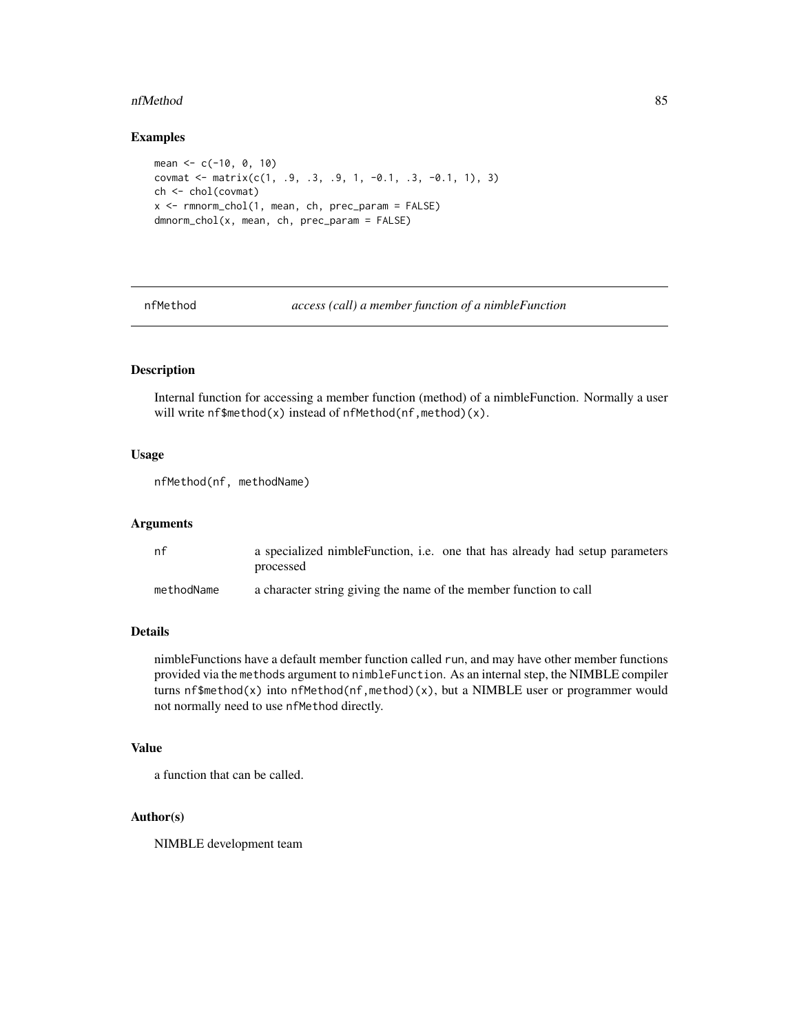#### nfMethod 85

### Examples

```
mean <- c(-10, 0, 10)
covmat <- matrix(c(1, .9, .3, .9, 1, -0.1, .3, -0.1, 1), 3)
ch <- chol(covmat)
x \leq -rmnorm_chol(1, mean, ch, prec_param = FALSE)
dmnorm_chol(x, mean, ch, prec_param = FALSE)
```
<span id="page-84-0"></span>

nfMethod *access (call) a member function of a nimbleFunction*

# Description

Internal function for accessing a member function (method) of a nimbleFunction. Normally a user will write nf\$method(x) instead of nfMethod(nf,method)(x).

### Usage

```
nfMethod(nf, methodName)
```
# Arguments

| nf         | a specialized nimble Function, i.e. one that has already had setup parameters |
|------------|-------------------------------------------------------------------------------|
|            | processed                                                                     |
| methodName | a character string giving the name of the member function to call             |

# Details

nimbleFunctions have a default member function called run, and may have other member functions provided via the methods argument to nimbleFunction. As an internal step, the NIMBLE compiler turns nf\$method(x) into nfMethod(nf,method)(x), but a NIMBLE user or programmer would not normally need to use nfMethod directly.

## Value

a function that can be called.

# Author(s)

NIMBLE development team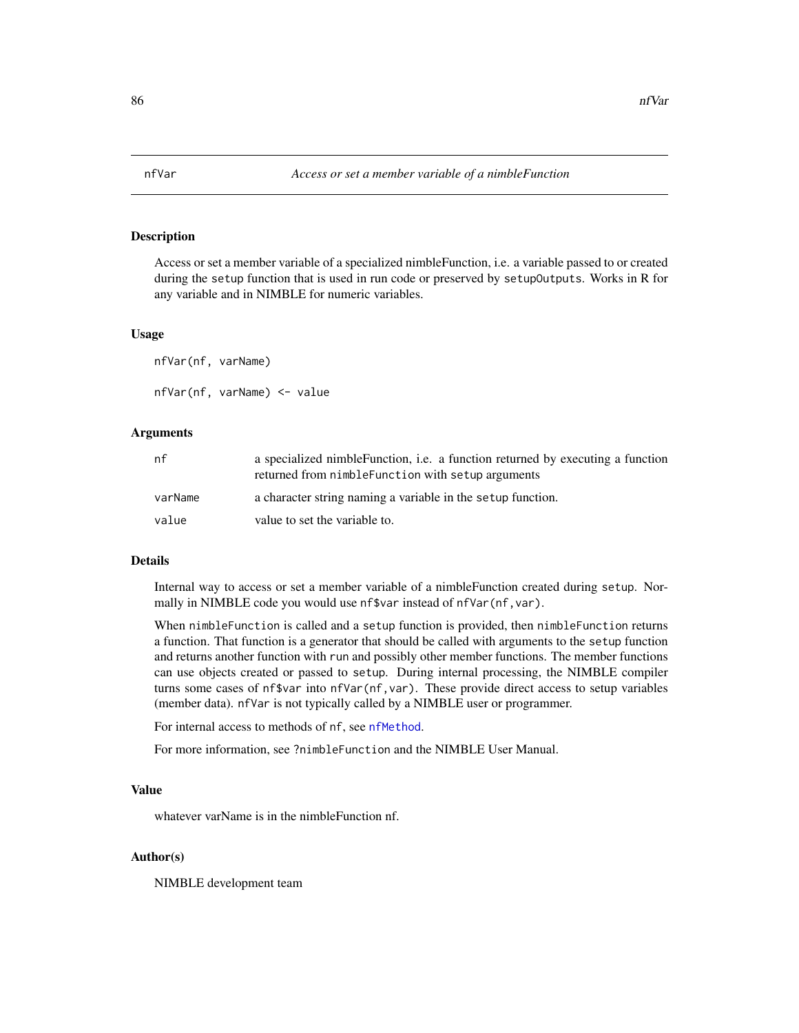# **Description**

Access or set a member variable of a specialized nimbleFunction, i.e. a variable passed to or created during the setup function that is used in run code or preserved by setupOutputs. Works in R for any variable and in NIMBLE for numeric variables.

#### Usage

nfVar(nf, varName) nfVar(nf, varName) <- value

### Arguments

| nf      | a specialized nimble Function, i.e. a function returned by executing a function<br>returned from nimble Function with setup arguments |
|---------|---------------------------------------------------------------------------------------------------------------------------------------|
| varName | a character string naming a variable in the setup function.                                                                           |
| value   | value to set the variable to.                                                                                                         |

## Details

Internal way to access or set a member variable of a nimbleFunction created during setup. Normally in NIMBLE code you would use nf\$var instead of nfVar(nf,var).

When nimbleFunction is called and a setup function is provided, then nimbleFunction returns a function. That function is a generator that should be called with arguments to the setup function and returns another function with run and possibly other member functions. The member functions can use objects created or passed to setup. During internal processing, the NIMBLE compiler turns some cases of nf\$var into nfVar(nf,var). These provide direct access to setup variables (member data). nfVar is not typically called by a NIMBLE user or programmer.

For internal access to methods of nf, see [nfMethod](#page-84-0).

For more information, see ?nimbleFunction and the NIMBLE User Manual.

## Value

whatever varName is in the nimbleFunction nf.

### Author(s)

NIMBLE development team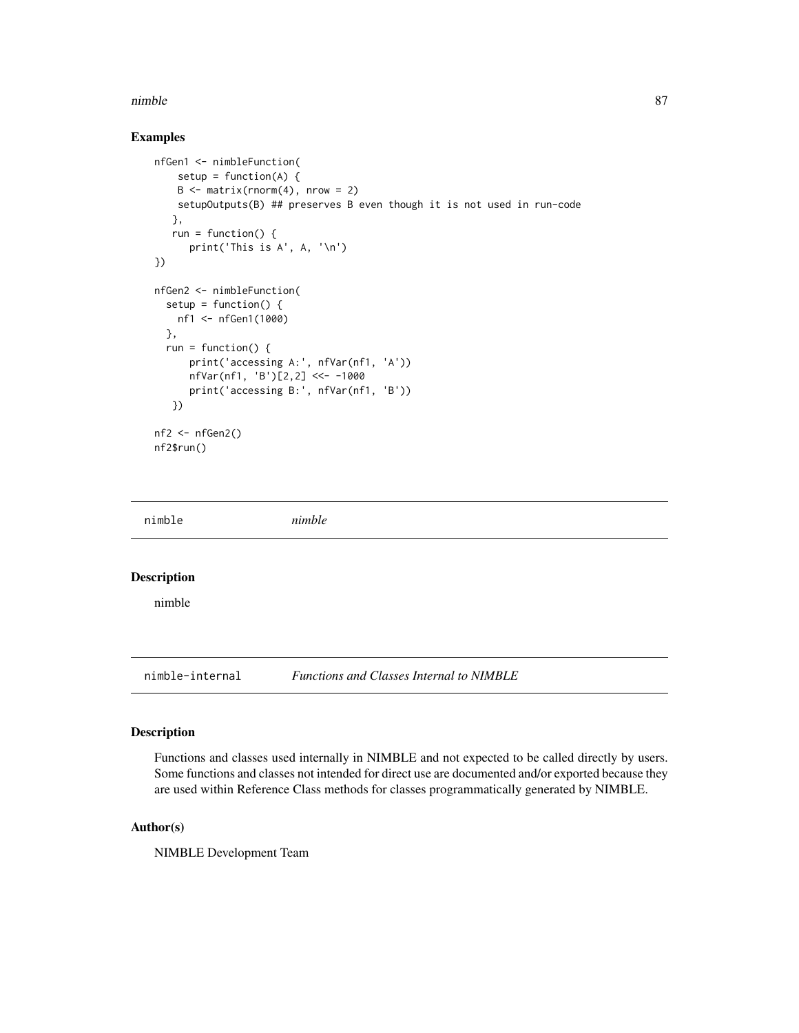#### nimble 87

# Examples

```
nfGen1 <- nimbleFunction(
   setup = function(A) {
    B \le - matrix(rnorm(4), nrow = 2)
   setupOutputs(B) ## preserves B even though it is not used in run-code
   },
   run = function() {
      print('This is A', A, '\n')
})
nfGen2 <- nimbleFunction(
  setup = function() {
   nf1 <- nfGen1(1000)
  },
  run = function() {
      print('accessing A:', nfVar(nf1, 'A'))
      nfVar(nf1, 'B')[2,2] <<- -1000
      print('accessing B:', nfVar(nf1, 'B'))
   })
nf2 < -nfGen2()nf2$run()
```

| nimble             | nimble |  |  |
|--------------------|--------|--|--|
| <b>Description</b> |        |  |  |
| nimble             |        |  |  |

nimble-internal *Functions and Classes Internal to NIMBLE*

# Description

Functions and classes used internally in NIMBLE and not expected to be called directly by users. Some functions and classes not intended for direct use are documented and/or exported because they are used within Reference Class methods for classes programmatically generated by NIMBLE.

# Author(s)

NIMBLE Development Team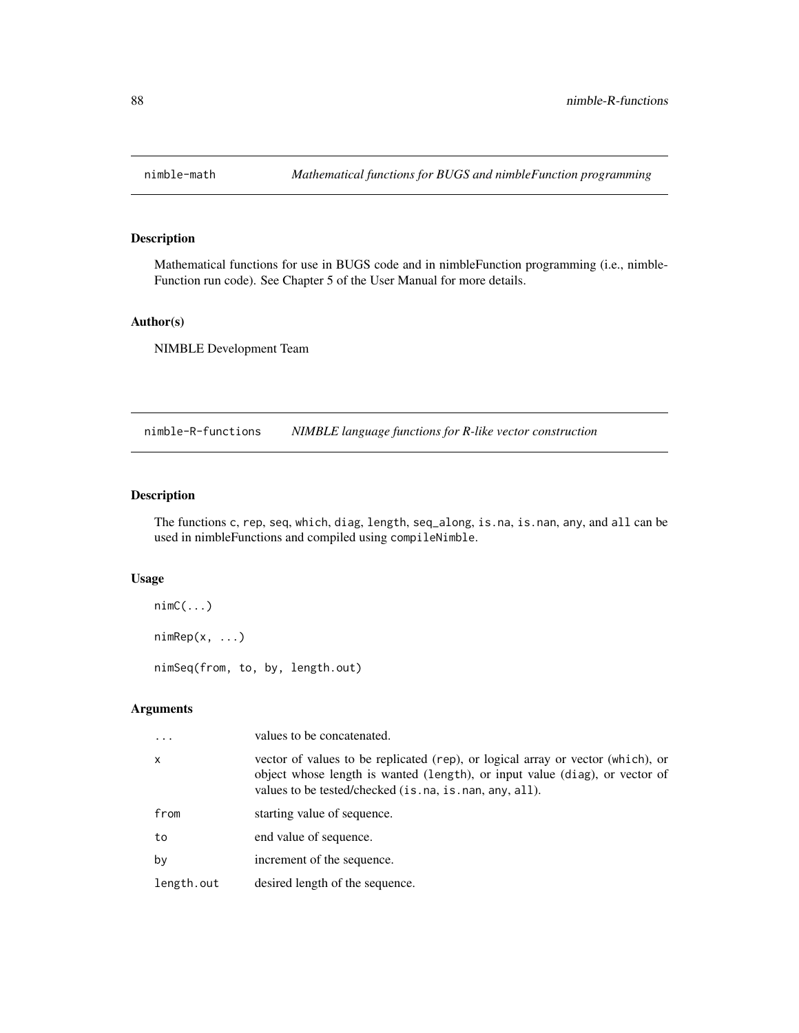# Description

Mathematical functions for use in BUGS code and in nimbleFunction programming (i.e., nimble-Function run code). See Chapter 5 of the User Manual for more details.

# Author(s)

NIMBLE Development Team

nimble-R-functions *NIMBLE language functions for R-like vector construction*

# Description

The functions c, rep, seq, which, diag, length, seq\_along, is.na, is.nan, any, and all can be used in nimbleFunctions and compiled using compileNimble.

### Usage

```
nimC(\ldots)nimRep(x, \ldots)nimSeq(from, to, by, length.out)
```

|              | values to be concatenated.                                                                                                                                                                                               |
|--------------|--------------------------------------------------------------------------------------------------------------------------------------------------------------------------------------------------------------------------|
| $\mathsf{x}$ | vector of values to be replicated (rep), or logical array or vector (which), or<br>object whose length is wanted (length), or input value (diag), or vector of<br>values to be tested/checked (is.na, is.nan, any, all). |
| from         | starting value of sequence.                                                                                                                                                                                              |
| to           | end value of sequence.                                                                                                                                                                                                   |
| by           | increment of the sequence.                                                                                                                                                                                               |
| length.out   | desired length of the sequence.                                                                                                                                                                                          |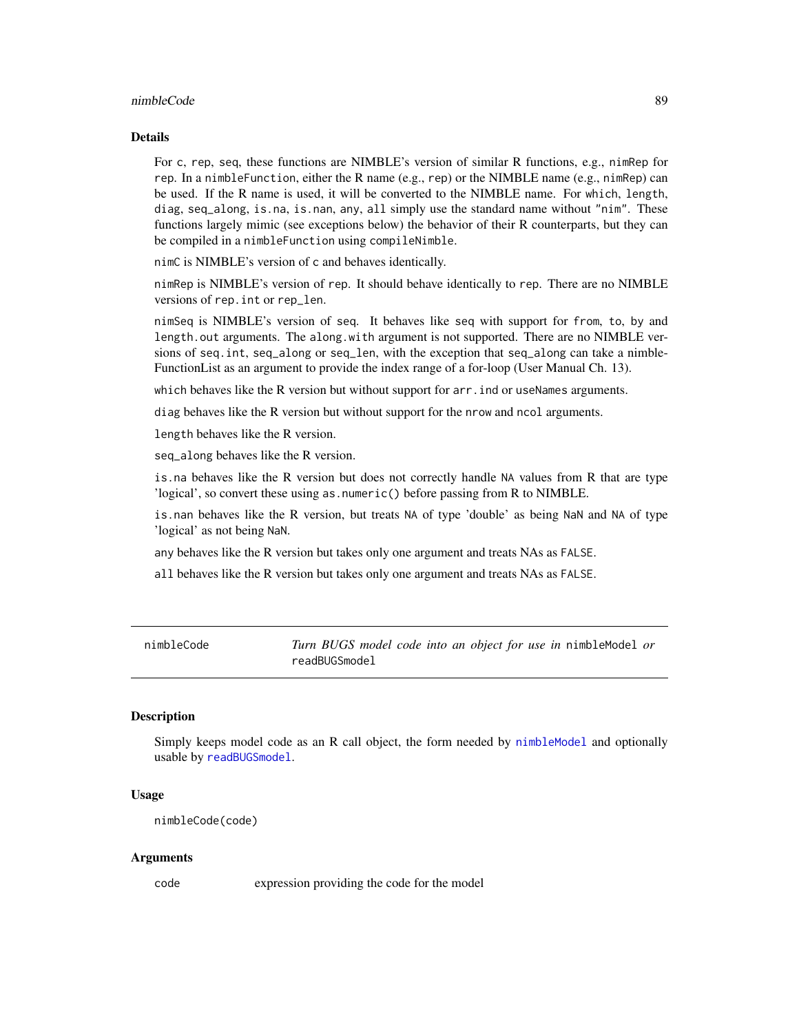### nimbleCode 89

### Details

For c, rep, seq, these functions are NIMBLE's version of similar R functions, e.g., nimRep for rep. In a nimble Function, either the R name (e.g., rep) or the NIMBLE name (e.g., nimRep) can be used. If the R name is used, it will be converted to the NIMBLE name. For which, length, diag, seq\_along, is.na, is.nan, any, all simply use the standard name without "nim". These functions largely mimic (see exceptions below) the behavior of their R counterparts, but they can be compiled in a nimbleFunction using compileNimble.

nimC is NIMBLE's version of c and behaves identically.

nimRep is NIMBLE's version of rep. It should behave identically to rep. There are no NIMBLE versions of rep.int or rep\_len.

nimSeq is NIMBLE's version of seq. It behaves like seq with support for from, to, by and length.out arguments. The along.with argument is not supported. There are no NIMBLE versions of seq.int, seq\_along or seq\_len, with the exception that seq\_along can take a nimble-FunctionList as an argument to provide the index range of a for-loop (User Manual Ch. 13).

which behaves like the R version but without support for arr. ind or useNames arguments.

diag behaves like the R version but without support for the nrow and ncol arguments.

length behaves like the R version.

seq\_along behaves like the R version.

is.na behaves like the R version but does not correctly handle NA values from R that are type 'logical', so convert these using as.numeric() before passing from R to NIMBLE.

is.nan behaves like the R version, but treats NA of type 'double' as being NaN and NA of type 'logical' as not being NaN.

any behaves like the R version but takes only one argument and treats NAs as FALSE.

all behaves like the R version but takes only one argument and treats NAs as FALSE.

<span id="page-88-0"></span>nimbleCode *Turn BUGS model code into an object for use in* nimbleModel *or* readBUGSmodel

## **Description**

Simply keeps model code as an R call object, the form needed by [nimbleModel](#page-98-0) and optionally usable by [readBUGSmodel](#page-120-0).

#### Usage

```
nimbleCode(code)
```
### **Arguments**

code expression providing the code for the model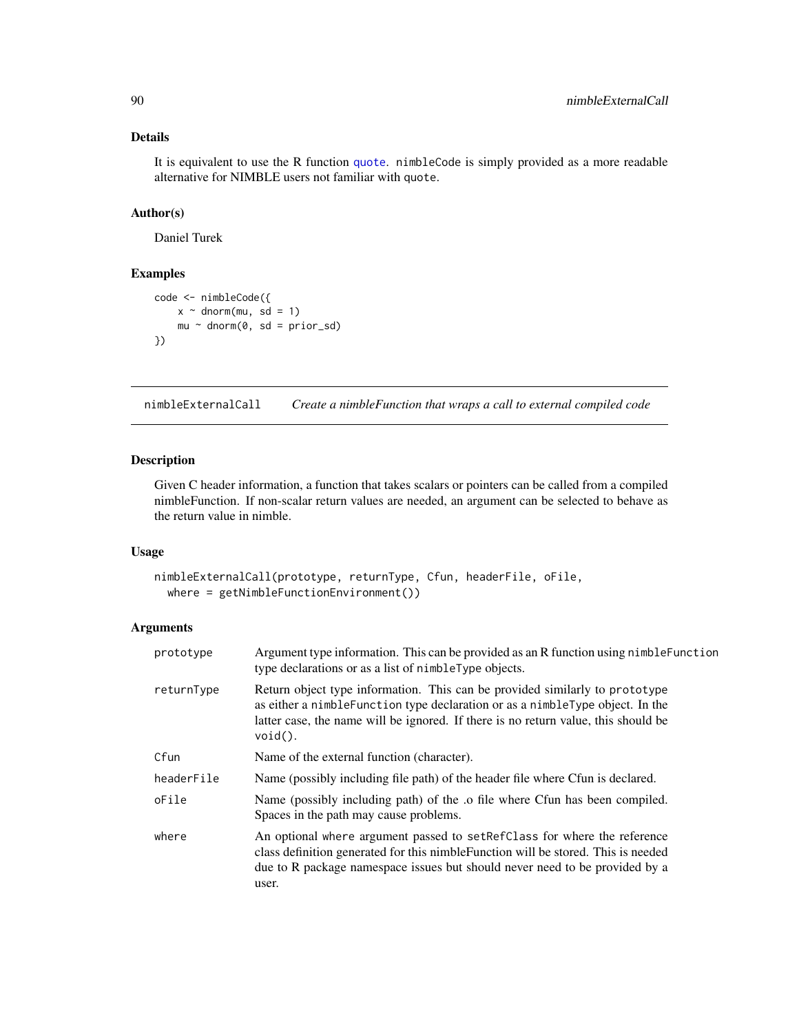It is equivalent to use the R function [quote](#page-0-0). nimbleCode is simply provided as a more readable alternative for NIMBLE users not familiar with quote.

### Author(s)

Daniel Turek

# Examples

```
code <- nimbleCode({
   x \sim dnorm(mu, sd = 1)
    mu ~ ~ dnorm(0, sd = prior_sd)
})
```
<span id="page-89-0"></span>nimbleExternalCall *Create a nimbleFunction that wraps a call to external compiled code*

## Description

Given C header information, a function that takes scalars or pointers can be called from a compiled nimbleFunction. If non-scalar return values are needed, an argument can be selected to behave as the return value in nimble.

# Usage

```
nimbleExternalCall(prototype, returnType, Cfun, headerFile, oFile,
 where = getNimbleFunctionEnvironment())
```

| prototype  | Argument type information. This can be provided as an R function using nimble Function<br>type declarations or as a list of nimbleType objects.                                                                                                                    |
|------------|--------------------------------------------------------------------------------------------------------------------------------------------------------------------------------------------------------------------------------------------------------------------|
| returnType | Return object type information. This can be provided similarly to prototype<br>as either a nimble Function type declaration or as a nimble Type object. In the<br>latter case, the name will be ignored. If there is no return value, this should be<br>$void()$ . |
| Cfun       | Name of the external function (character).                                                                                                                                                                                                                         |
| headerFile | Name (possibly including file path) of the header file where Cfun is declared.                                                                                                                                                                                     |
| oFile      | Name (possibly including path) of the .o file where Cfun has been compiled.<br>Spaces in the path may cause problems.                                                                                                                                              |
| where      | An optional where argument passed to set Ref Class for where the reference<br>class definition generated for this nimble Function will be stored. This is needed<br>due to R package namespace issues but should never need to be provided by a<br>user.           |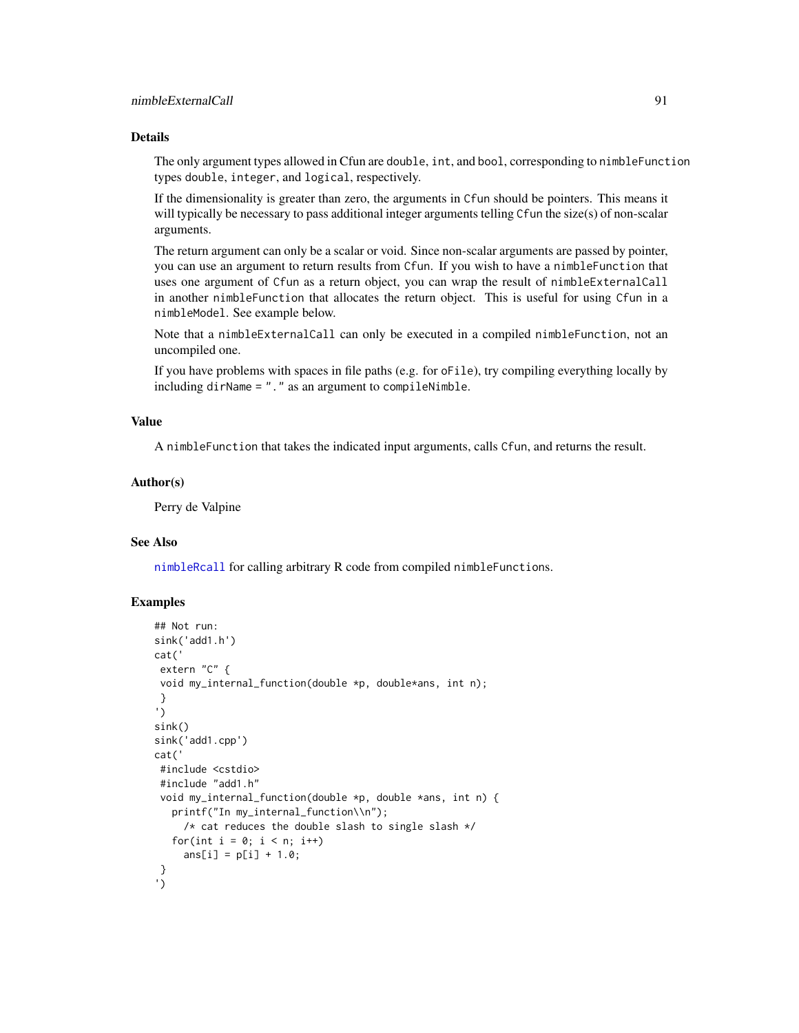The only argument types allowed in Cfun are double, int, and bool, corresponding to nimbleFunction types double, integer, and logical, respectively.

If the dimensionality is greater than zero, the arguments in Cfun should be pointers. This means it will typically be necessary to pass additional integer arguments telling Cfun the size(s) of non-scalar arguments.

The return argument can only be a scalar or void. Since non-scalar arguments are passed by pointer, you can use an argument to return results from Cfun. If you wish to have a nimbleFunction that uses one argument of Cfun as a return object, you can wrap the result of nimbleExternalCall in another nimbleFunction that allocates the return object. This is useful for using Cfun in a nimbleModel. See example below.

Note that a nimbleExternalCall can only be executed in a compiled nimbleFunction, not an uncompiled one.

If you have problems with spaces in file paths (e.g. for oFile), try compiling everything locally by including dirName = "." as an argument to compileNimble.

## Value

A nimbleFunction that takes the indicated input arguments, calls Cfun, and returns the result.

### Author(s)

Perry de Valpine

#### See Also

[nimbleRcall](#page-101-0) for calling arbitrary R code from compiled nimbleFunctions.

## Examples

```
## Not run:
sink('add1.h')
cat('
extern "C" {
void my_internal_function(double *p, double*ans, int n);
}
')
sink()
sink('add1.cpp')
cat('
#include <cstdio>
#include "add1.h"
void my_internal_function(double *p, double *ans, int n) {
   printf("In my_internal_function\\n");
     /* cat reduces the double slash to single slash */for(int i = 0; i < n; i^{++})
     ans[i] = p[i] + 1.0;}
')
```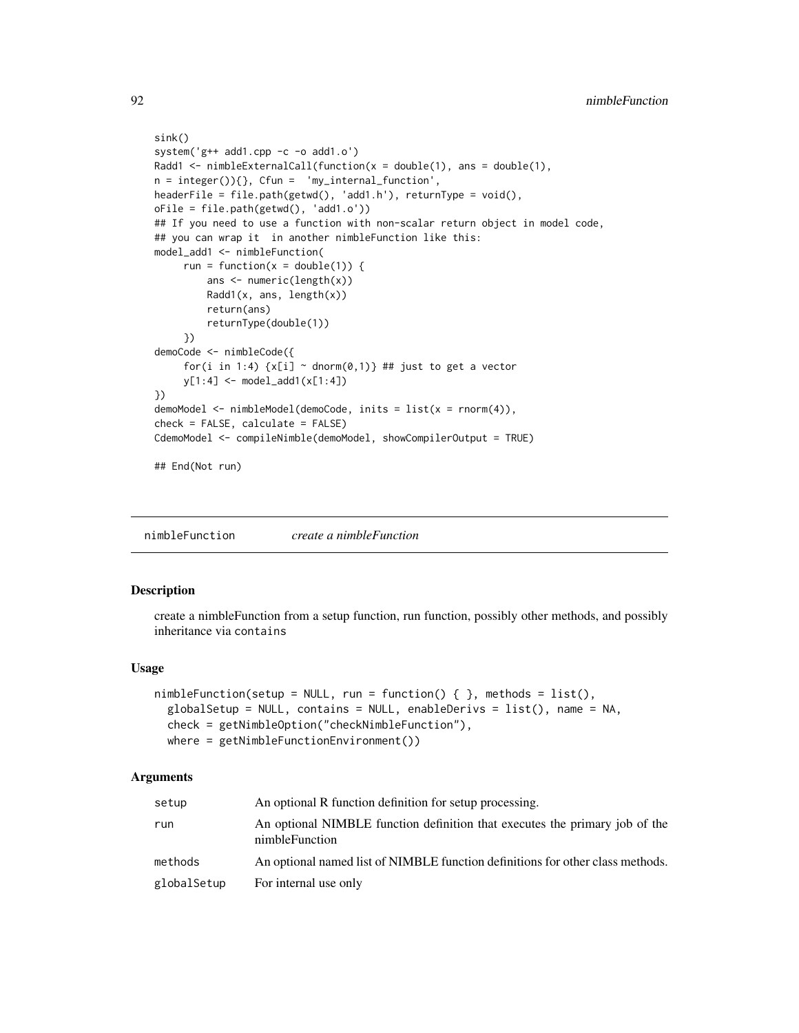```
sink()
system('g++ add1.cpp -c -o add1.o')
Radd1 <- nimbleExternalCall(function(x = double(1), ans = double(1),
n = integer() {}, Cfun = 'my_internal_function',headerFile = file.path(getwd(), 'add1.h'), returnType = void(),
oFile = file.path(getwd(), 'add1.o'))
## If you need to use a function with non-scalar return object in model code,
## you can wrap it in another nimbleFunction like this:
model_add1 <- nimbleFunction(
     run = function(x = double(1)) {
         ans <- numeric(length(x))
         Radd1(x, ans, length(x))
         return(ans)
         returnType(double(1))
     })
demoCode <- nimbleCode({
     for(i in 1:4) \{x[i] \sim \text{donr}(0,1)\} ## just to get a vector
     y[1:4] <- model_add1(x[1:4])
})
demoModel <- nimbleModel(demoCode, inits = list(x = rnorm(4)),
check = FALSE, calculate = FALSE)
CdemoModel <- compileNimble(demoModel, showCompilerOutput = TRUE)
## End(Not run)
```
<span id="page-91-0"></span>nimbleFunction *create a nimbleFunction*

### Description

create a nimbleFunction from a setup function, run function, possibly other methods, and possibly inheritance via contains

### Usage

```
nimbleFunction(setup = NULL, run = function() { }, methods = list(),
  globalSetup = NULL, contains = NULL, enableDerivs = list(), name = NA,
  check = getNimbleOption("checkNimbleFunction"),
 where = getNimbleFunctionEnvironment())
```

| setup       | An optional R function definition for setup processing.                                       |
|-------------|-----------------------------------------------------------------------------------------------|
| run         | An optional NIMBLE function definition that executes the primary job of the<br>nimbleFunction |
| methods     | An optional named list of NIMBLE function definitions for other class methods.                |
| globalSetup | For internal use only                                                                         |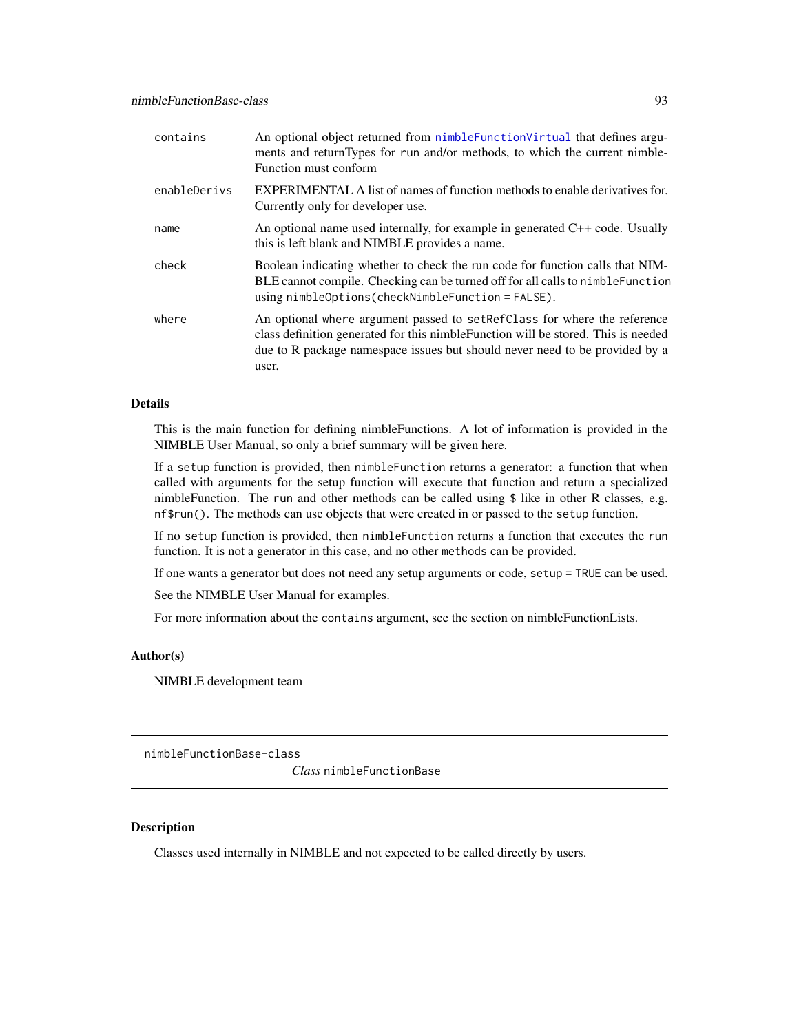| contains     | An optional object returned from nimble Function Virtual that defines argu-<br>ments and returnTypes for run and/or methods, to which the current nimble-<br>Function must conform                                                                      |
|--------------|---------------------------------------------------------------------------------------------------------------------------------------------------------------------------------------------------------------------------------------------------------|
| enableDerivs | <b>EXPERIMENTAL A list of names of function methods to enable derivatives for.</b><br>Currently only for developer use.                                                                                                                                 |
| name         | An optional name used internally, for example in generated $C++$ code. Usually<br>this is left blank and NIMBLE provides a name.                                                                                                                        |
| check        | Boolean indicating whether to check the run code for function calls that NIM-<br>BLE cannot compile. Checking can be turned off for all calls to nimble Function<br>$using$ $nimbleOptions$ (check $NimbleFunction$ = $FALSE$ ).                        |
| where        | An optional where argument passed to set RefClass for where the reference<br>class definition generated for this nimble Function will be stored. This is needed<br>due to R package namespace issues but should never need to be provided by a<br>user. |

This is the main function for defining nimbleFunctions. A lot of information is provided in the NIMBLE User Manual, so only a brief summary will be given here.

If a setup function is provided, then nimbleFunction returns a generator: a function that when called with arguments for the setup function will execute that function and return a specialized nimbleFunction. The run and other methods can be called using \$ like in other R classes, e.g. nf\$run(). The methods can use objects that were created in or passed to the setup function.

If no setup function is provided, then nimbleFunction returns a function that executes the run function. It is not a generator in this case, and no other methods can be provided.

If one wants a generator but does not need any setup arguments or code, setup = TRUE can be used.

See the NIMBLE User Manual for examples.

For more information about the contains argument, see the section on nimbleFunctionLists.

## Author(s)

NIMBLE development team

nimbleFunctionBase-class

*Class* nimbleFunctionBase

## Description

Classes used internally in NIMBLE and not expected to be called directly by users.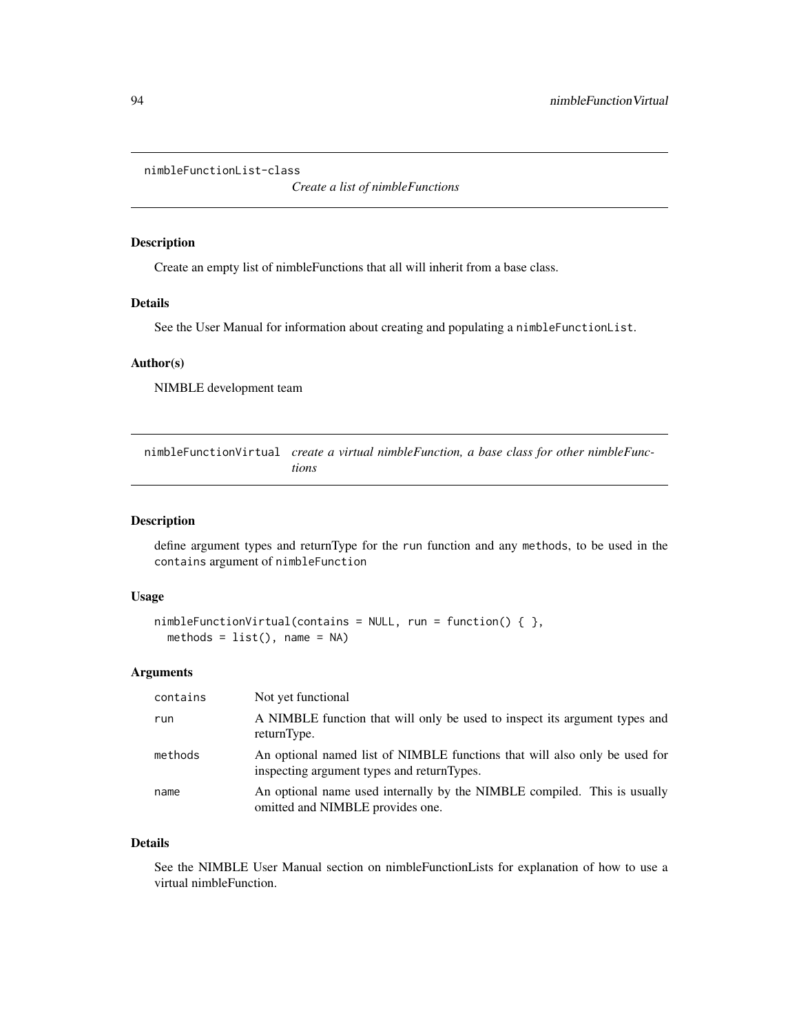nimbleFunctionList-class

*Create a list of nimbleFunctions*

## Description

Create an empty list of nimbleFunctions that all will inherit from a base class.

## Details

See the User Manual for information about creating and populating a nimbleFunctionList.

## Author(s)

NIMBLE development team

<span id="page-93-0"></span>nimbleFunctionVirtual *create a virtual nimbleFunction, a base class for other nimbleFunctions*

#### Description

define argument types and returnType for the run function and any methods, to be used in the contains argument of nimbleFunction

## Usage

```
nimbleFunctionVirtual(contains = NULL, run = function() { },
 methods = list(), name = NA)
```
#### Arguments

| contains | Not yet functional                                                                                                       |
|----------|--------------------------------------------------------------------------------------------------------------------------|
| run      | A NIMBLE function that will only be used to inspect its argument types and<br>returnType.                                |
| methods  | An optional named list of NIMBLE functions that will also only be used for<br>inspecting argument types and returnTypes. |
| name     | An optional name used internally by the NIMBLE compiled. This is usually<br>omitted and NIMBLE provides one.             |

#### Details

See the NIMBLE User Manual section on nimbleFunctionLists for explanation of how to use a virtual nimbleFunction.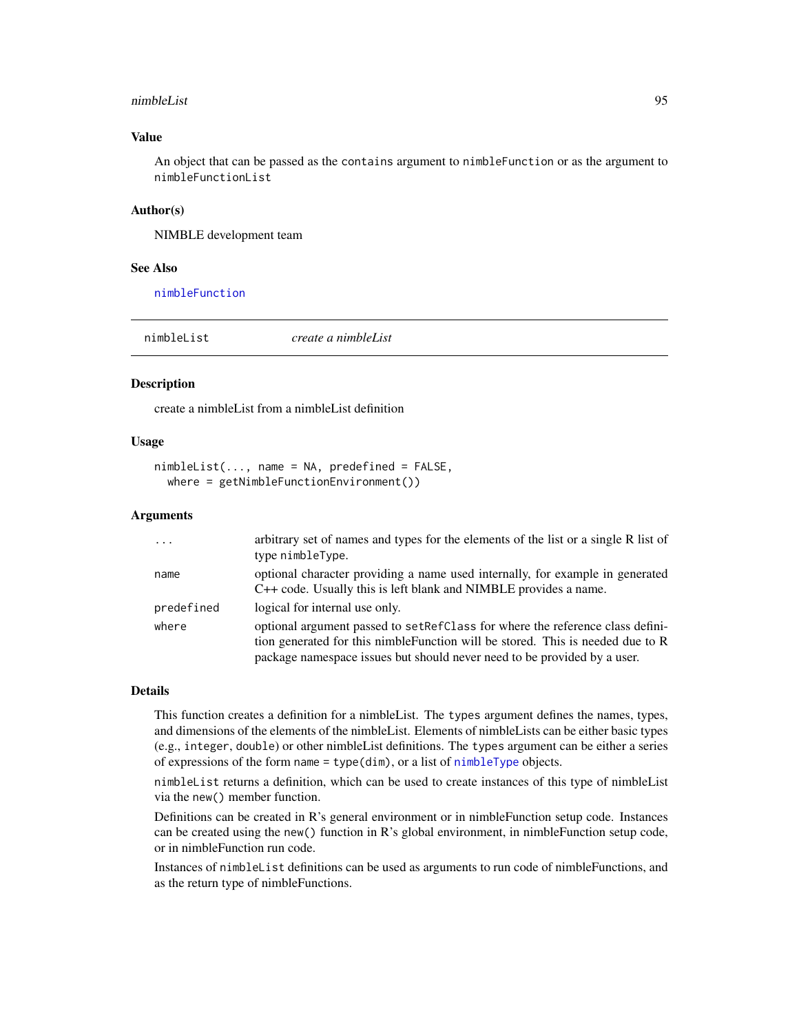#### nimbleList 95

## Value

An object that can be passed as the contains argument to nimbleFunction or as the argument to nimbleFunctionList

### Author(s)

NIMBLE development team

#### See Also

[nimbleFunction](#page-91-0)

<span id="page-94-0"></span>

| nimbleList | create a nimbleList |
|------------|---------------------|
|            |                     |

#### Description

create a nimbleList from a nimbleList definition

### Usage

```
nimbleList(..., name = NA, predefined = FALSE,
 where = getNimbleFunctionEnvironment())
```
### Arguments

| $\cdot$ $\cdot$ $\cdot$ | arbitrary set of names and types for the elements of the list or a single R list of<br>type nimbleType.                                                                                                                                       |
|-------------------------|-----------------------------------------------------------------------------------------------------------------------------------------------------------------------------------------------------------------------------------------------|
| name                    | optional character providing a name used internally, for example in generated<br>C++ code. Usually this is left blank and NIMBLE provides a name.                                                                                             |
| predefined              | logical for internal use only.                                                                                                                                                                                                                |
| where                   | optional argument passed to set RefClass for where the reference class defini-<br>tion generated for this nimble Function will be stored. This is needed due to R<br>package namespace issues but should never need to be provided by a user. |

#### Details

This function creates a definition for a nimbleList. The types argument defines the names, types, and dimensions of the elements of the nimbleList. Elements of nimbleLists can be either basic types (e.g., integer, double) or other nimbleList definitions. The types argument can be either a series of expressions of the form name = type(dim), or a list of [nimbleType](#page-102-0) objects.

nimbleList returns a definition, which can be used to create instances of this type of nimbleList via the new() member function.

Definitions can be created in R's general environment or in nimbleFunction setup code. Instances can be created using the new() function in R's global environment, in nimbleFunction setup code, or in nimbleFunction run code.

Instances of nimbleList definitions can be used as arguments to run code of nimbleFunctions, and as the return type of nimbleFunctions.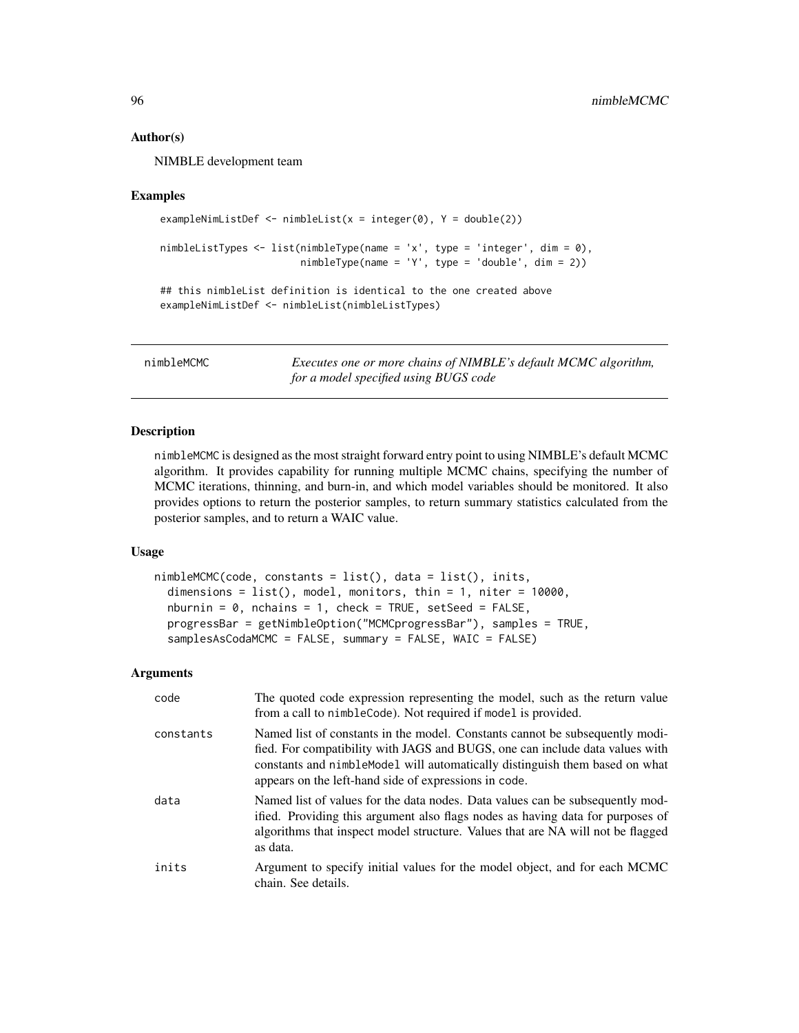### Author(s)

NIMBLE development team

#### Examples

```
exampleNimListDef <- nimbleList(x = integer(0), Y = double(2))
nimbleListTypes <- list(nimbleType(name = 'x', type = 'integer', dim = 0),
                        nimbleType(name = 'Y', type = 'double', dim = 2))## this nimbleList definition is identical to the one created above
exampleNimListDef <- nimbleList(nimbleListTypes)
```
nimbleMCMC *Executes one or more chains of NIMBLE's default MCMC algorithm, for a model specified using BUGS code*

## **Description**

nimbleMCMC is designed as the most straight forward entry point to using NIMBLE's default MCMC algorithm. It provides capability for running multiple MCMC chains, specifying the number of MCMC iterations, thinning, and burn-in, and which model variables should be monitored. It also provides options to return the posterior samples, to return summary statistics calculated from the posterior samples, and to return a WAIC value.

## Usage

```
nimbleMCMC(code, constants = list(), data = list(), inits,
  dimensions = list(), model, monitors, thin = 1, niter = 10000,
  nburnin = 0, nchains = 1, check = TRUE, setSeed = FALSE,
 progressBar = getNimbleOption("MCMCprogressBar"), samples = TRUE,
  samplesAsCodaMCMC = FALSE, summary = FALSE, WAIC = FALSE)
```

| code      | The quoted code expression representing the model, such as the return value<br>from a call to nimbleCode). Not required if model is provided.                                                                                                                                                         |
|-----------|-------------------------------------------------------------------------------------------------------------------------------------------------------------------------------------------------------------------------------------------------------------------------------------------------------|
| constants | Named list of constants in the model. Constants cannot be subsequently modi-<br>fied. For compatibility with JAGS and BUGS, one can include data values with<br>constants and nimble Model will automatically distinguish them based on what<br>appears on the left-hand side of expressions in code. |
| data      | Named list of values for the data nodes. Data values can be subsequently mod-<br>ified. Providing this argument also flags nodes as having data for purposes of<br>algorithms that inspect model structure. Values that are NA will not be flagged<br>as data.                                        |
| inits     | Argument to specify initial values for the model object, and for each MCMC<br>chain. See details.                                                                                                                                                                                                     |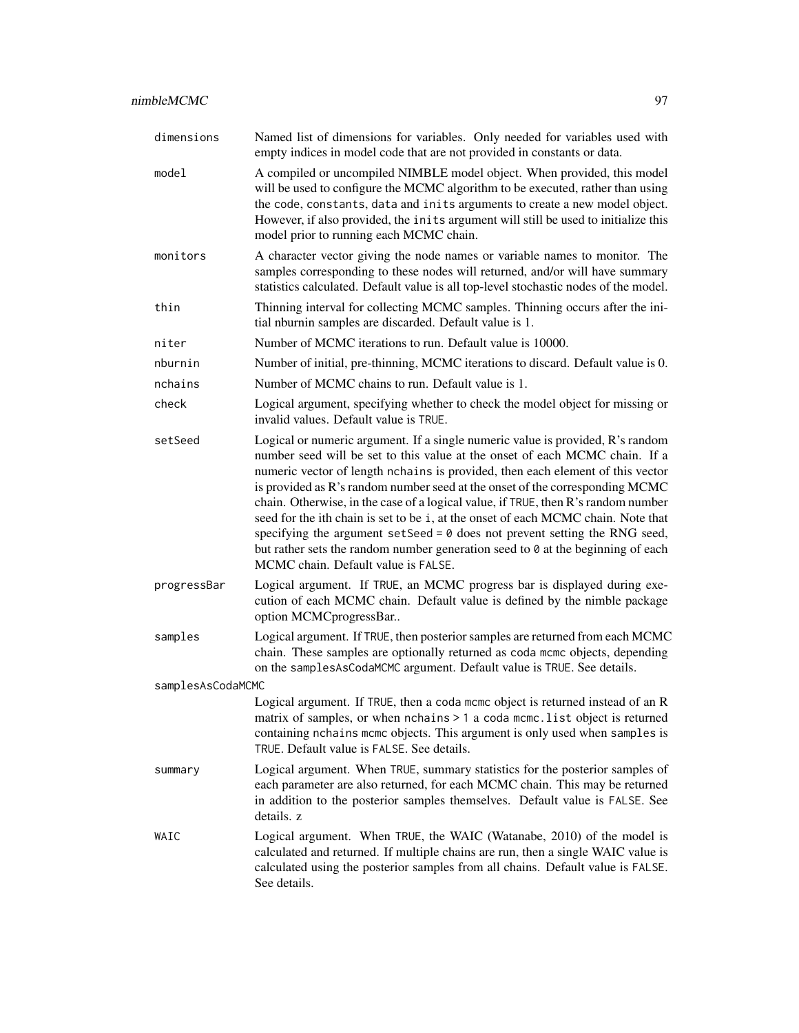| dimensions        | Named list of dimensions for variables. Only needed for variables used with<br>empty indices in model code that are not provided in constants or data.                                                                                                                                                                                                                                                                                                                                                                                                                                                                                                                                                              |
|-------------------|---------------------------------------------------------------------------------------------------------------------------------------------------------------------------------------------------------------------------------------------------------------------------------------------------------------------------------------------------------------------------------------------------------------------------------------------------------------------------------------------------------------------------------------------------------------------------------------------------------------------------------------------------------------------------------------------------------------------|
| model             | A compiled or uncompiled NIMBLE model object. When provided, this model<br>will be used to configure the MCMC algorithm to be executed, rather than using<br>the code, constants, data and inits arguments to create a new model object.<br>However, if also provided, the inits argument will still be used to initialize this<br>model prior to running each MCMC chain.                                                                                                                                                                                                                                                                                                                                          |
| monitors          | A character vector giving the node names or variable names to monitor. The<br>samples corresponding to these nodes will returned, and/or will have summary<br>statistics calculated. Default value is all top-level stochastic nodes of the model.                                                                                                                                                                                                                                                                                                                                                                                                                                                                  |
| thin              | Thinning interval for collecting MCMC samples. Thinning occurs after the ini-<br>tial nburnin samples are discarded. Default value is 1.                                                                                                                                                                                                                                                                                                                                                                                                                                                                                                                                                                            |
| niter             | Number of MCMC iterations to run. Default value is 10000.                                                                                                                                                                                                                                                                                                                                                                                                                                                                                                                                                                                                                                                           |
| nburnin           | Number of initial, pre-thinning, MCMC iterations to discard. Default value is 0.                                                                                                                                                                                                                                                                                                                                                                                                                                                                                                                                                                                                                                    |
| nchains           | Number of MCMC chains to run. Default value is 1.                                                                                                                                                                                                                                                                                                                                                                                                                                                                                                                                                                                                                                                                   |
| check             | Logical argument, specifying whether to check the model object for missing or<br>invalid values. Default value is TRUE.                                                                                                                                                                                                                                                                                                                                                                                                                                                                                                                                                                                             |
| setSeed           | Logical or numeric argument. If a single numeric value is provided, R's random<br>number seed will be set to this value at the onset of each MCMC chain. If a<br>numeric vector of length nchains is provided, then each element of this vector<br>is provided as R's random number seed at the onset of the corresponding MCMC<br>chain. Otherwise, in the case of a logical value, if TRUE, then R's random number<br>seed for the ith chain is set to be i, at the onset of each MCMC chain. Note that<br>specifying the argument setSeed = $0$ does not prevent setting the RNG seed,<br>but rather sets the random number generation seed to 0 at the beginning of each<br>MCMC chain. Default value is FALSE. |
| progressBar       | Logical argument. If TRUE, an MCMC progress bar is displayed during exe-<br>cution of each MCMC chain. Default value is defined by the nimble package<br>option MCMCprogressBar                                                                                                                                                                                                                                                                                                                                                                                                                                                                                                                                     |
| samples           | Logical argument. If TRUE, then posterior samples are returned from each MCMC<br>chain. These samples are optionally returned as coda mcmc objects, depending<br>on the samplesAsCodaMCMC argument. Default value is TRUE. See details.                                                                                                                                                                                                                                                                                                                                                                                                                                                                             |
| samplesAsCodaMCMC |                                                                                                                                                                                                                                                                                                                                                                                                                                                                                                                                                                                                                                                                                                                     |
|                   | Logical argument. If TRUE, then a coda mcmc object is returned instead of an R<br>matrix of samples, or when nchains > 1 a coda mcmc. list object is returned<br>containing nchains mcmc objects. This argument is only used when samples is<br>TRUE. Default value is FALSE. See details.                                                                                                                                                                                                                                                                                                                                                                                                                          |
| summary           | Logical argument. When TRUE, summary statistics for the posterior samples of<br>each parameter are also returned, for each MCMC chain. This may be returned<br>in addition to the posterior samples themselves. Default value is FALSE. See<br>details. z                                                                                                                                                                                                                                                                                                                                                                                                                                                           |
| WAIC              | Logical argument. When TRUE, the WAIC (Watanabe, 2010) of the model is<br>calculated and returned. If multiple chains are run, then a single WAIC value is<br>calculated using the posterior samples from all chains. Default value is FALSE.<br>See details.                                                                                                                                                                                                                                                                                                                                                                                                                                                       |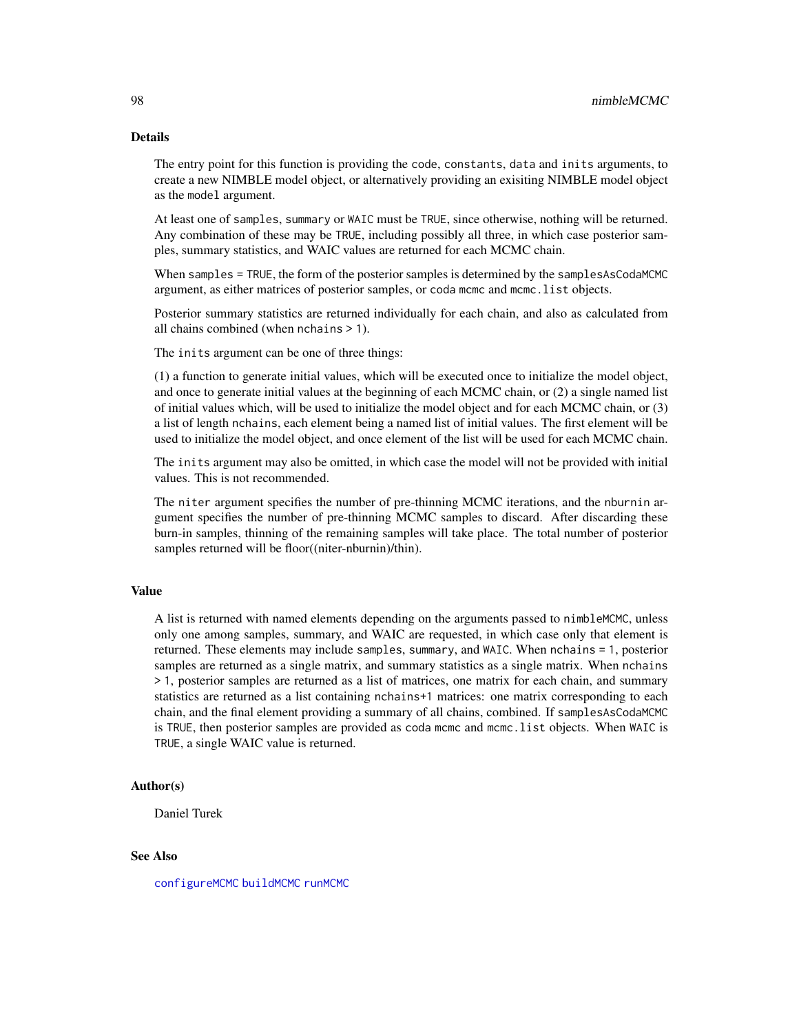The entry point for this function is providing the code, constants, data and inits arguments, to create a new NIMBLE model object, or alternatively providing an exisiting NIMBLE model object as the model argument.

At least one of samples, summary or WAIC must be TRUE, since otherwise, nothing will be returned. Any combination of these may be TRUE, including possibly all three, in which case posterior samples, summary statistics, and WAIC values are returned for each MCMC chain.

When samples = TRUE, the form of the posterior samples is determined by the samplesAsCodaMCMC argument, as either matrices of posterior samples, or coda mcmc and mcmc.list objects.

Posterior summary statistics are returned individually for each chain, and also as calculated from all chains combined (when nchains > 1).

The inits argument can be one of three things:

(1) a function to generate initial values, which will be executed once to initialize the model object, and once to generate initial values at the beginning of each MCMC chain, or (2) a single named list of initial values which, will be used to initialize the model object and for each MCMC chain, or (3) a list of length nchains, each element being a named list of initial values. The first element will be used to initialize the model object, and once element of the list will be used for each MCMC chain.

The inits argument may also be omitted, in which case the model will not be provided with initial values. This is not recommended.

The niter argument specifies the number of pre-thinning MCMC iterations, and the nburnin argument specifies the number of pre-thinning MCMC samples to discard. After discarding these burn-in samples, thinning of the remaining samples will take place. The total number of posterior samples returned will be floor((niter-nburnin)/thin).

#### Value

A list is returned with named elements depending on the arguments passed to nimbleMCMC, unless only one among samples, summary, and WAIC are requested, in which case only that element is returned. These elements may include samples, summary, and WAIC. When nchains = 1, posterior samples are returned as a single matrix, and summary statistics as a single matrix. When nchains > 1, posterior samples are returned as a list of matrices, one matrix for each chain, and summary statistics are returned as a list containing nchains+1 matrices: one matrix corresponding to each chain, and the final element providing a summary of all chains, combined. If samplesAsCodaMCMC is TRUE, then posterior samples are provided as coda mcmc and mcmc.list objects. When WAIC is TRUE, a single WAIC value is returned.

### Author(s)

Daniel Turek

### See Also

[configureMCMC](#page-30-0) [buildMCMC](#page-15-0) [runMCMC](#page-131-0)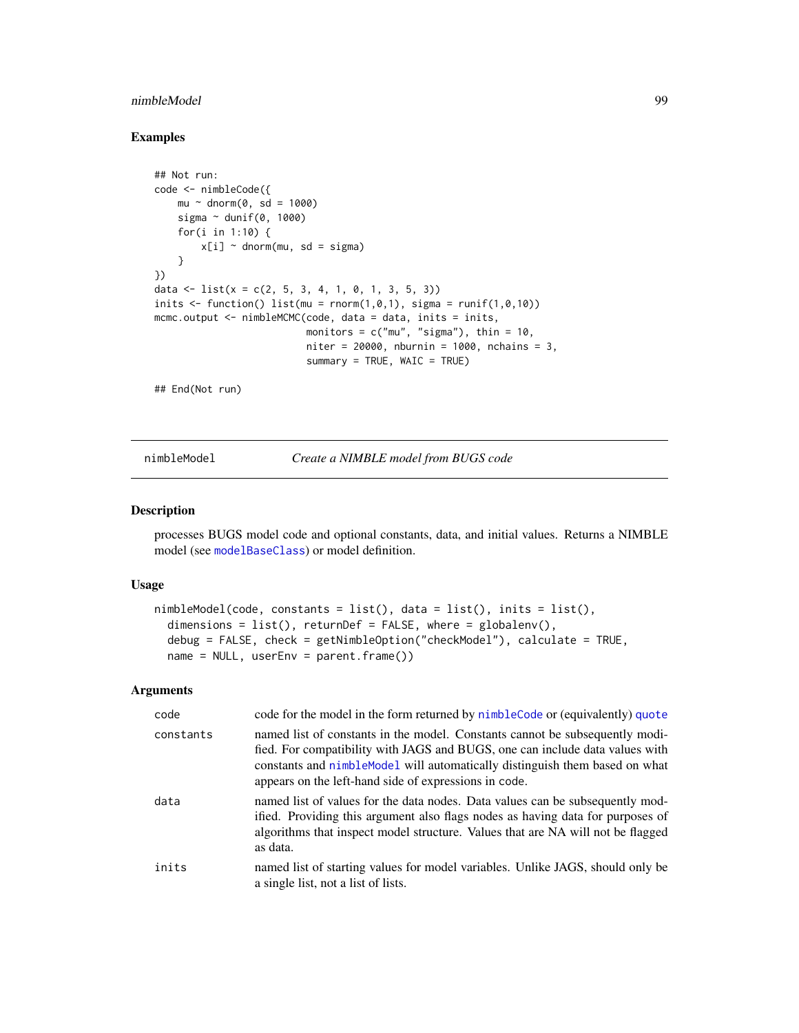## nimbleModel 99

### Examples

```
## Not run:
code <- nimbleCode({
   mu ~ dnorm(0, sd = 1000)sigma \sim dunif(0, 1000)
   for(i in 1:10) {
        x[i] ~ dnorm(mu, sd = sigma)
    }
})
data \le list(x = c(2, 5, 3, 4, 1, 0, 1, 3, 5, 3))
inits \le function() list(mu = rnorm(1,0,1), sigma = runif(1,0,10))
mcmc.output <- nimbleMCMC(code, data = data, inits = inits,
                          monitors = c("mu", "sigma"), thin = 10,
                          niter = 20000, nburnin = 1000, nchains = 3,
                          summary = TRUE, WAIC = TRUE)
```
## End(Not run)

<span id="page-98-0"></span>nimbleModel *Create a NIMBLE model from BUGS code*

### Description

processes BUGS model code and optional constants, data, and initial values. Returns a NIMBLE model (see [modelBaseClass](#page-67-0)) or model definition.

### Usage

```
nimbleModel(code, constants = list(), data = list(), inits = list(),
  dimensions = list(), returnDef = FALSE, where = globalenv(),
  debug = FALSE, check = getNimbleOption("checkModel"), calculate = TRUE,
  name = NULL, userEnv = parent.frame())
```

| code      | code for the model in the form returned by nimble Code or (equivalently) quote                                                                                                                                                                                                                       |
|-----------|------------------------------------------------------------------------------------------------------------------------------------------------------------------------------------------------------------------------------------------------------------------------------------------------------|
| constants | named list of constants in the model. Constants cannot be subsequently modi-<br>fied. For compatibility with JAGS and BUGS, one can include data values with<br>constants and nimbleModel will automatically distinguish them based on what<br>appears on the left-hand side of expressions in code. |
| data      | named list of values for the data nodes. Data values can be subsequently mod-<br>ified. Providing this argument also flags nodes as having data for purposes of<br>algorithms that inspect model structure. Values that are NA will not be flagged<br>as data.                                       |
| inits     | named list of starting values for model variables. Unlike JAGS, should only be<br>a single list, not a list of lists.                                                                                                                                                                                |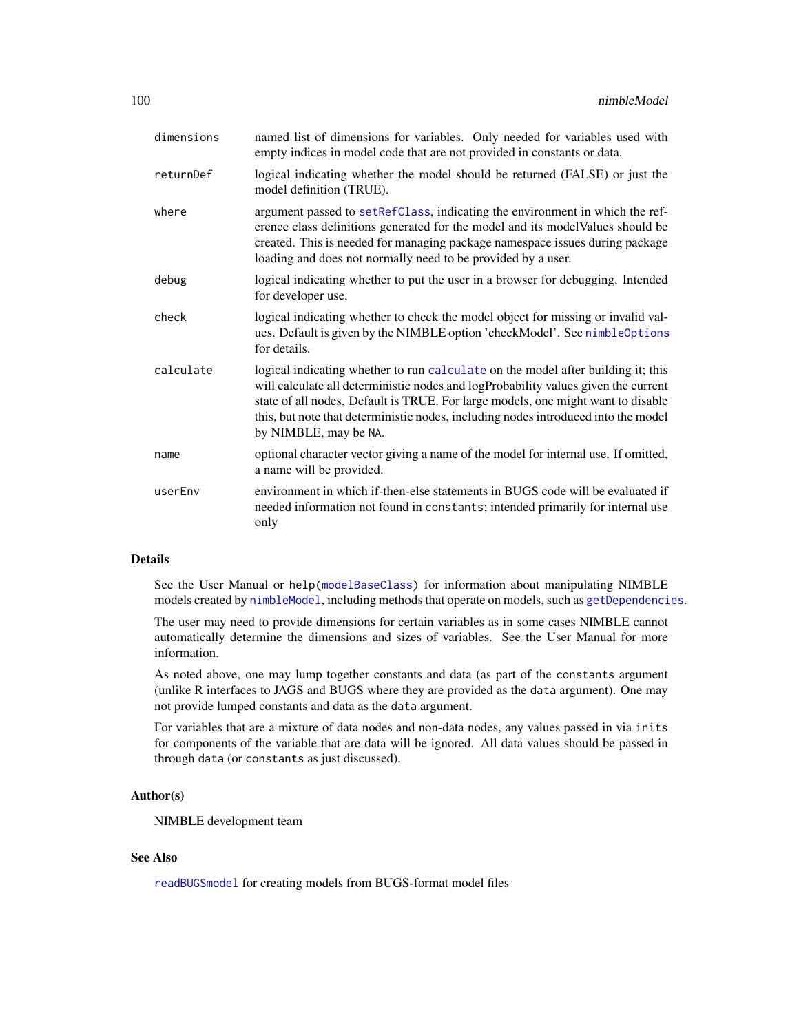| dimensions | named list of dimensions for variables. Only needed for variables used with<br>empty indices in model code that are not provided in constants or data.                                                                                                                                                                                                                    |
|------------|---------------------------------------------------------------------------------------------------------------------------------------------------------------------------------------------------------------------------------------------------------------------------------------------------------------------------------------------------------------------------|
| returnDef  | logical indicating whether the model should be returned (FALSE) or just the<br>model definition (TRUE).                                                                                                                                                                                                                                                                   |
| where      | argument passed to setRefClass, indicating the environment in which the ref-<br>erence class definitions generated for the model and its modelValues should be<br>created. This is needed for managing package namespace issues during package<br>loading and does not normally need to be provided by a user.                                                            |
| debug      | logical indicating whether to put the user in a browser for debugging. Intended<br>for developer use.                                                                                                                                                                                                                                                                     |
| check      | logical indicating whether to check the model object for missing or invalid val-<br>ues. Default is given by the NIMBLE option 'checkModel'. See nimble Options<br>for details.                                                                                                                                                                                           |
| calculate  | logical indicating whether to run calculate on the model after building it; this<br>will calculate all deterministic nodes and logProbability values given the current<br>state of all nodes. Default is TRUE. For large models, one might want to disable<br>this, but note that deterministic nodes, including nodes introduced into the model<br>by NIMBLE, may be NA. |
| name       | optional character vector giving a name of the model for internal use. If omitted,<br>a name will be provided.                                                                                                                                                                                                                                                            |
| userEnv    | environment in which if-then-else statements in BUGS code will be evaluated if<br>needed information not found in constants; intended primarily for internal use<br>only                                                                                                                                                                                                  |

See the User Manual or help[\(modelBaseClass\)](#page-67-0) for information about manipulating NIMBLE models created by [nimbleModel](#page-98-0), including methods that operate on models, such as [getDependencies](#page-67-0).

The user may need to provide dimensions for certain variables as in some cases NIMBLE cannot automatically determine the dimensions and sizes of variables. See the User Manual for more information.

As noted above, one may lump together constants and data (as part of the constants argument (unlike R interfaces to JAGS and BUGS where they are provided as the data argument). One may not provide lumped constants and data as the data argument.

For variables that are a mixture of data nodes and non-data nodes, any values passed in via inits for components of the variable that are data will be ignored. All data values should be passed in through data (or constants as just discussed).

# Author(s)

NIMBLE development team

## See Also

[readBUGSmodel](#page-120-0) for creating models from BUGS-format model files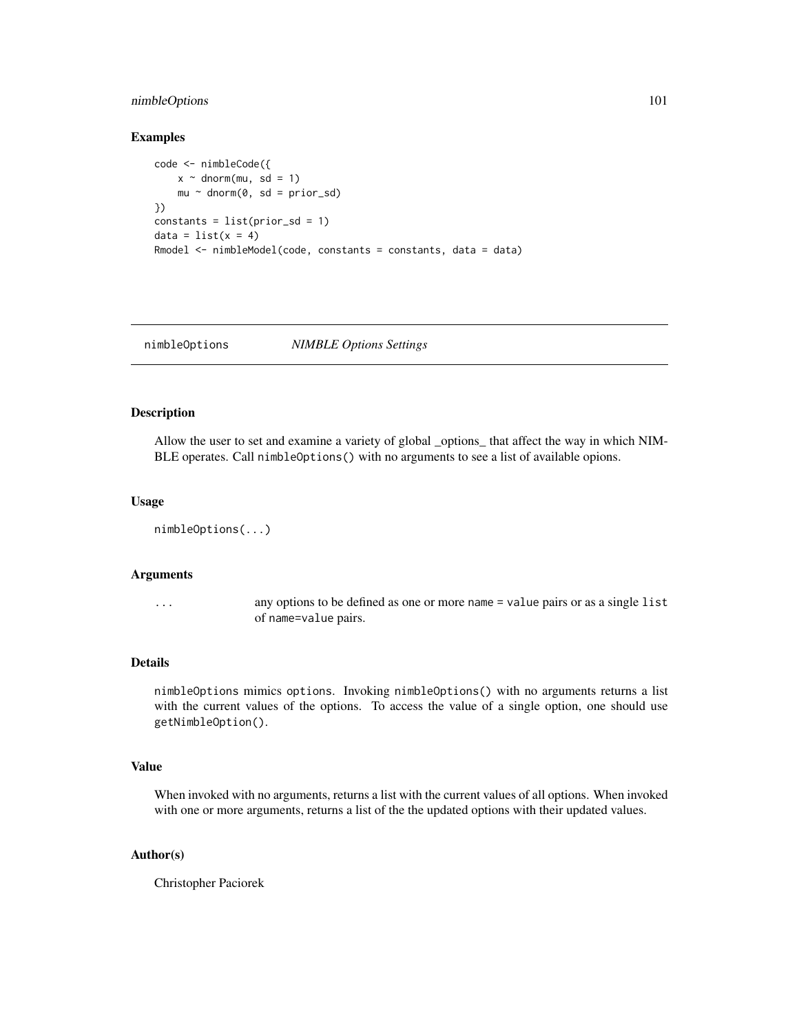# nimbleOptions 101

### Examples

```
code <- nimbleCode({
   x \sim dnorm(mu, sd = 1)
   mu ~ ~ dnorm(0, sd = prior_sd)
})
constants = list(prior_sd = 1)
data = list(x = 4)Rmodel <- nimbleModel(code, constants = constants, data = data)
```
<span id="page-100-0"></span>nimbleOptions *NIMBLE Options Settings*

### Description

Allow the user to set and examine a variety of global \_options\_ that affect the way in which NIM-BLE operates. Call nimbleOptions() with no arguments to see a list of available opions.

#### Usage

```
nimbleOptions(...)
```
### Arguments

... any options to be defined as one or more name = value pairs or as a single list of name=value pairs.

### Details

nimbleOptions mimics options. Invoking nimbleOptions() with no arguments returns a list with the current values of the options. To access the value of a single option, one should use getNimbleOption().

## Value

When invoked with no arguments, returns a list with the current values of all options. When invoked with one or more arguments, returns a list of the the updated options with their updated values.

## Author(s)

Christopher Paciorek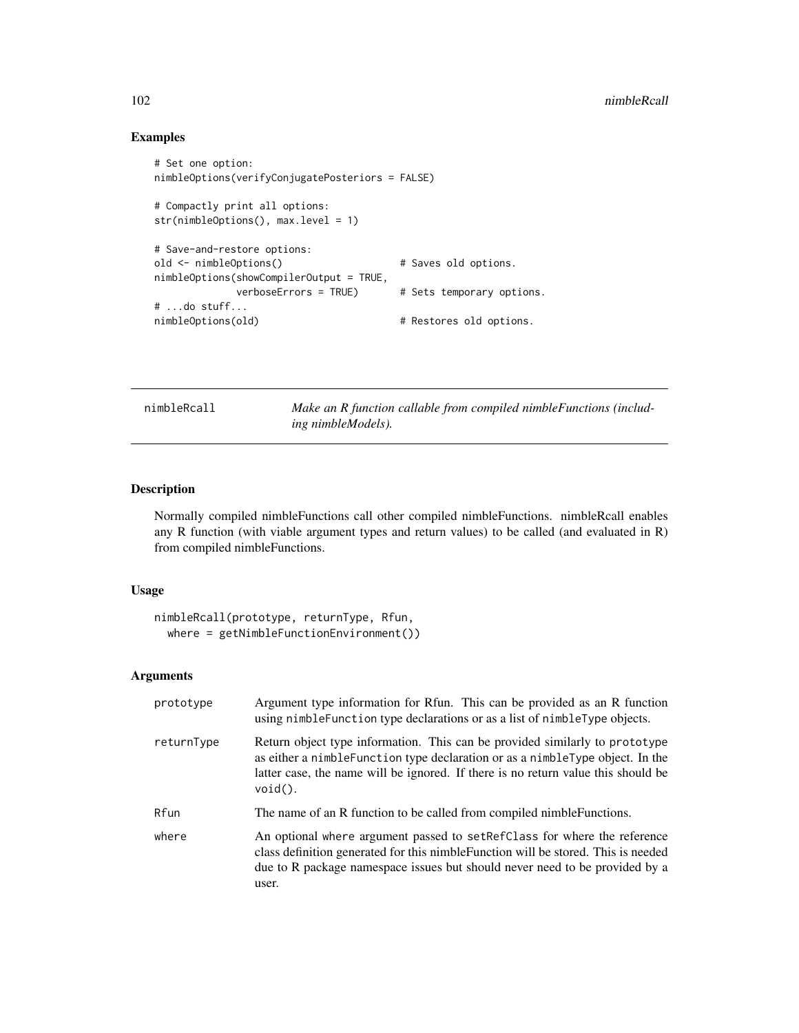# Examples

```
# Set one option:
nimbleOptions(verifyConjugatePosteriors = FALSE)
# Compactly print all options:
str(nimbleOptions(), max.level = 1)
# Save-and-restore options:
old <- nimbleOptions() \qquad # Saves old options.
nimbleOptions(showCompilerOutput = TRUE,
              verboseErrors = TRUE) # Sets temporary options.
# ...do stuff...
nimbleOptions(old) \qquad \qquad \qquad \qquad \qquad \text{# Restores old options.}
```
<span id="page-101-0"></span>nimbleRcall *Make an R function callable from compiled nimbleFunctions (including nimbleModels).*

## Description

Normally compiled nimbleFunctions call other compiled nimbleFunctions. nimbleRcall enables any R function (with viable argument types and return values) to be called (and evaluated in R) from compiled nimbleFunctions.

### Usage

```
nimbleRcall(prototype, returnType, Rfun,
  where = getNimbleFunctionEnvironment())
```

| prototype  | Argument type information for R fun. This can be provided as an R function<br>using nimble Function type declarations or as a list of nimble Type objects.                                                                                                        |
|------------|-------------------------------------------------------------------------------------------------------------------------------------------------------------------------------------------------------------------------------------------------------------------|
| returnType | Return object type information. This can be provided similarly to prototype<br>as either a nimble Function type declaration or as a nimble Type object. In the<br>latter case, the name will be ignored. If there is no return value this should be<br>$void()$ . |
| Rfun       | The name of an R function to be called from compiled nimble Functions.                                                                                                                                                                                            |
| where      | An optional where argument passed to set RefClass for where the reference<br>class definition generated for this nimble Function will be stored. This is needed<br>due to R package namespace issues but should never need to be provided by a<br>user.           |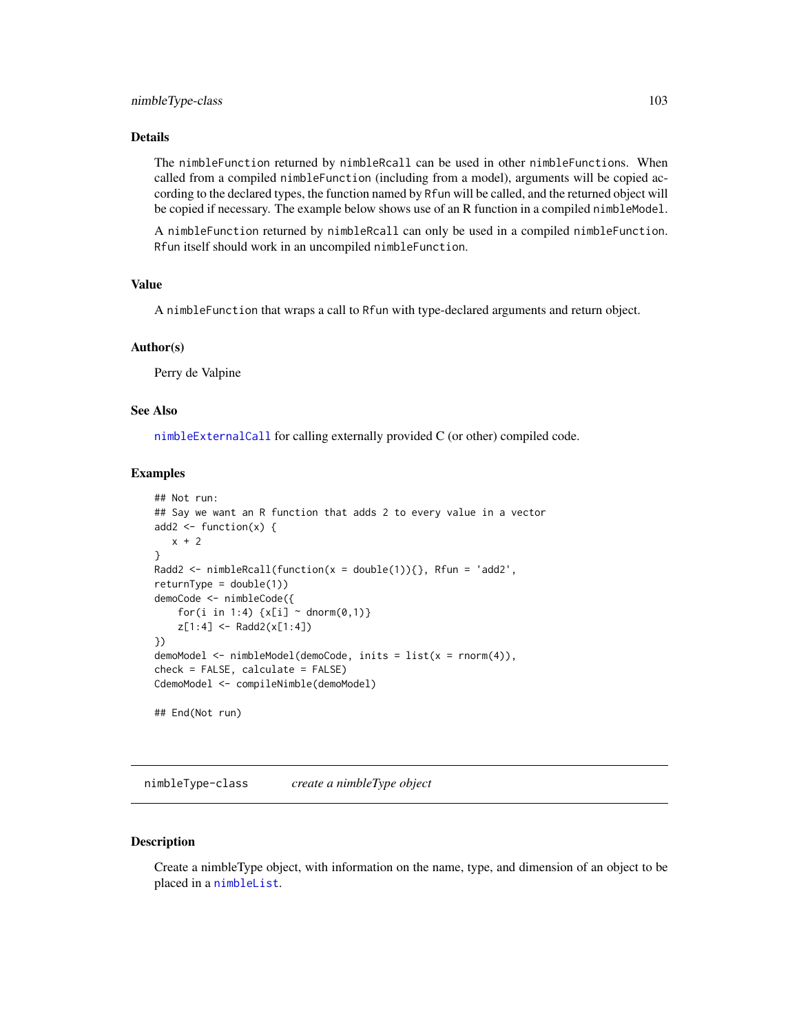The nimbleFunction returned by nimbleRcall can be used in other nimbleFunctions. When called from a compiled nimbleFunction (including from a model), arguments will be copied according to the declared types, the function named by Rfun will be called, and the returned object will be copied if necessary. The example below shows use of an R function in a compiled nimbleModel.

A nimbleFunction returned by nimbleRcall can only be used in a compiled nimbleFunction. Rfun itself should work in an uncompiled nimbleFunction.

## Value

A nimbleFunction that wraps a call to Rfun with type-declared arguments and return object.

#### Author(s)

Perry de Valpine

### See Also

[nimbleExternalCall](#page-89-0) for calling externally provided C (or other) compiled code.

# Examples

```
## Not run:
## Say we want an R function that adds 2 to every value in a vector
add2 \leftarrow function(x) {
   x + 2}
Radd2 <- nimbleRcall(function(x = double(1)){}, Rfun = 'add2',
returnType = double(1)demoCode <- nimbleCode({
    for(i in 1:4) \{x[i] \sim \text{dnorm}(0,1)\}z[1:4] <- Radd2(x[1:4])
})
demoModel <- nimbleModel(demoCode, inits = list(x = rnorm(4)),
check = FALSE, calculate = FALSE)
CdemoModel <- compileNimble(demoModel)
## End(Not run)
```
nimbleType-class *create a nimbleType object*

### <span id="page-102-0"></span>**Description**

Create a nimbleType object, with information on the name, type, and dimension of an object to be placed in a [nimbleList](#page-94-0).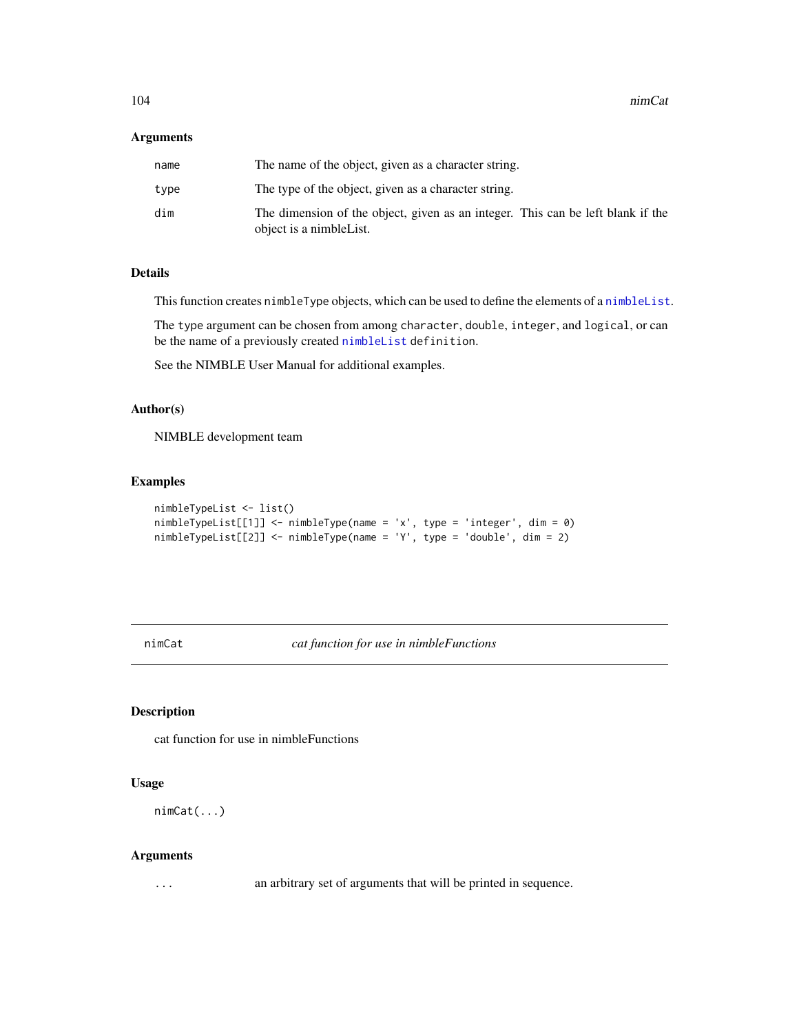## Arguments

| name | The name of the object, given as a character string.                                                        |
|------|-------------------------------------------------------------------------------------------------------------|
| type | The type of the object, given as a character string.                                                        |
| dim  | The dimension of the object, given as an integer. This can be left blank if the<br>object is a nimble List. |

# Details

This function creates nimbleType objects, which can be used to define the elements of a [nimbleList](#page-94-0).

The type argument can be chosen from among character, double, integer, and logical, or can be the name of a previously created [nimbleList](#page-94-0) definition.

See the NIMBLE User Manual for additional examples.

# Author(s)

NIMBLE development team

# Examples

```
nimbleTypeList <- list()
nimbleTypeList[[1]] <- nimbleType(name = 'x', type = 'integer', dim = 0)
nimbleTypeList[[2]] <- nimbleType(name = 'Y', type = 'double', dim = 2)
```
nimCat *cat function for use in nimbleFunctions*

### <span id="page-103-0"></span>Description

cat function for use in nimbleFunctions

## Usage

nimCat(...)

#### Arguments

... an arbitrary set of arguments that will be printed in sequence.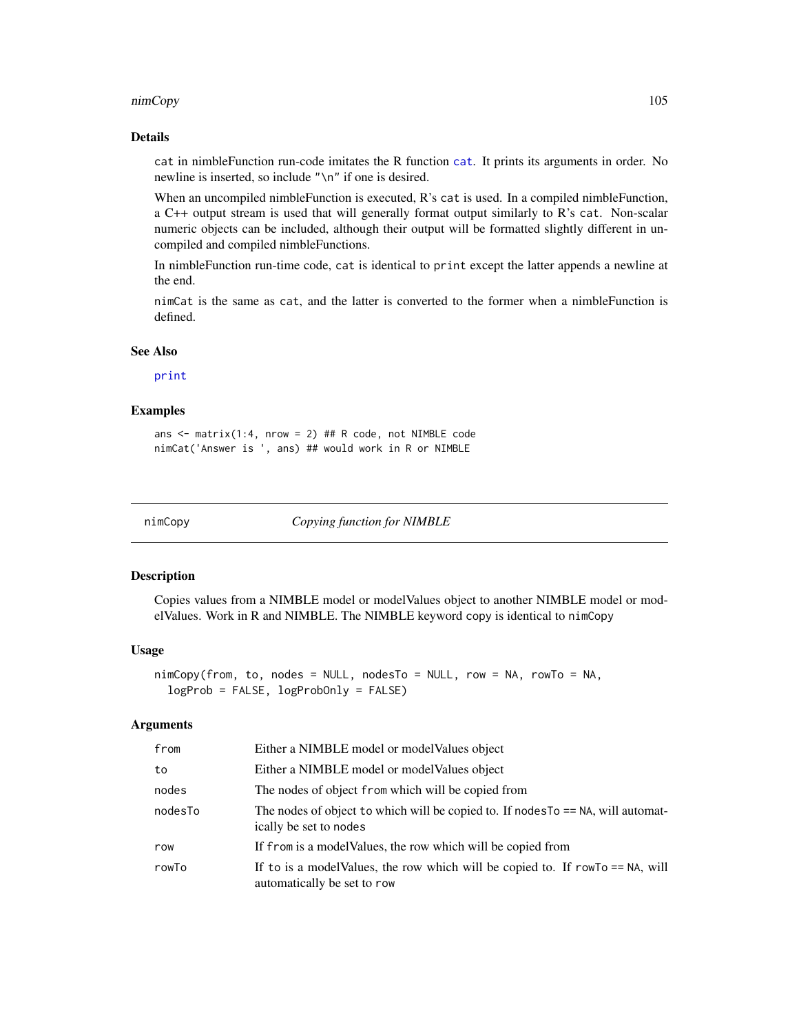#### nimCopy and the state of the state of the state of the state of the state of the state of the state of the state of the state of the state of the state of the state of the state of the state of the state of the state of th

## Details

cat in nimbleFunction run-code imitates the R function [cat](#page-103-0). It prints its arguments in order. No newline is inserted, so include "\n" if one is desired.

When an uncompiled nimbleFunction is executed, R's cat is used. In a compiled nimbleFunction, a C++ output stream is used that will generally format output similarly to R's cat. Non-scalar numeric objects can be included, although their output will be formatted slightly different in uncompiled and compiled nimbleFunctions.

In nimbleFunction run-time code, cat is identical to print except the latter appends a newline at the end.

nimCat is the same as cat, and the latter is converted to the former when a nimbleFunction is defined.

# See Also

# [print](#page-113-0)

### Examples

ans  $\le$ - matrix(1:4, nrow = 2) ## R code, not NIMBLE code nimCat('Answer is ', ans) ## would work in R or NIMBLE

nimCopy *Copying function for NIMBLE*

#### Description

Copies values from a NIMBLE model or modelValues object to another NIMBLE model or modelValues. Work in R and NIMBLE. The NIMBLE keyword copy is identical to nimCopy

### Usage

```
nimCopy(from, to, nodes = NULL, nodesTo = NULL, row = NA, rowTo = NA,
  logProb = FALSE, logProbOnly = FALSE)
```

| from    | Either a NIMBLE model or model Values object                                                                     |
|---------|------------------------------------------------------------------------------------------------------------------|
| to      | Either a NIMBLE model or model Values object                                                                     |
| nodes   | The nodes of object from which will be copied from                                                               |
| nodesTo | The nodes of object to which will be copied to. If nodes $T_0 = NA$ , will automat-<br>ically be set to nodes    |
| row     | If from is a model Values, the row which will be copied from                                                     |
| rowTo   | If to is a model Values, the row which will be copied to. If $rowTo == NA$ , will<br>automatically be set to row |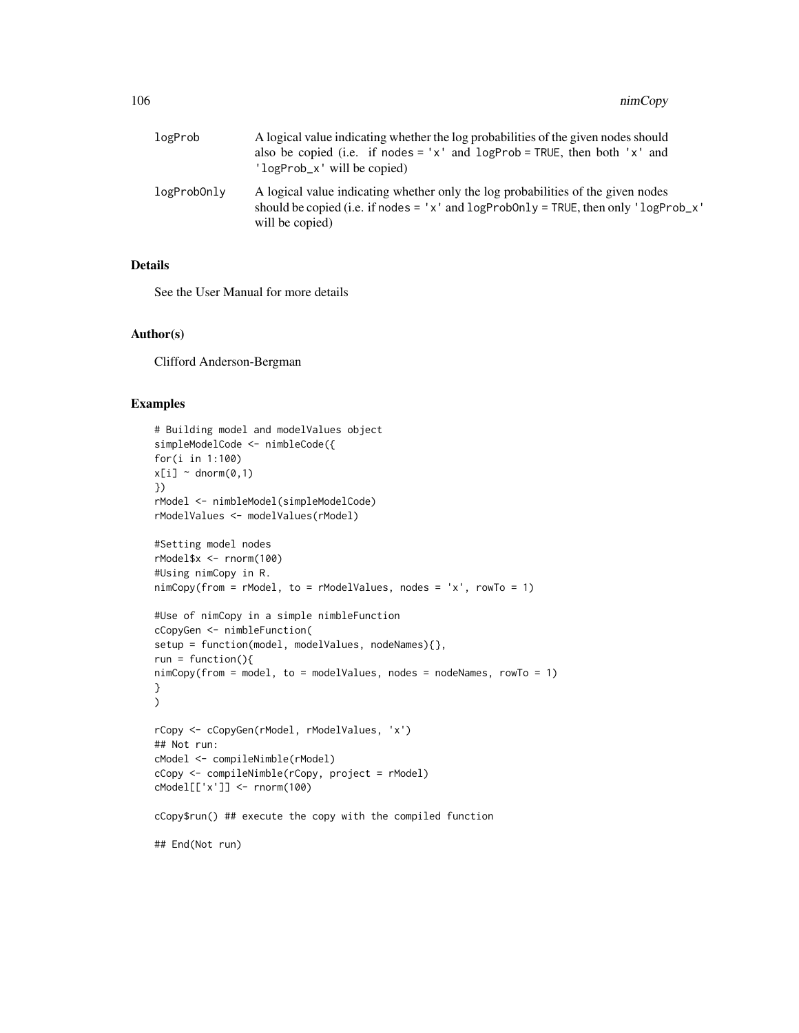| logProb     | A logical value indicating whether the log probabilities of the given nodes should<br>also be copied (i.e. if nodes = 'x' and $logProb = TRUE$ , then both 'x' and<br>'logProb_x' will be copied)            |
|-------------|--------------------------------------------------------------------------------------------------------------------------------------------------------------------------------------------------------------|
| logProbOnly | A logical value indicating whether only the log probabilities of the given nodes<br>should be copied (i.e. if nodes = ' $x'$ and $logProbability = TRUE$ , then only ' $logProbability$ .<br>will be copied) |

See the User Manual for more details

#### Author(s)

Clifford Anderson-Bergman

### Examples

```
# Building model and modelValues object
simpleModelCode <- nimbleCode({
for(i in 1:100)
x[i] ~ dnorm(0,1)})
rModel <- nimbleModel(simpleModelCode)
rModelValues <- modelValues(rModel)
#Setting model nodes
rModel$x <- rnorm(100)
#Using nimCopy in R.
nimCopy(from = rModel, to = rModelValues, nodes = 'x', rowTo = 1)
#Use of nimCopy in a simple nimbleFunction
cCopyGen <- nimbleFunction(
setup = function(model, modelValues, nodeNames){},
run = function()nimCopy(from = model, to = modelValues, nodes = nodeNames, rowTo = 1)
}
)
rCopy <- cCopyGen(rModel, rModelValues, 'x')
## Not run:
cModel <- compileNimble(rModel)
cCopy <- compileNimble(rCopy, project = rModel)
cModel[['x']] <- rnorm(100)
cCopy$run() ## execute the copy with the compiled function
## End(Not run)
```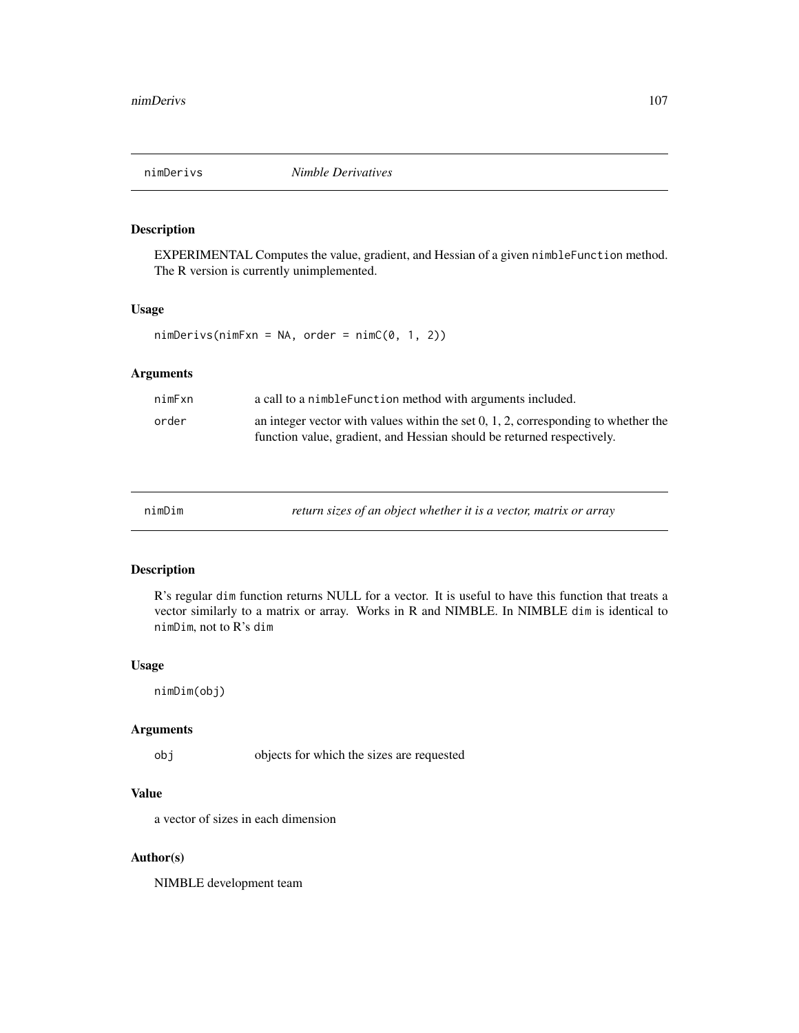# Description

EXPERIMENTAL Computes the value, gradient, and Hessian of a given nimbleFunction method. The R version is currently unimplemented.

## Usage

 $n$ imDerivs(nimFxn = NA, order = nimC $(0, 1, 2)$ )

# Arguments

| nimFxn | a call to a nimble Function method with arguments included.                                                                                                     |
|--------|-----------------------------------------------------------------------------------------------------------------------------------------------------------------|
| order  | an integer vector with values within the set $0, 1, 2$ , corresponding to whether the<br>function value, gradient, and Hessian should be returned respectively. |

nimDim *return sizes of an object whether it is a vector, matrix or array*

### Description

R's regular dim function returns NULL for a vector. It is useful to have this function that treats a vector similarly to a matrix or array. Works in R and NIMBLE. In NIMBLE dim is identical to nimDim, not to R's dim

### Usage

nimDim(obj)

#### Arguments

obj objects for which the sizes are requested

## Value

a vector of sizes in each dimension

## Author(s)

NIMBLE development team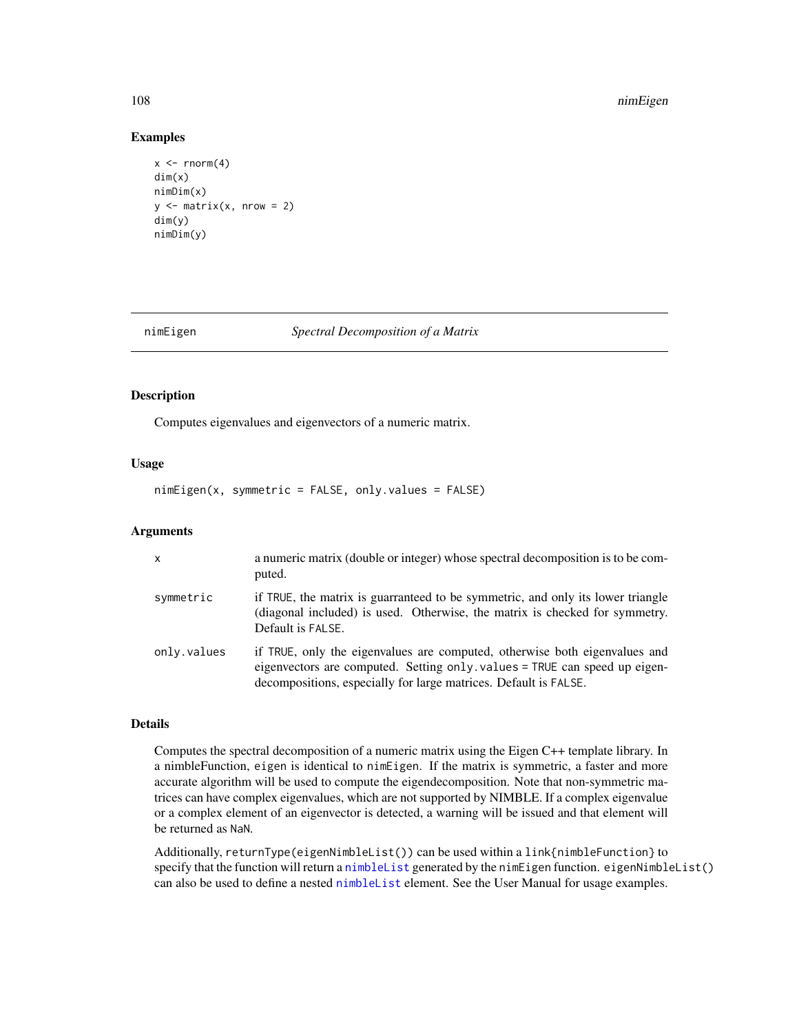#### 108 nimEigen

### Examples

```
x \le rnorm(4)
dim(x)
nimDim(x)
y \le - matrix(x, nrow = 2)
dim(y)
nimDim(y)
```
#### nimEigen *Spectral Decomposition of a Matrix*

# Description

Computes eigenvalues and eigenvectors of a numeric matrix.

#### Usage

nimEigen(x, symmetric = FALSE, only.values = FALSE)

## Arguments

| $\mathsf{x}$ | a numeric matrix (double or integer) whose spectral decomposition is to be com-<br>puted.                                                                                                                                   |
|--------------|-----------------------------------------------------------------------------------------------------------------------------------------------------------------------------------------------------------------------------|
| symmetric    | if TRUE, the matrix is guarranteed to be symmetric, and only its lower triangle<br>(diagonal included) is used. Otherwise, the matrix is checked for symmetry.<br>Default is FALSE.                                         |
| only.values  | if TRUE, only the eigenvalues are computed, otherwise both eigenvalues and<br>eigenvectors are computed. Setting only values = TRUE can speed up eigen-<br>decompositions, especially for large matrices. Default is FALSE. |

## Details

Computes the spectral decomposition of a numeric matrix using the Eigen C++ template library. In a nimbleFunction, eigen is identical to nimEigen. If the matrix is symmetric, a faster and more accurate algorithm will be used to compute the eigendecomposition. Note that non-symmetric matrices can have complex eigenvalues, which are not supported by NIMBLE. If a complex eigenvalue or a complex element of an eigenvector is detected, a warning will be issued and that element will be returned as NaN.

Additionally, returnType(eigenNimbleList()) can be used within a link{nimbleFunction} to specify that the function will return a [nimbleList](#page-94-0) generated by the nimEigen function. eigenNimbleList() can also be used to define a nested [nimbleList](#page-94-0) element. See the User Manual for usage examples.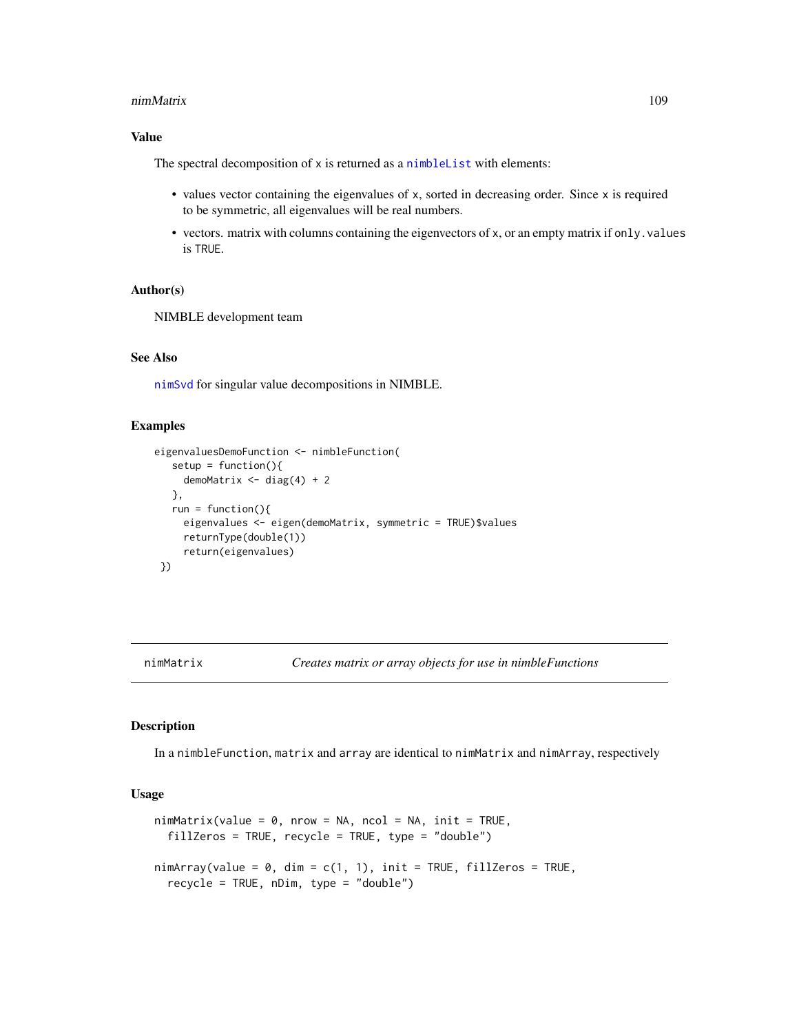#### nimMatrix 109

## Value

The spectral decomposition of x is returned as a [nimbleList](#page-94-0) with elements:

- values vector containing the eigenvalues of x, sorted in decreasing order. Since x is required to be symmetric, all eigenvalues will be real numbers.
- vectors. matrix with columns containing the eigenvectors of x, or an empty matrix if only. values is TRUE.

#### Author(s)

NIMBLE development team

## See Also

[nimSvd](#page-114-0) for singular value decompositions in NIMBLE.

#### Examples

```
eigenvaluesDemoFunction <- nimbleFunction(
  setup = function()demoMatrix \leq diag(4) + 2
  },
  run = function()\{eigenvalues <- eigen(demoMatrix, symmetric = TRUE)$values
     returnType(double(1))
     return(eigenvalues)
})
```
<span id="page-108-1"></span>nimMatrix *Creates matrix or array objects for use in nimbleFunctions*

## <span id="page-108-0"></span>Description

In a nimbleFunction, matrix and array are identical to nimMatrix and nimArray, respectively

#### Usage

```
nimMatrix(value = 0, nrow = NA, ncol = NA, init = TRUE,fillZeros = TRUE, recycle = TRUE, type = "double")
nimArray(value = 0, dim = c(1, 1), init = TRUE, fillZeros = TRUE,recycle = TRUE, nDim, type = "double")
```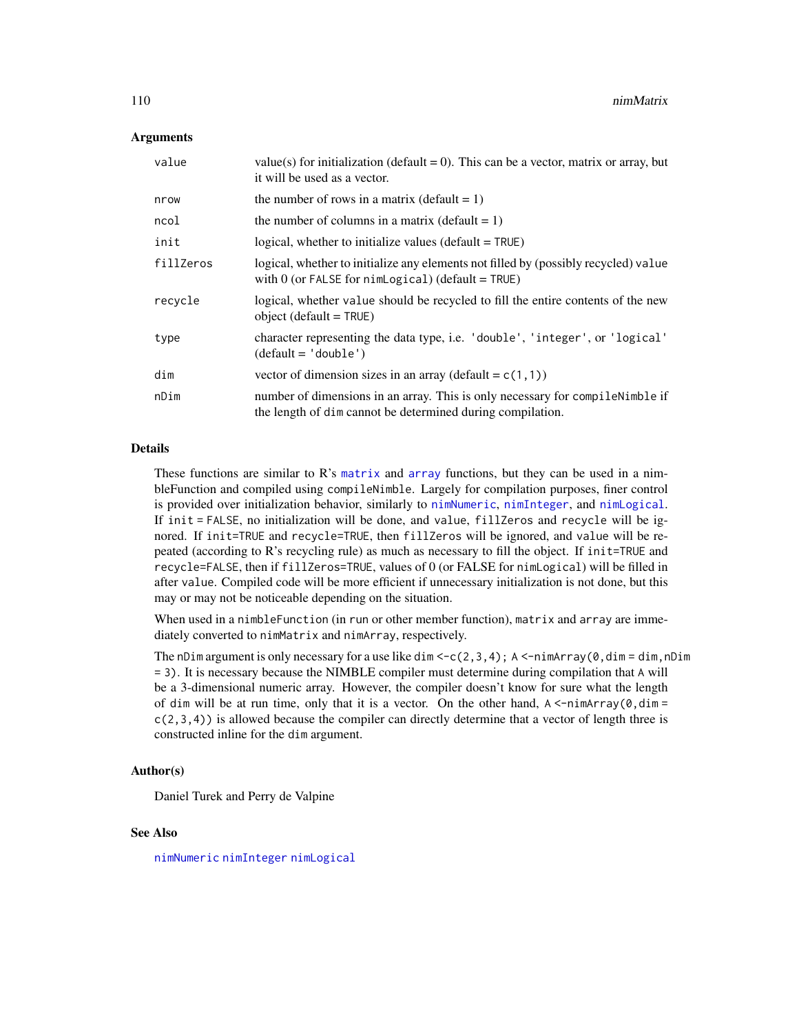## Arguments

| value     | value(s) for initialization (default = 0). This can be a vector, matrix or array, but<br>it will be used as a vector.                              |
|-----------|----------------------------------------------------------------------------------------------------------------------------------------------------|
| nrow      | the number of rows in a matrix (default $= 1$ )                                                                                                    |
| ncol      | the number of columns in a matrix (default $= 1$ )                                                                                                 |
| init      | logical, whether to initialize values (default $=$ TRUE)                                                                                           |
| fillZeros | logical, whether to initialize any elements not filled by (possibly recycled) value<br>with $0$ (or FALSE for nimLogical) (default = TRUE)         |
| recycle   | logical, whether value should be recycled to fill the entire contents of the new<br>object (default $=$ TRUE)                                      |
| type      | character representing the data type, i.e. 'double', 'integer', or 'logical'<br>$(detault = 'double')$                                             |
| dim       | vector of dimension sizes in an array (default = $c(1,1)$ )                                                                                        |
| nDim      | number of dimensions in an array. This is only necessary for compilent in the if<br>the length of dimeter cannot be determined during compilation. |

# Details

These functions are similar to R's [matrix](#page-108-0) and [array](#page-108-0) functions, but they can be used in a nimbleFunction and compiled using compileNimble. Largely for compilation purposes, finer control is provided over initialization behavior, similarly to [nimNumeric](#page-110-0), [nimInteger](#page-110-1), and [nimLogical](#page-110-1). If init = FALSE, no initialization will be done, and value, fillZeros and recycle will be ignored. If init=TRUE and recycle=TRUE, then fillZeros will be ignored, and value will be repeated (according to R's recycling rule) as much as necessary to fill the object. If init=TRUE and recycle=FALSE, then if fillZeros=TRUE, values of 0 (or FALSE for nimLogical) will be filled in after value. Compiled code will be more efficient if unnecessary initialization is not done, but this may or may not be noticeable depending on the situation.

When used in a nimbleFunction (in run or other member function), matrix and array are immediately converted to nimMatrix and nimArray, respectively.

The nDim argument is only necessary for a use like dim  $\leq$  -c(2,3,4); A  $\leq$ -nimArray(0,dim = dim,nDim = 3). It is necessary because the NIMBLE compiler must determine during compilation that A will be a 3-dimensional numeric array. However, the compiler doesn't know for sure what the length of dim will be at run time, only that it is a vector. On the other hand, A <-nimArray(0,dim =  $c(2,3,4)$ ) is allowed because the compiler can directly determine that a vector of length three is constructed inline for the dim argument.

## Author(s)

Daniel Turek and Perry de Valpine

## See Also

[nimNumeric](#page-110-0) [nimInteger](#page-110-1) [nimLogical](#page-110-1)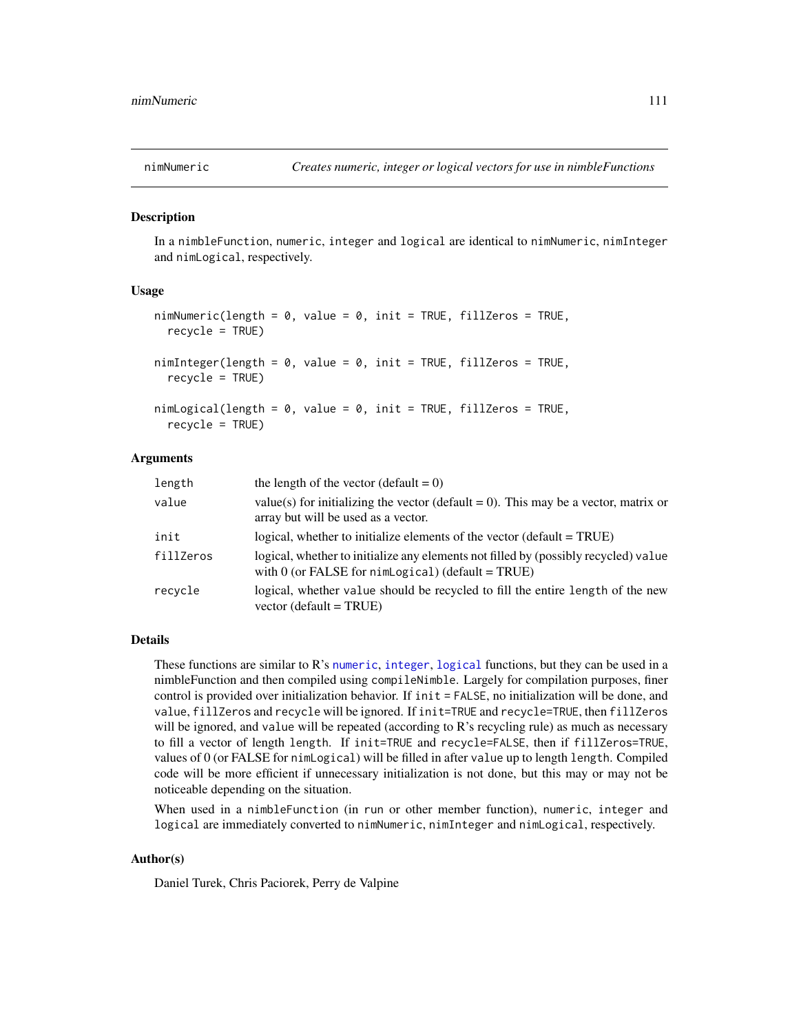<span id="page-110-0"></span>

#### <span id="page-110-1"></span>**Description**

In a nimbleFunction, numeric, integer and logical are identical to nimNumeric, nimInteger and nimLogical, respectively.

#### Usage

```
nimNumberic(length = 0, value = 0, init = TRUE, fillZeros = TRUE,recycle = TRUE)
nimInteger(length = 0, value = 0, init = TRUE, fillZeros = TRUE,recycle = TRUE)
nimLogical(length = 0, value = 0, init = TRUE, fillZeros = TRUE,recycle = TRUE)
```
## Arguments

| length    | the length of the vector (default $= 0$ )                                                                                                  |
|-----------|--------------------------------------------------------------------------------------------------------------------------------------------|
| value     | value(s) for initializing the vector (default = 0). This may be a vector, matrix or<br>array but will be used as a vector.                 |
| init      | logical, whether to initialize elements of the vector (default = TRUE)                                                                     |
| fillZeros | logical, whether to initialize any elements not filled by (possibly recycled) value<br>with $0$ (or FALSE for nimLogical) (default = TRUE) |
| recycle   | logical, whether value should be recycled to fill the entire length of the new<br>vector (default = $TRUE$ )                               |

#### Details

These functions are similar to R's [numeric](#page-110-1), [integer](#page-110-1), [logical](#page-110-1) functions, but they can be used in a nimbleFunction and then compiled using compileNimble. Largely for compilation purposes, finer control is provided over initialization behavior. If init = FALSE, no initialization will be done, and value, fillZeros and recycle will be ignored. If init=TRUE and recycle=TRUE, then fillZeros will be ignored, and value will be repeated (according to R's recycling rule) as much as necessary to fill a vector of length length. If init=TRUE and recycle=FALSE, then if fillZeros=TRUE, values of 0 (or FALSE for nimLogical) will be filled in after value up to length length. Compiled code will be more efficient if unnecessary initialization is not done, but this may or may not be noticeable depending on the situation.

When used in a nimbleFunction (in run or other member function), numeric, integer and logical are immediately converted to nimNumeric, nimInteger and nimLogical, respectively.

## Author(s)

Daniel Turek, Chris Paciorek, Perry de Valpine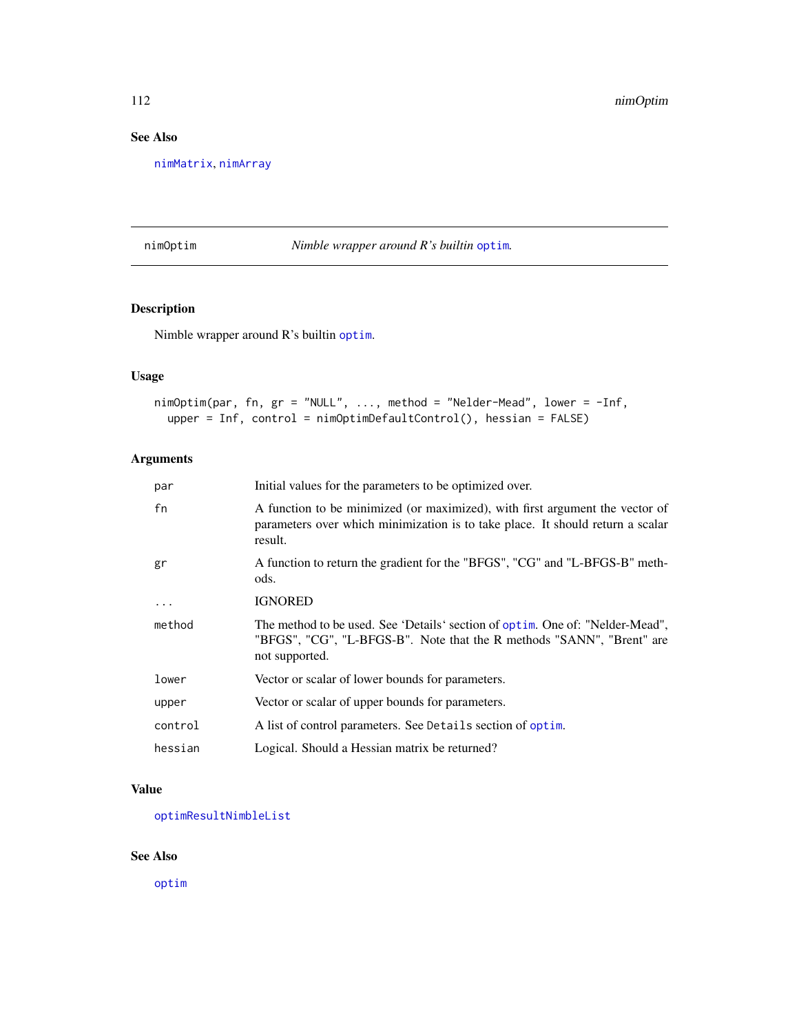# See Also

[nimMatrix](#page-108-1), [nimArray](#page-108-0)

<span id="page-111-0"></span>nimOptim *Nimble wrapper around R's builtin* [optim](#page-0-0)*.*

# Description

Nimble wrapper around R's builtin [optim](#page-0-0).

# Usage

```
nimOptim(par, fn, gr = "NULL", ..., method = "Nelder-Mead", lower = -Inf,
 upper = Inf, control = nimOptimDefaultControl(), hessian = FALSE)
```
# Arguments

| par      | Initial values for the parameters to be optimized over.                                                                                                                   |
|----------|---------------------------------------------------------------------------------------------------------------------------------------------------------------------------|
| fn       | A function to be minimized (or maximized), with first argument the vector of<br>parameters over which minimization is to take place. It should return a scalar<br>result. |
| gr       | A function to return the gradient for the "BFGS", "CG" and "L-BFGS-B" meth-<br>ods.                                                                                       |
| $\ddots$ | <b>IGNORED</b>                                                                                                                                                            |
| method   | The method to be used. See 'Details' section of optim. One of: "Nelder-Mead",<br>"BFGS", "CG", "L-BFGS-B". Note that the R methods "SANN", "Brent" are<br>not supported.  |
| lower    | Vector or scalar of lower bounds for parameters.                                                                                                                          |
| upper    | Vector or scalar of upper bounds for parameters.                                                                                                                          |
| control  | A list of control parameters. See Details section of optim.                                                                                                               |
| hessian  | Logical. Should a Hessian matrix be returned?                                                                                                                             |

## Value

[optimResultNimbleList](#page-118-0)

# See Also

[optim](#page-0-0)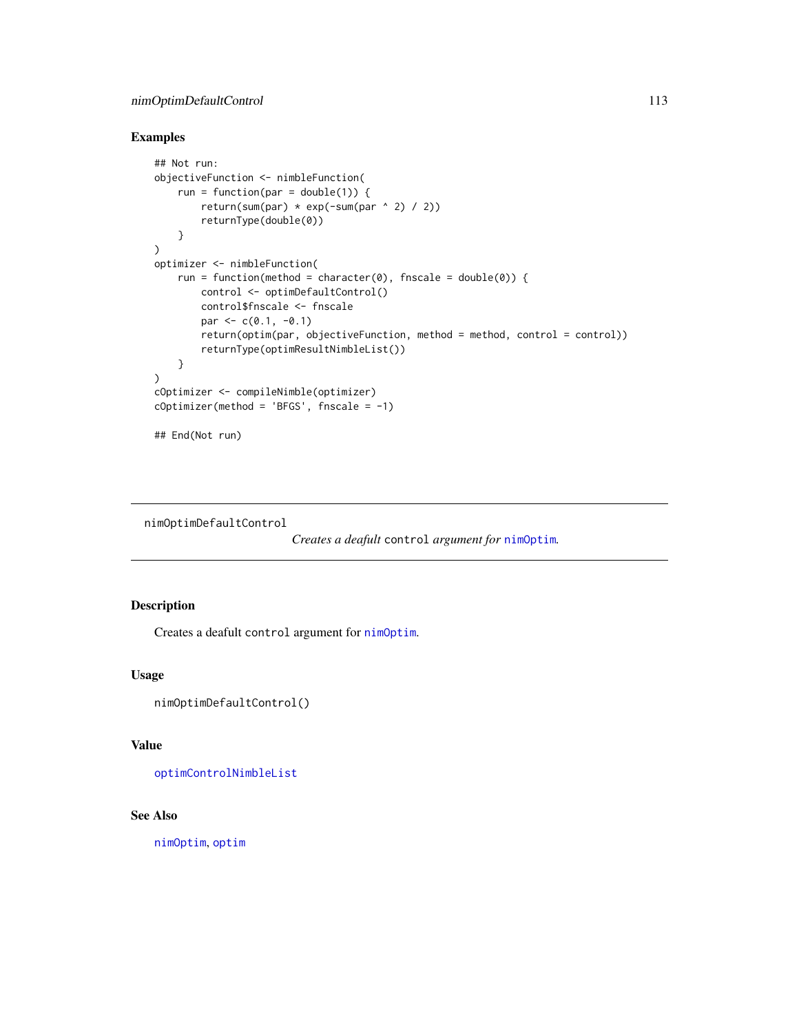# nimOptimDefaultControl 113

# Examples

```
## Not run:
objectiveFunction <- nimbleFunction(
    run = function(par = double(1)) {
        return(sum(par) * exp(-sum(par ^ 2) / 2))
        returnType(double(0))
    }
)
optimizer <- nimbleFunction(
   run = function(method = character(0), fnscale = double(0)) {
       control <- optimDefaultControl()
       control$fnscale <- fnscale
       par <- c(0.1, -0.1)return(optim(par, objectiveFunction, method = method, control = control))
        returnType(optimResultNimbleList())
    }
)
cOptimizer <- compileNimble(optimizer)
cOptimizer(method = 'BFGS', fnscale = -1)
## End(Not run)
```
nimOptimDefaultControl

```
Creates a deafult control argument for nimOptim.
```
# Description

Creates a deafult control argument for [nimOptim](#page-111-0).

## Usage

```
nimOptimDefaultControl()
```
# Value

[optimControlNimbleList](#page-117-0)

## See Also

[nimOptim](#page-111-0), [optim](#page-0-0)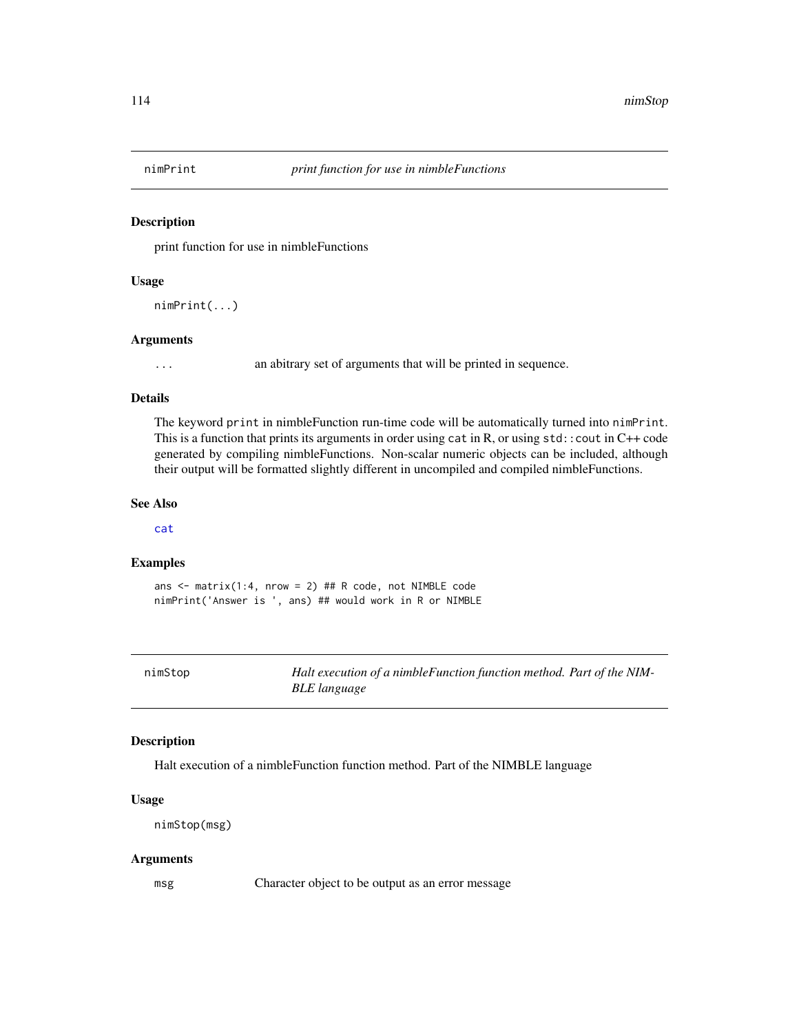# Description

print function for use in nimbleFunctions

# Usage

nimPrint(...)

#### Arguments

... an abitrary set of arguments that will be printed in sequence.

#### Details

The keyword print in nimbleFunction run-time code will be automatically turned into nimPrint. This is a function that prints its arguments in order using  $cat$  in R, or using  $std$ : cout in  $C++$  code generated by compiling nimbleFunctions. Non-scalar numeric objects can be included, although their output will be formatted slightly different in uncompiled and compiled nimbleFunctions.

## See Also

[cat](#page-103-0)

## Examples

ans  $\le$  matrix(1:4, nrow = 2) ## R code, not NIMBLE code nimPrint('Answer is ', ans) ## would work in R or NIMBLE

nimStop *Halt execution of a nimbleFunction function method. Part of the NIM-BLE language*

## Description

Halt execution of a nimbleFunction function method. Part of the NIMBLE language

## Usage

```
nimStop(msg)
```
#### Arguments

msg Character object to be output as an error message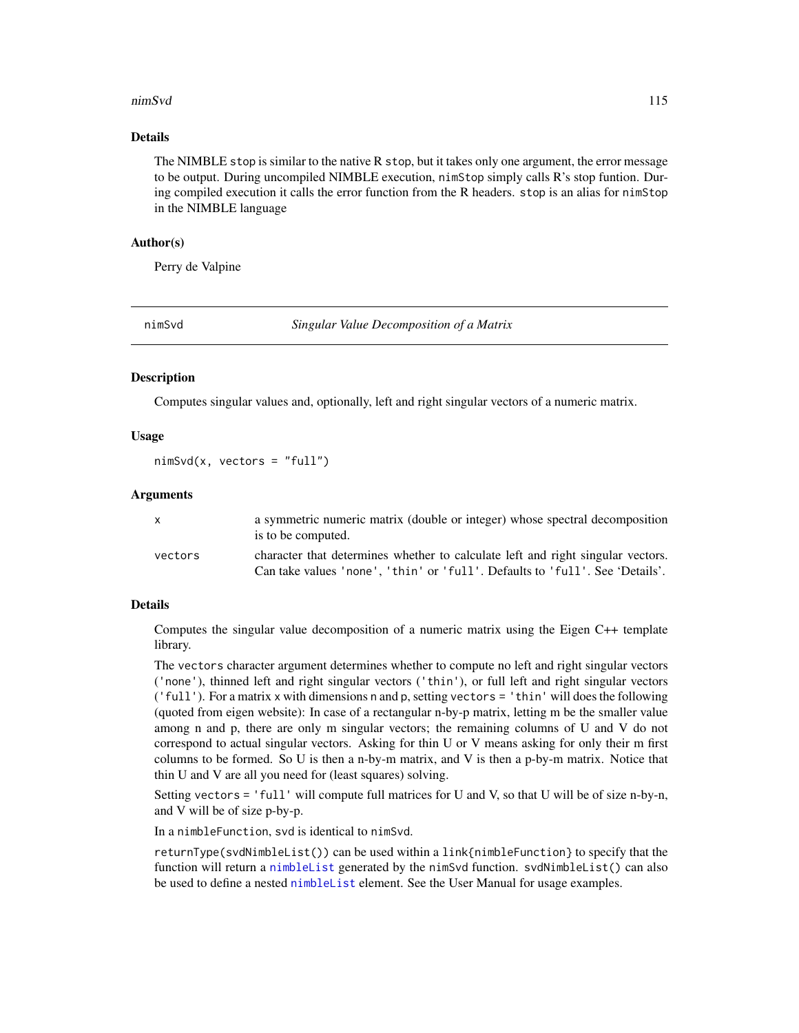#### nimSvd 115

## Details

The NIMBLE stop is similar to the native R stop, but it takes only one argument, the error message to be output. During uncompiled NIMBLE execution, nimStop simply calls R's stop funtion. During compiled execution it calls the error function from the R headers. stop is an alias for nimStop in the NIMBLE language

## Author(s)

Perry de Valpine

<span id="page-114-0"></span>

nimSvd *Singular Value Decomposition of a Matrix*

#### **Description**

Computes singular values and, optionally, left and right singular vectors of a numeric matrix.

# Usage

```
nimsvd(x, vectors = "full")
```
## Arguments

| x       | a symmetric numeric matrix (double or integer) whose spectral decomposition<br>is to be computed.                                                               |
|---------|-----------------------------------------------------------------------------------------------------------------------------------------------------------------|
| vectors | character that determines whether to calculate left and right singular vectors.<br>Can take values 'none', 'thin' or 'full'. Defaults to 'full'. See 'Details'. |

## Details

Computes the singular value decomposition of a numeric matrix using the Eigen C++ template library.

The vectors character argument determines whether to compute no left and right singular vectors ('none'), thinned left and right singular vectors ('thin'), or full left and right singular vectors ('full'). For a matrix x with dimensions n and p, setting vectors = 'thin' will does the following (quoted from eigen website): In case of a rectangular n-by-p matrix, letting m be the smaller value among n and p, there are only m singular vectors; the remaining columns of U and V do not correspond to actual singular vectors. Asking for thin U or V means asking for only their m first columns to be formed. So U is then a n-by-m matrix, and V is then a p-by-m matrix. Notice that thin U and V are all you need for (least squares) solving.

Setting vectors = 'full' will compute full matrices for U and V, so that U will be of size n-by-n, and V will be of size p-by-p.

In a nimbleFunction, svd is identical to nimSvd.

returnType(svdNimbleList()) can be used within a link{nimbleFunction} to specify that the function will return a [nimbleList](#page-94-0) generated by the nimSvd function. svdNimbleList() can also be used to define a nested [nimbleList](#page-94-0) element. See the User Manual for usage examples.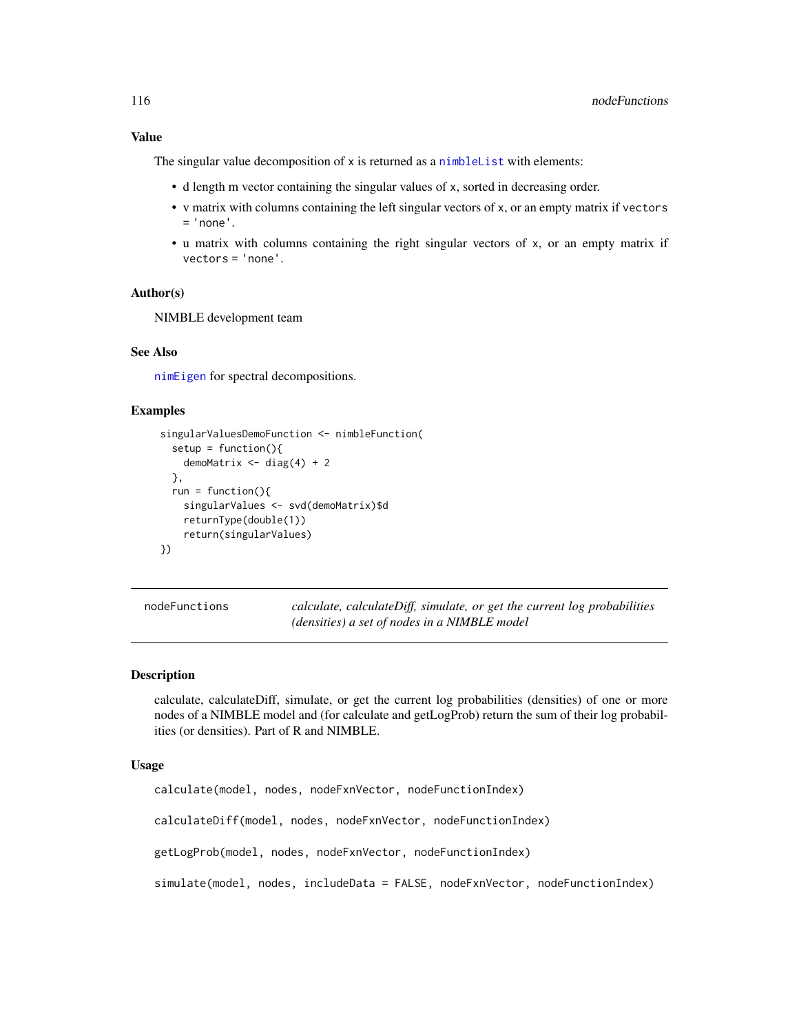## Value

The singular value decomposition of x is returned as a [nimbleList](#page-94-0) with elements:

- d length m vector containing the singular values of x, sorted in decreasing order.
- v matrix with columns containing the left singular vectors of x, or an empty matrix if vectors  $= 'none'.$
- u matrix with columns containing the right singular vectors of x, or an empty matrix if vectors = 'none'.

# Author(s)

NIMBLE development team

## See Also

[nimEigen](#page-107-0) for spectral decompositions.

## Examples

```
singularValuesDemoFunction <- nimbleFunction(
  setup = function()demoMatrix \leq - diag(4) + 2
  },
  run = function()\{singularValues <- svd(demoMatrix)$d
    returnType(double(1))
    return(singularValues)
})
```
nodeFunctions *calculate, calculateDiff, simulate, or get the current log probabilities (densities) a set of nodes in a NIMBLE model*

# <span id="page-115-0"></span>**Description**

calculate, calculateDiff, simulate, or get the current log probabilities (densities) of one or more nodes of a NIMBLE model and (for calculate and getLogProb) return the sum of their log probabilities (or densities). Part of R and NIMBLE.

## Usage

```
calculate(model, nodes, nodeFxnVector, nodeFunctionIndex)
calculateDiff(model, nodes, nodeFxnVector, nodeFunctionIndex)
getLogProb(model, nodes, nodeFxnVector, nodeFunctionIndex)
simulate(model, nodes, includeData = FALSE, nodeFxnVector, nodeFunctionIndex)
```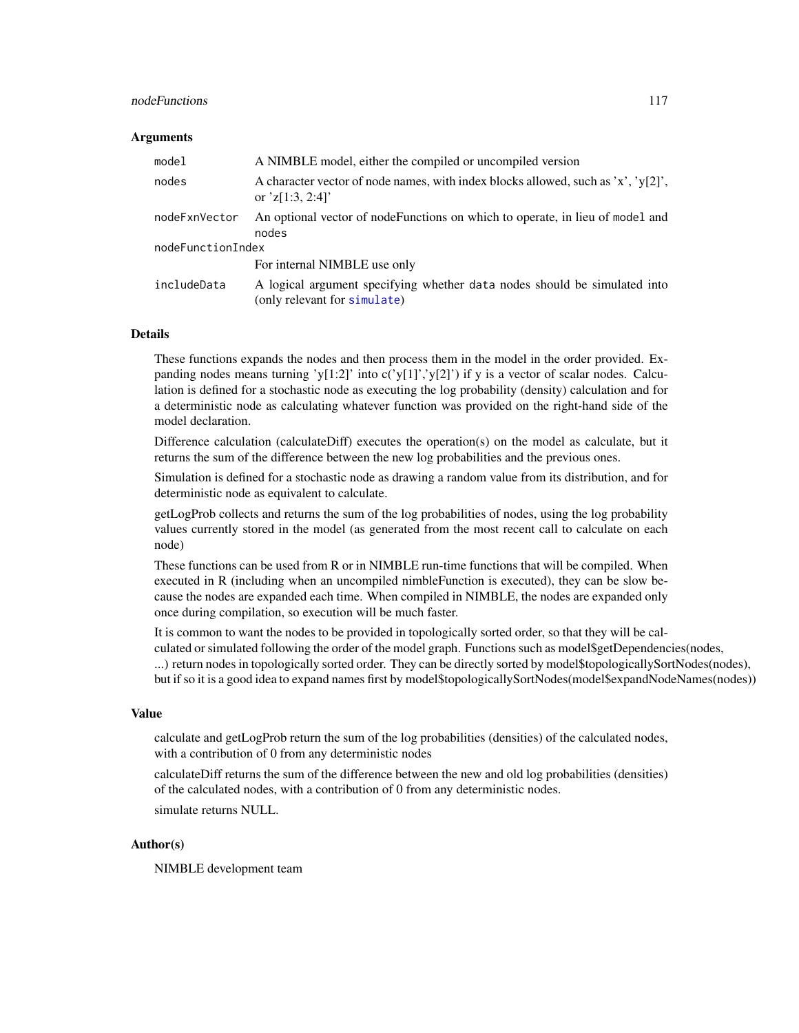#### nodeFunctions 117

#### **Arguments**

| model             | A NIMBLE model, either the compiled or uncompiled version                                                 |
|-------------------|-----------------------------------------------------------------------------------------------------------|
| nodes             | A character vector of node names, with index blocks allowed, such as 'x', 'y[2]',<br>or $z[1:3, 2:4]$     |
| nodeFxnVector     | An optional vector of nodeFunctions on which to operate, in lieu of model and<br>nodes                    |
| nodeFunctionIndex |                                                                                                           |
|                   | For internal NIMBLE use only                                                                              |
| includeData       | A logical argument specifying whether data nodes should be simulated into<br>(only relevant for simulate) |

#### Details

These functions expands the nodes and then process them in the model in the order provided. Expanding nodes means turning 'y[1:2]' into c('y[1]','y[2]') if y is a vector of scalar nodes. Calculation is defined for a stochastic node as executing the log probability (density) calculation and for a deterministic node as calculating whatever function was provided on the right-hand side of the model declaration.

Difference calculation (calculateDiff) executes the operation(s) on the model as calculate, but it returns the sum of the difference between the new log probabilities and the previous ones.

Simulation is defined for a stochastic node as drawing a random value from its distribution, and for deterministic node as equivalent to calculate.

getLogProb collects and returns the sum of the log probabilities of nodes, using the log probability values currently stored in the model (as generated from the most recent call to calculate on each node)

These functions can be used from R or in NIMBLE run-time functions that will be compiled. When executed in R (including when an uncompiled nimbleFunction is executed), they can be slow because the nodes are expanded each time. When compiled in NIMBLE, the nodes are expanded only once during compilation, so execution will be much faster.

It is common to want the nodes to be provided in topologically sorted order, so that they will be calculated or simulated following the order of the model graph. Functions such as model\$getDependencies(nodes, ...) return nodes in topologically sorted order. They can be directly sorted by model\$topologicallySortNodes(nodes), but if so it is a good idea to expand names first by model\$topologicallySortNodes(model\$expandNodeNames(nodes))

#### Value

calculate and getLogProb return the sum of the log probabilities (densities) of the calculated nodes, with a contribution of 0 from any deterministic nodes

calculateDiff returns the sum of the difference between the new and old log probabilities (densities) of the calculated nodes, with a contribution of 0 from any deterministic nodes.

simulate returns NULL.

## Author(s)

NIMBLE development team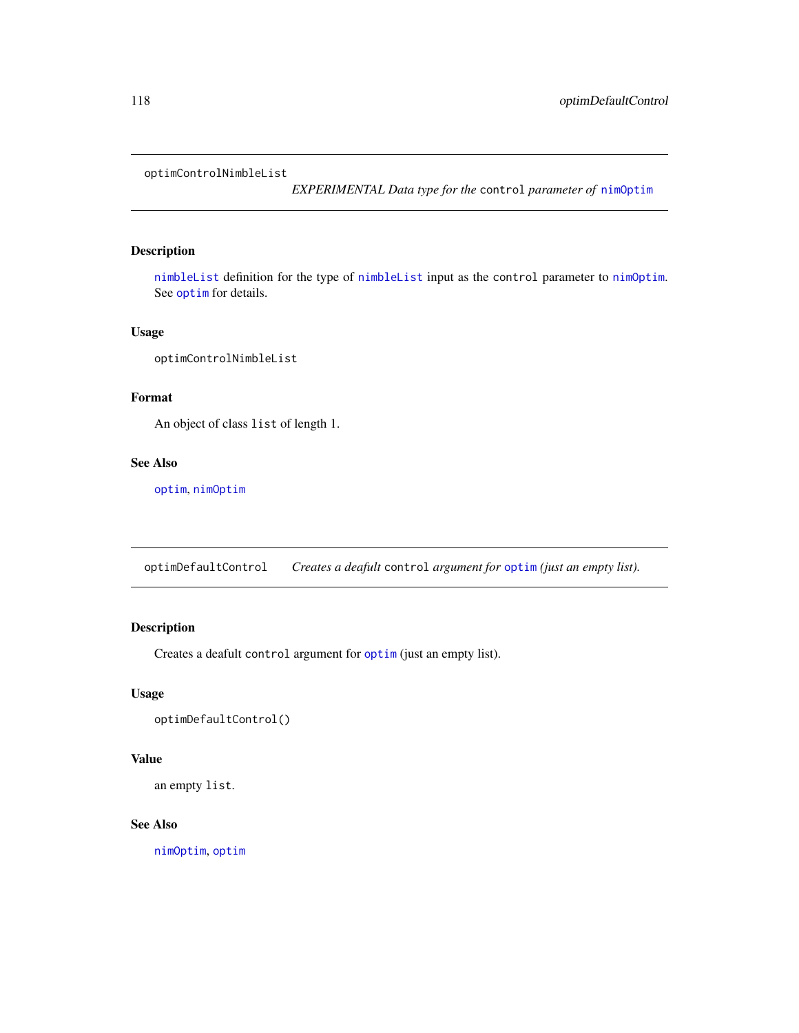<span id="page-117-0"></span>optimControlNimbleList

*EXPERIMENTAL Data type for the* control *parameter of* [nimOptim](#page-111-0)

# Description

[nimbleList](#page-94-0) definition for the type of [nimbleList](#page-94-0) input as the control parameter to [nimOptim](#page-111-0). See [optim](#page-0-0) for details.

## Usage

optimControlNimbleList

# Format

An object of class list of length 1.

# See Also

[optim](#page-0-0), [nimOptim](#page-111-0)

optimDefaultControl *Creates a deafult* control *argument for* [optim](#page-0-0) *(just an empty list).*

# Description

Creates a deafult control argument for [optim](#page-0-0) (just an empty list).

## Usage

```
optimDefaultControl()
```
# Value

an empty list.

## See Also

[nimOptim](#page-111-0), [optim](#page-0-0)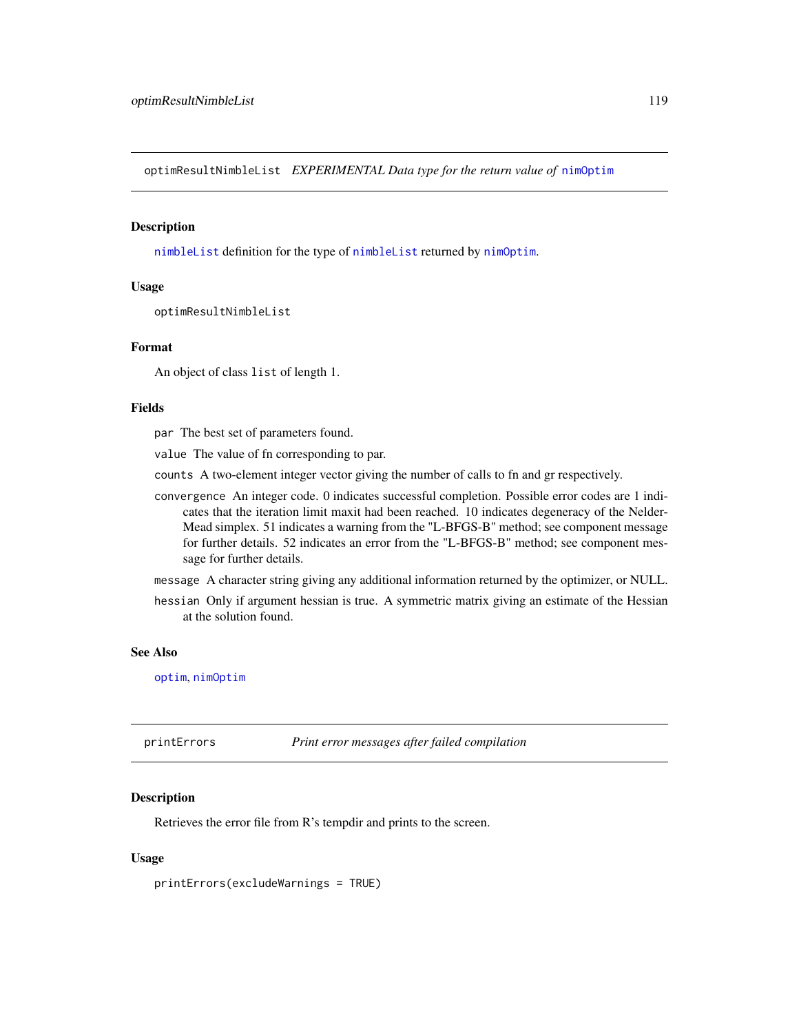<span id="page-118-0"></span>optimResultNimbleList *EXPERIMENTAL Data type for the return value of* [nimOptim](#page-111-0)

## Description

[nimbleList](#page-94-0) definition for the type of [nimbleList](#page-94-0) returned by [nimOptim](#page-111-0).

# Usage

optimResultNimbleList

#### Format

An object of class list of length 1.

## Fields

par The best set of parameters found.

value The value of fn corresponding to par.

- counts A two-element integer vector giving the number of calls to fn and gr respectively.
- convergence An integer code. 0 indicates successful completion. Possible error codes are 1 indicates that the iteration limit maxit had been reached. 10 indicates degeneracy of the Nelder-Mead simplex. 51 indicates a warning from the "L-BFGS-B" method; see component message for further details. 52 indicates an error from the "L-BFGS-B" method; see component message for further details.
- message A character string giving any additional information returned by the optimizer, or NULL.
- hessian Only if argument hessian is true. A symmetric matrix giving an estimate of the Hessian at the solution found.

# See Also

[optim](#page-0-0), [nimOptim](#page-111-0)

printErrors *Print error messages after failed compilation*

## Description

Retrieves the error file from R's tempdir and prints to the screen.

## Usage

printErrors(excludeWarnings = TRUE)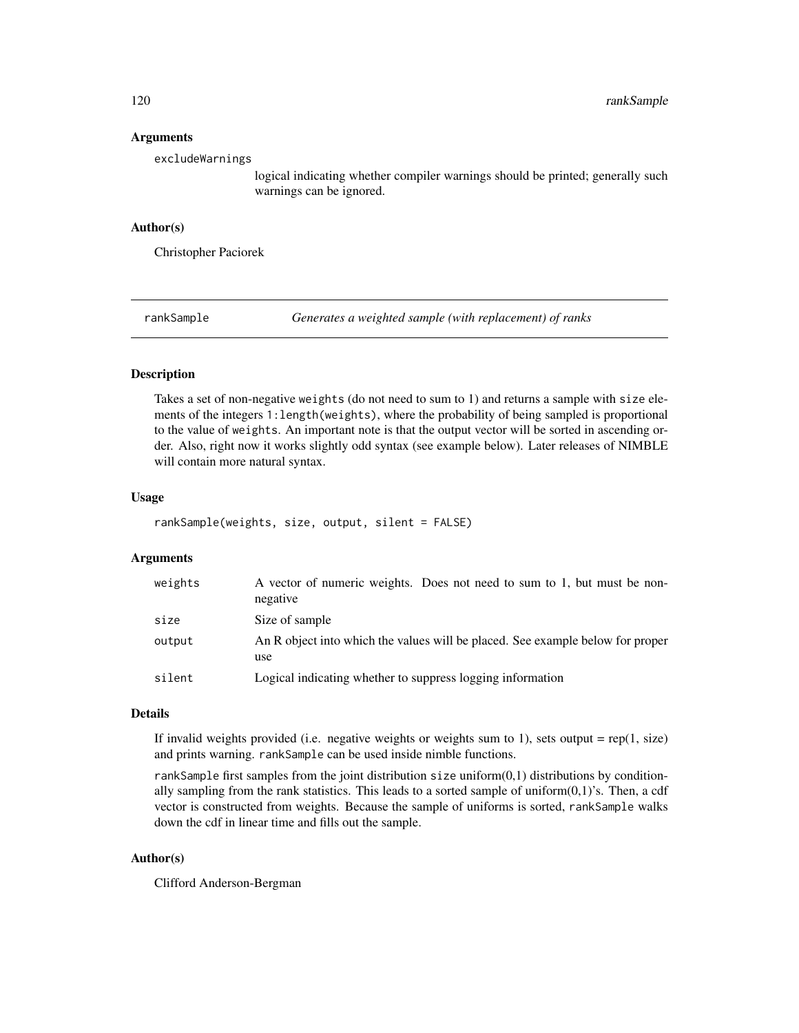#### Arguments

excludeWarnings

logical indicating whether compiler warnings should be printed; generally such warnings can be ignored.

## Author(s)

Christopher Paciorek

rankSample *Generates a weighted sample (with replacement) of ranks*

## **Description**

Takes a set of non-negative weights (do not need to sum to 1) and returns a sample with size elements of the integers 1:length(weights), where the probability of being sampled is proportional to the value of weights. An important note is that the output vector will be sorted in ascending order. Also, right now it works slightly odd syntax (see example below). Later releases of NIMBLE will contain more natural syntax.

#### Usage

```
rankSample(weights, size, output, silent = FALSE)
```
## Arguments

| weights | A vector of numeric weights. Does not need to sum to 1, but must be non-<br>negative  |
|---------|---------------------------------------------------------------------------------------|
| size    | Size of sample                                                                        |
| output  | An R object into which the values will be placed. See example below for proper<br>use |
| silent  | Logical indicating whether to suppress logging information                            |

# Details

If invalid weights provided (i.e. negative weights or weights sum to 1), sets output =  $rep(1, size)$ and prints warning. rankSample can be used inside nimble functions.

rankSample first samples from the joint distribution size uniform(0,1) distributions by conditionally sampling from the rank statistics. This leads to a sorted sample of uniform $(0,1)$ 's. Then, a cdf vector is constructed from weights. Because the sample of uniforms is sorted, rankSample walks down the cdf in linear time and fills out the sample.

# Author(s)

Clifford Anderson-Bergman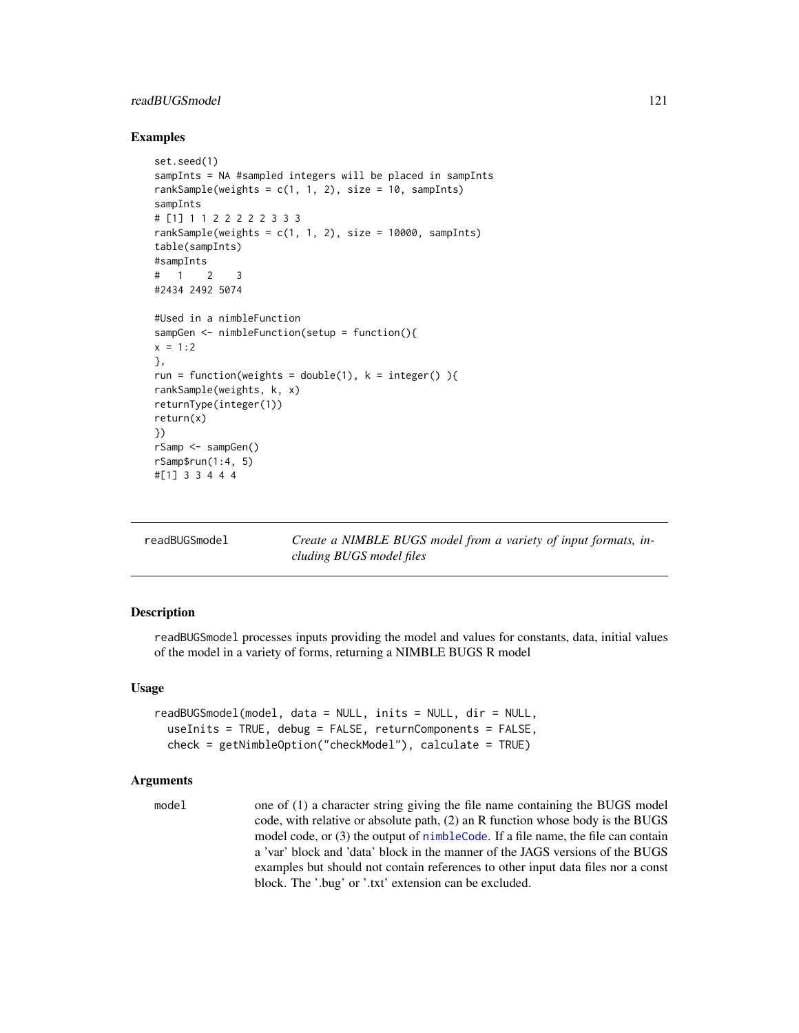# readBUGSmodel 121

#### Examples

```
set.seed(1)
sampInts = NA #sampled integers will be placed in sampInts
rankSample(weights = c(1, 1, 2), size = 10, sampInts)
sampInts
# [1] 1 1 2 2 2 2 2 3 3 3
rankSample(weights = c(1, 1, 2), size = 10000, sampInts)
table(sampInts)
#sampInts
# 1 2 3#2434 2492 5074
#Used in a nimbleFunction
sampGen <- nimbleFunction(setup = function(){
x = 1:2},
run = function(weights = double(1), k = integer() ){
rankSample(weights, k, x)
returnType(integer(1))
return(x)
})
rSamp <- sampGen()
rSamp$run(1:4, 5)
#[1] 3 3 4 4 4
```
<span id="page-120-0"></span>

| readBUGSmodel |
|---------------|
|---------------|

Create a NIMBLE BUGS model from a variety of input formats, in*cluding BUGS model files*

#### Description

readBUGSmodel processes inputs providing the model and values for constants, data, initial values of the model in a variety of forms, returning a NIMBLE BUGS R model

## Usage

```
readBUGSmodel(model, data = NULL, inits = NULL, dir = NULL,
  useInits = TRUE, debug = FALSE, returnComponents = FALSE,
  check = getNimbleOption("checkModel"), calculate = TRUE)
```
## Arguments

model one of (1) a character string giving the file name containing the BUGS model code, with relative or absolute path, (2) an R function whose body is the BUGS model code, or (3) the output of [nimbleCode](#page-88-0). If a file name, the file can contain a 'var' block and 'data' block in the manner of the JAGS versions of the BUGS examples but should not contain references to other input data files nor a const block. The '.bug' or '.txt' extension can be excluded.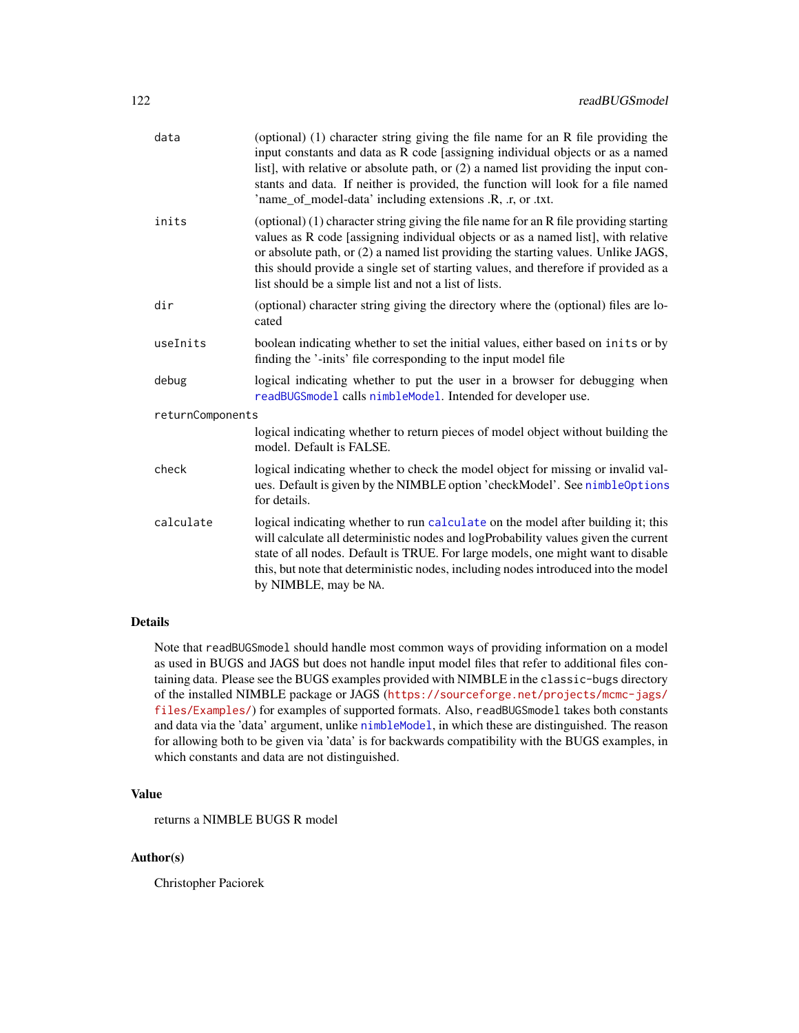| data             | (optional) (1) character string giving the file name for an R file providing the<br>input constants and data as R code [assigning individual objects or as a named<br>list], with relative or absolute path, or (2) a named list providing the input con-<br>stants and data. If neither is provided, the function will look for a file named<br>'name_of_model-data' including extensions .R, .r, or .txt.     |
|------------------|-----------------------------------------------------------------------------------------------------------------------------------------------------------------------------------------------------------------------------------------------------------------------------------------------------------------------------------------------------------------------------------------------------------------|
| inits            | (optional) (1) character string giving the file name for an R file providing starting<br>values as R code [assigning individual objects or as a named list], with relative<br>or absolute path, or (2) a named list providing the starting values. Unlike JAGS,<br>this should provide a single set of starting values, and therefore if provided as a<br>list should be a simple list and not a list of lists. |
| dir              | (optional) character string giving the directory where the (optional) files are lo-<br>cated                                                                                                                                                                                                                                                                                                                    |
| useInits         | boolean indicating whether to set the initial values, either based on inits or by<br>finding the '-inits' file corresponding to the input model file                                                                                                                                                                                                                                                            |
| debug            | logical indicating whether to put the user in a browser for debugging when<br>readBUGSmodel calls nimbleModel. Intended for developer use.                                                                                                                                                                                                                                                                      |
| returnComponents |                                                                                                                                                                                                                                                                                                                                                                                                                 |
|                  | logical indicating whether to return pieces of model object without building the<br>model. Default is FALSE.                                                                                                                                                                                                                                                                                                    |
| check            | logical indicating whether to check the model object for missing or invalid val-<br>ues. Default is given by the NIMBLE option 'checkModel'. See nimbleOptions<br>for details.                                                                                                                                                                                                                                  |
| calculate        | logical indicating whether to run calculate on the model after building it; this<br>will calculate all deterministic nodes and logProbability values given the current<br>state of all nodes. Default is TRUE. For large models, one might want to disable<br>this, but note that deterministic nodes, including nodes introduced into the model<br>by NIMBLE, may be NA.                                       |

# Details

Note that readBUGSmodel should handle most common ways of providing information on a model as used in BUGS and JAGS but does not handle input model files that refer to additional files containing data. Please see the BUGS examples provided with NIMBLE in the classic-bugs directory of the installed NIMBLE package or JAGS ([https://sourceforge.net/projects/mcmc-jags/](https://sourceforge.net/projects/mcmc-jags/files/Examples/) [files/Examples/](https://sourceforge.net/projects/mcmc-jags/files/Examples/)) for examples of supported formats. Also, readBUGSmodel takes both constants and data via the 'data' argument, unlike [nimbleModel](#page-98-0), in which these are distinguished. The reason for allowing both to be given via 'data' is for backwards compatibility with the BUGS examples, in which constants and data are not distinguished.

# Value

returns a NIMBLE BUGS R model

## Author(s)

Christopher Paciorek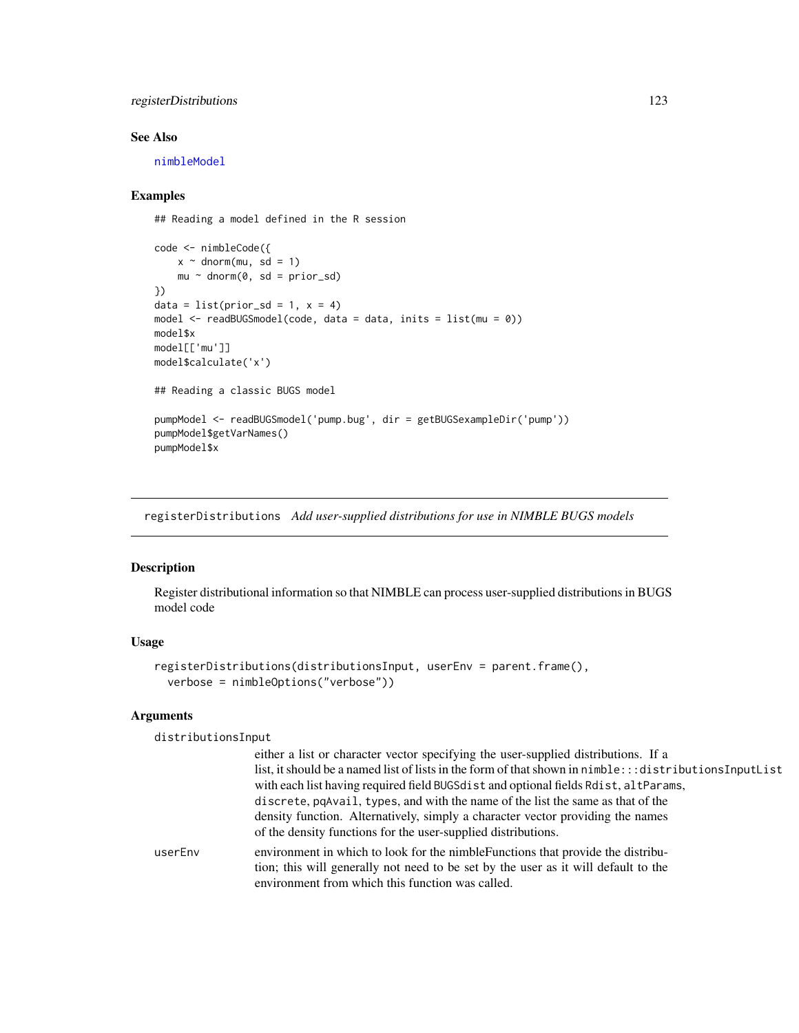# registerDistributions 123

# See Also

[nimbleModel](#page-98-0)

## Examples

## Reading a model defined in the R session

```
code <- nimbleCode({
   x \sim dnorm(mu, sd = 1)
    mu ~ ~ dnorm(0, sd = prior_sd)
})
data = list(prior_s d = 1, x = 4)model <- readBUGSmodel(code, data = data, inits = list(mu = 0))
model$x
model[['mu']]
model$calculate('x')
## Reading a classic BUGS model
pumpModel <- readBUGSmodel('pump.bug', dir = getBUGSexampleDir('pump'))
pumpModel$getVarNames()
pumpModel$x
```
registerDistributions *Add user-supplied distributions for use in NIMBLE BUGS models*

# Description

Register distributional information so that NIMBLE can process user-supplied distributions in BUGS model code

## Usage

```
registerDistributions(distributionsInput, userEnv = parent.frame(),
  verbose = nimbleOptions("verbose"))
```
## Arguments

distributionsInput

|         | either a list or character vector specifying the user-supplied distributions. If a                          |
|---------|-------------------------------------------------------------------------------------------------------------|
|         | list, it should be a named list of lists in the form of that shown in $n$ imble::: distributions Input List |
|         | with each list having required field BUGSdist and optional fields Rdist, altParams,                         |
|         | discrete, pqAvail, types, and with the name of the list the same as that of the                             |
|         | density function. Alternatively, simply a character vector providing the names                              |
|         | of the density functions for the user-supplied distributions.                                               |
| userEnv | environment in which to look for the nimble Functions that provide the distribu-                            |
|         | tion; this will generally not need to be set by the user as it will default to the                          |
|         | environment from which this function was called.                                                            |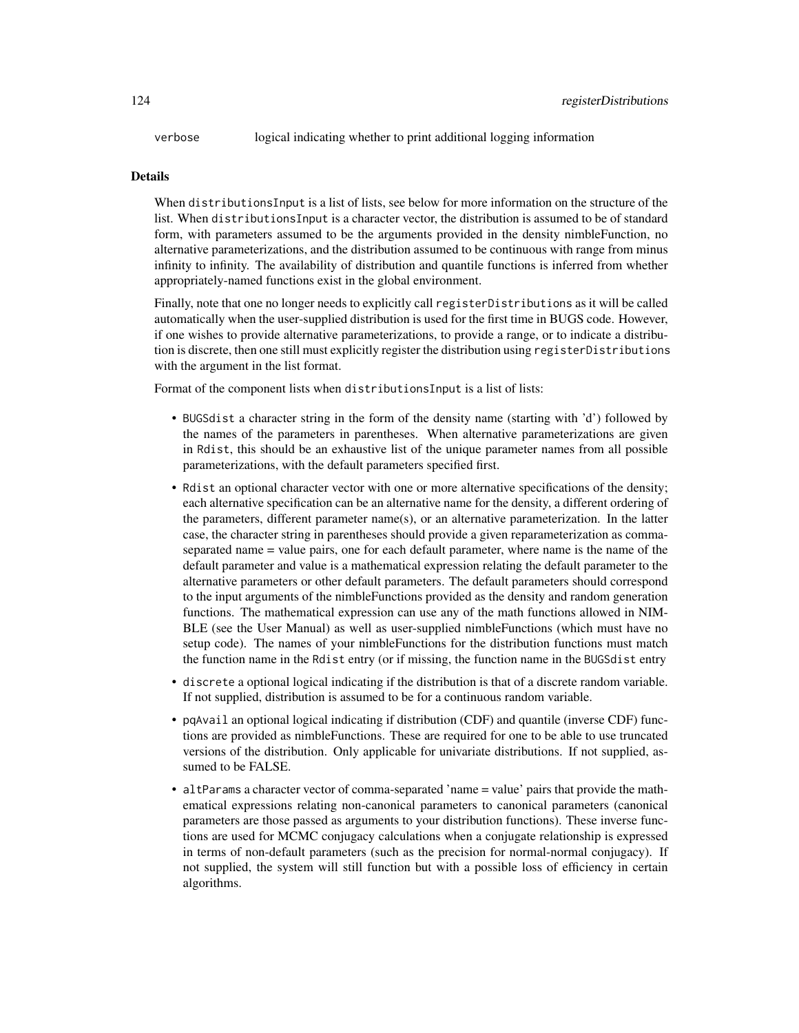verbose logical indicating whether to print additional logging information

#### Details

When distributionsInput is a list of lists, see below for more information on the structure of the list. When distributionsInput is a character vector, the distribution is assumed to be of standard form, with parameters assumed to be the arguments provided in the density nimbleFunction, no alternative parameterizations, and the distribution assumed to be continuous with range from minus infinity to infinity. The availability of distribution and quantile functions is inferred from whether appropriately-named functions exist in the global environment.

Finally, note that one no longer needs to explicitly call registerDistributions as it will be called automatically when the user-supplied distribution is used for the first time in BUGS code. However, if one wishes to provide alternative parameterizations, to provide a range, or to indicate a distribution is discrete, then one still must explicitly register the distribution using registerDistributions with the argument in the list format.

Format of the component lists when distributionsInput is a list of lists:

- BUGSdist a character string in the form of the density name (starting with 'd') followed by the names of the parameters in parentheses. When alternative parameterizations are given in Rdist, this should be an exhaustive list of the unique parameter names from all possible parameterizations, with the default parameters specified first.
- Rdist an optional character vector with one or more alternative specifications of the density; each alternative specification can be an alternative name for the density, a different ordering of the parameters, different parameter name(s), or an alternative parameterization. In the latter case, the character string in parentheses should provide a given reparameterization as commaseparated name = value pairs, one for each default parameter, where name is the name of the default parameter and value is a mathematical expression relating the default parameter to the alternative parameters or other default parameters. The default parameters should correspond to the input arguments of the nimbleFunctions provided as the density and random generation functions. The mathematical expression can use any of the math functions allowed in NIM-BLE (see the User Manual) as well as user-supplied nimbleFunctions (which must have no setup code). The names of your nimbleFunctions for the distribution functions must match the function name in the Rdist entry (or if missing, the function name in the BUGSdist entry
- discrete a optional logical indicating if the distribution is that of a discrete random variable. If not supplied, distribution is assumed to be for a continuous random variable.
- pqAvail an optional logical indicating if distribution (CDF) and quantile (inverse CDF) functions are provided as nimbleFunctions. These are required for one to be able to use truncated versions of the distribution. Only applicable for univariate distributions. If not supplied, assumed to be FALSE.
- altParams a character vector of comma-separated 'name = value' pairs that provide the mathematical expressions relating non-canonical parameters to canonical parameters (canonical parameters are those passed as arguments to your distribution functions). These inverse functions are used for MCMC conjugacy calculations when a conjugate relationship is expressed in terms of non-default parameters (such as the precision for normal-normal conjugacy). If not supplied, the system will still function but with a possible loss of efficiency in certain algorithms.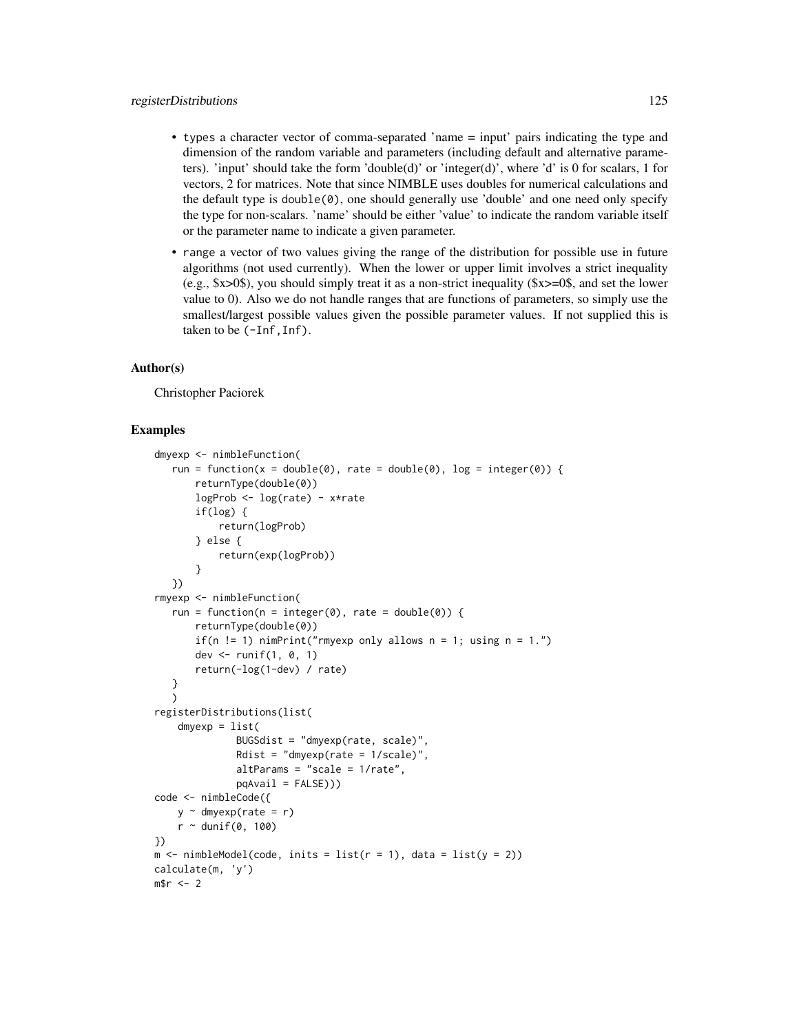- types a character vector of comma-separated 'name = input' pairs indicating the type and dimension of the random variable and parameters (including default and alternative parameters). 'input' should take the form 'double(d)' or 'integer(d)', where 'd' is 0 for scalars, 1 for vectors, 2 for matrices. Note that since NIMBLE uses doubles for numerical calculations and the default type is double $(0)$ , one should generally use 'double' and one need only specify the type for non-scalars. 'name' should be either 'value' to indicate the random variable itself or the parameter name to indicate a given parameter.
- range a vector of two values giving the range of the distribution for possible use in future algorithms (not used currently). When the lower or upper limit involves a strict inequality (e.g., \$x>0\$), you should simply treat it as a non-strict inequality (\$x>=0\$, and set the lower value to 0). Also we do not handle ranges that are functions of parameters, so simply use the smallest/largest possible values given the possible parameter values. If not supplied this is taken to be (-Inf,Inf).

## Author(s)

Christopher Paciorek

## Examples

```
dmyexp <- nimbleFunction(
   run = function(x = double(0), rate = double(0), log = integer(0)) {
       returnType(double(0))
       logProb <- log(rate) - x*rate
       if(log) {
            return(logProb)
       } else {
            return(exp(logProb))
       }
   })
rmyexp <- nimbleFunction(
   run = function(n = integer(0), rate = double(0)) {
       returnType(double(0))
       if(n != 1) nimPrint("rmyexp only allows n = 1; using n = 1.")
       dev <- runif(1, 0, 1)
       return(-log(1-dev) / rate)
   }
   )
registerDistributions(list(
    dmyexp = list(BUGSdist = "dmyexp(rate, scale)",
               Rdist = "dmyexp(rate = 1/\text{scale})",
               altParams = "scale = 1/rate",
               pqAvail = FALSE))code <- nimbleCode({
    y \sim dmyexp(rate = r)
    r \sim dunif(0, 100)
})
m \le - \text{ nimbleModel}(\text{code}, \text{inits} = \text{list}(r = 1), \text{data} = \text{list}(y = 2))calculate(m, 'y')
m$r < -2
```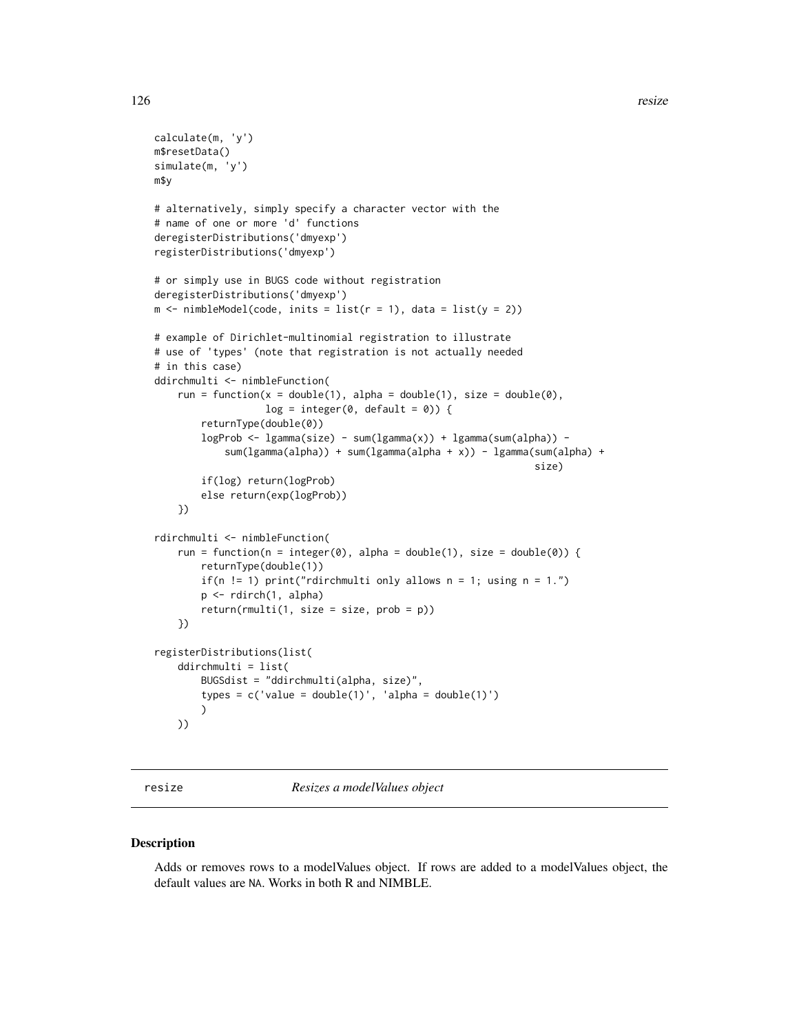```
calculate(m, 'y')
m$resetData()
simulate(m, 'y')
m$y
# alternatively, simply specify a character vector with the
# name of one or more 'd' functions
deregisterDistributions('dmyexp')
registerDistributions('dmyexp')
# or simply use in BUGS code without registration
deregisterDistributions('dmyexp')
m \le - \text{nimbleModel}(\text{code}, \text{inits} = \text{list}(r = 1), \text{data} = \text{list}(y = 2))# example of Dirichlet-multinomial registration to illustrate
# use of 'types' (note that registration is not actually needed
# in this case)
ddirchmulti <- nimbleFunction(
    run = function(x = double(1), alpha = double(1), size = double(0),
                    log = integer(0, default = 0) {
        returnType(double(0))
        logProb \leq log amma(size) - sum(lgamma(x)) + lgamma(sum(alpha) -
            sum(lgamma(alpha)) + sum(lgamma(alpha + x)) - lgamma(sum(alpha) +
                                                                    size)
        if(log) return(logProb)
        else return(exp(logProb))
    })
rdirchmulti <- nimbleFunction(
    run = function(n = integer(0), alpha = double(1), size = double(0)) {
        returnType(double(1))
        if(n != 1) print("rdirchmulti only allows n = 1; using n = 1.")
        p <- rdirch(1, alpha)
        return(rmulti(1, size = size, prob = p))})
registerDistributions(list(
    ddirchmulti = list(
        BUGSdist = "ddirchmulti(alpha, size)",
        types = c('value = double(1)', 'alpha = double(1)'))
    ))
```
resize *Resizes a modelValues object*

#### Description

Adds or removes rows to a modelValues object. If rows are added to a modelValues object, the default values are NA. Works in both R and NIMBLE.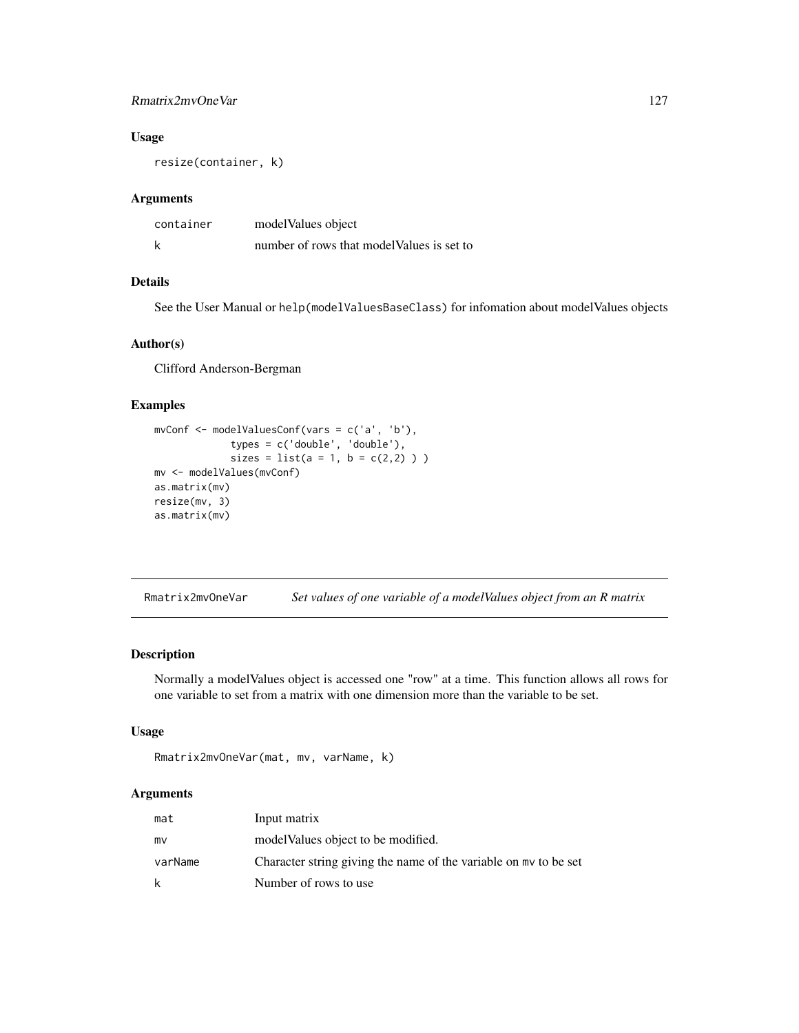## Rmatrix2mvOneVar 127

# Usage

resize(container, k)

# Arguments

| container | model Values object                        |
|-----------|--------------------------------------------|
| k         | number of rows that model Values is set to |

# Details

See the User Manual or help(modelValuesBaseClass) for infomation about modelValues objects

# Author(s)

Clifford Anderson-Bergman

## Examples

```
mvConf <- modelValuesConf(vars = c('a', 'b'),
            types = c('double', 'double'),
             sizes = list(a = 1, b = c(2,2)) )mv <- modelValues(mvConf)
as.matrix(mv)
resize(mv, 3)
as.matrix(mv)
```
Rmatrix2mvOneVar *Set values of one variable of a modelValues object from an R matrix*

## Description

Normally a modelValues object is accessed one "row" at a time. This function allows all rows for one variable to set from a matrix with one dimension more than the variable to be set.

# Usage

```
Rmatrix2mvOneVar(mat, mv, varName, k)
```
# Arguments

| mat     | Input matrix                                                     |
|---------|------------------------------------------------------------------|
| mv      | model Values object to be modified.                              |
| varName | Character string giving the name of the variable on my to be set |
| k       | Number of rows to use                                            |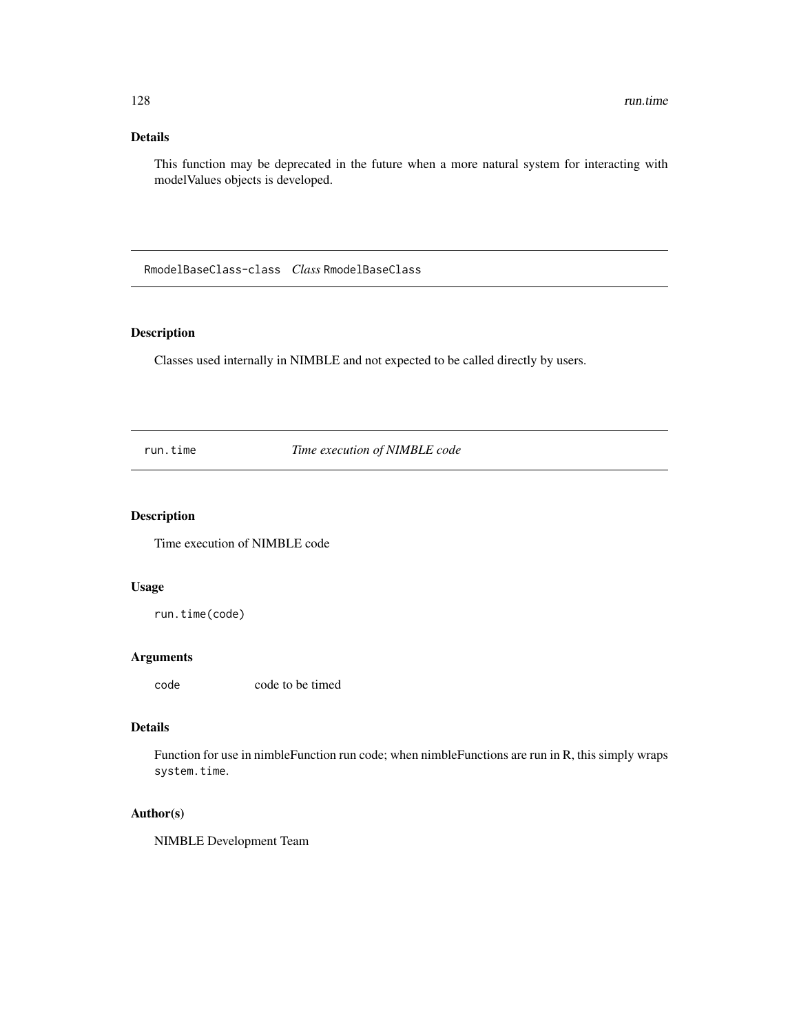# Details

This function may be deprecated in the future when a more natural system for interacting with modelValues objects is developed.

RmodelBaseClass-class *Class* RmodelBaseClass

## Description

Classes used internally in NIMBLE and not expected to be called directly by users.

run.time *Time execution of NIMBLE code*

# Description

Time execution of NIMBLE code

# Usage

run.time(code)

## Arguments

code code to be timed

# Details

Function for use in nimbleFunction run code; when nimbleFunctions are run in R, this simply wraps system.time.

## Author(s)

NIMBLE Development Team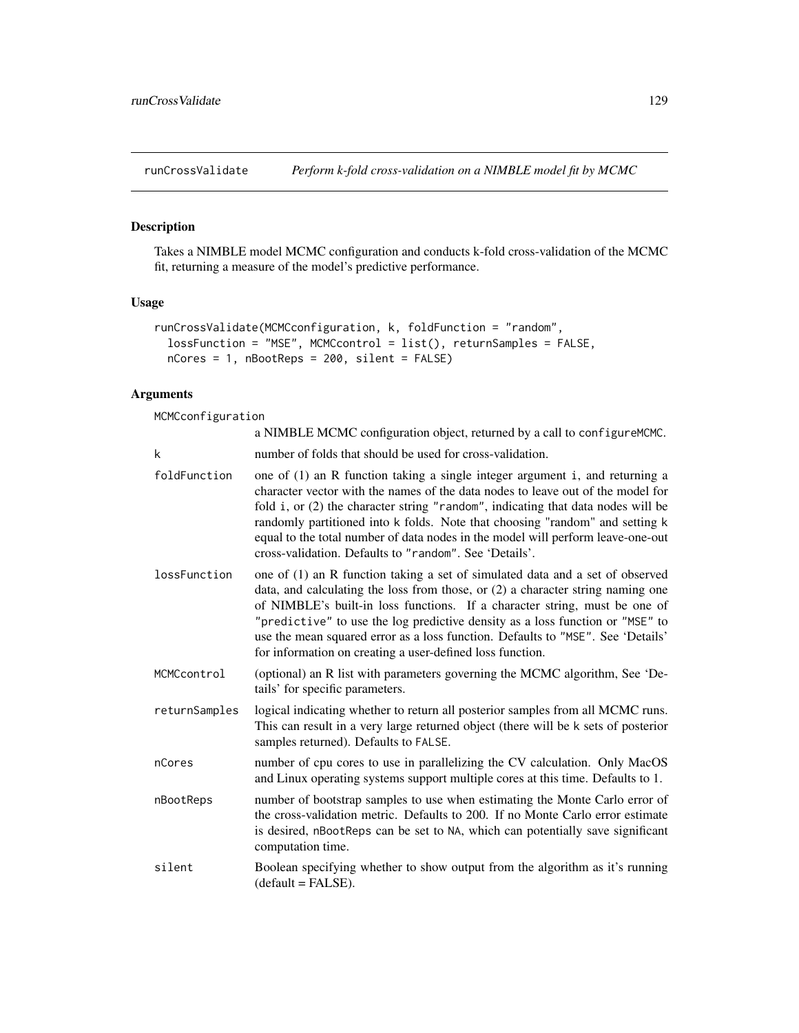# Description

Takes a NIMBLE model MCMC configuration and conducts k-fold cross-validation of the MCMC fit, returning a measure of the model's predictive performance.

# Usage

```
runCrossValidate(MCMCconfiguration, k, foldFunction = "random",
 lossFunction = "MSE", MCMCcontrol = list(), returnSamples = FALSE,
 nCores = 1, nBootReps = 200, silent = FALSE)
```
# Arguments

MCMCconfiguration

|               | a NIMBLE MCMC configuration object, returned by a call to configure MCMC.                                                                                                                                                                                                                                                                                                                                                                                                        |
|---------------|----------------------------------------------------------------------------------------------------------------------------------------------------------------------------------------------------------------------------------------------------------------------------------------------------------------------------------------------------------------------------------------------------------------------------------------------------------------------------------|
| k             | number of folds that should be used for cross-validation.                                                                                                                                                                                                                                                                                                                                                                                                                        |
| foldFunction  | one of (1) an R function taking a single integer argument i, and returning a<br>character vector with the names of the data nodes to leave out of the model for<br>fold i, or (2) the character string "random", indicating that data nodes will be<br>randomly partitioned into k folds. Note that choosing "random" and setting k<br>equal to the total number of data nodes in the model will perform leave-one-out<br>cross-validation. Defaults to "random". See 'Details'. |
| lossFunction  | one of (1) an R function taking a set of simulated data and a set of observed<br>data, and calculating the loss from those, or (2) a character string naming one<br>of NIMBLE's built-in loss functions. If a character string, must be one of<br>"predictive" to use the log predictive density as a loss function or "MSE" to<br>use the mean squared error as a loss function. Defaults to "MSE". See 'Details'<br>for information on creating a user-defined loss function.  |
| MCMCcontrol   | (optional) an R list with parameters governing the MCMC algorithm, See 'De-<br>tails' for specific parameters.                                                                                                                                                                                                                                                                                                                                                                   |
| returnSamples | logical indicating whether to return all posterior samples from all MCMC runs.<br>This can result in a very large returned object (there will be k sets of posterior<br>samples returned). Defaults to FALSE.                                                                                                                                                                                                                                                                    |
| nCores        | number of cpu cores to use in parallelizing the CV calculation. Only MacOS<br>and Linux operating systems support multiple cores at this time. Defaults to 1.                                                                                                                                                                                                                                                                                                                    |
| nBootReps     | number of bootstrap samples to use when estimating the Monte Carlo error of<br>the cross-validation metric. Defaults to 200. If no Monte Carlo error estimate<br>is desired, nBootReps can be set to NA, which can potentially save significant<br>computation time.                                                                                                                                                                                                             |
| silent        | Boolean specifying whether to show output from the algorithm as it's running<br>(default = FALSE).                                                                                                                                                                                                                                                                                                                                                                               |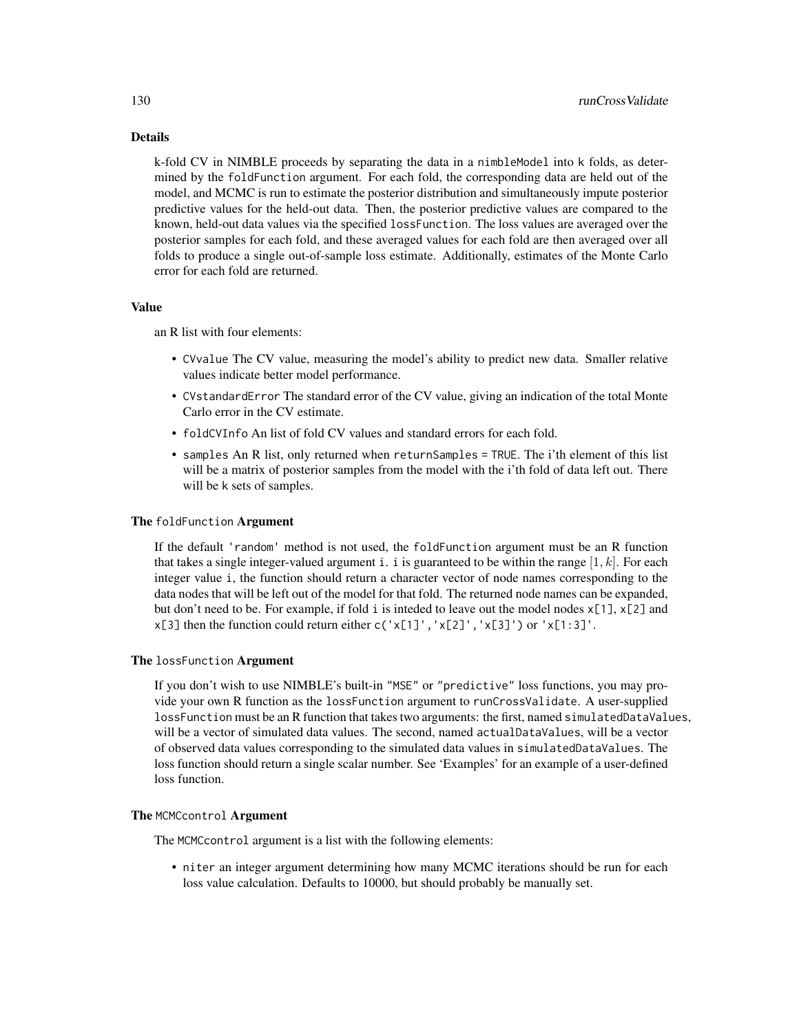# Details

k-fold CV in NIMBLE proceeds by separating the data in a nimbleModel into k folds, as determined by the foldFunction argument. For each fold, the corresponding data are held out of the model, and MCMC is run to estimate the posterior distribution and simultaneously impute posterior predictive values for the held-out data. Then, the posterior predictive values are compared to the known, held-out data values via the specified lossFunction. The loss values are averaged over the posterior samples for each fold, and these averaged values for each fold are then averaged over all folds to produce a single out-of-sample loss estimate. Additionally, estimates of the Monte Carlo error for each fold are returned.

## Value

an R list with four elements:

- CVvalue The CV value, measuring the model's ability to predict new data. Smaller relative values indicate better model performance.
- CVstandardError The standard error of the CV value, giving an indication of the total Monte Carlo error in the CV estimate.
- foldCVInfo An list of fold CV values and standard errors for each fold.
- samples An R list, only returned when returnSamples = TRUE. The i'th element of this list will be a matrix of posterior samples from the model with the i'th fold of data left out. There will be k sets of samples.

#### The foldFunction Argument

If the default 'random' method is not used, the foldFunction argument must be an R function that takes a single integer-valued argument i. i is guaranteed to be within the range  $[1, k]$ . For each integer value i, the function should return a character vector of node names corresponding to the data nodes that will be left out of the model for that fold. The returned node names can be expanded, but don't need to be. For example, if fold i is inteded to leave out the model nodes  $x[1]$ ,  $x[2]$  and  $x[3]$  then the function could return either c('x[1]', 'x[2]', 'x[3]') or 'x[1:3]'.

#### The lossFunction Argument

If you don't wish to use NIMBLE's built-in "MSE" or "predictive" loss functions, you may provide your own R function as the lossFunction argument to runCrossValidate. A user-supplied lossFunction must be an R function that takes two arguments: the first, named simulatedDataValues, will be a vector of simulated data values. The second, named actualDataValues, will be a vector of observed data values corresponding to the simulated data values in simulatedDataValues. The loss function should return a single scalar number. See 'Examples' for an example of a user-defined loss function.

#### The MCMCcontrol Argument

The MCMCcontrol argument is a list with the following elements:

• niter an integer argument determining how many MCMC iterations should be run for each loss value calculation. Defaults to 10000, but should probably be manually set.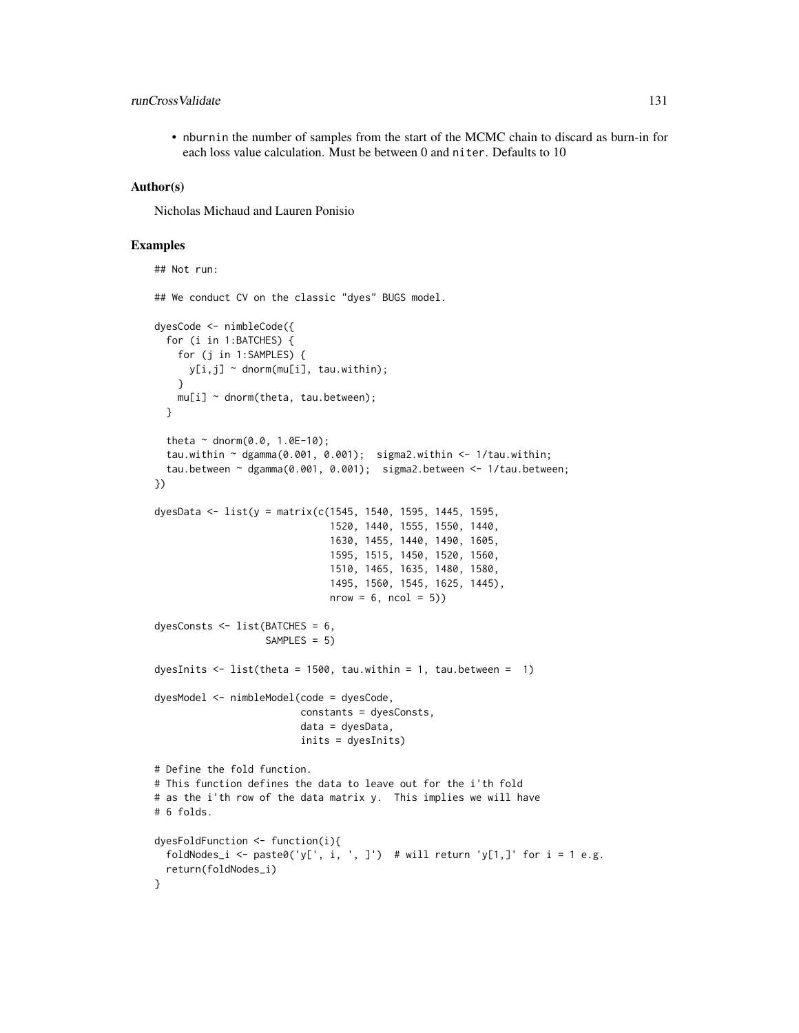# runCrossValidate 131

• nburnin the number of samples from the start of the MCMC chain to discard as burn-in for each loss value calculation. Must be between 0 and niter. Defaults to 10

#### Author(s)

Nicholas Michaud and Lauren Ponisio

#### Examples

```
## Not run:
## We conduct CV on the classic "dyes" BUGS model.
dyesCode <- nimbleCode({
  for (i in 1:BATCHES) {
    for (j in 1:SAMPLES) {
     y[i,j] ~ dnorm(mu[i], tau.within);
    }
   mu[i] ~ dnorm(theta, tau.between);
  }
  theta \sim dnorm(0.0, 1.0E-10);
  tau.within ~ dgamma(0.001, 0.001); sigma2.within <- 1/tau.within;
  tau.between ~ dgamma(0.001, 0.001); sigma2.between <- 1/tau.between;
})
dyesData <- list(y = matrix(c(1545, 1540, 1595, 1445, 1595,
                              1520, 1440, 1555, 1550, 1440,
                              1630, 1455, 1440, 1490, 1605,
                              1595, 1515, 1450, 1520, 1560,
                              1510, 1465, 1635, 1480, 1580,
                              1495, 1560, 1545, 1625, 1445),
                              nrow = 6, ncol = 5)
dyesConsts <- list(BATCHES = 6,
                   SAMPLES = 5)
dyesInits \le list(theta = 1500, tau.within = 1, tau.between = 1)
dyesModel <- nimbleModel(code = dyesCode,
                         constants = dyesConsts,
                         data = dyesData,
                         inits = dyesInits)
# Define the fold function.
# This function defines the data to leave out for the i'th fold
# as the i'th row of the data matrix y. This implies we will have
# 6 folds.
dyesFoldFunction <- function(i){
  foldNodes_i <- paste0('y[', i, ', ]') # will return 'y[1,]' for i = 1 e.g.
  return(foldNodes_i)
}
```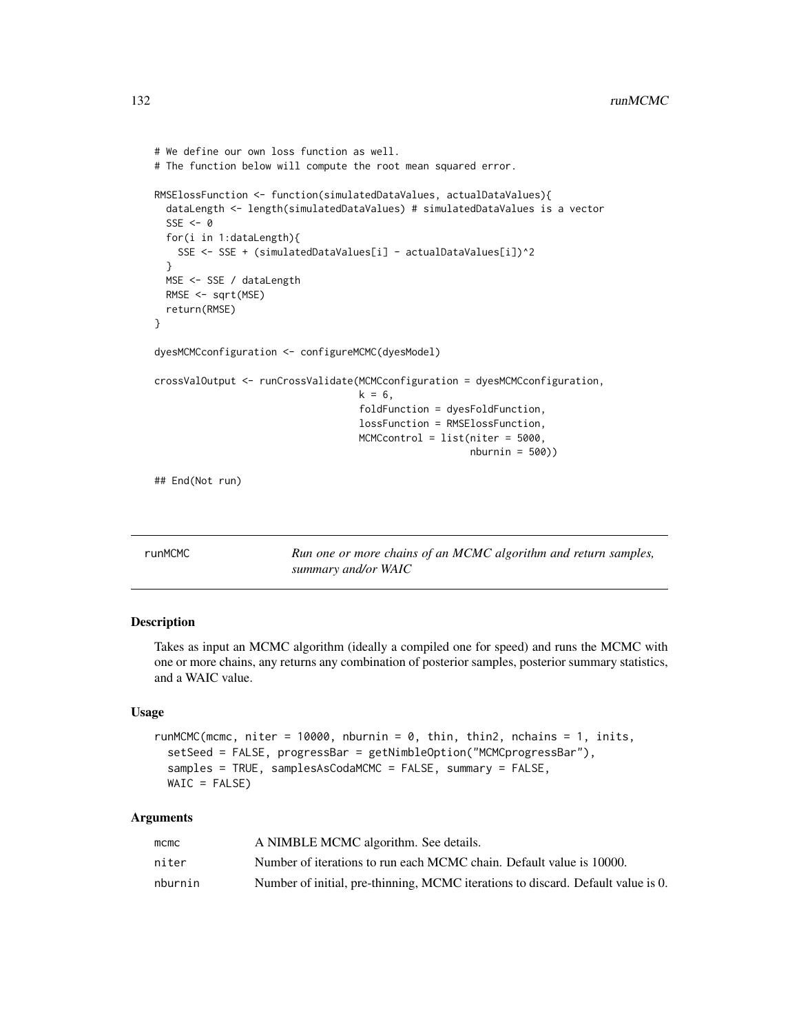```
# We define our own loss function as well.
# The function below will compute the root mean squared error.
RMSElossFunction <- function(simulatedDataValues, actualDataValues){
 dataLength <- length(simulatedDataValues) # simulatedDataValues is a vector
 SSE < -0for(i in 1:dataLength){
   SSE <- SSE + (simulatedDataValues[i] - actualDataValues[i])^2
 }
 MSE <- SSE / dataLength
 RMSE <- sqrt(MSE)
 return(RMSE)
}
dyesMCMCconfiguration <- configureMCMC(dyesModel)
crossValOutput <- runCrossValidate(MCMCconfiguration = dyesMCMCconfiguration,
                                   k = 6,
                                   foldFunction = dyesFoldFunction,
                                   lossFunction = RMSElossFunction,
                                   MCMCcontrol = list(niter = 5000,
                                                      nburnin = 500))
## End(Not run)
```
runMCMC *Run one or more chains of an MCMC algorithm and return samples, summary and/or WAIC*

## Description

Takes as input an MCMC algorithm (ideally a compiled one for speed) and runs the MCMC with one or more chains, any returns any combination of posterior samples, posterior summary statistics, and a WAIC value.

## Usage

```
runMCMC(mcmc, niter = 10000, nburnin = 0, thin, thin2, nchains = 1, inits,
  setSeed = FALSE, progressBar = getNimbleOption("MCMCprogressBar"),
  samples = TRUE, samplesAsCodaMCMC = FALSE, summary = FALSE,
 W AIC = FALSE
```
## Arguments

| $m$ cmc | A NIMBLE MCMC algorithm. See details.                                            |
|---------|----------------------------------------------------------------------------------|
| niter   | Number of iterations to run each MCMC chain. Default value is 10000.             |
| nburnin | Number of initial, pre-thinning, MCMC iterations to discard. Default value is 0. |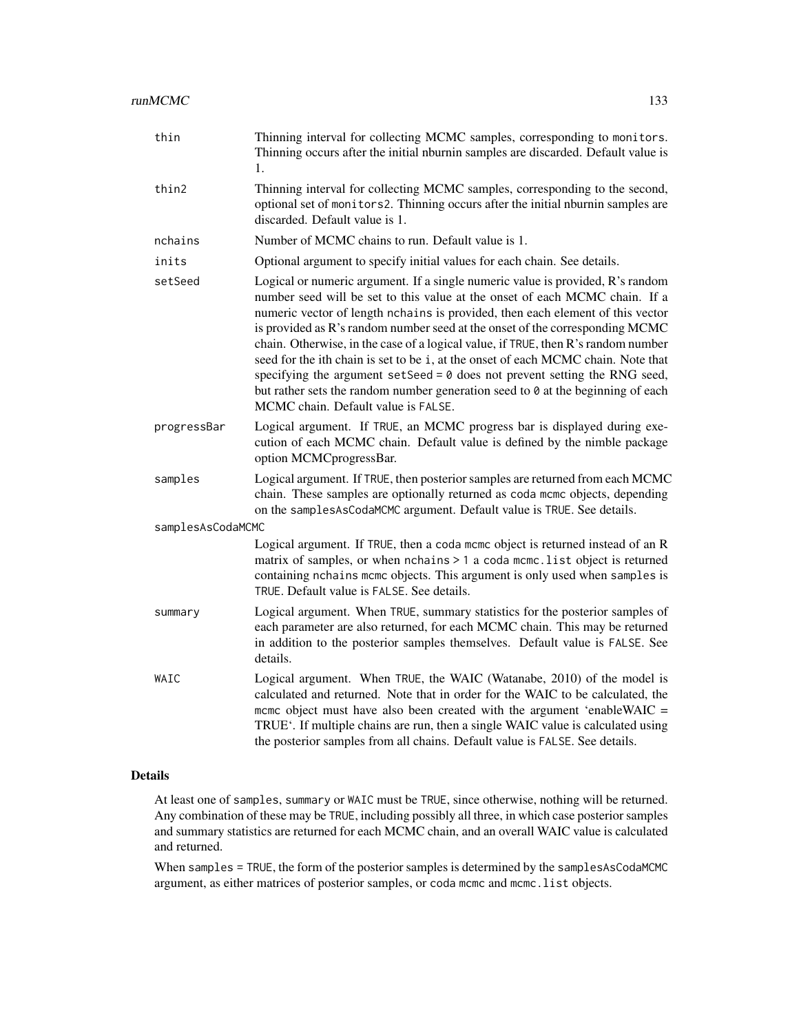| thin              | Thinning interval for collecting MCMC samples, corresponding to monitors.<br>Thinning occurs after the initial nburnin samples are discarded. Default value is<br>1.                                                                                                                                                                                                                                                                                                                                                                                                                                                                                                                                                            |  |
|-------------------|---------------------------------------------------------------------------------------------------------------------------------------------------------------------------------------------------------------------------------------------------------------------------------------------------------------------------------------------------------------------------------------------------------------------------------------------------------------------------------------------------------------------------------------------------------------------------------------------------------------------------------------------------------------------------------------------------------------------------------|--|
| thin2             | Thinning interval for collecting MCMC samples, corresponding to the second,<br>optional set of monitors2. Thinning occurs after the initial nburnin samples are<br>discarded. Default value is 1.                                                                                                                                                                                                                                                                                                                                                                                                                                                                                                                               |  |
| nchains           | Number of MCMC chains to run. Default value is 1.                                                                                                                                                                                                                                                                                                                                                                                                                                                                                                                                                                                                                                                                               |  |
| inits             | Optional argument to specify initial values for each chain. See details.                                                                                                                                                                                                                                                                                                                                                                                                                                                                                                                                                                                                                                                        |  |
| setSeed           | Logical or numeric argument. If a single numeric value is provided, R's random<br>number seed will be set to this value at the onset of each MCMC chain. If a<br>numeric vector of length nchains is provided, then each element of this vector<br>is provided as R's random number seed at the onset of the corresponding MCMC<br>chain. Otherwise, in the case of a logical value, if TRUE, then R's random number<br>seed for the ith chain is set to be i, at the onset of each MCMC chain. Note that<br>specifying the argument setSeed = $\theta$ does not prevent setting the RNG seed,<br>but rather sets the random number generation seed to $\theta$ at the beginning of each<br>MCMC chain. Default value is FALSE. |  |
| progressBar       | Logical argument. If TRUE, an MCMC progress bar is displayed during exe-<br>cution of each MCMC chain. Default value is defined by the nimble package<br>option MCMCprogressBar.                                                                                                                                                                                                                                                                                                                                                                                                                                                                                                                                                |  |
| samples           | Logical argument. If TRUE, then posterior samples are returned from each MCMC<br>chain. These samples are optionally returned as coda mcmc objects, depending<br>on the samplesAsCodaMCMC argument. Default value is TRUE. See details.                                                                                                                                                                                                                                                                                                                                                                                                                                                                                         |  |
| samplesAsCodaMCMC |                                                                                                                                                                                                                                                                                                                                                                                                                                                                                                                                                                                                                                                                                                                                 |  |
|                   | Logical argument. If TRUE, then a coda mcmc object is returned instead of an R<br>matrix of samples, or when nchains > 1 a coda mcmc. list object is returned<br>containing nchains mcmc objects. This argument is only used when samples is<br>TRUE. Default value is FALSE. See details.                                                                                                                                                                                                                                                                                                                                                                                                                                      |  |
| summary           | Logical argument. When TRUE, summary statistics for the posterior samples of<br>each parameter are also returned, for each MCMC chain. This may be returned<br>in addition to the posterior samples themselves. Default value is FALSE. See<br>details.                                                                                                                                                                                                                                                                                                                                                                                                                                                                         |  |
| WAIC              | Logical argument. When TRUE, the WAIC (Watanabe, 2010) of the model is<br>calculated and returned. Note that in order for the WAIC to be calculated, the<br>mcmc object must have also been created with the argument 'enableWAIC =<br>TRUE'. If multiple chains are run, then a single WAIC value is calculated using<br>the posterior samples from all chains. Default value is FALSE. See details.                                                                                                                                                                                                                                                                                                                           |  |

# Details

At least one of samples, summary or WAIC must be TRUE, since otherwise, nothing will be returned. Any combination of these may be TRUE, including possibly all three, in which case posterior samples and summary statistics are returned for each MCMC chain, and an overall WAIC value is calculated and returned.

When samples = TRUE, the form of the posterior samples is determined by the samplesAsCodaMCMC argument, as either matrices of posterior samples, or coda mcmc and mcmc.list objects.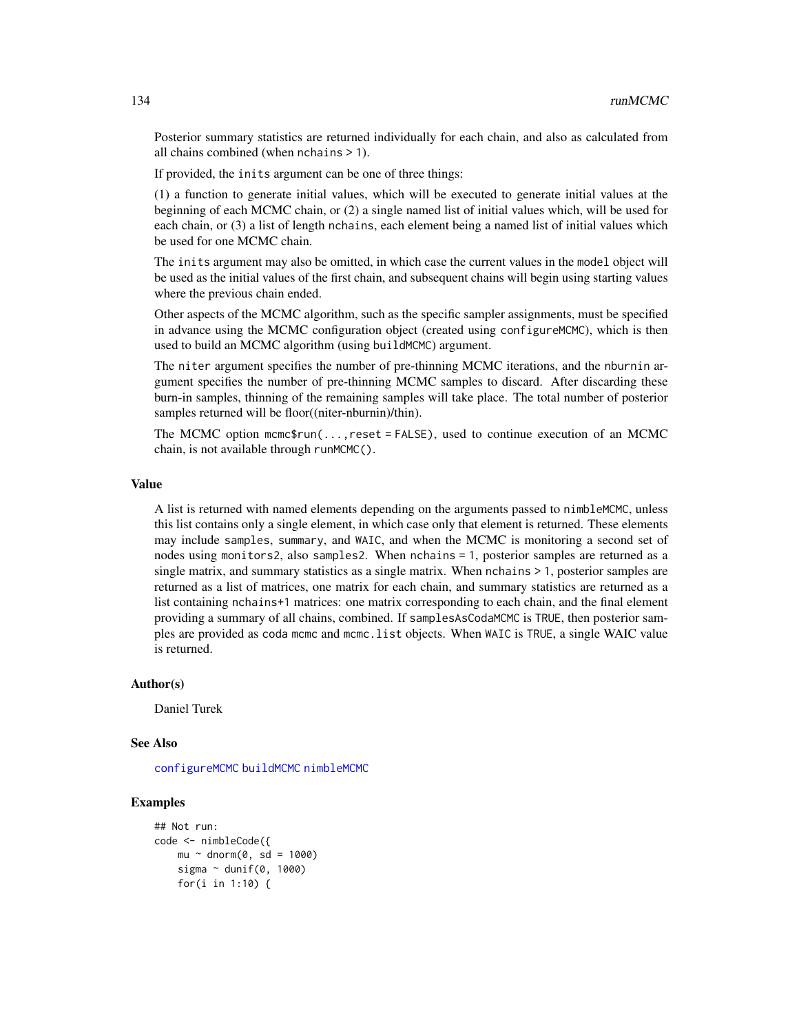Posterior summary statistics are returned individually for each chain, and also as calculated from all chains combined (when nchains > 1).

If provided, the inits argument can be one of three things:

(1) a function to generate initial values, which will be executed to generate initial values at the beginning of each MCMC chain, or (2) a single named list of initial values which, will be used for each chain, or (3) a list of length nchains, each element being a named list of initial values which be used for one MCMC chain.

The inits argument may also be omitted, in which case the current values in the model object will be used as the initial values of the first chain, and subsequent chains will begin using starting values where the previous chain ended.

Other aspects of the MCMC algorithm, such as the specific sampler assignments, must be specified in advance using the MCMC configuration object (created using configureMCMC), which is then used to build an MCMC algorithm (using buildMCMC) argument.

The niter argument specifies the number of pre-thinning MCMC iterations, and the nburnin argument specifies the number of pre-thinning MCMC samples to discard. After discarding these burn-in samples, thinning of the remaining samples will take place. The total number of posterior samples returned will be floor((niter-nburnin)/thin).

The MCMC option mcmc\$run(...,reset = FALSE), used to continue execution of an MCMC chain, is not available through runMCMC().

#### Value

A list is returned with named elements depending on the arguments passed to nimbleMCMC, unless this list contains only a single element, in which case only that element is returned. These elements may include samples, summary, and WAIC, and when the MCMC is monitoring a second set of nodes using monitors2, also samples2. When nchains = 1, posterior samples are returned as a single matrix, and summary statistics as a single matrix. When nchains > 1, posterior samples are returned as a list of matrices, one matrix for each chain, and summary statistics are returned as a list containing nchains+1 matrices: one matrix corresponding to each chain, and the final element providing a summary of all chains, combined. If samplesAsCodaMCMC is TRUE, then posterior samples are provided as coda mcmc and mcmc.list objects. When WAIC is TRUE, a single WAIC value is returned.

#### Author(s)

Daniel Turek

#### See Also

[configureMCMC](#page-30-0) [buildMCMC](#page-15-0) [nimbleMCMC](#page-95-0)

# **Examples**

```
## Not run:
code <- nimbleCode({
   mu ~ dnorm(0, sd = 1000)sigma \sim dunif(0, 1000)
    for(i in 1:10) {
```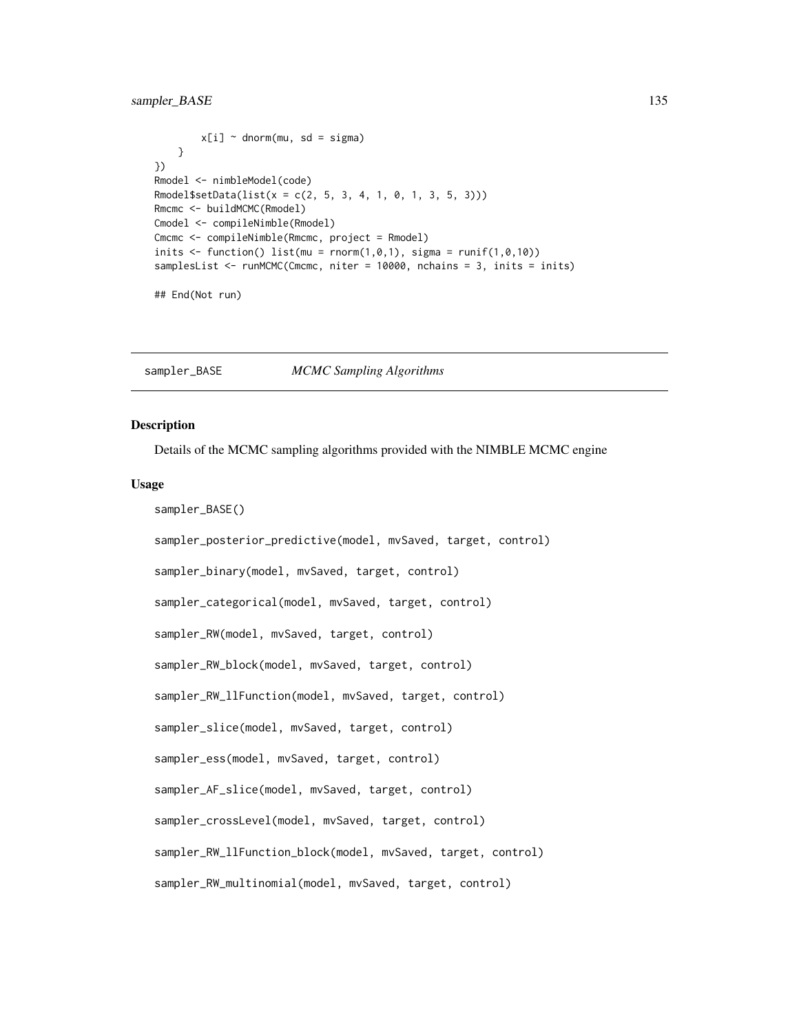```
x[i] ~ dnorm(mu, sd = sigma)
   }
})
Rmodel <- nimbleModel(code)
Rmodel$setData(list(x = c(2, 5, 3, 4, 1, 0, 1, 3, 5, 3)))Rmcmc <- buildMCMC(Rmodel)
Cmodel <- compileNimble(Rmodel)
Cmcmc <- compileNimble(Rmcmc, project = Rmodel)
inits \leq function() list(mu = rnorm(1,0,1), sigma = runif(1,0,10))
samplesList <- runMCMC(Cmcmc, niter = 10000, nchains = 3, inits = inits)
```
## End(Not run)

sampler\_BASE *MCMC Sampling Algorithms*

#### **Description**

Details of the MCMC sampling algorithms provided with the NIMBLE MCMC engine

#### Usage

```
sampler_BASE()
sampler_posterior_predictive(model, mvSaved, target, control)
sampler_binary(model, mvSaved, target, control)
sampler_categorical(model, mvSaved, target, control)
sampler_RW(model, mvSaved, target, control)
sampler_RW_block(model, mvSaved, target, control)
sampler_RW_llFunction(model, mvSaved, target, control)
sampler_slice(model, mvSaved, target, control)
sampler_ess(model, mvSaved, target, control)
sampler_AF_slice(model, mvSaved, target, control)
sampler_crossLevel(model, mvSaved, target, control)
sampler_RW_llFunction_block(model, mvSaved, target, control)
sampler_RW_multinomial(model, mvSaved, target, control)
```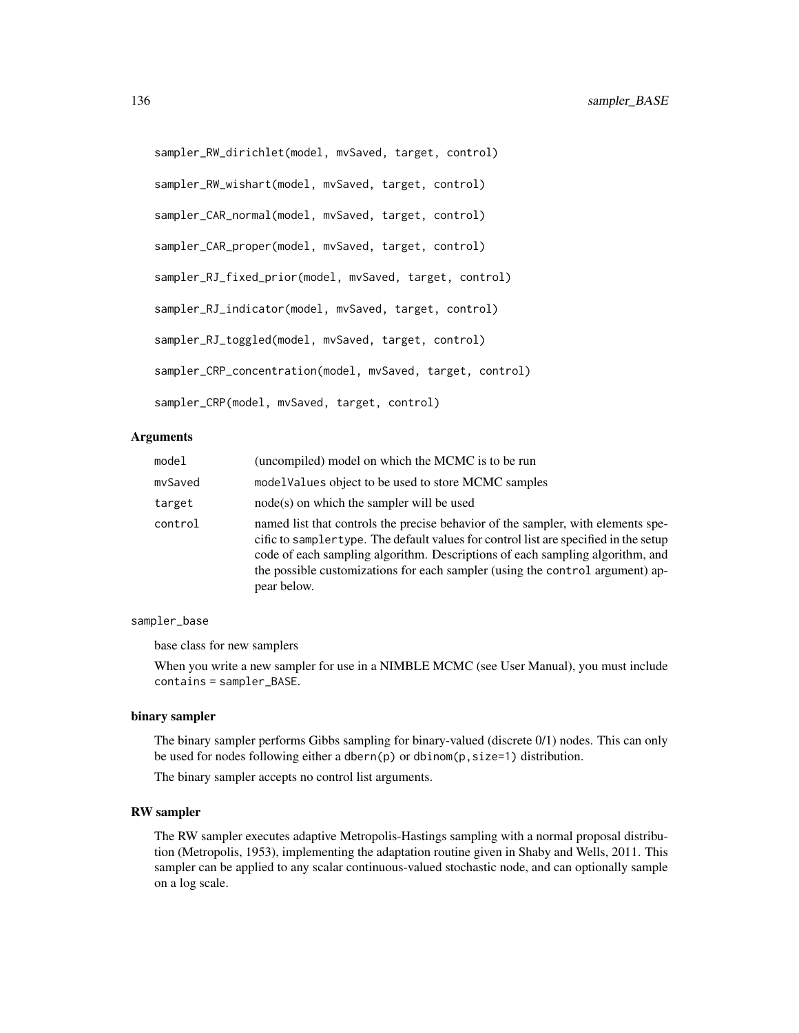```
sampler_RW_dirichlet(model, mvSaved, target, control)
sampler_RW_wishart(model, mvSaved, target, control)
sampler_CAR_normal(model, mvSaved, target, control)
sampler_CAR_proper(model, mvSaved, target, control)
sampler_RJ_fixed_prior(model, mvSaved, target, control)
sampler_RJ_indicator(model, mvSaved, target, control)
sampler_RJ_toggled(model, mvSaved, target, control)
sampler_CRP_concentration(model, mvSaved, target, control)
sampler_CRP(model, mvSaved, target, control)
```
## Arguments

| model   | (uncompiled) model on which the MCMC is to be run                                                                                                                                                                                                                                                                                                         |
|---------|-----------------------------------------------------------------------------------------------------------------------------------------------------------------------------------------------------------------------------------------------------------------------------------------------------------------------------------------------------------|
| mvSaved | modelValues object to be used to store MCMC samples                                                                                                                                                                                                                                                                                                       |
| target  | $node(s)$ on which the sampler will be used                                                                                                                                                                                                                                                                                                               |
| control | named list that controls the precise behavior of the sampler, with elements spe-<br>cific to samplertype. The default values for control list are specified in the setup<br>code of each sampling algorithm. Descriptions of each sampling algorithm, and<br>the possible customizations for each sampler (using the control argument) ap-<br>pear below. |

#### sampler\_base

base class for new samplers

When you write a new sampler for use in a NIMBLE MCMC (see User Manual), you must include contains = sampler\_BASE.

## binary sampler

The binary sampler performs Gibbs sampling for binary-valued (discrete 0/1) nodes. This can only be used for nodes following either a dbern(p) or dbinom(p, size=1) distribution.

The binary sampler accepts no control list arguments.

#### RW sampler

The RW sampler executes adaptive Metropolis-Hastings sampling with a normal proposal distribution (Metropolis, 1953), implementing the adaptation routine given in Shaby and Wells, 2011. This sampler can be applied to any scalar continuous-valued stochastic node, and can optionally sample on a log scale.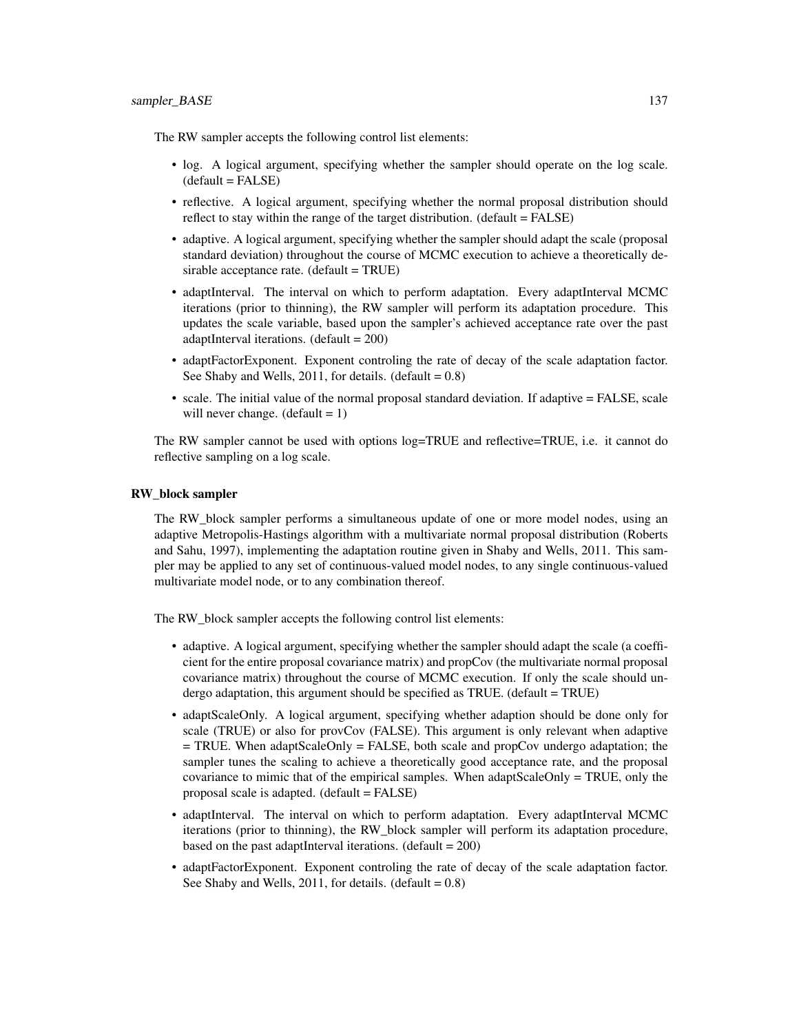The RW sampler accepts the following control list elements:

- log. A logical argument, specifying whether the sampler should operate on the log scale.  $(default = FALSE)$
- reflective. A logical argument, specifying whether the normal proposal distribution should reflect to stay within the range of the target distribution. (default = FALSE)
- adaptive. A logical argument, specifying whether the sampler should adapt the scale (proposal standard deviation) throughout the course of MCMC execution to achieve a theoretically desirable acceptance rate. (default = TRUE)
- adaptInterval. The interval on which to perform adaptation. Every adaptInterval MCMC iterations (prior to thinning), the RW sampler will perform its adaptation procedure. This updates the scale variable, based upon the sampler's achieved acceptance rate over the past adaptInterval iterations. (default = 200)
- adaptFactorExponent. Exponent controling the rate of decay of the scale adaptation factor. See Shaby and Wells,  $2011$ , for details. (default =  $0.8$ )
- scale. The initial value of the normal proposal standard deviation. If adaptive = FALSE, scale will never change.  $(detault = 1)$

The RW sampler cannot be used with options log=TRUE and reflective=TRUE, i.e. it cannot do reflective sampling on a log scale.

#### RW\_block sampler

The RW block sampler performs a simultaneous update of one or more model nodes, using an adaptive Metropolis-Hastings algorithm with a multivariate normal proposal distribution (Roberts and Sahu, 1997), implementing the adaptation routine given in Shaby and Wells, 2011. This sampler may be applied to any set of continuous-valued model nodes, to any single continuous-valued multivariate model node, or to any combination thereof.

The RW block sampler accepts the following control list elements:

- adaptive. A logical argument, specifying whether the sampler should adapt the scale (a coefficient for the entire proposal covariance matrix) and propCov (the multivariate normal proposal covariance matrix) throughout the course of MCMC execution. If only the scale should undergo adaptation, this argument should be specified as TRUE. (default = TRUE)
- adaptScaleOnly. A logical argument, specifying whether adaption should be done only for scale (TRUE) or also for provCov (FALSE). This argument is only relevant when adaptive = TRUE. When adaptScaleOnly = FALSE, both scale and propCov undergo adaptation; the sampler tunes the scaling to achieve a theoretically good acceptance rate, and the proposal covariance to mimic that of the empirical samples. When adaptScaleOnly = TRUE, only the proposal scale is adapted. (default = FALSE)
- adaptInterval. The interval on which to perform adaptation. Every adaptInterval MCMC iterations (prior to thinning), the RW\_block sampler will perform its adaptation procedure, based on the past adaptInterval iterations. (default  $= 200$ )
- adaptFactorExponent. Exponent controling the rate of decay of the scale adaptation factor. See Shaby and Wells,  $2011$ , for details. (default = 0.8)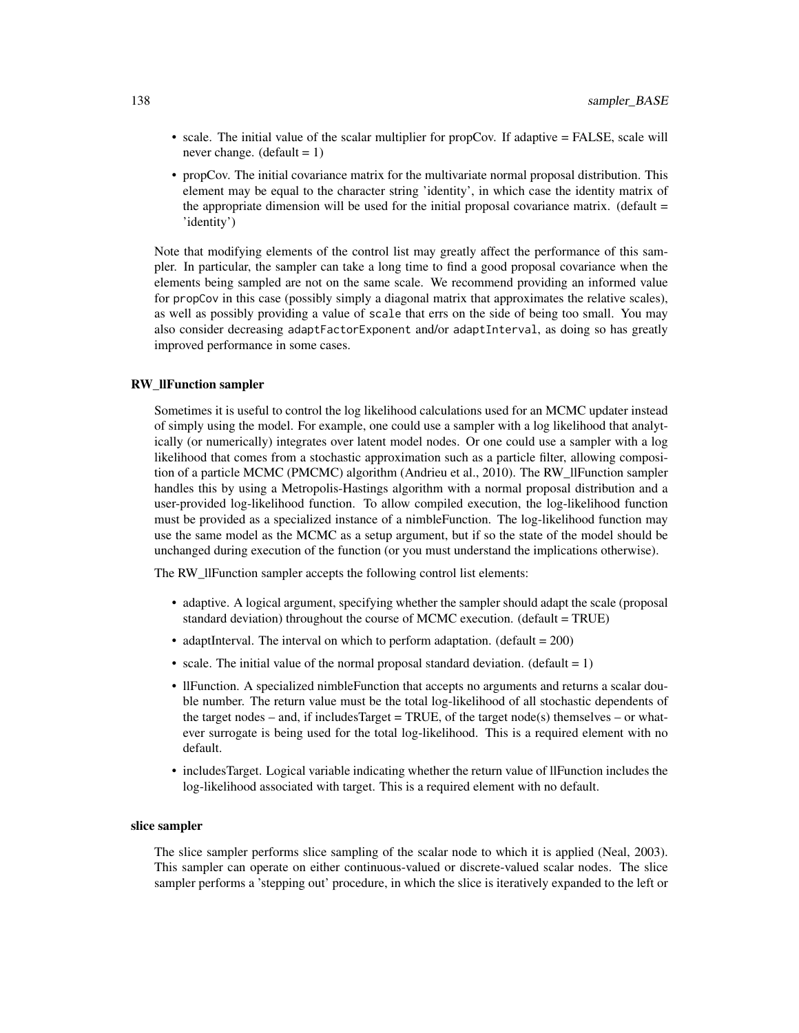- scale. The initial value of the scalar multiplier for propCov. If adaptive = FALSE, scale will never change. (default  $= 1$ )
- propCov. The initial covariance matrix for the multivariate normal proposal distribution. This element may be equal to the character string 'identity', in which case the identity matrix of the appropriate dimension will be used for the initial proposal covariance matrix. (default  $=$ 'identity')

Note that modifying elements of the control list may greatly affect the performance of this sampler. In particular, the sampler can take a long time to find a good proposal covariance when the elements being sampled are not on the same scale. We recommend providing an informed value for propCov in this case (possibly simply a diagonal matrix that approximates the relative scales), as well as possibly providing a value of scale that errs on the side of being too small. You may also consider decreasing adaptFactorExponent and/or adaptInterval, as doing so has greatly improved performance in some cases.

# RW\_llFunction sampler

Sometimes it is useful to control the log likelihood calculations used for an MCMC updater instead of simply using the model. For example, one could use a sampler with a log likelihood that analytically (or numerically) integrates over latent model nodes. Or one could use a sampler with a log likelihood that comes from a stochastic approximation such as a particle filter, allowing composition of a particle MCMC (PMCMC) algorithm (Andrieu et al., 2010). The RW\_llFunction sampler handles this by using a Metropolis-Hastings algorithm with a normal proposal distribution and a user-provided log-likelihood function. To allow compiled execution, the log-likelihood function must be provided as a specialized instance of a nimbleFunction. The log-likelihood function may use the same model as the MCMC as a setup argument, but if so the state of the model should be unchanged during execution of the function (or you must understand the implications otherwise).

The RW\_llFunction sampler accepts the following control list elements:

- adaptive. A logical argument, specifying whether the sampler should adapt the scale (proposal standard deviation) throughout the course of MCMC execution. (default = TRUE)
- adaptInterval. The interval on which to perform adaptation. (default = 200)
- scale. The initial value of the normal proposal standard deviation. (default  $= 1$ )
- llFunction. A specialized nimbleFunction that accepts no arguments and returns a scalar double number. The return value must be the total log-likelihood of all stochastic dependents of the target nodes – and, if includesTarget = TRUE, of the target node(s) themselves – or whatever surrogate is being used for the total log-likelihood. This is a required element with no default.
- includesTarget. Logical variable indicating whether the return value of llFunction includes the log-likelihood associated with target. This is a required element with no default.

#### slice sampler

The slice sampler performs slice sampling of the scalar node to which it is applied (Neal, 2003). This sampler can operate on either continuous-valued or discrete-valued scalar nodes. The slice sampler performs a 'stepping out' procedure, in which the slice is iteratively expanded to the left or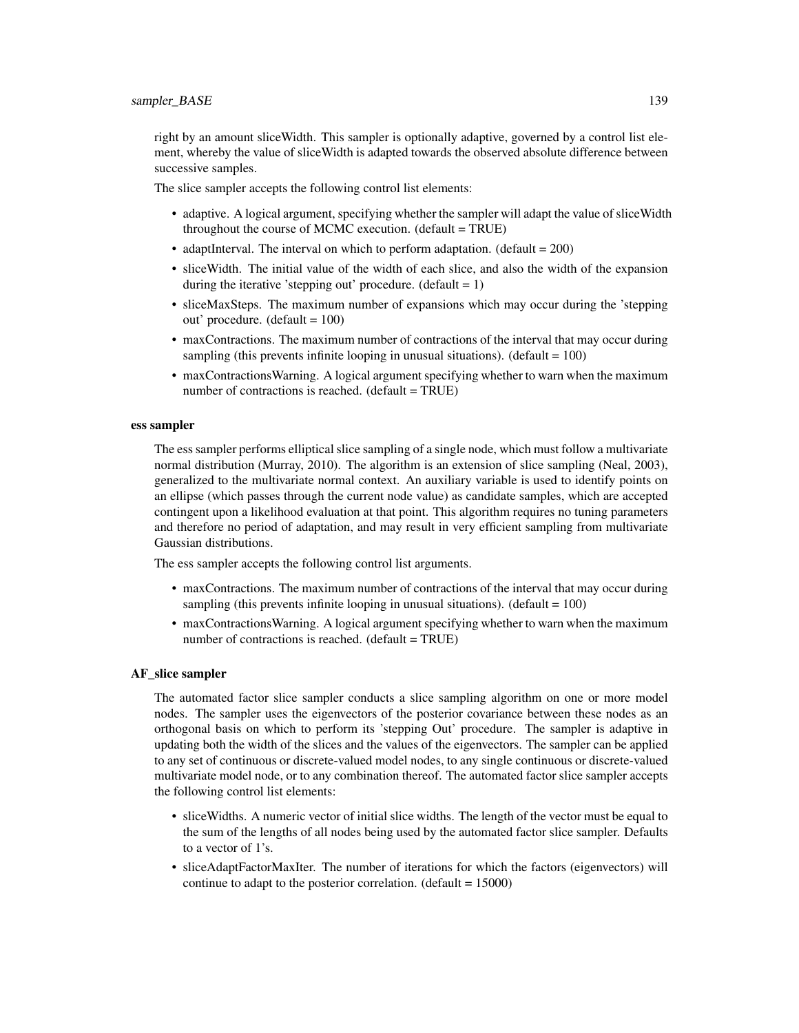right by an amount sliceWidth. This sampler is optionally adaptive, governed by a control list element, whereby the value of sliceWidth is adapted towards the observed absolute difference between successive samples.

The slice sampler accepts the following control list elements:

- adaptive. A logical argument, specifying whether the sampler will adapt the value of sliceWidth throughout the course of MCMC execution. (default = TRUE)
- adaptInterval. The interval on which to perform adaptation. (default  $= 200$ )
- sliceWidth. The initial value of the width of each slice, and also the width of the expansion during the iterative 'stepping out' procedure. (default  $= 1$ )
- sliceMaxSteps. The maximum number of expansions which may occur during the 'stepping out' procedure. (default  $= 100$ )
- maxContractions. The maximum number of contractions of the interval that may occur during sampling (this prevents infinite looping in unusual situations). (default  $= 100$ )
- maxContractionsWarning. A logical argument specifying whether to warn when the maximum number of contractions is reached. (default = TRUE)

## ess sampler

The ess sampler performs elliptical slice sampling of a single node, which must follow a multivariate normal distribution (Murray, 2010). The algorithm is an extension of slice sampling (Neal, 2003), generalized to the multivariate normal context. An auxiliary variable is used to identify points on an ellipse (which passes through the current node value) as candidate samples, which are accepted contingent upon a likelihood evaluation at that point. This algorithm requires no tuning parameters and therefore no period of adaptation, and may result in very efficient sampling from multivariate Gaussian distributions.

The ess sampler accepts the following control list arguments.

- maxContractions. The maximum number of contractions of the interval that may occur during sampling (this prevents infinite looping in unusual situations). (default  $= 100$ )
- maxContractionsWarning. A logical argument specifying whether to warn when the maximum number of contractions is reached. (default = TRUE)

# AF\_slice sampler

The automated factor slice sampler conducts a slice sampling algorithm on one or more model nodes. The sampler uses the eigenvectors of the posterior covariance between these nodes as an orthogonal basis on which to perform its 'stepping Out' procedure. The sampler is adaptive in updating both the width of the slices and the values of the eigenvectors. The sampler can be applied to any set of continuous or discrete-valued model nodes, to any single continuous or discrete-valued multivariate model node, or to any combination thereof. The automated factor slice sampler accepts the following control list elements:

- sliceWidths. A numeric vector of initial slice widths. The length of the vector must be equal to the sum of the lengths of all nodes being used by the automated factor slice sampler. Defaults to a vector of 1's.
- sliceAdaptFactorMaxIter. The number of iterations for which the factors (eigenvectors) will continue to adapt to the posterior correlation. (default = 15000)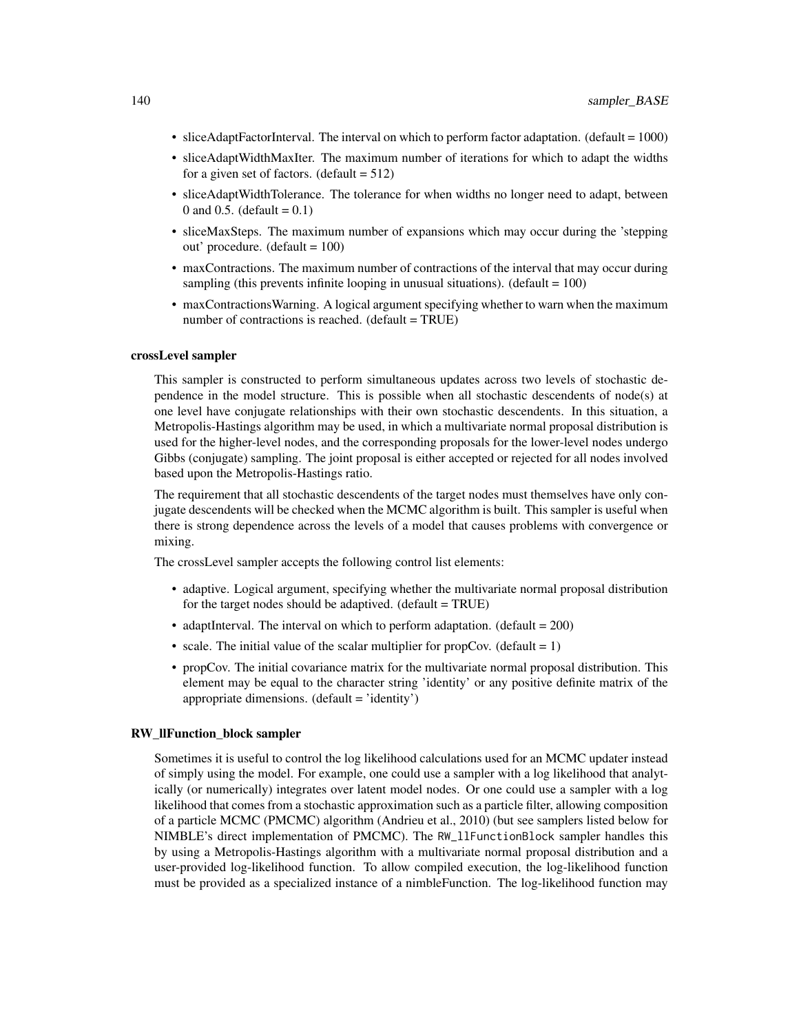- sliceAdaptFactorInterval. The interval on which to perform factor adaptation. (default = 1000)
- sliceAdaptWidthMaxIter. The maximum number of iterations for which to adapt the widths for a given set of factors. (default  $= 512$ )
- sliceAdaptWidthTolerance. The tolerance for when widths no longer need to adapt, between 0 and 0.5. (default =  $0.1$ )
- sliceMaxSteps. The maximum number of expansions which may occur during the 'stepping out' procedure. (default = 100)
- maxContractions. The maximum number of contractions of the interval that may occur during sampling (this prevents infinite looping in unusual situations). (default  $= 100$ )
- maxContractionsWarning. A logical argument specifying whether to warn when the maximum number of contractions is reached. (default = TRUE)

#### crossLevel sampler

This sampler is constructed to perform simultaneous updates across two levels of stochastic dependence in the model structure. This is possible when all stochastic descendents of node(s) at one level have conjugate relationships with their own stochastic descendents. In this situation, a Metropolis-Hastings algorithm may be used, in which a multivariate normal proposal distribution is used for the higher-level nodes, and the corresponding proposals for the lower-level nodes undergo Gibbs (conjugate) sampling. The joint proposal is either accepted or rejected for all nodes involved based upon the Metropolis-Hastings ratio.

The requirement that all stochastic descendents of the target nodes must themselves have only conjugate descendents will be checked when the MCMC algorithm is built. This sampler is useful when there is strong dependence across the levels of a model that causes problems with convergence or mixing.

The crossLevel sampler accepts the following control list elements:

- adaptive. Logical argument, specifying whether the multivariate normal proposal distribution for the target nodes should be adaptived. (default = TRUE)
- adaptInterval. The interval on which to perform adaptation. (default  $= 200$ )
- scale. The initial value of the scalar multiplier for propCov. (default  $= 1$ )
- propCov. The initial covariance matrix for the multivariate normal proposal distribution. This element may be equal to the character string 'identity' or any positive definite matrix of the appropriate dimensions. (default = 'identity')

#### RW\_llFunction\_block sampler

Sometimes it is useful to control the log likelihood calculations used for an MCMC updater instead of simply using the model. For example, one could use a sampler with a log likelihood that analytically (or numerically) integrates over latent model nodes. Or one could use a sampler with a log likelihood that comes from a stochastic approximation such as a particle filter, allowing composition of a particle MCMC (PMCMC) algorithm (Andrieu et al., 2010) (but see samplers listed below for NIMBLE's direct implementation of PMCMC). The RW\_llFunctionBlock sampler handles this by using a Metropolis-Hastings algorithm with a multivariate normal proposal distribution and a user-provided log-likelihood function. To allow compiled execution, the log-likelihood function must be provided as a specialized instance of a nimbleFunction. The log-likelihood function may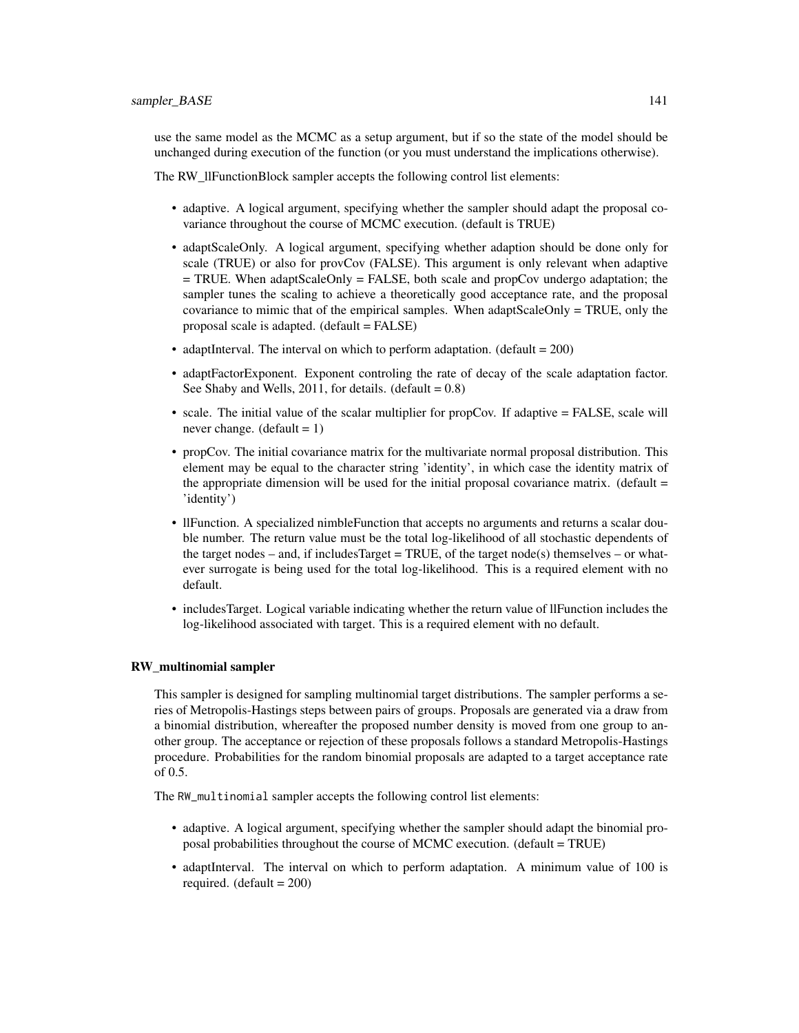use the same model as the MCMC as a setup argument, but if so the state of the model should be unchanged during execution of the function (or you must understand the implications otherwise).

The RW\_llFunctionBlock sampler accepts the following control list elements:

- adaptive. A logical argument, specifying whether the sampler should adapt the proposal covariance throughout the course of MCMC execution. (default is TRUE)
- adaptScaleOnly. A logical argument, specifying whether adaption should be done only for scale (TRUE) or also for provCov (FALSE). This argument is only relevant when adaptive  $=$  TRUE. When adaptScaleOnly  $=$  FALSE, both scale and propCov undergo adaptation; the sampler tunes the scaling to achieve a theoretically good acceptance rate, and the proposal covariance to mimic that of the empirical samples. When adaptScaleOnly = TRUE, only the proposal scale is adapted. (default = FALSE)
- adaptInterval. The interval on which to perform adaptation. (default = 200)
- adaptFactorExponent. Exponent controling the rate of decay of the scale adaptation factor. See Shaby and Wells,  $2011$ , for details. (default =  $0.8$ )
- scale. The initial value of the scalar multiplier for propCov. If adaptive = FALSE, scale will never change.  $(detault = 1)$
- propCov. The initial covariance matrix for the multivariate normal proposal distribution. This element may be equal to the character string 'identity', in which case the identity matrix of the appropriate dimension will be used for the initial proposal covariance matrix. (default  $=$ 'identity')
- IlFunction. A specialized nimbleFunction that accepts no arguments and returns a scalar double number. The return value must be the total log-likelihood of all stochastic dependents of the target nodes – and, if includesTarget = TRUE, of the target node(s) themselves – or whatever surrogate is being used for the total log-likelihood. This is a required element with no default.
- includesTarget. Logical variable indicating whether the return value of llFunction includes the log-likelihood associated with target. This is a required element with no default.

#### RW\_multinomial sampler

This sampler is designed for sampling multinomial target distributions. The sampler performs a series of Metropolis-Hastings steps between pairs of groups. Proposals are generated via a draw from a binomial distribution, whereafter the proposed number density is moved from one group to another group. The acceptance or rejection of these proposals follows a standard Metropolis-Hastings procedure. Probabilities for the random binomial proposals are adapted to a target acceptance rate of 0.5.

The RW\_multinomial sampler accepts the following control list elements:

- adaptive. A logical argument, specifying whether the sampler should adapt the binomial proposal probabilities throughout the course of MCMC execution. (default = TRUE)
- adaptInterval. The interval on which to perform adaptation. A minimum value of 100 is required. (default  $= 200$ )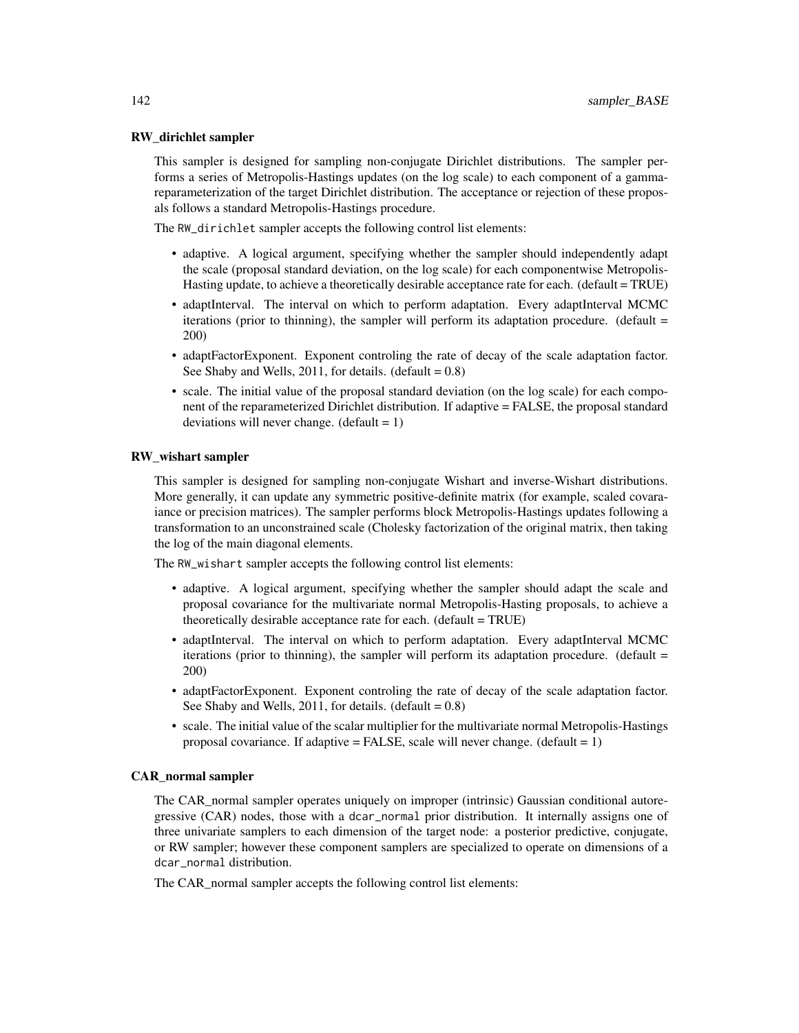## RW\_dirichlet sampler

This sampler is designed for sampling non-conjugate Dirichlet distributions. The sampler performs a series of Metropolis-Hastings updates (on the log scale) to each component of a gammareparameterization of the target Dirichlet distribution. The acceptance or rejection of these proposals follows a standard Metropolis-Hastings procedure.

The RW\_dirichlet sampler accepts the following control list elements:

- adaptive. A logical argument, specifying whether the sampler should independently adapt the scale (proposal standard deviation, on the log scale) for each componentwise Metropolis-Hasting update, to achieve a theoretically desirable acceptance rate for each. (default = TRUE)
- adaptInterval. The interval on which to perform adaptation. Every adaptInterval MCMC iterations (prior to thinning), the sampler will perform its adaptation procedure. (default = 200)
- adaptFactorExponent. Exponent controling the rate of decay of the scale adaptation factor. See Shaby and Wells,  $2011$ , for details. (default =  $0.8$ )
- scale. The initial value of the proposal standard deviation (on the log scale) for each component of the reparameterized Dirichlet distribution. If adaptive = FALSE, the proposal standard deviations will never change.  $(detault = 1)$

#### RW\_wishart sampler

This sampler is designed for sampling non-conjugate Wishart and inverse-Wishart distributions. More generally, it can update any symmetric positive-definite matrix (for example, scaled covaraiance or precision matrices). The sampler performs block Metropolis-Hastings updates following a transformation to an unconstrained scale (Cholesky factorization of the original matrix, then taking the log of the main diagonal elements.

The RW\_wishart sampler accepts the following control list elements:

- adaptive. A logical argument, specifying whether the sampler should adapt the scale and proposal covariance for the multivariate normal Metropolis-Hasting proposals, to achieve a theoretically desirable acceptance rate for each. (default = TRUE)
- adaptInterval. The interval on which to perform adaptation. Every adaptInterval MCMC iterations (prior to thinning), the sampler will perform its adaptation procedure. (default  $=$ 200)
- adaptFactorExponent. Exponent controling the rate of decay of the scale adaptation factor. See Shaby and Wells,  $2011$ , for details. (default =  $0.8$ )
- scale. The initial value of the scalar multiplier for the multivariate normal Metropolis-Hastings proposal covariance. If adaptive = FALSE, scale will never change.  $(detault = 1)$

#### CAR\_normal sampler

The CAR\_normal sampler operates uniquely on improper (intrinsic) Gaussian conditional autoregressive (CAR) nodes, those with a dcar\_normal prior distribution. It internally assigns one of three univariate samplers to each dimension of the target node: a posterior predictive, conjugate, or RW sampler; however these component samplers are specialized to operate on dimensions of a dcar\_normal distribution.

The CAR\_normal sampler accepts the following control list elements: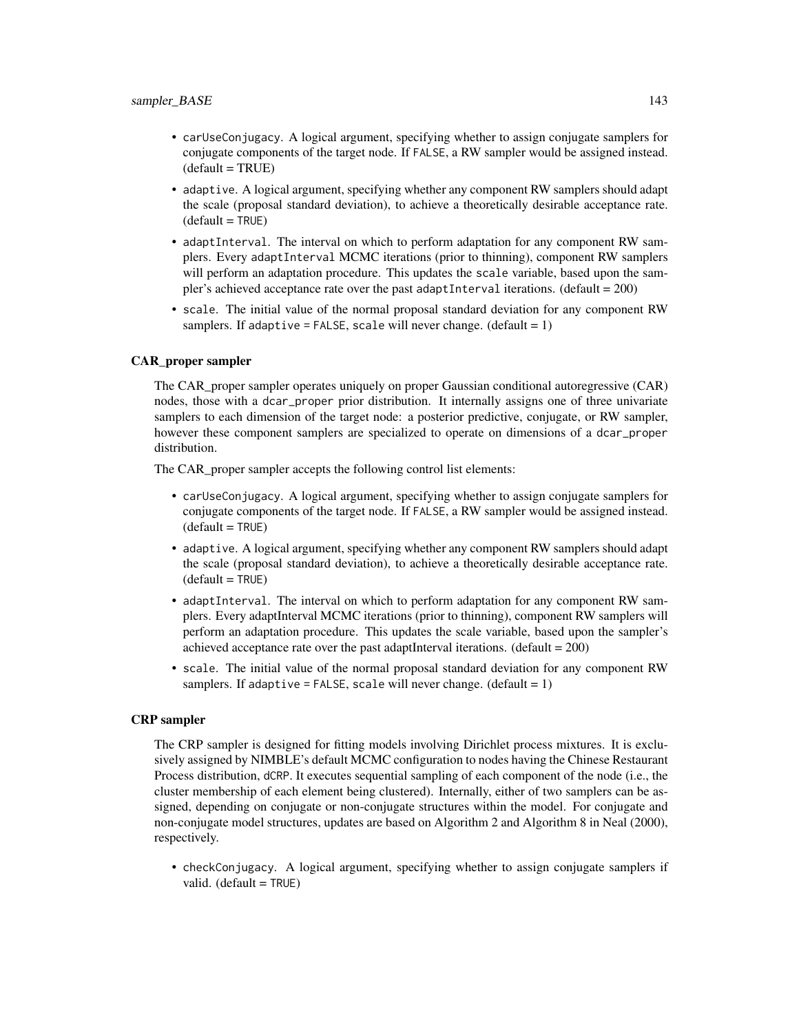- carUseConjugacy. A logical argument, specifying whether to assign conjugate samplers for conjugate components of the target node. If FALSE, a RW sampler would be assigned instead.  $(default = TRUE)$
- adaptive. A logical argument, specifying whether any component RW samplers should adapt the scale (proposal standard deviation), to achieve a theoretically desirable acceptance rate.  $(default = TRUE)$
- adaptInterval. The interval on which to perform adaptation for any component RW samplers. Every adaptInterval MCMC iterations (prior to thinning), component RW samplers will perform an adaptation procedure. This updates the scale variable, based upon the sampler's achieved acceptance rate over the past adaptInterval iterations. (default =  $200$ )
- scale. The initial value of the normal proposal standard deviation for any component RW samplers. If adaptive = FALSE, scale will never change.  $(default = 1)$

#### CAR\_proper sampler

The CAR\_proper sampler operates uniquely on proper Gaussian conditional autoregressive (CAR) nodes, those with a dcar\_proper prior distribution. It internally assigns one of three univariate samplers to each dimension of the target node: a posterior predictive, conjugate, or RW sampler, however these component samplers are specialized to operate on dimensions of a dcar\_proper distribution.

The CAR proper sampler accepts the following control list elements:

- carUseConjugacy. A logical argument, specifying whether to assign conjugate samplers for conjugate components of the target node. If FALSE, a RW sampler would be assigned instead.  $(default = TRUE)$
- adaptive. A logical argument, specifying whether any component RW samplers should adapt the scale (proposal standard deviation), to achieve a theoretically desirable acceptance rate.  $(detault = TRUE)$
- adaptInterval. The interval on which to perform adaptation for any component RW samplers. Every adaptInterval MCMC iterations (prior to thinning), component RW samplers will perform an adaptation procedure. This updates the scale variable, based upon the sampler's achieved acceptance rate over the past adaptInterval iterations. (default  $= 200$ )
- scale. The initial value of the normal proposal standard deviation for any component RW samplers. If adaptive = FALSE, scale will never change.  $(detault = 1)$

#### CRP sampler

The CRP sampler is designed for fitting models involving Dirichlet process mixtures. It is exclusively assigned by NIMBLE's default MCMC configuration to nodes having the Chinese Restaurant Process distribution, dCRP. It executes sequential sampling of each component of the node (i.e., the cluster membership of each element being clustered). Internally, either of two samplers can be assigned, depending on conjugate or non-conjugate structures within the model. For conjugate and non-conjugate model structures, updates are based on Algorithm 2 and Algorithm 8 in Neal (2000), respectively.

• checkConjugacy. A logical argument, specifying whether to assign conjugate samplers if valid.  $(default = TRUE)$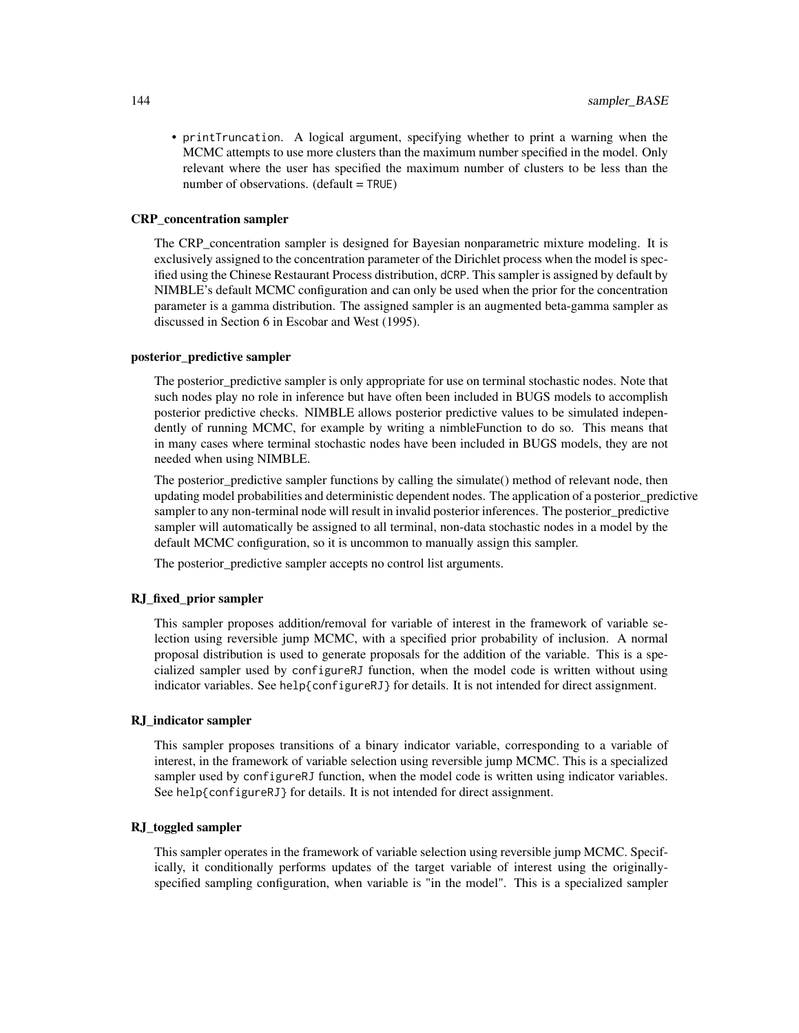• printTruncation. A logical argument, specifying whether to print a warning when the MCMC attempts to use more clusters than the maximum number specified in the model. Only relevant where the user has specified the maximum number of clusters to be less than the number of observations.  $(detault = TRUE)$ 

#### CRP\_concentration sampler

The CRP\_concentration sampler is designed for Bayesian nonparametric mixture modeling. It is exclusively assigned to the concentration parameter of the Dirichlet process when the model is specified using the Chinese Restaurant Process distribution, dCRP. This sampler is assigned by default by NIMBLE's default MCMC configuration and can only be used when the prior for the concentration parameter is a gamma distribution. The assigned sampler is an augmented beta-gamma sampler as discussed in Section 6 in Escobar and West (1995).

## posterior\_predictive sampler

The posterior\_predictive sampler is only appropriate for use on terminal stochastic nodes. Note that such nodes play no role in inference but have often been included in BUGS models to accomplish posterior predictive checks. NIMBLE allows posterior predictive values to be simulated independently of running MCMC, for example by writing a nimbleFunction to do so. This means that in many cases where terminal stochastic nodes have been included in BUGS models, they are not needed when using NIMBLE.

The posterior\_predictive sampler functions by calling the simulate() method of relevant node, then updating model probabilities and deterministic dependent nodes. The application of a posterior\_predictive sampler to any non-terminal node will result in invalid posterior inferences. The posterior predictive sampler will automatically be assigned to all terminal, non-data stochastic nodes in a model by the default MCMC configuration, so it is uncommon to manually assign this sampler.

The posterior\_predictive sampler accepts no control list arguments.

#### RJ\_fixed\_prior sampler

This sampler proposes addition/removal for variable of interest in the framework of variable selection using reversible jump MCMC, with a specified prior probability of inclusion. A normal proposal distribution is used to generate proposals for the addition of the variable. This is a specialized sampler used by configureRJ function, when the model code is written without using indicator variables. See help{configureRJ} for details. It is not intended for direct assignment.

#### RJ\_indicator sampler

This sampler proposes transitions of a binary indicator variable, corresponding to a variable of interest, in the framework of variable selection using reversible jump MCMC. This is a specialized sampler used by configureRJ function, when the model code is written using indicator variables. See help{configureRJ} for details. It is not intended for direct assignment.

## RJ\_toggled sampler

This sampler operates in the framework of variable selection using reversible jump MCMC. Specifically, it conditionally performs updates of the target variable of interest using the originallyspecified sampling configuration, when variable is "in the model". This is a specialized sampler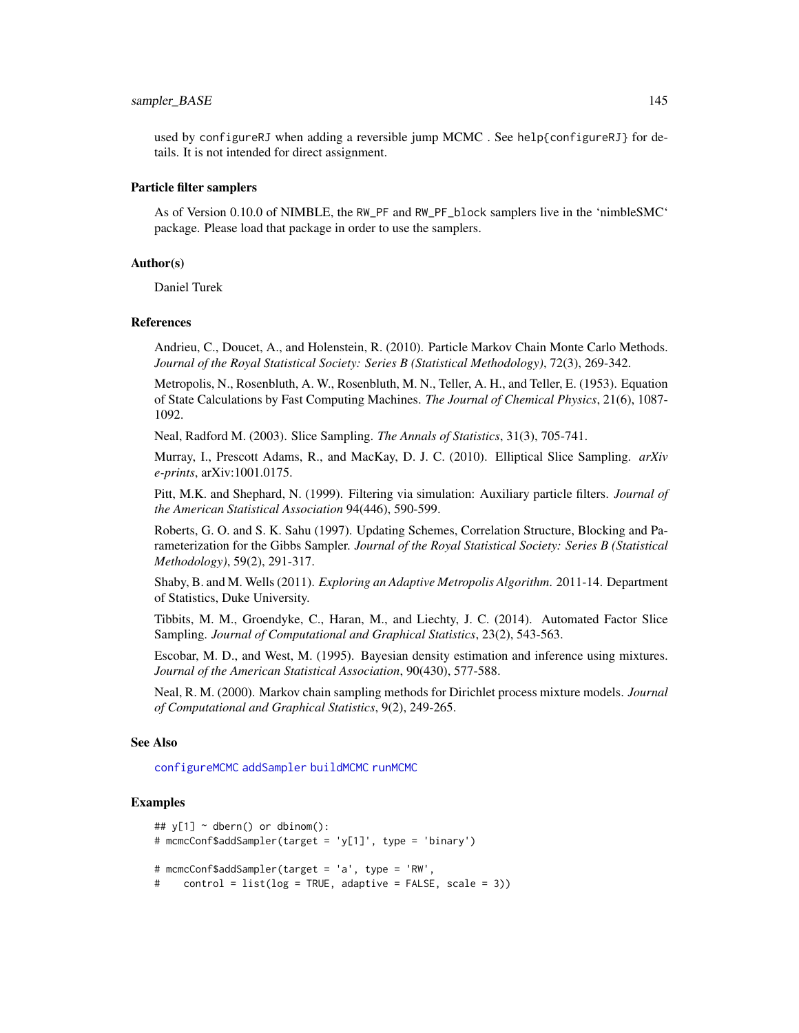## <span id="page-144-0"></span>sampler\_BASE 145

used by configureRJ when adding a reversible jump MCMC . See help{configureRJ} for details. It is not intended for direct assignment.

#### Particle filter samplers

As of Version 0.10.0 of NIMBLE, the RW\_PF and RW\_PF\_block samplers live in the 'nimbleSMC' package. Please load that package in order to use the samplers.

# Author(s)

Daniel Turek

#### References

Andrieu, C., Doucet, A., and Holenstein, R. (2010). Particle Markov Chain Monte Carlo Methods. *Journal of the Royal Statistical Society: Series B (Statistical Methodology)*, 72(3), 269-342.

Metropolis, N., Rosenbluth, A. W., Rosenbluth, M. N., Teller, A. H., and Teller, E. (1953). Equation of State Calculations by Fast Computing Machines. *The Journal of Chemical Physics*, 21(6), 1087- 1092.

Neal, Radford M. (2003). Slice Sampling. *The Annals of Statistics*, 31(3), 705-741.

Murray, I., Prescott Adams, R., and MacKay, D. J. C. (2010). Elliptical Slice Sampling. *arXiv e-prints*, arXiv:1001.0175.

Pitt, M.K. and Shephard, N. (1999). Filtering via simulation: Auxiliary particle filters. *Journal of the American Statistical Association* 94(446), 590-599.

Roberts, G. O. and S. K. Sahu (1997). Updating Schemes, Correlation Structure, Blocking and Parameterization for the Gibbs Sampler. *Journal of the Royal Statistical Society: Series B (Statistical Methodology)*, 59(2), 291-317.

Shaby, B. and M. Wells (2011). *Exploring an Adaptive Metropolis Algorithm*. 2011-14. Department of Statistics, Duke University.

Tibbits, M. M., Groendyke, C., Haran, M., and Liechty, J. C. (2014). Automated Factor Slice Sampling. *Journal of Computational and Graphical Statistics*, 23(2), 543-563.

Escobar, M. D., and West, M. (1995). Bayesian density estimation and inference using mixtures. *Journal of the American Statistical Association*, 90(430), 577-588.

Neal, R. M. (2000). Markov chain sampling methods for Dirichlet process mixture models. *Journal of Computational and Graphical Statistics*, 9(2), 249-265.

#### See Also

[configureMCMC](#page-30-0) [addSampler](#page-61-0) [buildMCMC](#page-15-0) [runMCMC](#page-131-0)

# Examples

```
## y[1] \sim dbern() or dbinom():
# mcmcConf$addSampler(target = 'y[1]', type = 'binary')
# mcmcConf$addSampler(target = 'a', type = 'RW',
# control = list(log = TRUE, adaptive = FALSE, scale = 3))
```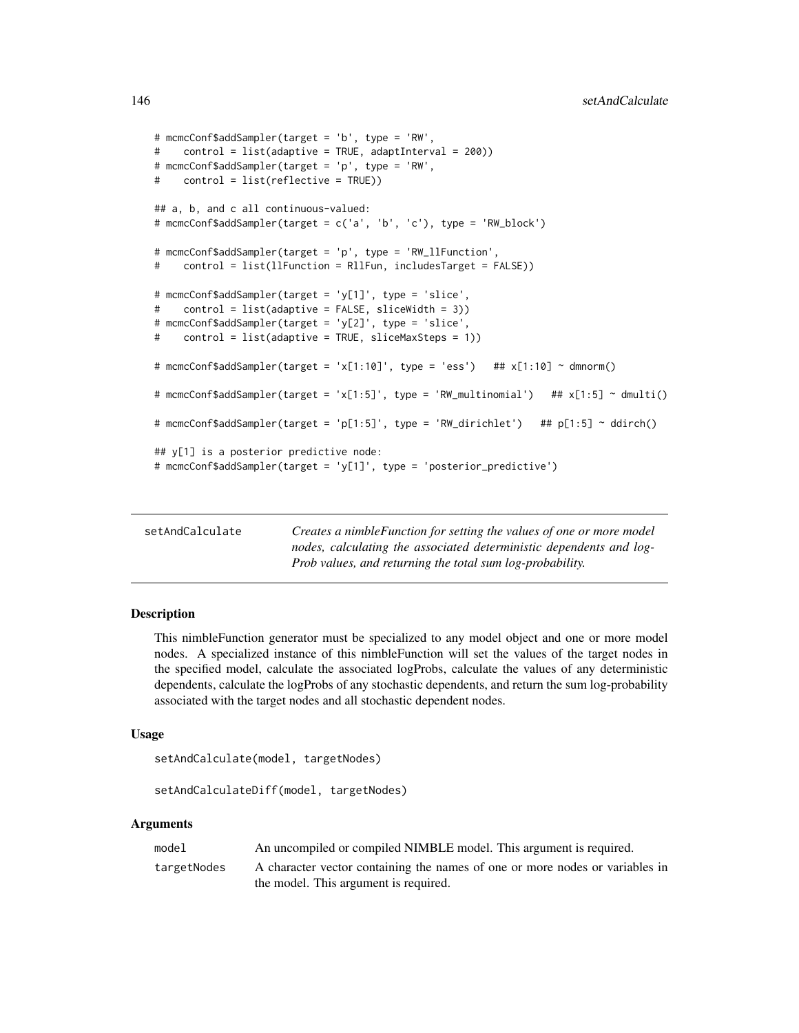```
# mcmcConf$addSampler(target = 'b', type = 'RW',
# control = list(adaptive = TRUE, adaptInterval = 200))
# mcmcConf$addSampler(target = 'p', type = 'RW',
# control = list(reflective = TRUE))
## a, b, and c all continuous-valued:
# mcmcConf$addSampler(target = c('a', 'b', 'c'), type = 'RW_block')
# mcmcConf$addSampler(target = 'p', type = 'RW_llFunction',
# control = list(llFunction = RllFun, includesTarget = FALSE))
# mcmcConf$addSampler(target = 'y[1]', type = 'slice',
# control = list(adaptive = FALSE, sliceWidth = 3))
# mcmcConf$addSampler(target = 'y[2]', type = 'slice',
# control = list(adaptive = TRUE, sliceMaxSteps = 1))
# mcmcConf$addSampler(target = 'x[1:10]', type = 'ess')    ## x[1:10] ~ dmnorm()
# mcmcConf$addSampler(target = 'x[1:5]', type = 'RW_multinomial') ## x[1:5] ~ dmulti()
# mcmcConf$addSampler(target = 'p[1:5]', type = 'RW_dirichlet') ## p[1:5] ~ ddirch()
## y[1] is a posterior predictive node:
# mcmcConf$addSampler(target = 'y[1]', type = 'posterior_predictive')
```

| setAndCalculate | Creates a nimble Function for setting the values of one or more model |
|-----------------|-----------------------------------------------------------------------|
|                 | nodes, calculating the associated deterministic dependents and log-   |
|                 | <i>Prob values, and returning the total sum log-probability.</i>      |

This nimbleFunction generator must be specialized to any model object and one or more model nodes. A specialized instance of this nimbleFunction will set the values of the target nodes in the specified model, calculate the associated logProbs, calculate the values of any deterministic dependents, calculate the logProbs of any stochastic dependents, and return the sum log-probability associated with the target nodes and all stochastic dependent nodes.

### Usage

```
setAndCalculate(model, targetNodes)
```

```
setAndCalculateDiff(model, targetNodes)
```
# Arguments

| model       | An uncompiled or compiled NIMBLE model. This argument is required.           |
|-------------|------------------------------------------------------------------------------|
| targetNodes | A character vector containing the names of one or more nodes or variables in |
|             | the model. This argument is required.                                        |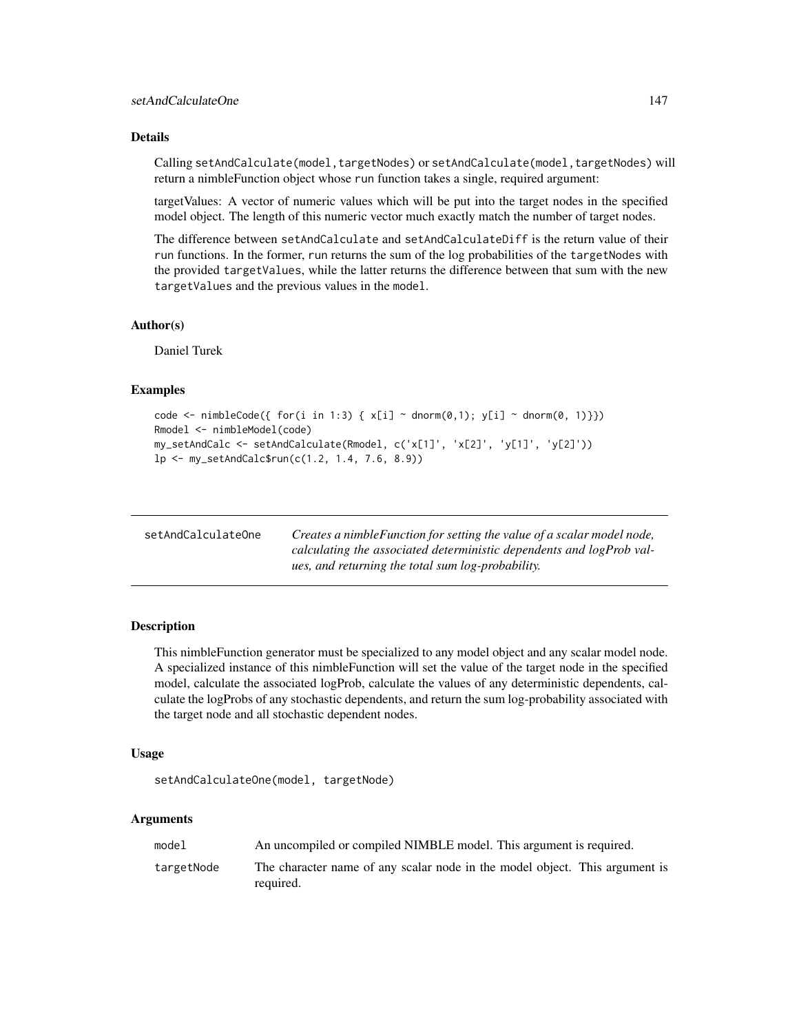# <span id="page-146-0"></span>Details

Calling setAndCalculate(model,targetNodes) or setAndCalculate(model,targetNodes) will return a nimbleFunction object whose run function takes a single, required argument:

targetValues: A vector of numeric values which will be put into the target nodes in the specified model object. The length of this numeric vector much exactly match the number of target nodes.

The difference between setAndCalculate and setAndCalculateDiff is the return value of their run functions. In the former, run returns the sum of the log probabilities of the targetNodes with the provided targetValues, while the latter returns the difference between that sum with the new targetValues and the previous values in the model.

#### Author(s)

Daniel Turek

#### Examples

```
code <- nimbleCode({ for(i in 1:3) { x[i] ~ dnorm(0,1); y[i] ~ dnorm(0, 1)}})
Rmodel <- nimbleModel(code)
my_setAndCalc <- setAndCalculate(Rmodel, c('x[1]', 'x[2]', 'y[1]', 'y[2]'))
lp <- my_setAndCalc$run(c(1.2, 1.4, 7.6, 8.9))
```

| setAndCalculateOne | Creates a nimble Function for setting the value of a scalar model node, |
|--------------------|-------------------------------------------------------------------------|
|                    | calculating the associated deterministic dependents and logProb val-    |
|                    | ues, and returning the total sum log-probability.                       |

# Description

This nimbleFunction generator must be specialized to any model object and any scalar model node. A specialized instance of this nimbleFunction will set the value of the target node in the specified model, calculate the associated logProb, calculate the values of any deterministic dependents, calculate the logProbs of any stochastic dependents, and return the sum log-probability associated with the target node and all stochastic dependent nodes.

# Usage

```
setAndCalculateOne(model, targetNode)
```
#### Arguments

| model      | An uncompiled or compiled NIMBLE model. This argument is required.                       |
|------------|------------------------------------------------------------------------------------------|
| targetNode | The character name of any scalar node in the model object. This argument is<br>required. |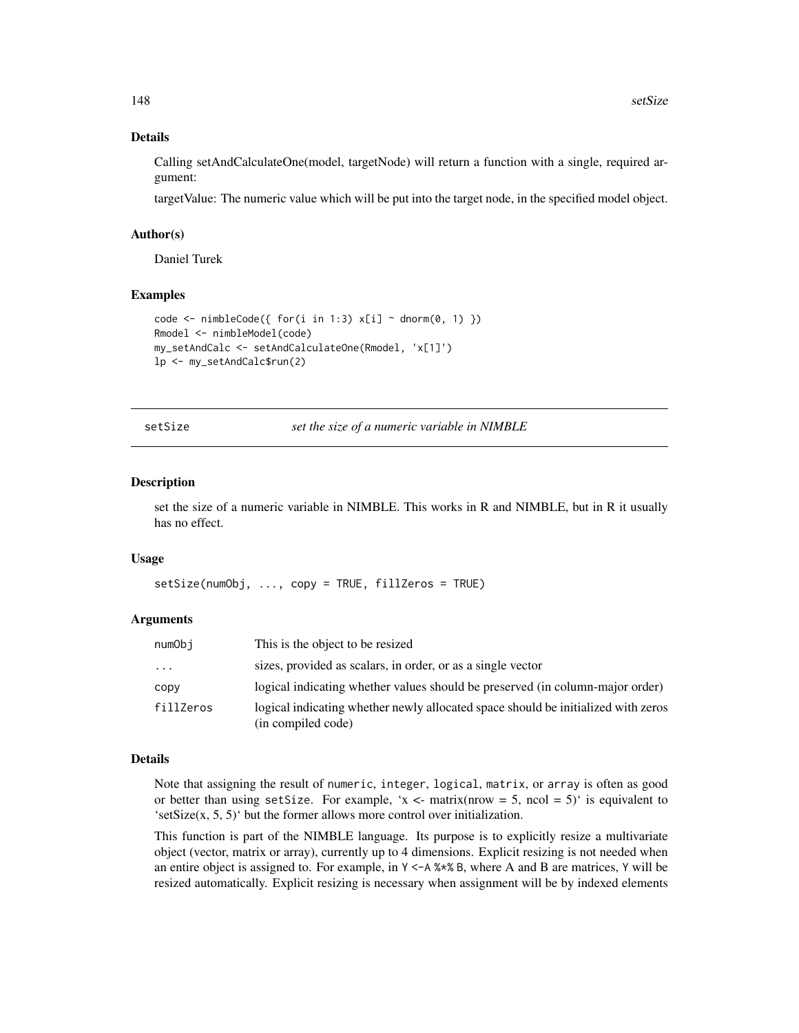# Details

Calling setAndCalculateOne(model, targetNode) will return a function with a single, required argument:

targetValue: The numeric value which will be put into the target node, in the specified model object.

#### Author(s)

Daniel Turek

#### Examples

```
code <- nimbleCode({ for(i in 1:3) x[i] ~ dnorm(0, 1) })
Rmodel <- nimbleModel(code)
my_setAndCalc <- setAndCalculateOne(Rmodel, 'x[1]')
lp <- my_setAndCalc$run(2)
```
setSize *set the size of a numeric variable in NIMBLE*

#### Description

set the size of a numeric variable in NIMBLE. This works in R and NIMBLE, but in R it usually has no effect.

#### Usage

setSize(numObj, ..., copy = TRUE, fillZeros = TRUE)

#### Arguments

| numObi    | This is the object to be resized                                                                        |
|-----------|---------------------------------------------------------------------------------------------------------|
| $\cdots$  | sizes, provided as scalars, in order, or as a single vector                                             |
| CODV      | logical indicating whether values should be preserved (in column-major order)                           |
| fillZeros | logical indicating whether newly allocated space should be initialized with zeros<br>(in compiled code) |

#### Details

Note that assigning the result of numeric, integer, logical, matrix, or array is often as good or better than using setSize. For example, 'x <- matrix(nrow = 5, ncol = 5)' is equivalent to 'setSize $(x, 5, 5)$ ' but the former allows more control over initialization.

This function is part of the NIMBLE language. Its purpose is to explicitly resize a multivariate object (vector, matrix or array), currently up to 4 dimensions. Explicit resizing is not needed when an entire object is assigned to. For example, in  $Y < -A$  % B, where A and B are matrices, Y will be resized automatically. Explicit resizing is necessary when assignment will be by indexed elements

<span id="page-147-0"></span>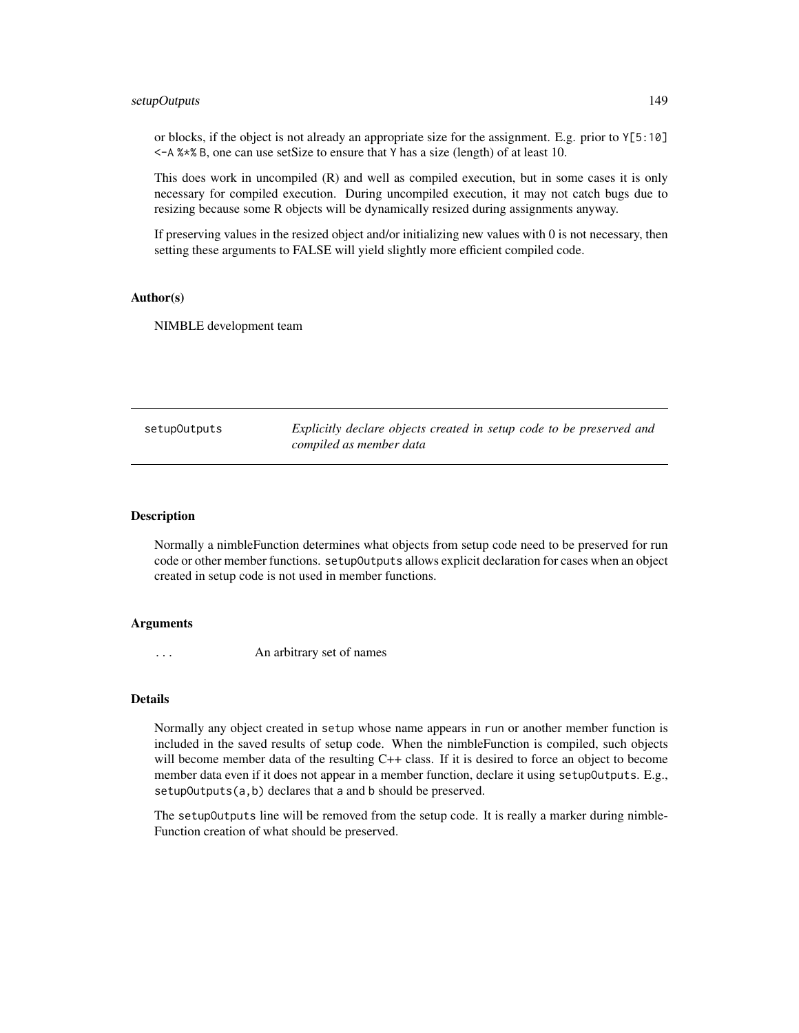# <span id="page-148-0"></span>setupOutputs 149

or blocks, if the object is not already an appropriate size for the assignment. E.g. prior to Y[5:10] <-A %\*% B, one can use setSize to ensure that Y has a size (length) of at least 10.

This does work in uncompiled (R) and well as compiled execution, but in some cases it is only necessary for compiled execution. During uncompiled execution, it may not catch bugs due to resizing because some R objects will be dynamically resized during assignments anyway.

If preserving values in the resized object and/or initializing new values with 0 is not necessary, then setting these arguments to FALSE will yield slightly more efficient compiled code.

#### Author(s)

NIMBLE development team

| setupOutputs | Explicitly declare objects created in setup code to be preserved and |
|--------------|----------------------------------------------------------------------|
|              | compiled as member data                                              |

# **Description**

Normally a nimbleFunction determines what objects from setup code need to be preserved for run code or other member functions. setupOutputs allows explicit declaration for cases when an object created in setup code is not used in member functions.

#### Arguments

... An arbitrary set of names

#### Details

Normally any object created in setup whose name appears in run or another member function is included in the saved results of setup code. When the nimbleFunction is compiled, such objects will become member data of the resulting C++ class. If it is desired to force an object to become member data even if it does not appear in a member function, declare it using setupOutputs. E.g., setupOutputs(a,b) declares that a and b should be preserved.

The setupOutputs line will be removed from the setup code. It is really a marker during nimble-Function creation of what should be preserved.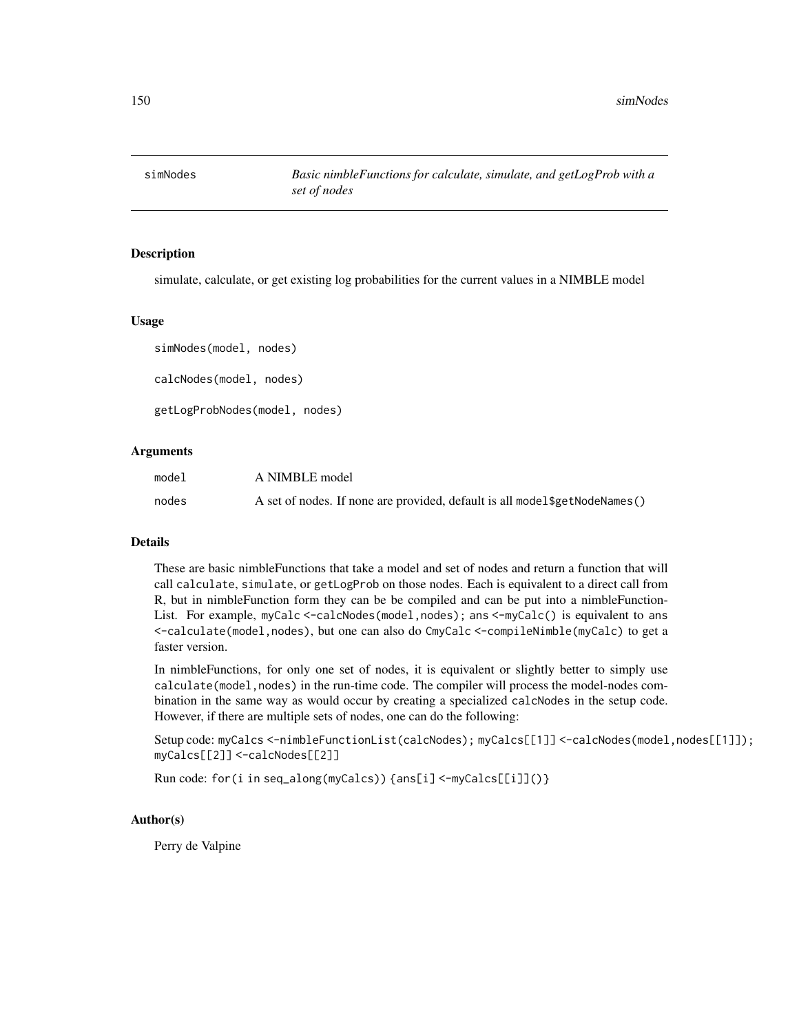<span id="page-149-0"></span>

simulate, calculate, or get existing log probabilities for the current values in a NIMBLE model

# Usage

simNodes(model, nodes) calcNodes(model, nodes) getLogProbNodes(model, nodes)

# Arguments

| model | A NIMBLE model                                                              |
|-------|-----------------------------------------------------------------------------|
| nodes | A set of nodes. If none are provided, default is all model \$getNodeNames() |

#### **Details**

These are basic nimbleFunctions that take a model and set of nodes and return a function that will call calculate, simulate, or getLogProb on those nodes. Each is equivalent to a direct call from R, but in nimbleFunction form they can be be compiled and can be put into a nimbleFunction-List. For example, myCalc <-calcNodes(model,nodes); ans <-myCalc() is equivalent to ans <-calculate(model,nodes), but one can also do CmyCalc <-compileNimble(myCalc) to get a faster version.

In nimbleFunctions, for only one set of nodes, it is equivalent or slightly better to simply use calculate(model,nodes) in the run-time code. The compiler will process the model-nodes combination in the same way as would occur by creating a specialized calcNodes in the setup code. However, if there are multiple sets of nodes, one can do the following:

```
Setup code: myCalcs <-nimbleFunctionList(calcNodes); myCalcs[[1]] <-calcNodes(model,nodes[[1]]);
myCalcs[[2]] <-calcNodes[[2]]
```

```
Run code: for(i in seq_along(myCalcs)) {ans[i] <-myCalcs[[i]]()}
```
# Author(s)

Perry de Valpine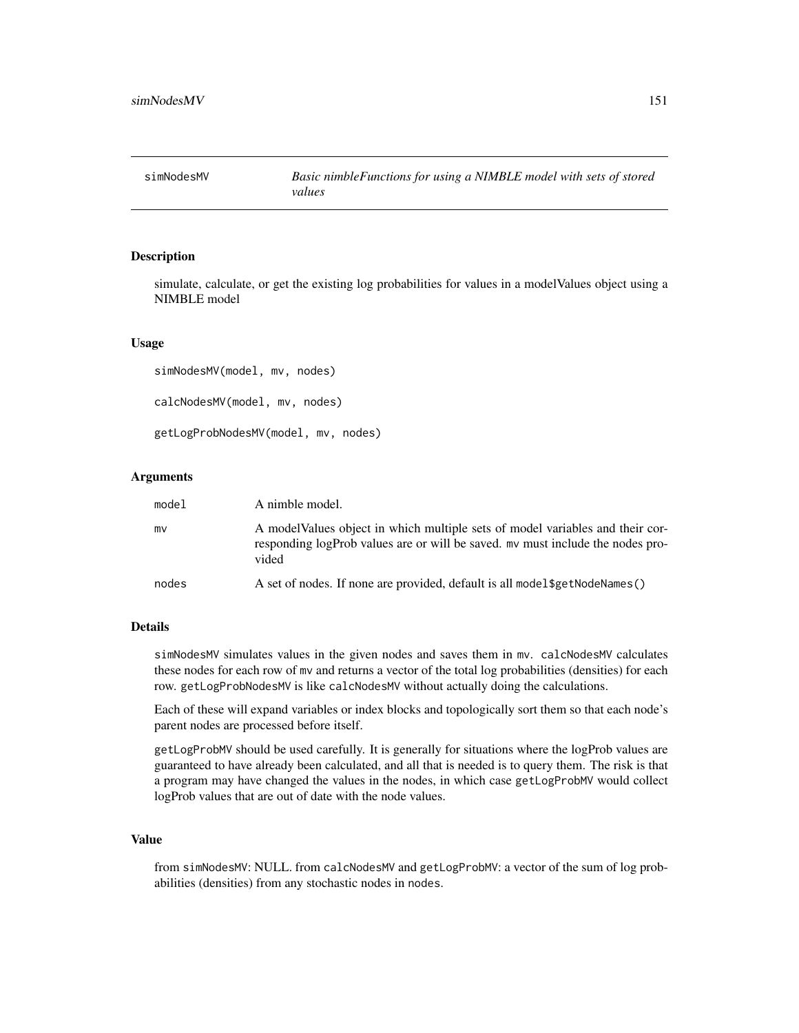<span id="page-150-0"></span>

simulate, calculate, or get the existing log probabilities for values in a modelValues object using a NIMBLE model

# Usage

```
simNodesMV(model, mv, nodes)
calcNodesMV(model, mv, nodes)
getLogProbNodesMV(model, mv, nodes)
```
#### Arguments

| model | A nimble model.                                                                                                                                                          |
|-------|--------------------------------------------------------------------------------------------------------------------------------------------------------------------------|
| mv    | A modelValues object in which multiple sets of model variables and their cor-<br>responding logProb values are or will be saved, my must include the nodes pro-<br>vided |
| nodes | A set of nodes. If none are provided, default is all model \$getNodeNames()                                                                                              |

#### Details

simNodesMV simulates values in the given nodes and saves them in mv. calcNodesMV calculates these nodes for each row of mv and returns a vector of the total log probabilities (densities) for each row. getLogProbNodesMV is like calcNodesMV without actually doing the calculations.

Each of these will expand variables or index blocks and topologically sort them so that each node's parent nodes are processed before itself.

getLogProbMV should be used carefully. It is generally for situations where the logProb values are guaranteed to have already been calculated, and all that is needed is to query them. The risk is that a program may have changed the values in the nodes, in which case getLogProbMV would collect logProb values that are out of date with the node values.

#### Value

from simNodesMV: NULL. from calcNodesMV and getLogProbMV: a vector of the sum of log probabilities (densities) from any stochastic nodes in nodes.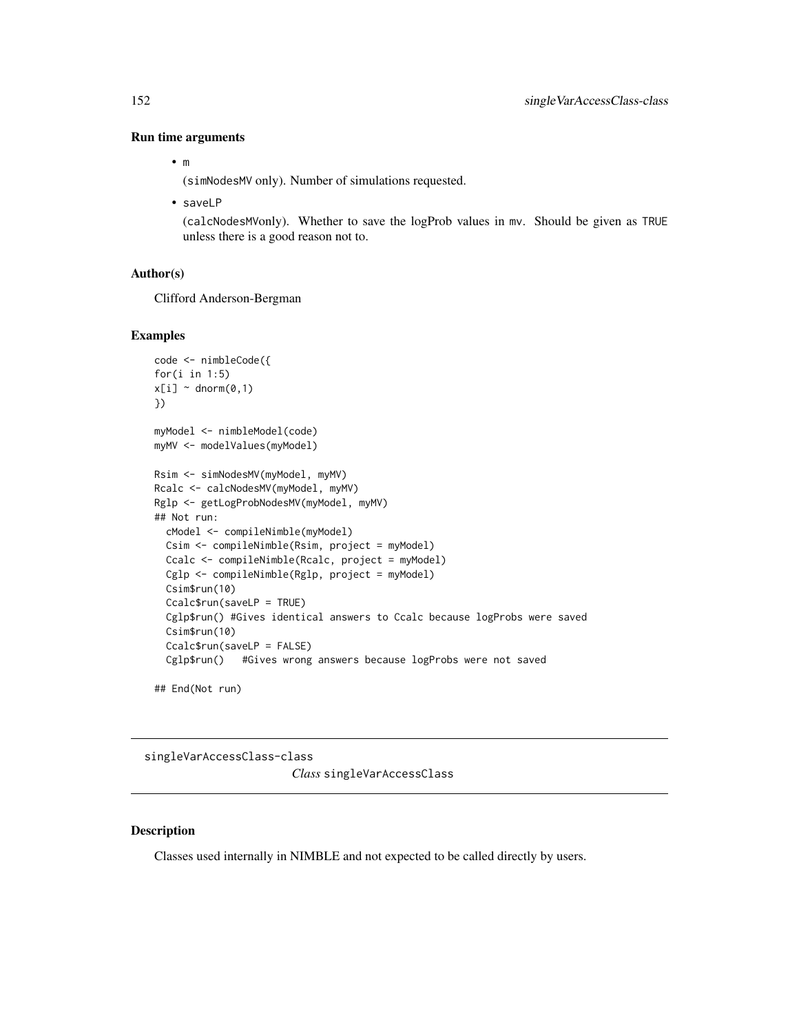#### Run time arguments

```
• m
```
(simNodesMV only). Number of simulations requested.

• saveLP

(calcNodesMVonly). Whether to save the logProb values in mv. Should be given as TRUE unless there is a good reason not to.

# Author(s)

Clifford Anderson-Bergman

#### Examples

```
code <- nimbleCode({
for(i in 1:5)
x[i] ~ dnorm(0,1)})
myModel <- nimbleModel(code)
myMV <- modelValues(myModel)
Rsim <- simNodesMV(myModel, myMV)
Rcalc <- calcNodesMV(myModel, myMV)
Rglp <- getLogProbNodesMV(myModel, myMV)
## Not run:
  cModel <- compileNimble(myModel)
  Csim <- compileNimble(Rsim, project = myModel)
  Ccalc <- compileNimble(Rcalc, project = myModel)
  Cglp <- compileNimble(Rglp, project = myModel)
  Csim$run(10)
  Ccalc$run(saveLP = TRUE)
  Cglp$run() #Gives identical answers to Ccalc because logProbs were saved
  Csim$run(10)
  Ccalc$run(saveLP = FALSE)
  Cglp$run() #Gives wrong answers because logProbs were not saved
```

```
## End(Not run)
```
singleVarAccessClass-class *Class* singleVarAccessClass

# Description

Classes used internally in NIMBLE and not expected to be called directly by users.

<span id="page-151-0"></span>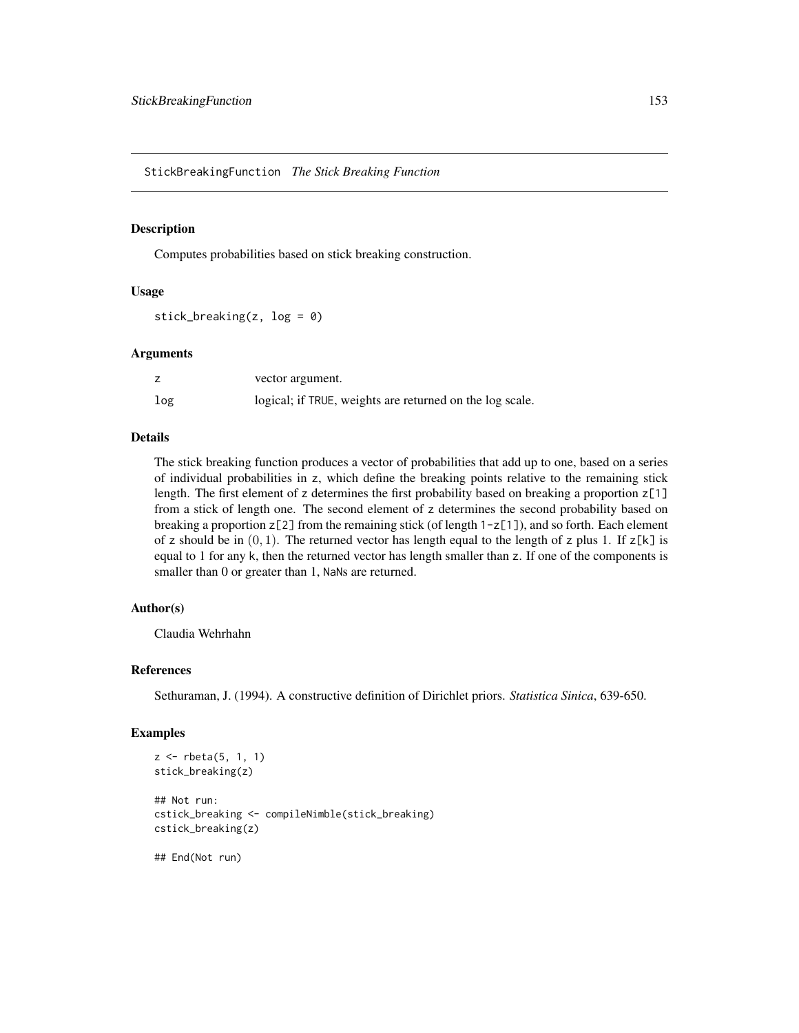<span id="page-152-0"></span>StickBreakingFunction *The Stick Breaking Function*

# Description

Computes probabilities based on stick breaking construction.

#### Usage

stick\_breaking(z,  $log = 0$ )

#### Arguments

|     | vector argument.                                         |
|-----|----------------------------------------------------------|
| log | logical; if TRUE, weights are returned on the log scale. |

## Details

The stick breaking function produces a vector of probabilities that add up to one, based on a series of individual probabilities in z, which define the breaking points relative to the remaining stick length. The first element of z determines the first probability based on breaking a proportion  $z[1]$ from a stick of length one. The second element of z determines the second probability based on breaking a proportion  $z[2]$  from the remaining stick (of length  $1-z[1]$ ), and so forth. Each element of z should be in  $(0, 1)$ . The returned vector has length equal to the length of z plus 1. If  $z[k]$  is equal to 1 for any k, then the returned vector has length smaller than z. If one of the components is smaller than 0 or greater than 1, NaNs are returned.

# Author(s)

Claudia Wehrhahn

#### References

Sethuraman, J. (1994). A constructive definition of Dirichlet priors. *Statistica Sinica*, 639-650.

#### Examples

```
z \le rbeta(5, 1, 1)
stick_breaking(z)
## Not run:
cstick_breaking <- compileNimble(stick_breaking)
cstick_breaking(z)
```
## End(Not run)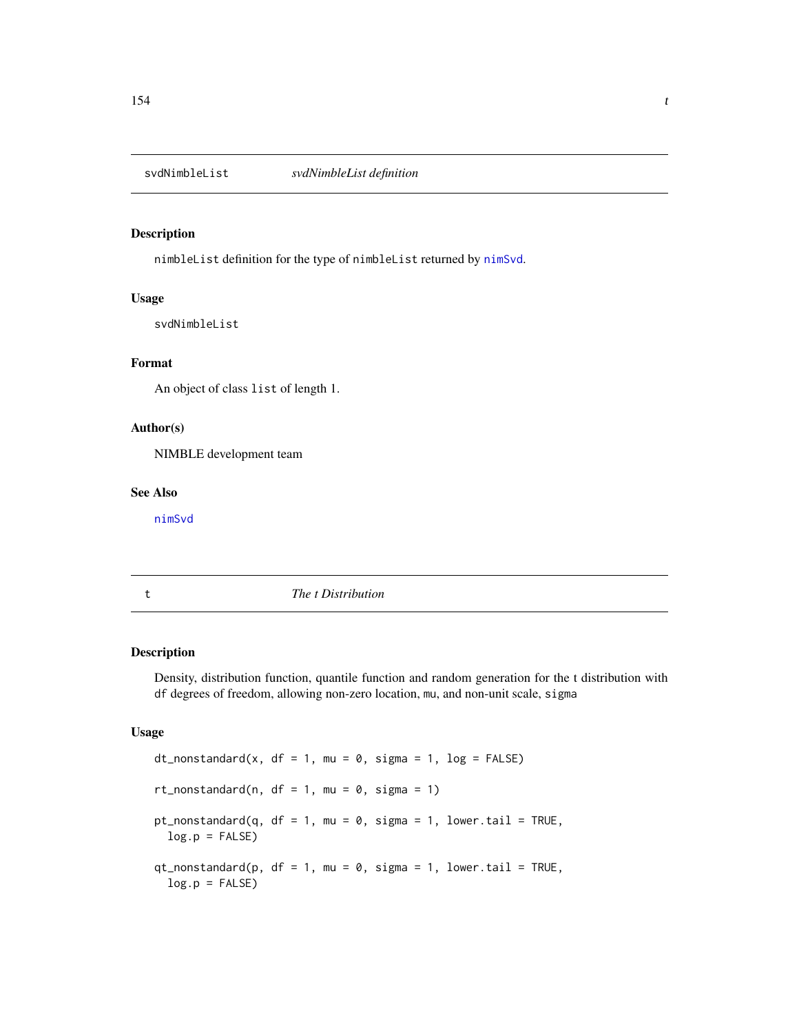<span id="page-153-0"></span>

nimbleList definition for the type of nimbleList returned by [nimSvd](#page-114-0).

# Usage

svdNimbleList

# Format

An object of class list of length 1.

# Author(s)

NIMBLE development team

#### See Also

[nimSvd](#page-114-0)

t *The t Distribution*

# Description

Density, distribution function, quantile function and random generation for the t distribution with df degrees of freedom, allowing non-zero location, mu, and non-unit scale, sigma

#### Usage

```
dt_nonstandard(x, df = 1, mu = 0, sigma = 1, log = FALSE)
rt_nonstandard(n, df = 1, mu = 0, sigma = 1)
pt_nonstandard(q, df = 1, mu = 0, sigma = 1, lower.tail = TRUE,
  log.p = FALSEqt\_nonstandard(p, df = 1, mu = 0, sigma = 1, lower.tail = TRUE,log.p = FALSE)
```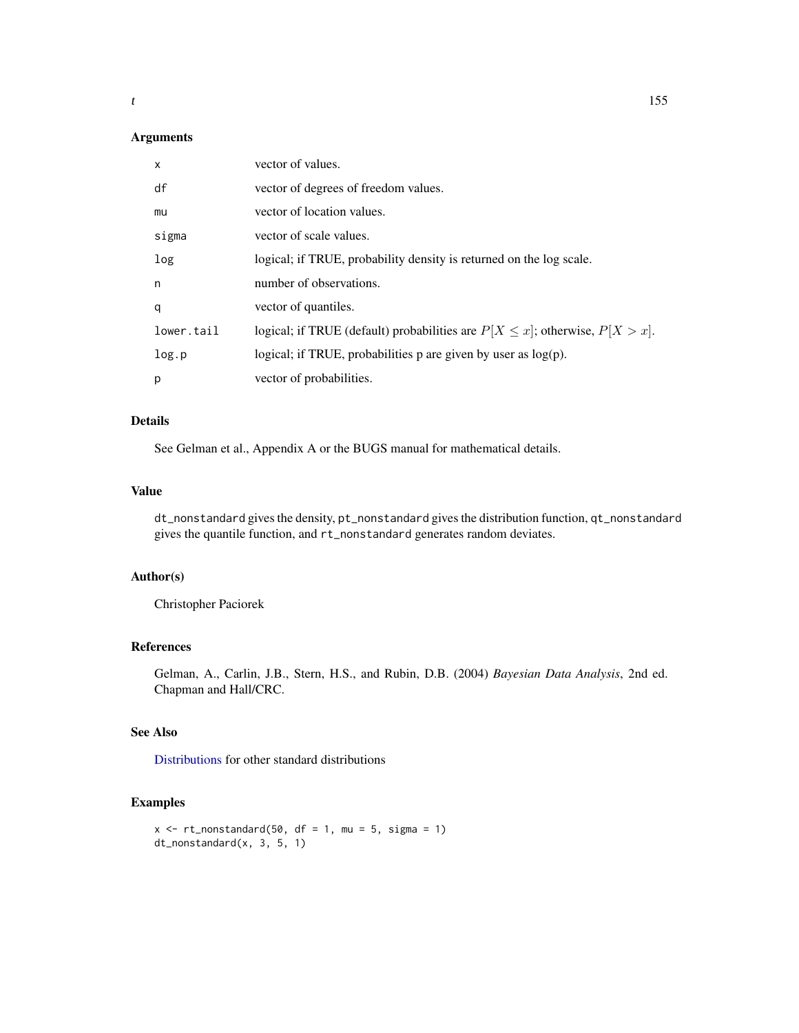# <span id="page-154-0"></span>Arguments

| $\mathsf{x}$ | vector of values.                                                                    |
|--------------|--------------------------------------------------------------------------------------|
| df           | vector of degrees of freedom values.                                                 |
| mu           | vector of location values.                                                           |
| sigma        | vector of scale values.                                                              |
| log          | logical; if TRUE, probability density is returned on the log scale.                  |
| n            | number of observations.                                                              |
| q            | vector of quantiles.                                                                 |
| lower.tail   | logical; if TRUE (default) probabilities are $P[X \leq x]$ ; otherwise, $P[X > x]$ . |
| log.p        | logical; if TRUE, probabilities p are given by user as $log(p)$ .                    |
| p            | vector of probabilities.                                                             |

# Details

See Gelman et al., Appendix A or the BUGS manual for mathematical details.

# Value

dt\_nonstandard gives the density, pt\_nonstandard gives the distribution function, qt\_nonstandard gives the quantile function, and rt\_nonstandard generates random deviates.

# Author(s)

Christopher Paciorek

# References

Gelman, A., Carlin, J.B., Stern, H.S., and Rubin, D.B. (2004) *Bayesian Data Analysis*, 2nd ed. Chapman and Hall/CRC.

# See Also

[Distributions](#page-0-0) for other standard distributions

# Examples

```
x \le -rt_nonstandard(50, df = 1, mu = 5, sigma = 1)
dt_nonstandard(x, 3, 5, 1)
```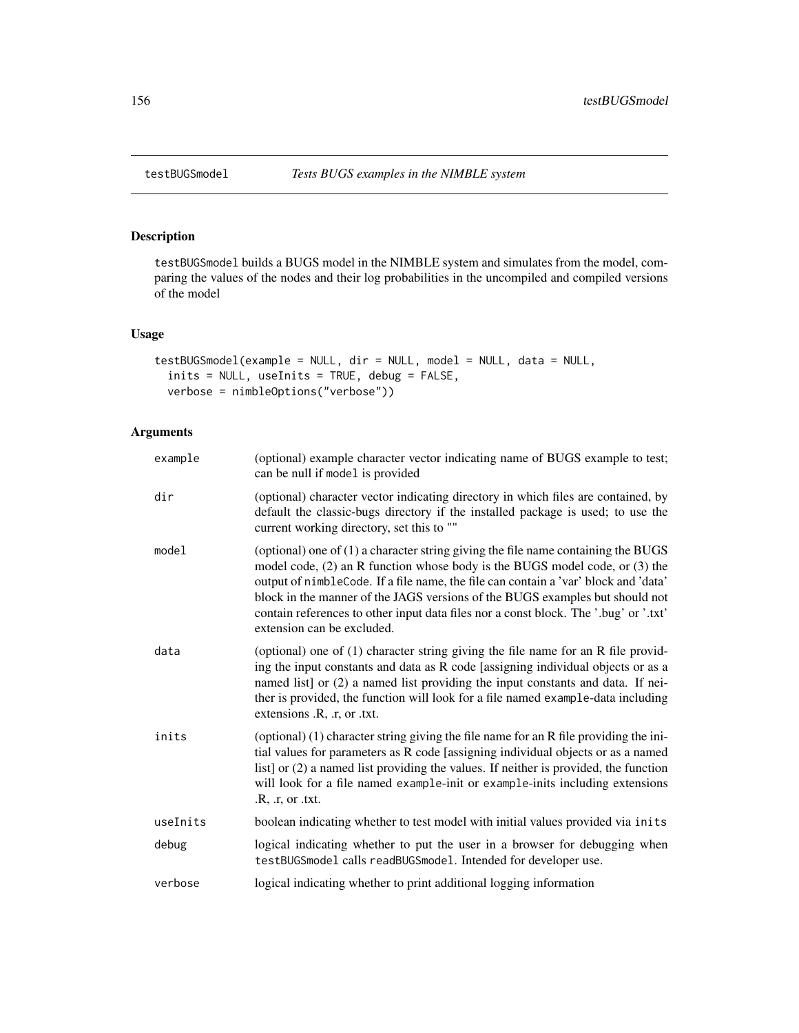<span id="page-155-0"></span>testBUGSmodel builds a BUGS model in the NIMBLE system and simulates from the model, comparing the values of the nodes and their log probabilities in the uncompiled and compiled versions of the model

# Usage

```
testBUGSmodel(example = NULL, dir = NULL, model = NULL, data = NULL,
 inits = NULL, useInits = TRUE, debug = FALSE,
 verbose = nimbleOptions("verbose"))
```
# Arguments

| example  | (optional) example character vector indicating name of BUGS example to test;<br>can be null if model is provided                                                                                                                                                                                                                                                                                                                                                |
|----------|-----------------------------------------------------------------------------------------------------------------------------------------------------------------------------------------------------------------------------------------------------------------------------------------------------------------------------------------------------------------------------------------------------------------------------------------------------------------|
| dir      | (optional) character vector indicating directory in which files are contained, by<br>default the classic-bugs directory if the installed package is used; to use the<br>current working directory, set this to ""                                                                                                                                                                                                                                               |
| model    | (optional) one of $(1)$ a character string giving the file name containing the BUGS<br>model code, (2) an R function whose body is the BUGS model code, or (3) the<br>output of nimbleCode. If a file name, the file can contain a 'var' block and 'data'<br>block in the manner of the JAGS versions of the BUGS examples but should not<br>contain references to other input data files nor a const block. The '.bug' or '.txt'<br>extension can be excluded. |
| data     | (optional) one of (1) character string giving the file name for an R file provid-<br>ing the input constants and data as R code [assigning individual objects or as a<br>named list] or (2) a named list providing the input constants and data. If nei-<br>ther is provided, the function will look for a file named example-data including<br>extensions .R, .r, or .txt.                                                                                     |
| inits    | (optional) (1) character string giving the file name for an R file providing the ini-<br>tial values for parameters as R code [assigning individual objects or as a named<br>list] or (2) a named list providing the values. If neither is provided, the function<br>will look for a file named example-init or example-inits including extensions<br>.R, .r, or .txt.                                                                                          |
| useInits | boolean indicating whether to test model with initial values provided via inits                                                                                                                                                                                                                                                                                                                                                                                 |
| debug    | logical indicating whether to put the user in a browser for debugging when<br>testBUGSmodel calls readBUGSmodel. Intended for developer use.                                                                                                                                                                                                                                                                                                                    |
| verbose  | logical indicating whether to print additional logging information                                                                                                                                                                                                                                                                                                                                                                                              |
|          |                                                                                                                                                                                                                                                                                                                                                                                                                                                                 |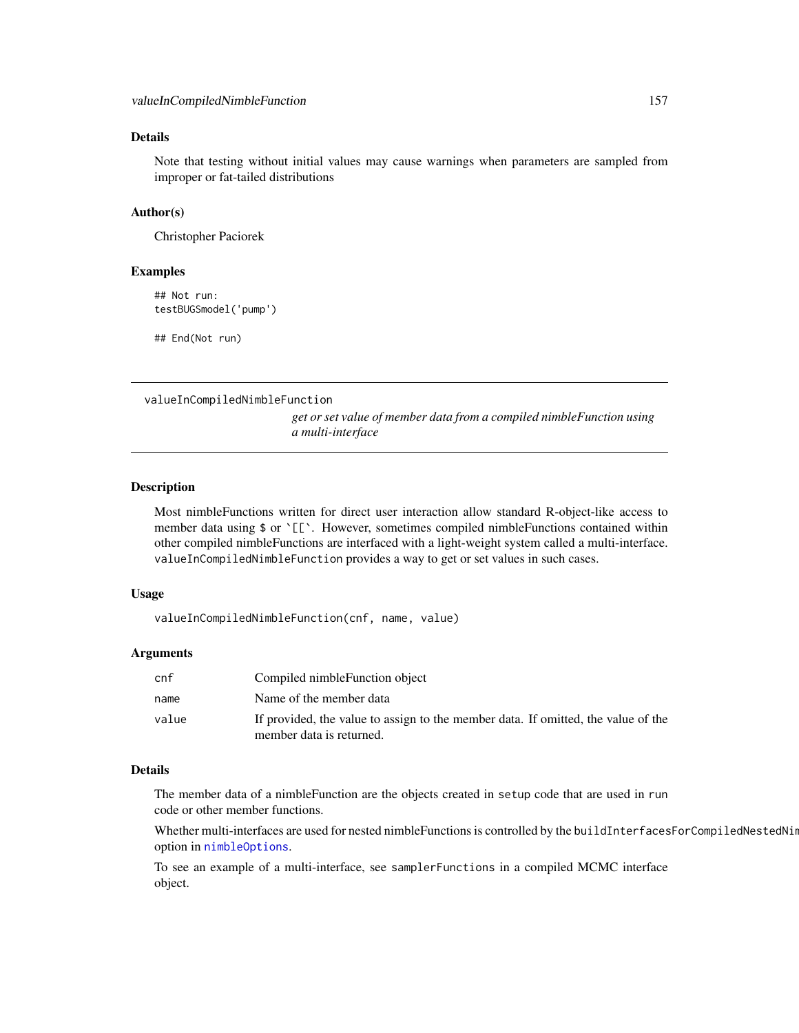# <span id="page-156-0"></span>Details

Note that testing without initial values may cause warnings when parameters are sampled from improper or fat-tailed distributions

## Author(s)

Christopher Paciorek

#### Examples

## Not run: testBUGSmodel('pump')

## End(Not run)

valueInCompiledNimbleFunction

*get or set value of member data from a compiled nimbleFunction using a multi-interface*

# Description

Most nimbleFunctions written for direct user interaction allow standard R-object-like access to member data using \$ or `[[`. However, sometimes compiled nimbleFunctions contained within other compiled nimbleFunctions are interfaced with a light-weight system called a multi-interface. valueInCompiledNimbleFunction provides a way to get or set values in such cases.

#### Usage

valueInCompiledNimbleFunction(cnf, name, value)

#### Arguments

| cnf   | Compiled nimble Function object                                                                               |
|-------|---------------------------------------------------------------------------------------------------------------|
| name  | Name of the member data                                                                                       |
| value | If provided, the value to assign to the member data. If omitted, the value of the<br>member data is returned. |

# Details

The member data of a nimbleFunction are the objects created in setup code that are used in run code or other member functions.

Whether multi-interfaces are used for nested nimbleFunctions is controlled by the buildInterfacesForCompiledNestedNin option in [nimbleOptions](#page-100-0).

To see an example of a multi-interface, see samplerFunctions in a compiled MCMC interface object.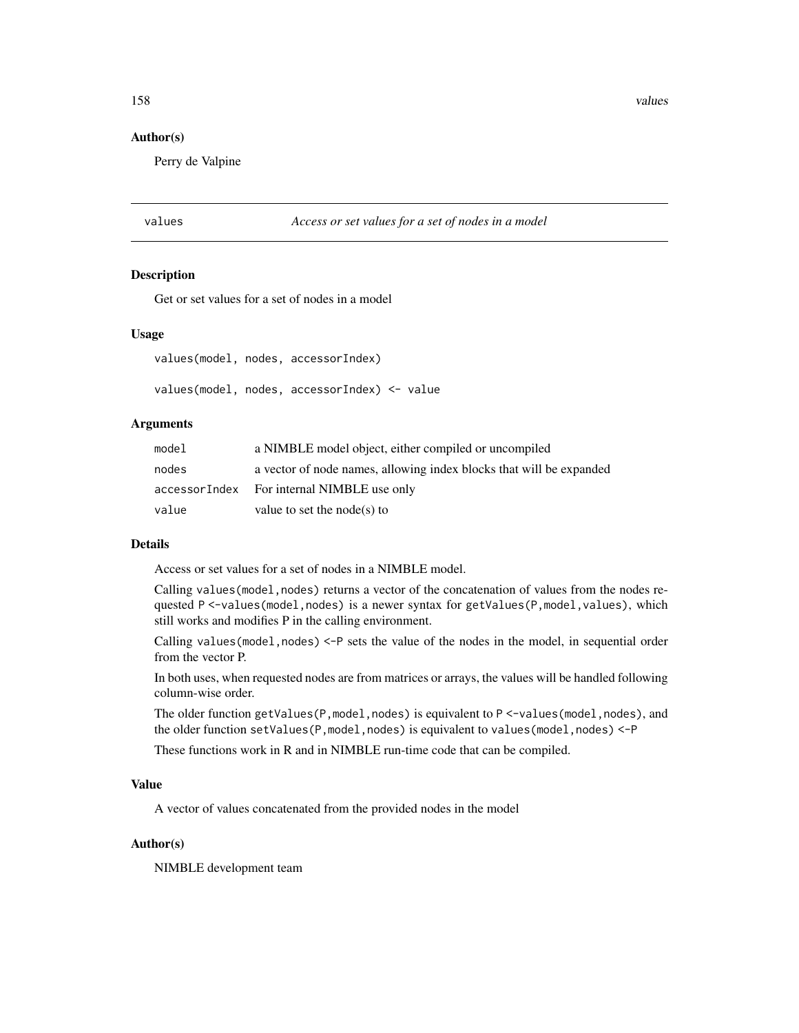<span id="page-157-0"></span>158 values and the contract of the contract of the contract of the contract of the contract of the contract of the contract of the contract of the contract of the contract of the contract of the contract of the contract of

#### Author(s)

Perry de Valpine

# values *Access or set values for a set of nodes in a model*

#### Description

Get or set values for a set of nodes in a model

#### Usage

values(model, nodes, accessorIndex)

values(model, nodes, accessorIndex) <- value

# Arguments

| model | a NIMBLE model object, either compiled or uncompiled                |
|-------|---------------------------------------------------------------------|
| nodes | a vector of node names, allowing index blocks that will be expanded |
|       | accessorIndex For internal NIMBLE use only                          |
| value | value to set the node(s) to                                         |

# Details

Access or set values for a set of nodes in a NIMBLE model.

Calling values(model, nodes) returns a vector of the concatenation of values from the nodes requested P <-values(model,nodes) is a newer syntax for getValues(P,model,values), which still works and modifies P in the calling environment.

Calling values (model, nodes)  $\leq$ -P sets the value of the nodes in the model, in sequential order from the vector P.

In both uses, when requested nodes are from matrices or arrays, the values will be handled following column-wise order.

The older function getValues( $P$ , model, nodes) is equivalent to  $P \leq$ -values(model, nodes), and the older function setValues(P,model,nodes) is equivalent to values(model,nodes) <-P

These functions work in R and in NIMBLE run-time code that can be compiled.

#### Value

A vector of values concatenated from the provided nodes in the model

# Author(s)

NIMBLE development team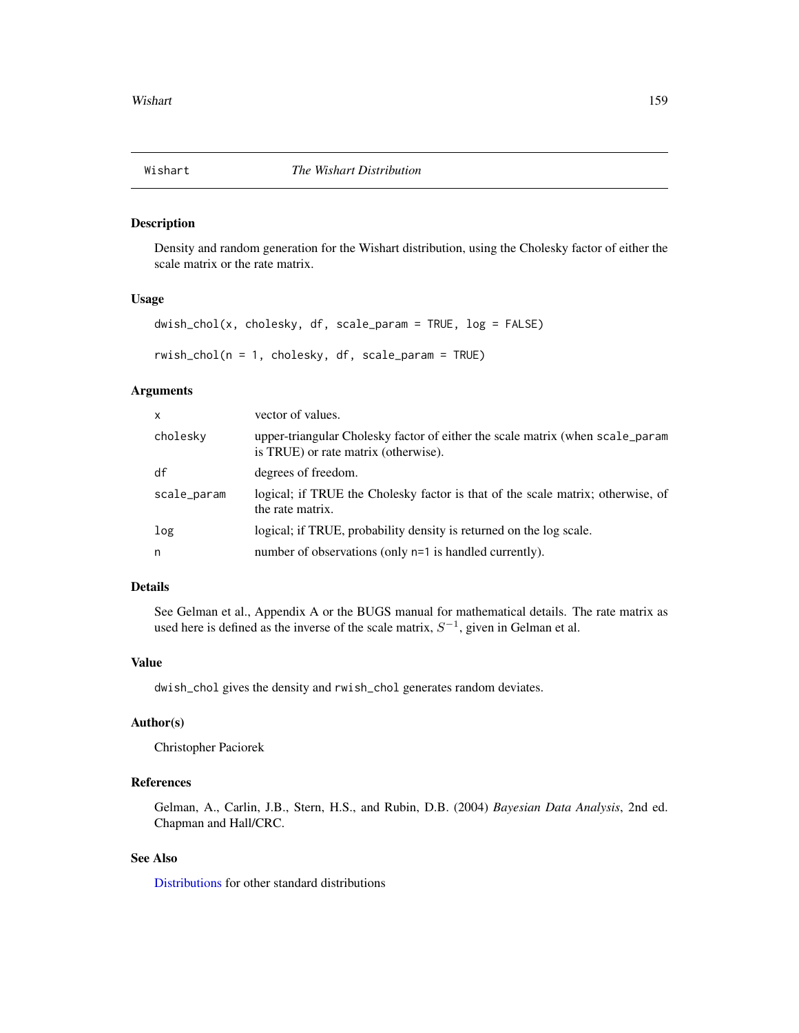<span id="page-158-0"></span>

Density and random generation for the Wishart distribution, using the Cholesky factor of either the scale matrix or the rate matrix.

#### Usage

```
d wish\_chol(x, cholesky, df, scale\_param = TRUE, log = FALSE)rwish_chol(n = 1, cholesky, df, scale_param = TRUE)
```
# Arguments

| $\mathsf{x}$ | vector of values.                                                                                                     |
|--------------|-----------------------------------------------------------------------------------------------------------------------|
| cholesky     | upper-triangular Cholesky factor of either the scale matrix (when scale_param<br>is TRUE) or rate matrix (otherwise). |
| df           | degrees of freedom.                                                                                                   |
| scale_param  | logical; if TRUE the Cholesky factor is that of the scale matrix; otherwise, of<br>the rate matrix.                   |
| log          | logical; if TRUE, probability density is returned on the log scale.                                                   |
| n            | number of observations (only n=1 is handled currently).                                                               |

# Details

See Gelman et al., Appendix A or the BUGS manual for mathematical details. The rate matrix as used here is defined as the inverse of the scale matrix,  $S^{-1}$ , given in Gelman et al.

# Value

dwish\_chol gives the density and rwish\_chol generates random deviates.

# Author(s)

Christopher Paciorek

# References

Gelman, A., Carlin, J.B., Stern, H.S., and Rubin, D.B. (2004) *Bayesian Data Analysis*, 2nd ed. Chapman and Hall/CRC.

# See Also

[Distributions](#page-0-0) for other standard distributions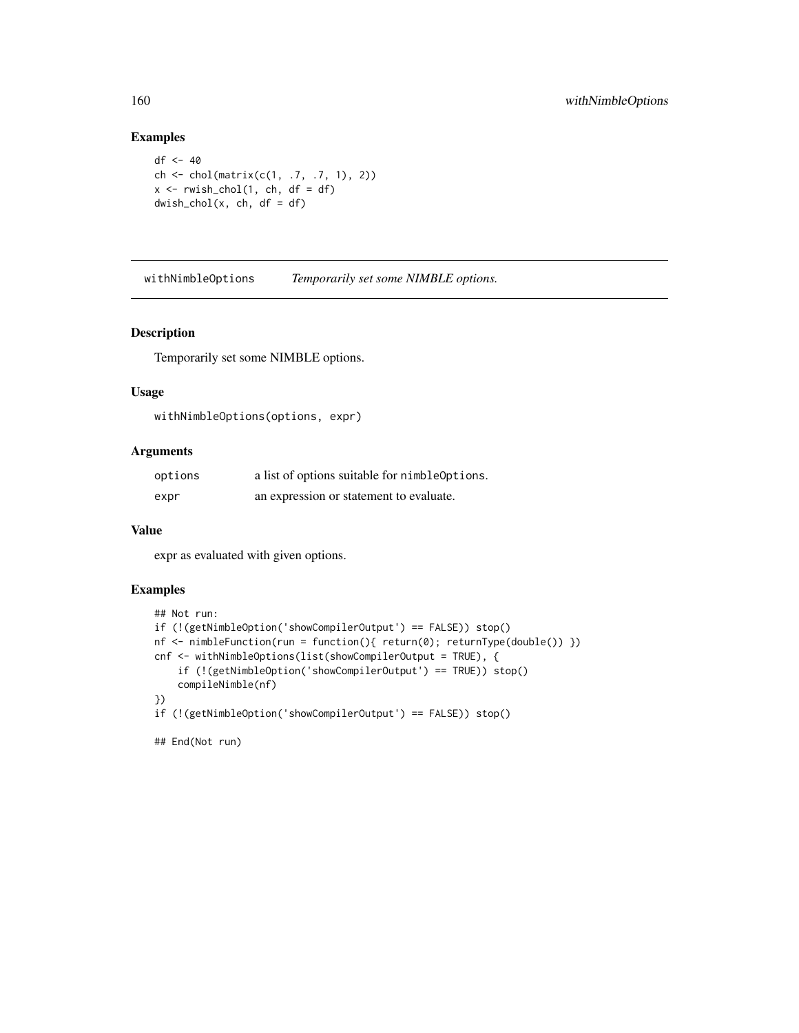# Examples

```
df <- 40
ch <- chol(matrix(c(1, .7, .7, 1), 2))
x \leq -rwish\_chol(1, ch, df = df)d wish\_chol(x, ch, df = df)
```
withNimbleOptions *Temporarily set some NIMBLE options.*

#### Description

Temporarily set some NIMBLE options.

#### Usage

```
withNimbleOptions(options, expr)
```
# Arguments

| options | a list of options suitable for nimbleOptions. |
|---------|-----------------------------------------------|
| expr    | an expression or statement to evaluate.       |

# Value

expr as evaluated with given options.

# Examples

```
## Not run:
if (!(getNimbleOption('showCompilerOutput') == FALSE)) stop()
nf <- nimbleFunction(run = function(){ return(0); returnType(double()) })
cnf <- withNimbleOptions(list(showCompilerOutput = TRUE), {
    if (!(getNimbleOption('showCompilerOutput') == TRUE)) stop()
    compileNimble(nf)
})
if (!(getNimbleOption('showCompilerOutput') == FALSE)) stop()
```
## End(Not run)

<span id="page-159-0"></span>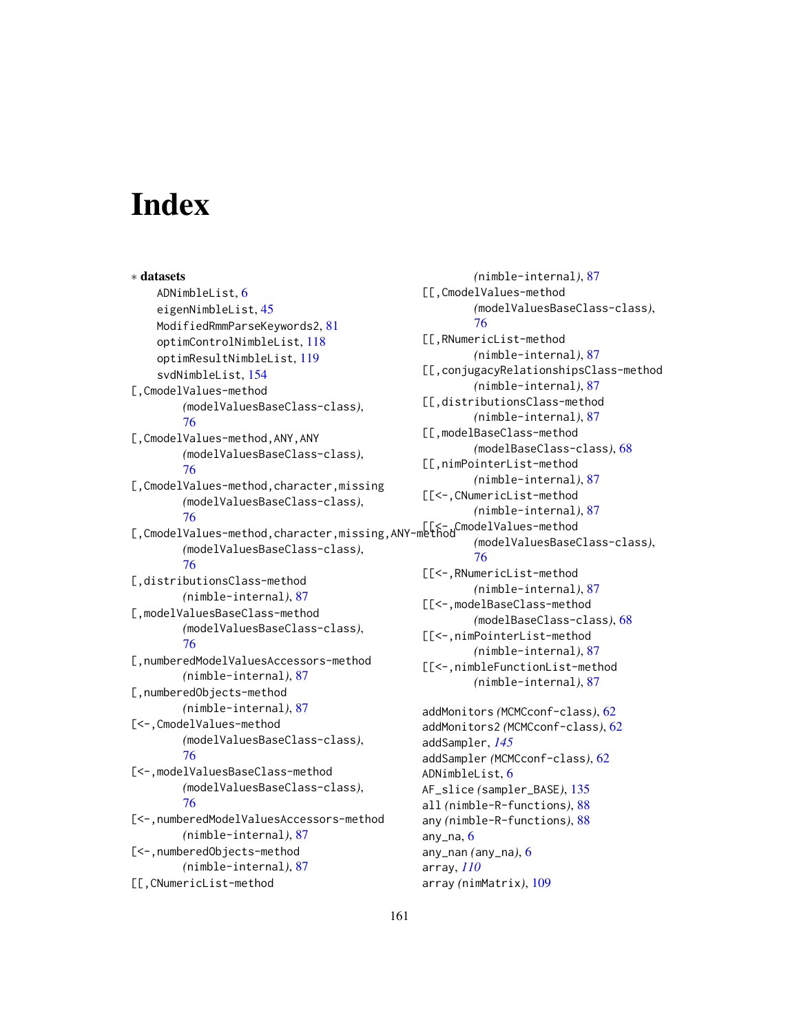# **Index**

∗ datasets ADNimbleList, [6](#page-5-0) eigenNimbleList, [45](#page-44-0) ModifiedRmmParseKeywords2, [81](#page-80-0) optimControlNimbleList, [118](#page-117-0) optimResultNimbleList, [119](#page-118-0) svdNimbleList, [154](#page-153-0) [,CmodelValues-method *(*modelValuesBaseClass-class*)*, [76](#page-75-0) [,CmodelValues-method,ANY,ANY *(*modelValuesBaseClass-class*)*, [76](#page-75-0) [, CmodelValues-method, character, missing *(*modelValuesBaseClass-class*)*, [76](#page-75-0) [,CmodelValues-method,character,missing,ANY-method [[<-,CmodelValues-method *(*modelValuesBaseClass-class*)*, [76](#page-75-0) [,distributionsClass-method *(*nimble-internal*)*, [87](#page-86-0) [,modelValuesBaseClass-method *(*modelValuesBaseClass-class*)*, [76](#page-75-0) [,numberedModelValuesAccessors-method *(*nimble-internal*)*, [87](#page-86-0) [,numberedObjects-method *(*nimble-internal*)*, [87](#page-86-0) [<-,CmodelValues-method *(*modelValuesBaseClass-class*)*, [76](#page-75-0) [<-,modelValuesBaseClass-method *(*modelValuesBaseClass-class*)*, [76](#page-75-0) [<-,numberedModelValuesAccessors-method *(*nimble-internal*)*, [87](#page-86-0) [<-,numberedObjects-method *(*nimble-internal*)*, [87](#page-86-0) [[,CNumericList-method

*(*nimble-internal*)*, [87](#page-86-0) [[,CmodelValues-method *(*modelValuesBaseClass-class*)*, [76](#page-75-0) [[,RNumericList-method *(*nimble-internal*)*, [87](#page-86-0) [[,conjugacyRelationshipsClass-method *(*nimble-internal*)*, [87](#page-86-0) [[,distributionsClass-method *(*nimble-internal*)*, [87](#page-86-0) [[,modelBaseClass-method *(*modelBaseClass-class*)*, [68](#page-67-0) [[,nimPointerList-method *(*nimble-internal*)*, [87](#page-86-0) [[<-,CNumericList-method *(*nimble-internal*)*, [87](#page-86-0) *(*modelValuesBaseClass-class*)*, [76](#page-75-0) [[<-,RNumericList-method *(*nimble-internal*)*, [87](#page-86-0) [[<-,modelBaseClass-method *(*modelBaseClass-class*)*, [68](#page-67-0) [[<-,nimPointerList-method *(*nimble-internal*)*, [87](#page-86-0) [[<-,nimbleFunctionList-method *(*nimble-internal*)*, [87](#page-86-0) addMonitors *(*MCMCconf-class*)*, [62](#page-61-1) addMonitors2 *(*MCMCconf-class*)*, [62](#page-61-1) addSampler, *[145](#page-144-0)* addSampler *(*MCMCconf-class*)*, [62](#page-61-1) ADNimbleList, [6](#page-5-0) AF\_slice *(*sampler\_BASE*)*, [135](#page-134-0) all *(*nimble-R-functions*)*, [88](#page-87-0) any *(*nimble-R-functions*)*, [88](#page-87-0) any\_na,  $6$ any\_nan *(*any\_na*)*, [6](#page-5-0) array, *[110](#page-109-0)* array *(*nimMatrix*)*, [109](#page-108-0)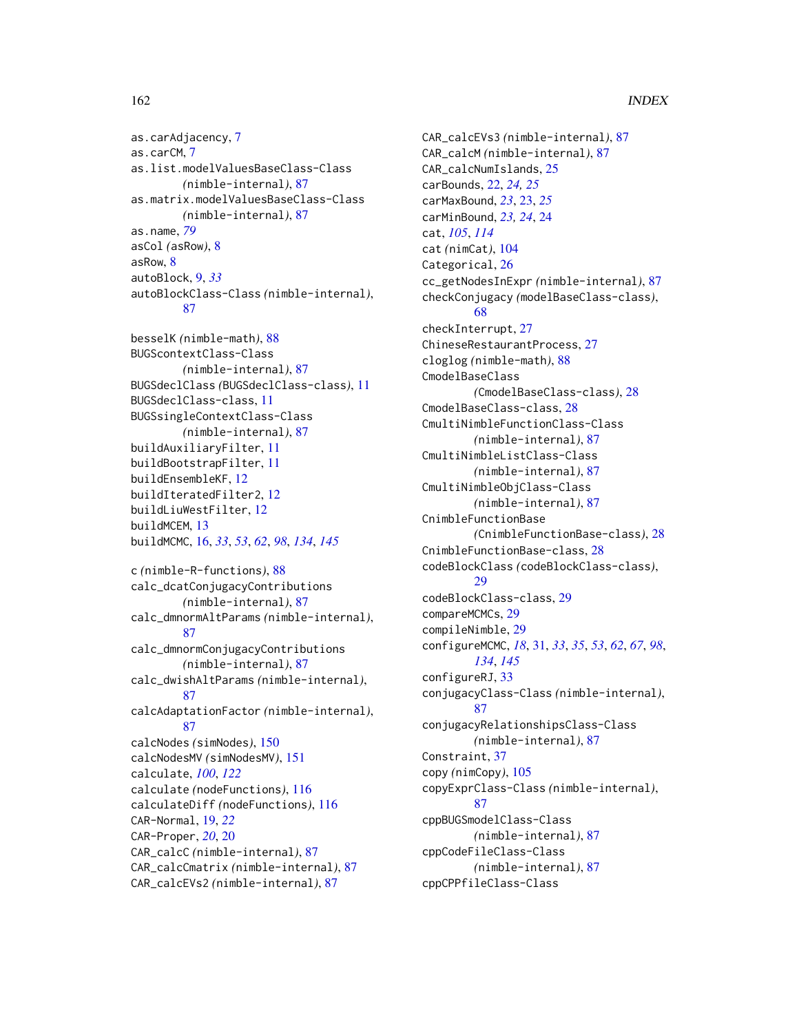# 162 INDEX

as.carAdjacency, [7](#page-6-0) as.carCM, [7](#page-6-0) as.list.modelValuesBaseClass-Class *(*nimble-internal*)*, [87](#page-86-0) as.matrix.modelValuesBaseClass-Class *(*nimble-internal*)*, [87](#page-86-0) as.name, *[79](#page-78-0)* asCol *(*asRow*)*, [8](#page-7-0) asRow, [8](#page-7-0) autoBlock, [9,](#page-8-0) *[33](#page-32-0)* autoBlockClass-Class *(*nimble-internal*)*, [87](#page-86-0)

besselK *(*nimble-math*)*, [88](#page-87-0) BUGScontextClass-Class *(*nimble-internal*)*, [87](#page-86-0) BUGSdeclClass *(*BUGSdeclClass-class*)*, [11](#page-10-0) BUGSdeclClass-class, [11](#page-10-0) BUGSsingleContextClass-Class *(*nimble-internal*)*, [87](#page-86-0) buildAuxiliaryFilter, [11](#page-10-0) buildBootstrapFilter, [11](#page-10-0) buildEnsembleKF, [12](#page-11-0) buildIteratedFilter2, [12](#page-11-0) buildLiuWestFilter, [12](#page-11-0) buildMCEM, [13](#page-12-0) buildMCMC, [16,](#page-15-1) *[33](#page-32-0)*, *[53](#page-52-0)*, *[62](#page-61-1)*, *[98](#page-97-0)*, *[134](#page-133-0)*, *[145](#page-144-0)*

```
c (nimble-R-functions), 88
calc_dcatConjugacyContributions
        (nimble-internal), 87
calc_dmnormAltParams (nimble-internal),
        87
calc_dmnormConjugacyContributions
        (nimble-internal), 87
calc_dwishAltParams (nimble-internal),
        87
calcAdaptationFactor (nimble-internal),
        87
calcNodes (simNodes), 150
calcNodesMV (simNodesMV), 151
calculate, 100, 122
calculate (nodeFunctions), 116
calculateDiff (nodeFunctions), 116
CAR-Normal, 19, 22
CAR-Proper, 20, 20
CAR_calcC (nimble-internal), 87
CAR_calcCmatrix (nimble-internal), 87
CAR_calcEVs2 (nimble-internal), 87
```
CAR\_calcEVs3 *(*nimble-internal*)*, [87](#page-86-0) CAR\_calcM *(*nimble-internal*)*, [87](#page-86-0) CAR\_calcNumIslands, [25](#page-24-0) carBounds, [22,](#page-21-0) *[24,](#page-23-0) [25](#page-24-0)* carMaxBound, *[23](#page-22-0)*, [23,](#page-22-0) *[25](#page-24-0)* carMinBound, *[23,](#page-22-0) [24](#page-23-0)*, [24](#page-23-0) cat, *[105](#page-104-0)*, *[114](#page-113-0)* cat *(*nimCat*)*, [104](#page-103-0) Categorical, [26](#page-25-0) cc\_getNodesInExpr *(*nimble-internal*)*, [87](#page-86-0) checkConjugacy *(*modelBaseClass-class*)*, [68](#page-67-0) checkInterrupt, [27](#page-26-0) ChineseRestaurantProcess, [27](#page-26-0) cloglog *(*nimble-math*)*, [88](#page-87-0) CmodelBaseClass *(*CmodelBaseClass-class*)*, [28](#page-27-0) CmodelBaseClass-class, [28](#page-27-0) CmultiNimbleFunctionClass-Class *(*nimble-internal*)*, [87](#page-86-0) CmultiNimbleListClass-Class *(*nimble-internal*)*, [87](#page-86-0) CmultiNimbleObjClass-Class *(*nimble-internal*)*, [87](#page-86-0) CnimbleFunctionBase *(*CnimbleFunctionBase-class*)*, [28](#page-27-0) CnimbleFunctionBase-class, [28](#page-27-0) codeBlockClass *(*codeBlockClass-class*)*, [29](#page-28-0) codeBlockClass-class, [29](#page-28-0) compareMCMCs, [29](#page-28-0) compileNimble, [29](#page-28-0) configureMCMC, *[18](#page-17-0)*, [31,](#page-30-1) *[33](#page-32-0)*, *[35](#page-34-0)*, *[53](#page-52-0)*, *[62](#page-61-1)*, *[67](#page-66-0)*, *[98](#page-97-0)*, *[134](#page-133-0)*, *[145](#page-144-0)* configureRJ, [33](#page-32-0) conjugacyClass-Class *(*nimble-internal*)*, [87](#page-86-0) conjugacyRelationshipsClass-Class *(*nimble-internal*)*, [87](#page-86-0) Constraint, [37](#page-36-0) copy *(*nimCopy*)*, [105](#page-104-0) copyExprClass-Class *(*nimble-internal*)*, [87](#page-86-0) cppBUGSmodelClass-Class *(*nimble-internal*)*, [87](#page-86-0) cppCodeFileClass-Class *(*nimble-internal*)*, [87](#page-86-0) cppCPPfileClass-Class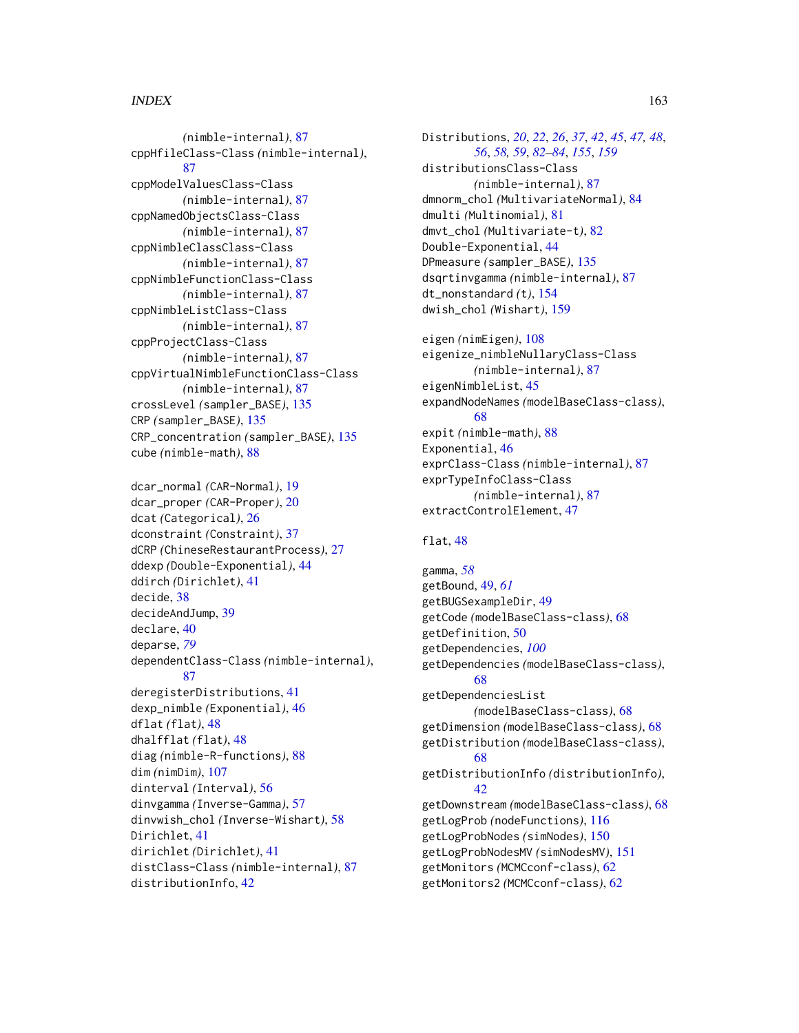# $I\Lambda$  is a set of  $I\Lambda$  is a set of  $I\Lambda$  is a set of  $I\Lambda$  is a set of  $I\Lambda$  is a set of  $I\Lambda$

*(*nimble-internal*)*, [87](#page-86-0) cppHfileClass-Class *(*nimble-internal*)*, [87](#page-86-0) cppModelValuesClass-Class *(*nimble-internal*)*, [87](#page-86-0) cppNamedObjectsClass-Class *(*nimble-internal*)*, [87](#page-86-0) cppNimbleClassClass-Class *(*nimble-internal*)*, [87](#page-86-0) cppNimbleFunctionClass-Class *(*nimble-internal*)*, [87](#page-86-0) cppNimbleListClass-Class *(*nimble-internal*)*, [87](#page-86-0) cppProjectClass-Class *(*nimble-internal*)*, [87](#page-86-0) cppVirtualNimbleFunctionClass-Class *(*nimble-internal*)*, [87](#page-86-0) crossLevel *(*sampler\_BASE*)*, [135](#page-134-0) CRP *(*sampler\_BASE*)*, [135](#page-134-0) CRP\_concentration *(*sampler\_BASE*)*, [135](#page-134-0) cube *(*nimble-math*)*, [88](#page-87-0)

dcar\_normal *(*CAR-Normal*)*, [19](#page-18-0) dcar\_proper *(*CAR-Proper*)*, [20](#page-19-0) dcat *(*Categorical*)*, [26](#page-25-0) dconstraint *(*Constraint*)*, [37](#page-36-0) dCRP *(*ChineseRestaurantProcess*)*, [27](#page-26-0) ddexp *(*Double-Exponential*)*, [44](#page-43-0) ddirch *(*Dirichlet*)*, [41](#page-40-0) decide, [38](#page-37-0) decideAndJump, [39](#page-38-0) declare, [40](#page-39-0) deparse, *[79](#page-78-0)* dependentClass-Class *(*nimble-internal*)*, [87](#page-86-0) deregisterDistributions, [41](#page-40-0) dexp\_nimble *(*Exponential*)*, [46](#page-45-0) dflat *(*flat*)*, [48](#page-47-0) dhalfflat *(*flat*)*, [48](#page-47-0) diag *(*nimble-R-functions*)*, [88](#page-87-0) dim *(*nimDim*)*, [107](#page-106-0) dinterval *(*Interval*)*, [56](#page-55-0) dinvgamma *(*Inverse-Gamma*)*, [57](#page-56-0) dinvwish\_chol *(*Inverse-Wishart*)*, [58](#page-57-0) Dirichlet, [41](#page-40-0) dirichlet *(*Dirichlet*)*, [41](#page-40-0) distClass-Class *(*nimble-internal*)*, [87](#page-86-0) distributionInfo, [42](#page-41-0)

Distributions, *[20](#page-19-0)*, *[22](#page-21-0)*, *[26](#page-25-0)*, *[37](#page-36-0)*, *[42](#page-41-0)*, *[45](#page-44-0)*, *[47,](#page-46-0) [48](#page-47-0)*, *[56](#page-55-0)*, *[58,](#page-57-0) [59](#page-58-0)*, *[82](#page-81-0)[–84](#page-83-0)*, *[155](#page-154-0)*, *[159](#page-158-0)* distributionsClass-Class *(*nimble-internal*)*, [87](#page-86-0) dmnorm\_chol *(*MultivariateNormal*)*, [84](#page-83-0) dmulti *(*Multinomial*)*, [81](#page-80-0) dmvt\_chol *(*Multivariate-t*)*, [82](#page-81-0) Double-Exponential, [44](#page-43-0) DPmeasure *(*sampler\_BASE*)*, [135](#page-134-0) dsqrtinvgamma *(*nimble-internal*)*, [87](#page-86-0) dt\_nonstandard *(*t*)*, [154](#page-153-0) dwish\_chol *(*Wishart*)*, [159](#page-158-0)

eigen *(*nimEigen*)*, [108](#page-107-0) eigenize\_nimbleNullaryClass-Class *(*nimble-internal*)*, [87](#page-86-0) eigenNimbleList, [45](#page-44-0) expandNodeNames *(*modelBaseClass-class*)*, [68](#page-67-0) expit *(*nimble-math*)*, [88](#page-87-0) Exponential, [46](#page-45-0) exprClass-Class *(*nimble-internal*)*, [87](#page-86-0) exprTypeInfoClass-Class *(*nimble-internal*)*, [87](#page-86-0) extractControlElement, [47](#page-46-0)

# flat, [48](#page-47-0)

gamma, *[58](#page-57-0)* getBound, [49,](#page-48-0) *[61](#page-60-0)* getBUGSexampleDir, [49](#page-48-0) getCode *(*modelBaseClass-class*)*, [68](#page-67-0) getDefinition, [50](#page-49-0) getDependencies, *[100](#page-99-0)* getDependencies *(*modelBaseClass-class*)*, [68](#page-67-0) getDependenciesList *(*modelBaseClass-class*)*, [68](#page-67-0) getDimension *(*modelBaseClass-class*)*, [68](#page-67-0) getDistribution *(*modelBaseClass-class*)*, [68](#page-67-0) getDistributionInfo *(*distributionInfo*)*, [42](#page-41-0) getDownstream *(*modelBaseClass-class*)*, [68](#page-67-0) getLogProb *(*nodeFunctions*)*, [116](#page-115-0) getLogProbNodes *(*simNodes*)*, [150](#page-149-0) getLogProbNodesMV *(*simNodesMV*)*, [151](#page-150-0) getMonitors *(*MCMCconf-class*)*, [62](#page-61-1) getMonitors2 *(*MCMCconf-class*)*, [62](#page-61-1)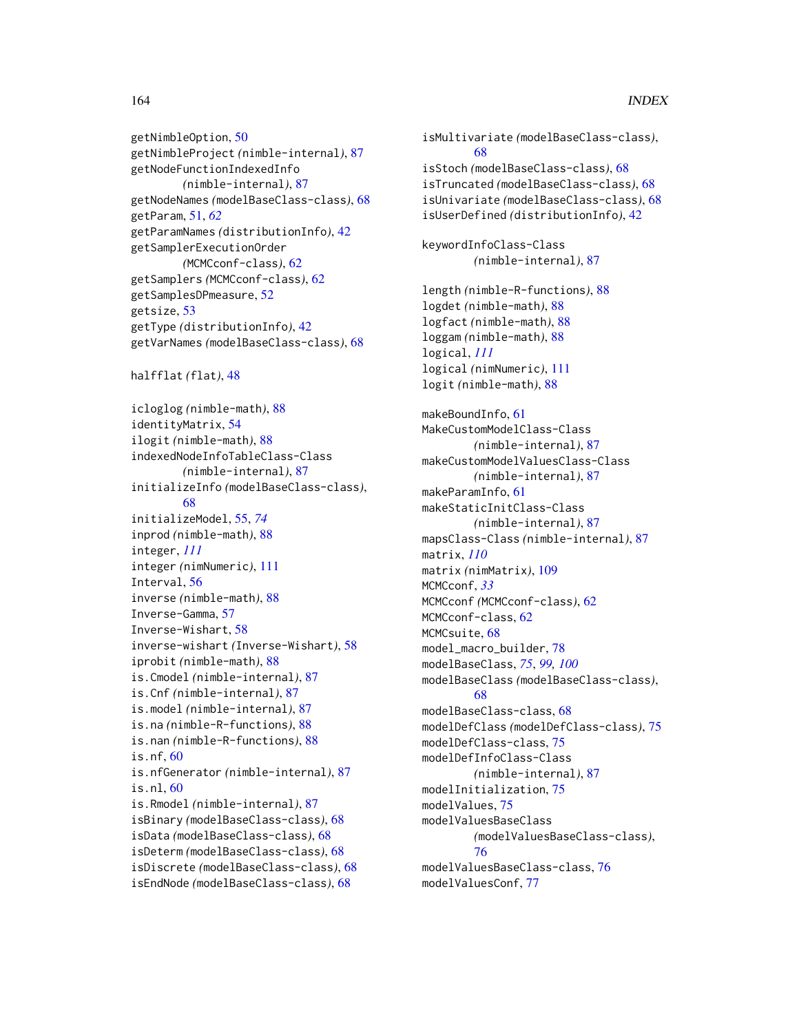getNimbleOption, [50](#page-49-0) getNimbleProject *(*nimble-internal*)*, [87](#page-86-0) getNodeFunctionIndexedInfo *(*nimble-internal*)*, [87](#page-86-0) getNodeNames *(*modelBaseClass-class*)*, [68](#page-67-0) getParam, [51,](#page-50-0) *[62](#page-61-1)* getParamNames *(*distributionInfo*)*, [42](#page-41-0) getSamplerExecutionOrder *(*MCMCconf-class*)*, [62](#page-61-1) getSamplers *(*MCMCconf-class*)*, [62](#page-61-1) getSamplesDPmeasure, [52](#page-51-0) getsize, [53](#page-52-0) getType *(*distributionInfo*)*, [42](#page-41-0) getVarNames *(*modelBaseClass-class*)*, [68](#page-67-0) halfflat *(*flat*)*, [48](#page-47-0) icloglog *(*nimble-math*)*, [88](#page-87-0) identityMatrix, [54](#page-53-0) ilogit *(*nimble-math*)*, [88](#page-87-0) indexedNodeInfoTableClass-Class *(*nimble-internal*)*, [87](#page-86-0) initializeInfo *(*modelBaseClass-class*)*, [68](#page-67-0) initializeModel, [55,](#page-54-0) *[74](#page-73-0)* inprod *(*nimble-math*)*, [88](#page-87-0) integer, *[111](#page-110-0)* integer *(*nimNumeric*)*, [111](#page-110-0) Interval, [56](#page-55-0) inverse *(*nimble-math*)*, [88](#page-87-0) Inverse-Gamma, [57](#page-56-0) Inverse-Wishart, [58](#page-57-0) inverse-wishart *(*Inverse-Wishart*)*, [58](#page-57-0) iprobit *(*nimble-math*)*, [88](#page-87-0) is.Cmodel *(*nimble-internal*)*, [87](#page-86-0) is.Cnf *(*nimble-internal*)*, [87](#page-86-0) is.model *(*nimble-internal*)*, [87](#page-86-0) is.na *(*nimble-R-functions*)*, [88](#page-87-0) is.nan *(*nimble-R-functions*)*, [88](#page-87-0) is.nf, [60](#page-59-0) is.nfGenerator *(*nimble-internal*)*, [87](#page-86-0) is.nl,  $60$ is.Rmodel *(*nimble-internal*)*, [87](#page-86-0) isBinary *(*modelBaseClass-class*)*, [68](#page-67-0) isData *(*modelBaseClass-class*)*, [68](#page-67-0) isDeterm *(*modelBaseClass-class*)*, [68](#page-67-0) isDiscrete *(*modelBaseClass-class*)*, [68](#page-67-0) isEndNode *(*modelBaseClass-class*)*, [68](#page-67-0)

isMultivariate *(*modelBaseClass-class*)*, [68](#page-67-0) isStoch *(*modelBaseClass-class*)*, [68](#page-67-0) isTruncated *(*modelBaseClass-class*)*, [68](#page-67-0) isUnivariate *(*modelBaseClass-class*)*, [68](#page-67-0) isUserDefined *(*distributionInfo*)*, [42](#page-41-0) keywordInfoClass-Class *(*nimble-internal*)*, [87](#page-86-0) length *(*nimble-R-functions*)*, [88](#page-87-0) logdet *(*nimble-math*)*, [88](#page-87-0) logfact *(*nimble-math*)*, [88](#page-87-0) loggam *(*nimble-math*)*, [88](#page-87-0) logical, *[111](#page-110-0)* logical *(*nimNumeric*)*, [111](#page-110-0) logit *(*nimble-math*)*, [88](#page-87-0) makeBoundInfo, [61](#page-60-0) MakeCustomModelClass-Class *(*nimble-internal*)*, [87](#page-86-0) makeCustomModelValuesClass-Class *(*nimble-internal*)*, [87](#page-86-0) makeParamInfo, [61](#page-60-0) makeStaticInitClass-Class *(*nimble-internal*)*, [87](#page-86-0) mapsClass-Class *(*nimble-internal*)*, [87](#page-86-0) matrix, *[110](#page-109-0)* matrix *(*nimMatrix*)*, [109](#page-108-0) MCMCconf, *[33](#page-32-0)* MCMCconf *(*MCMCconf-class*)*, [62](#page-61-1) MCMCconf-class, [62](#page-61-1) MCMCsuite, [68](#page-67-0) model\_macro\_builder, [78](#page-77-0) modelBaseClass, *[75](#page-74-0)*, *[99,](#page-98-0) [100](#page-99-0)* modelBaseClass *(*modelBaseClass-class*)*, [68](#page-67-0) modelBaseClass-class, [68](#page-67-0) modelDefClass *(*modelDefClass-class*)*, [75](#page-74-0) modelDefClass-class, [75](#page-74-0) modelDefInfoClass-Class *(*nimble-internal*)*, [87](#page-86-0) modelInitialization, [75](#page-74-0) modelValues, [75](#page-74-0) modelValuesBaseClass *(*modelValuesBaseClass-class*)*, [76](#page-75-0) modelValuesBaseClass-class, [76](#page-75-0) modelValuesConf, [77](#page-76-0)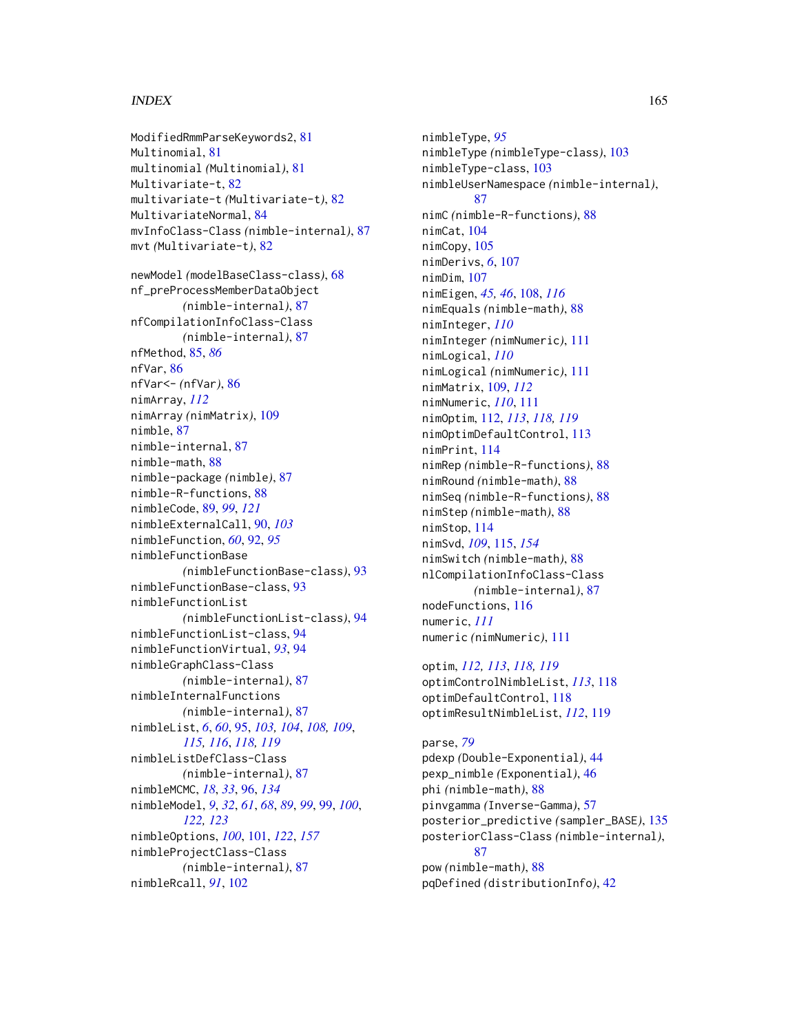# $I\Lambda$  is a set of  $I\Lambda$  is a set of  $I\Lambda$  is a set of  $I\Lambda$  is a set of  $I\Lambda$  is a set of  $I\Lambda$

```
ModifiedRmmParseKeywords2, 81
Multinomial, 81
multinomial (Multinomial), 81
Multivariate-t, 82
multivariate-t (Multivariate-t), 82
MultivariateNormal, 84
mvInfoClass-Class (nimble-internal), 87
mvt (Multivariate-t), 82
newModel (modelBaseClass-class), 68
nf_preProcessMemberDataObject
        (nimble-internal), 87
nfCompilationInfoClass-Class
        (nimble-internal), 87
nfMethod, 85, 86
nfVar, 86
nfVar<- (nfVar), 86
nimArray, 112
nimArray (nimMatrix), 109
nimble, 87
nimble-internal, 87
nimble-math, 88
nimble-package (nimble), 87
nimble-R-functions, 88
nimbleCode, 89, 99, 121
nimbleExternalCall, 90, 103
nimbleFunction, 60, 92, 95
nimbleFunctionBase
        (nimbleFunctionBase-class), 93
nimbleFunctionBase-class, 93
nimbleFunctionList
        (nimbleFunctionList-class), 94
nimbleFunctionList-class, 94
nimbleFunctionVirtual, 93, 94
nimbleGraphClass-Class
        (nimble-internal), 87
nimbleInternalFunctions
        (nimble-internal), 87
nimbleList, 6, 60, 95, 103, 104, 108, 109,
         115, 116, 118, 119
nimbleListDefClass-Class
        (nimble-internal), 87
nimbleMCMC, 18, 33, 96, 134
nimbleModel, 9, 32, 61, 68, 89, 99, 99, 100,
         122, 123
nimbleOptions, 100, 101, 122, 157
nimbleProjectClass-Class
        (nimble-internal), 87
nimbleRcall, 91, 102
```
nimbleType, *[95](#page-94-0)* nimbleType *(*nimbleType-class*)*, [103](#page-102-0) nimbleType-class, [103](#page-102-0) nimbleUserNamespace *(*nimble-internal*)*, [87](#page-86-0) nimC *(*nimble-R-functions*)*, [88](#page-87-0) nimCat, [104](#page-103-0) nimCopy, [105](#page-104-0) nimDerivs, *[6](#page-5-0)*, [107](#page-106-0) nimDim, [107](#page-106-0) nimEigen, *[45,](#page-44-0) [46](#page-45-0)*, [108,](#page-107-0) *[116](#page-115-0)* nimEquals *(*nimble-math*)*, [88](#page-87-0) nimInteger, *[110](#page-109-0)* nimInteger *(*nimNumeric*)*, [111](#page-110-0) nimLogical, *[110](#page-109-0)* nimLogical *(*nimNumeric*)*, [111](#page-110-0) nimMatrix, [109,](#page-108-0) *[112](#page-111-0)* nimNumeric, *[110](#page-109-0)*, [111](#page-110-0) nimOptim, [112,](#page-111-0) *[113](#page-112-0)*, *[118,](#page-117-0) [119](#page-118-0)* nimOptimDefaultControl, [113](#page-112-0) nimPrint, [114](#page-113-0) nimRep *(*nimble-R-functions*)*, [88](#page-87-0) nimRound *(*nimble-math*)*, [88](#page-87-0) nimSeq *(*nimble-R-functions*)*, [88](#page-87-0) nimStep *(*nimble-math*)*, [88](#page-87-0) nimStop, [114](#page-113-0) nimSvd, *[109](#page-108-0)*, [115,](#page-114-1) *[154](#page-153-0)* nimSwitch *(*nimble-math*)*, [88](#page-87-0) nlCompilationInfoClass-Class *(*nimble-internal*)*, [87](#page-86-0) nodeFunctions, [116](#page-115-0) numeric, *[111](#page-110-0)* numeric *(*nimNumeric*)*, [111](#page-110-0)

```
optim, 112, 113, 118, 119
optimControlNimbleList, 113, 118
optimDefaultControl, 118
optimResultNimbleList, 112, 119
```

```
parse, 79
pdexp (Double-Exponential), 44
pexp_nimble (Exponential), 46
phi (nimble-math), 88
pinvgamma (Inverse-Gamma), 57
posterior_predictive (sampler_BASE), 135
posteriorClass-Class (nimble-internal),
        87
pow (nimble-math), 88
pqDefined (distributionInfo), 42
```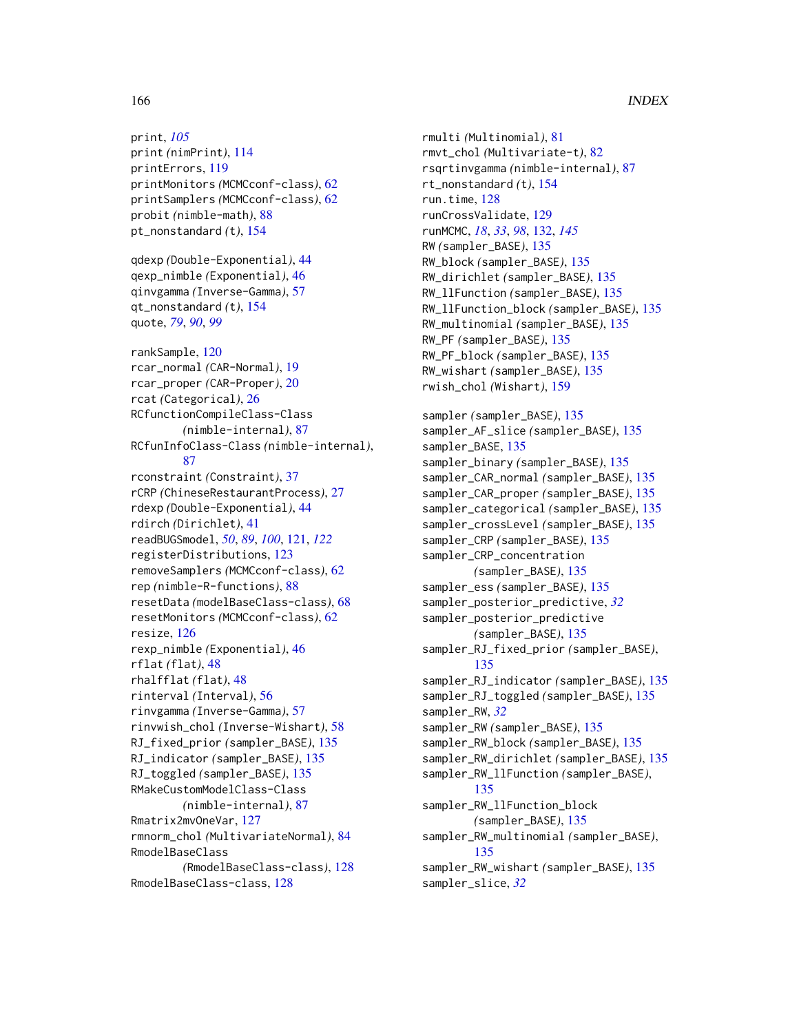# 166 INDEX

print, *[105](#page-104-0)* print *(*nimPrint*)*, [114](#page-113-0) printErrors, [119](#page-118-0) printMonitors *(*MCMCconf-class*)*, [62](#page-61-1) printSamplers *(*MCMCconf-class*)*, [62](#page-61-1) probit *(*nimble-math*)*, [88](#page-87-0) pt\_nonstandard *(*t*)*, [154](#page-153-0) qdexp *(*Double-Exponential*)*, [44](#page-43-0) qexp\_nimble *(*Exponential*)*, [46](#page-45-0) qinvgamma *(*Inverse-Gamma*)*, [57](#page-56-0) qt\_nonstandard *(*t*)*, [154](#page-153-0) quote, *[79](#page-78-0)*, *[90](#page-89-0)*, *[99](#page-98-0)* rankSample, [120](#page-119-0) rcar\_normal *(*CAR-Normal*)*, [19](#page-18-0) rcar\_proper *(*CAR-Proper*)*, [20](#page-19-0) rcat *(*Categorical*)*, [26](#page-25-0) RCfunctionCompileClass-Class *(*nimble-internal*)*, [87](#page-86-0) RCfunInfoClass-Class *(*nimble-internal*)*, [87](#page-86-0) rconstraint *(*Constraint*)*, [37](#page-36-0) rCRP *(*ChineseRestaurantProcess*)*, [27](#page-26-0) rdexp *(*Double-Exponential*)*, [44](#page-43-0) rdirch *(*Dirichlet*)*, [41](#page-40-0) readBUGSmodel, *[50](#page-49-0)*, *[89](#page-88-0)*, *[100](#page-99-0)*, [121,](#page-120-0) *[122](#page-121-0)* registerDistributions, [123](#page-122-0) removeSamplers *(*MCMCconf-class*)*, [62](#page-61-1) rep *(*nimble-R-functions*)*, [88](#page-87-0) resetData *(*modelBaseClass-class*)*, [68](#page-67-0) resetMonitors *(*MCMCconf-class*)*, [62](#page-61-1) resize, [126](#page-125-0) rexp\_nimble *(*Exponential*)*, [46](#page-45-0) rflat *(*flat*)*, [48](#page-47-0) rhalfflat *(*flat*)*, [48](#page-47-0) rinterval *(*Interval*)*, [56](#page-55-0) rinvgamma *(*Inverse-Gamma*)*, [57](#page-56-0) rinvwish\_chol *(*Inverse-Wishart*)*, [58](#page-57-0) RJ\_fixed\_prior *(*sampler\_BASE*)*, [135](#page-134-0) RJ\_indicator *(*sampler\_BASE*)*, [135](#page-134-0) RJ\_toggled *(*sampler\_BASE*)*, [135](#page-134-0) RMakeCustomModelClass-Class *(*nimble-internal*)*, [87](#page-86-0) Rmatrix2mvOneVar, [127](#page-126-0) rmnorm\_chol *(*MultivariateNormal*)*, [84](#page-83-0) RmodelBaseClass *(*RmodelBaseClass-class*)*, [128](#page-127-0) RmodelBaseClass-class, [128](#page-127-0)

rmulti *(*Multinomial*)*, [81](#page-80-0) rmvt\_chol *(*Multivariate-t*)*, [82](#page-81-0) rsqrtinvgamma *(*nimble-internal*)*, [87](#page-86-0) rt\_nonstandard *(*t*)*, [154](#page-153-0) run.time, [128](#page-127-0) runCrossValidate, [129](#page-128-0) runMCMC, *[18](#page-17-0)*, *[33](#page-32-0)*, *[98](#page-97-0)*, [132,](#page-131-1) *[145](#page-144-0)* RW *(*sampler\_BASE*)*, [135](#page-134-0) RW\_block *(*sampler\_BASE*)*, [135](#page-134-0) RW\_dirichlet *(*sampler\_BASE*)*, [135](#page-134-0) RW\_llFunction *(*sampler\_BASE*)*, [135](#page-134-0) RW\_llFunction\_block *(*sampler\_BASE*)*, [135](#page-134-0) RW\_multinomial *(*sampler\_BASE*)*, [135](#page-134-0) RW\_PF *(*sampler\_BASE*)*, [135](#page-134-0) RW\_PF\_block *(*sampler\_BASE*)*, [135](#page-134-0) RW\_wishart *(*sampler\_BASE*)*, [135](#page-134-0) rwish\_chol *(*Wishart*)*, [159](#page-158-0) sampler *(*sampler\_BASE*)*, [135](#page-134-0) sampler\_AF\_slice *(*sampler\_BASE*)*, [135](#page-134-0) sampler\_BASE, [135](#page-134-0) sampler\_binary *(*sampler\_BASE*)*, [135](#page-134-0) sampler\_CAR\_normal *(*sampler\_BASE*)*, [135](#page-134-0) sampler\_CAR\_proper *(*sampler\_BASE*)*, [135](#page-134-0) sampler\_categorical *(*sampler\_BASE*)*, [135](#page-134-0) sampler\_crossLevel *(*sampler\_BASE*)*, [135](#page-134-0) sampler\_CRP *(*sampler\_BASE*)*, [135](#page-134-0) sampler\_CRP\_concentration *(*sampler\_BASE*)*, [135](#page-134-0) sampler\_ess *(*sampler\_BASE*)*, [135](#page-134-0) sampler\_posterior\_predictive, *[32](#page-31-0)* sampler\_posterior\_predictive *(*sampler\_BASE*)*, [135](#page-134-0) sampler\_RJ\_fixed\_prior *(*sampler\_BASE*)*, [135](#page-134-0) sampler\_RJ\_indicator *(*sampler\_BASE*)*, [135](#page-134-0) sampler\_RJ\_toggled *(*sampler\_BASE*)*, [135](#page-134-0) sampler\_RW, *[32](#page-31-0)* sampler\_RW *(*sampler\_BASE*)*, [135](#page-134-0) sampler\_RW\_block *(*sampler\_BASE*)*, [135](#page-134-0) sampler\_RW\_dirichlet *(*sampler\_BASE*)*, [135](#page-134-0) sampler\_RW\_llFunction *(*sampler\_BASE*)*, [135](#page-134-0) sampler\_RW\_llFunction\_block *(*sampler\_BASE*)*, [135](#page-134-0) sampler\_RW\_multinomial *(*sampler\_BASE*)*, [135](#page-134-0) sampler\_RW\_wishart *(*sampler\_BASE*)*, [135](#page-134-0) sampler\_slice, *[32](#page-31-0)*